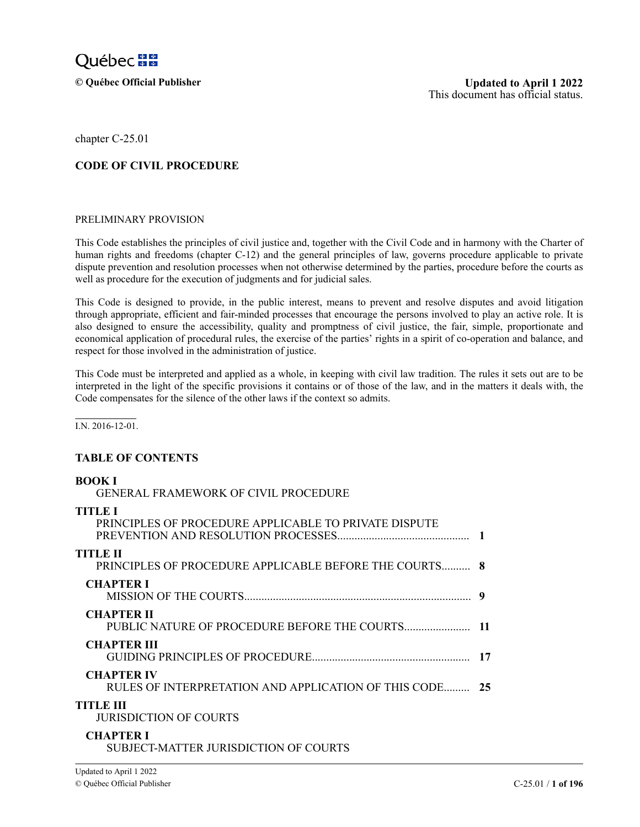

 $\odot$  Québec Official Publisher

chapter C-25.01

## **CODE OF CIVIL PROCEDURE**

#### n1 E e<br>D b PRELIMINARY PROVISION

This Code establishes the principles of civil justice and, together with the Civil Code and in harmony with the Charter of Fins Code establishes the principles of civil justice and, together with the Civil Code and in narmony with the Charter of human rights and freedoms (chapter C-12) and the general principles of law, governs procedure appli numan rights and rieedoms (chapter C-12) and the general principles of faw, governs procedure applicable to private<br>dispute prevention and resolution processes when not otherwise determined by the parties, procedure before ์<br>.. dispute prevention and resolution processes when not otherwise determ<br>well as procedure for the execution of judgments and for judicial sales.

I 2 This Code is designed to provide, in the public interest, means to prevent and resolve disputes and avoid litigation This code is designed to provide, in the public interest, means to prevent and resolve disputes and avoid ingation also designed to ensure the accessibility, quality and promptness of civil justice, the fair, simple, proportionate and also designed to ensure the accessibility, quality and promptness of civil justice, the fair, simple, also designed to ensure the accessionity, quanty and prompiness of evil justice, the ran, simple, proportionate and<br>economical application of procedural rules, the exercise of the parties' rights in a spirit of co-operatio u<br>ro  $\overline{\phantom{a}}$ ں<br>بہ respect for those involved in the administration of justice.

E 1 This Code must be interpreted and applied as a whole, in keeping with civil law tradition. The rules it sets out are to be interpreted in the light of the specific provisions it contains or of those of the law, and in the matters it deals with, the .<br>Րա Code compensates for the silence of the other laws if the context so admits.

E I.N. 2016-12-01.

#### **TABLE OF CONTENTS**

| <b>BOOK I</b><br><b>GENERAL FRAMEWORK OF CIVIL PROCEDURE</b>                 |   |
|------------------------------------------------------------------------------|---|
| TITLE I<br>PRINCIPLES OF PROCEDURE APPLICABLE TO PRIVATE DISPUTE             |   |
| TITLE II<br>PRINCIPLES OF PROCEDURE APPLICABLE BEFORE THE COURTS             |   |
| <b>CHAPTER I</b>                                                             | 9 |
| <b>CHAPTER II</b>                                                            |   |
| <b>CHAPTER III</b>                                                           |   |
| <b>CHAPTER IV</b><br>RULES OF INTERPRETATION AND APPLICATION OF THIS CODE 25 |   |
| TITLE III<br>JURISDICTION OF COURTS                                          |   |
| <b>CHAPTER I</b><br><b>SUBJECT-MATTER JURISDICTION OF COURTS</b>             |   |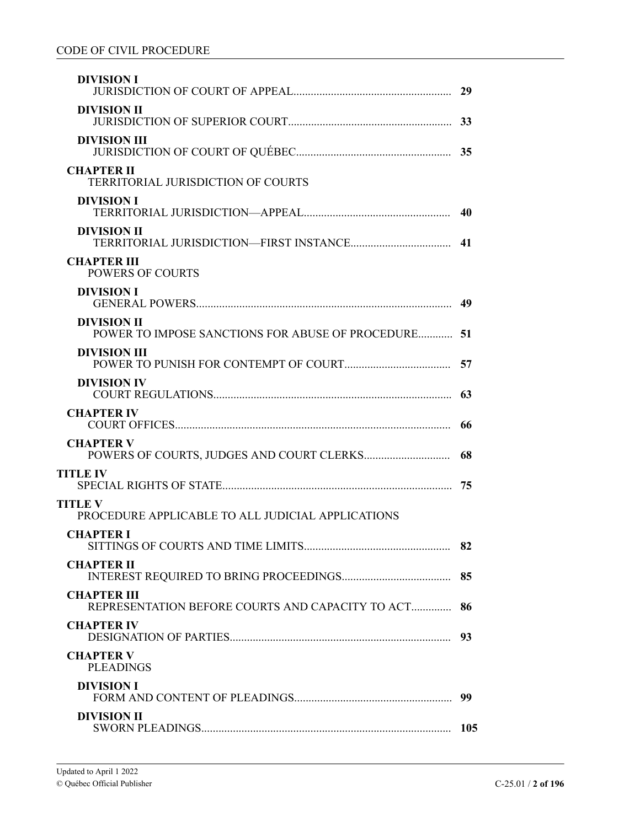| <b>DIVISION I</b>                                                      | 29  |
|------------------------------------------------------------------------|-----|
| <b>DIVISION II</b>                                                     | 33  |
| <b>DIVISION III</b>                                                    |     |
| <b>CHAPTER II</b><br>TERRITORIAL JURISDICTION OF COURTS                |     |
| <b>DIVISION I</b>                                                      | 40  |
| <b>DIVISION II</b>                                                     |     |
| <b>CHAPTER III</b><br><b>POWERS OF COURTS</b>                          |     |
| <b>DIVISION I</b>                                                      |     |
| <b>DIVISION II</b><br>POWER TO IMPOSE SANCTIONS FOR ABUSE OF PROCEDURE | 51  |
| <b>DIVISION III</b>                                                    |     |
| <b>DIVISION IV</b>                                                     | 63  |
| <b>CHAPTER IV</b>                                                      | 66  |
| <b>CHAPTER V</b>                                                       | 68  |
| TITLE IV                                                               | 75  |
| TITLE V<br>PROCEDURE APPLICABLE TO ALL JUDICIAL APPLICATIONS           |     |
| <b>CHAPTER I</b>                                                       | 82  |
| <b>CHAPTER II</b>                                                      | 85  |
| <b>CHAPTER III</b><br>REPRESENTATION BEFORE COURTS AND CAPACITY TO ACT | 86  |
| <b>CHAPTER IV</b>                                                      | 93  |
| <b>CHAPTER V</b><br><b>PLEADINGS</b>                                   |     |
| <b>DIVISION I</b>                                                      | 99  |
| <b>DIVISION II</b>                                                     | 105 |
|                                                                        |     |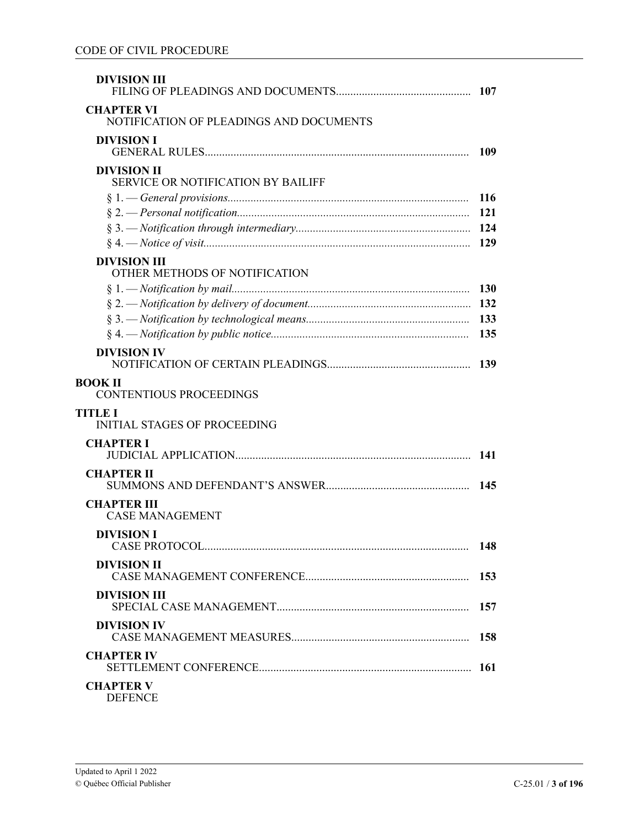| <b>DIVISION III</b>                                             |            |
|-----------------------------------------------------------------|------------|
| <b>CHAPTER VI</b><br>NOTIFICATION OF PLEADINGS AND DOCUMENTS    |            |
| <b>DIVISION I</b>                                               | 109        |
| <b>DIVISION II</b><br><b>SERVICE OR NOTIFICATION BY BAILIFF</b> |            |
|                                                                 | 116        |
| $§ 2. - Personal notification.$                                 | 121<br>124 |
|                                                                 | 129        |
| <b>DIVISION III</b><br>OTHER METHODS OF NOTIFICATION            |            |
|                                                                 | 130<br>132 |
|                                                                 | 133        |
|                                                                 | 135        |
| <b>DIVISION IV</b>                                              | 139        |
| BOOK II<br><b>CONTENTIOUS PROCEEDINGS</b>                       |            |
| TITLE I<br><b>INITIAL STAGES OF PROCEEDING</b>                  |            |
| <b>CHAPTER I</b>                                                |            |
| <b>CHAPTER II</b>                                               |            |
| <b>CHAPTER III</b><br><b>CASE MANAGEMENT</b>                    |            |
| <b>DIVISION I</b>                                               | 148        |
| <b>DIVISION II</b>                                              | 153        |
| <b>DIVISION III</b>                                             | 157        |
| <b>DIVISION IV</b>                                              | 158        |
| <b>CHAPTER IV</b>                                               | <b>161</b> |
| <b>CHAPTER V</b><br><b>DEFENCE</b>                              |            |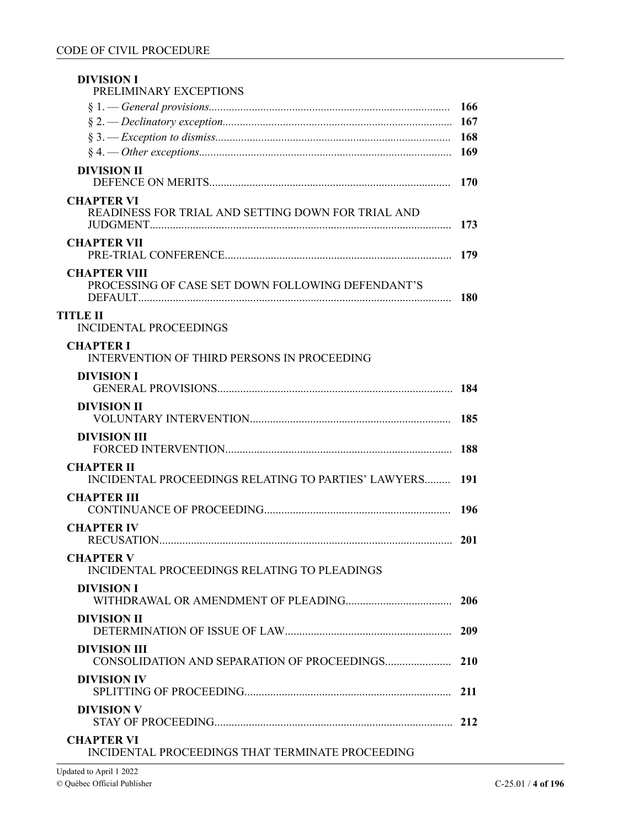| <b>DIVISION I</b><br>PRELIMINARY EXCEPTIONS                                  |            |
|------------------------------------------------------------------------------|------------|
|                                                                              |            |
|                                                                              |            |
|                                                                              |            |
|                                                                              |            |
| <b>DIVISION II</b>                                                           |            |
| <b>CHAPTER VI</b><br>READINESS FOR TRIAL AND SETTING DOWN FOR TRIAL AND      | 173        |
| <b>CHAPTER VII</b>                                                           |            |
| <b>CHAPTER VIII</b><br>PROCESSING OF CASE SET DOWN FOLLOWING DEFENDANT'S     | <b>180</b> |
| TITLE II<br><b>INCIDENTAL PROCEEDINGS</b>                                    |            |
| <b>CHAPTER I</b><br>INTERVENTION OF THIRD PERSONS IN PROCEEDING              |            |
| <b>DIVISION I</b>                                                            |            |
| <b>DIVISION II</b>                                                           |            |
| <b>DIVISION III</b>                                                          |            |
| <b>CHAPTER II</b><br>INCIDENTAL PROCEEDINGS RELATING TO PARTIES' LAWYERS 191 |            |
| <b>CHAPTER III</b>                                                           | 196        |
| <b>CHAPTER IV</b><br><b>RECUSATION</b>                                       | 201        |
| <b>CHAPTER V</b><br><b>INCIDENTAL PROCEEDINGS RELATING TO PLEADINGS</b>      |            |
| <b>DIVISION I</b>                                                            |            |
| <b>DIVISION II</b>                                                           |            |
| <b>DIVISION III</b>                                                          |            |
| <b>DIVISION IV</b>                                                           |            |
| <b>DIVISION V</b>                                                            |            |
| <b>CHAPTER VI</b><br>INCIDENTAL PROCEEDINGS THAT TERMINATE PROCEEDING        |            |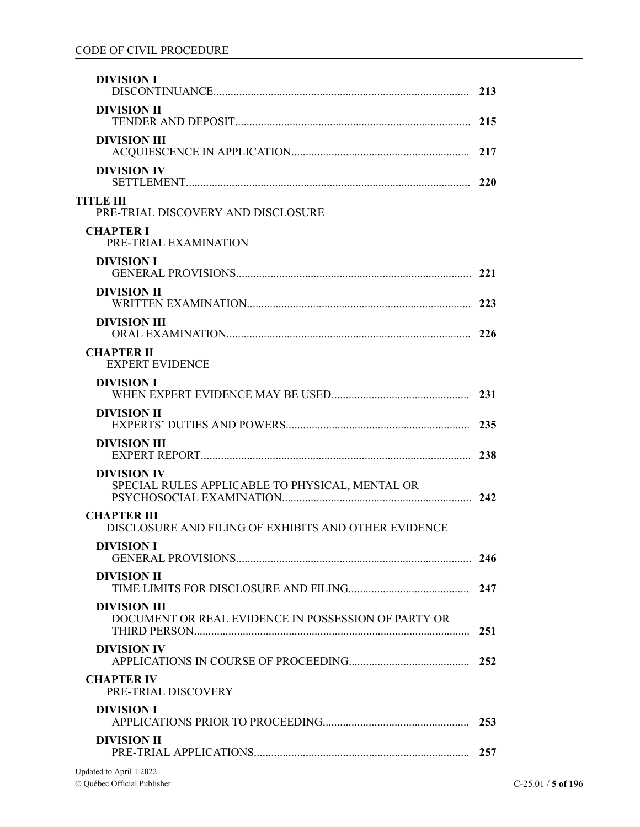| <b>DIVISION I</b>                                                          | 213 |
|----------------------------------------------------------------------------|-----|
| <b>DIVISION II</b>                                                         |     |
| <b>DIVISION III</b>                                                        |     |
| <b>DIVISION IV</b>                                                         |     |
| TITLE III<br>PRE-TRIAL DISCOVERY AND DISCLOSURE                            |     |
| <b>CHAPTER I</b><br>PRE-TRIAL EXAMINATION                                  |     |
| <b>DIVISION I</b>                                                          |     |
| <b>DIVISION II</b>                                                         |     |
| <b>DIVISION III</b>                                                        |     |
| <b>CHAPTER II</b><br><b>EXPERT EVIDENCE</b>                                |     |
| <b>DIVISION I</b>                                                          |     |
| <b>DIVISION II</b>                                                         |     |
| <b>DIVISION III</b>                                                        |     |
| <b>DIVISION IV</b><br>SPECIAL RULES APPLICABLE TO PHYSICAL, MENTAL OR      |     |
| <b>CHAPTER III</b><br>DISCLOSURE AND FILING OF EXHIBITS AND OTHER EVIDENCE |     |
| <b>DIVISION I</b>                                                          |     |
| <b>DIVISION II</b>                                                         |     |
| <b>DIVISION III</b><br>DOCUMENT OR REAL EVIDENCE IN POSSESSION OF PARTY OR | 251 |
| <b>DIVISION IV</b>                                                         |     |
| <b>CHAPTER IV</b><br>PRE-TRIAL DISCOVERY                                   |     |
| <b>DIVISION I</b>                                                          |     |
| <b>DIVISION II</b>                                                         |     |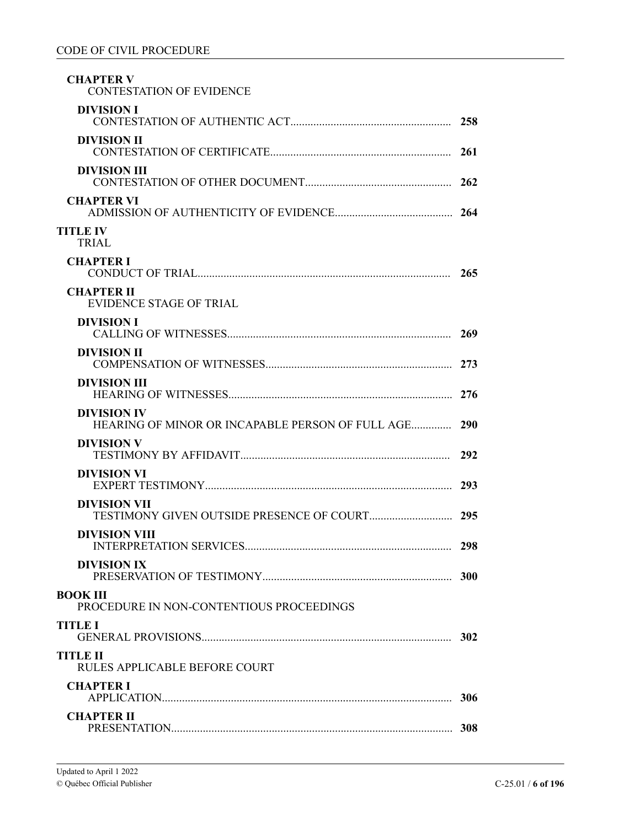| <b>CHAPTER V</b><br><b>CONTESTATION OF EVIDENCE</b>                    |            |
|------------------------------------------------------------------------|------------|
| <b>DIVISION I</b>                                                      |            |
| <b>DIVISION II</b>                                                     | 261        |
| <b>DIVISION III</b>                                                    | 262        |
| <b>CHAPTER VI</b>                                                      |            |
| TITLE IV<br><b>TRIAL</b>                                               |            |
| <b>CHAPTER I</b>                                                       | 265        |
| <b>CHAPTER II</b><br><b>EVIDENCE STAGE OF TRIAL</b>                    |            |
| <b>DIVISION I</b>                                                      | 269        |
| <b>DIVISION II</b>                                                     |            |
| <b>DIVISION III</b>                                                    |            |
| <b>DIVISION IV</b><br>HEARING OF MINOR OR INCAPABLE PERSON OF FULL AGE | <b>290</b> |
| <b>DIVISION V</b>                                                      | 292        |
| <b>DIVISION VI</b>                                                     | 293        |
| <b>DIVISION VII</b>                                                    | 295        |
| <b>DIVISION VIII</b>                                                   | 298        |
| <b>DIVISION IX</b>                                                     | 300        |
| <b>BOOK III</b><br>PROCEDURE IN NON-CONTENTIOUS PROCEEDINGS            |            |
| TITLE I                                                                | 302        |
| TITLE II<br>RULES APPLICABLE BEFORE COURT                              |            |
| <b>CHAPTER I</b>                                                       | 306        |
| <b>CHAPTER II</b>                                                      | 308        |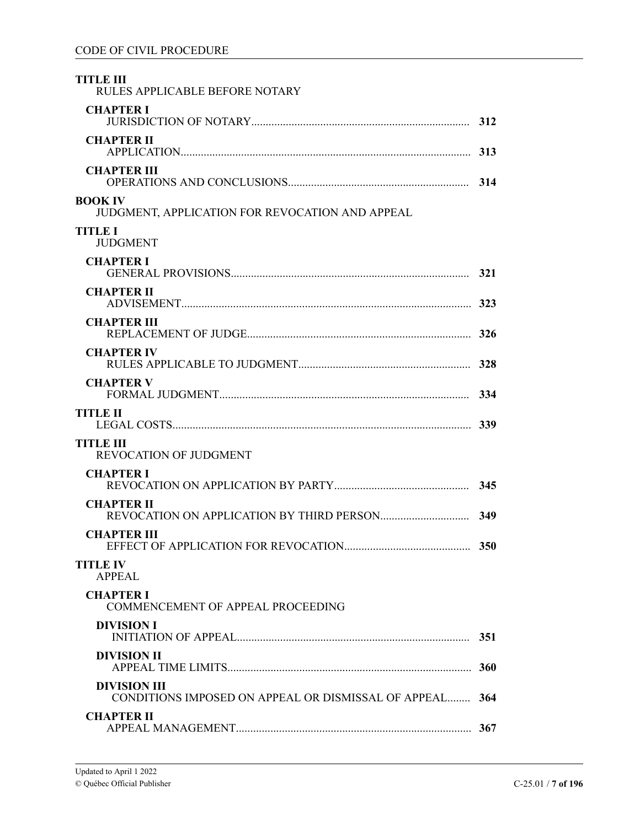| TITLE III<br>RULES APPLICABLE BEFORE NOTARY                                |     |
|----------------------------------------------------------------------------|-----|
| <b>CHAPTER I</b>                                                           | 312 |
| <b>CHAPTER II</b>                                                          |     |
| <b>CHAPTER III</b>                                                         |     |
| <b>BOOK IV</b><br>JUDGMENT, APPLICATION FOR REVOCATION AND APPEAL          |     |
| <b>TITLE I</b><br><b>JUDGMENT</b>                                          |     |
| <b>CHAPTER I</b>                                                           |     |
| <b>CHAPTER II</b>                                                          |     |
| <b>CHAPTER III</b>                                                         |     |
| CHAPTER IV                                                                 |     |
| <b>CHAPTER V</b>                                                           | 334 |
| TITLE II                                                                   |     |
| <b>TITLE III</b><br><b>REVOCATION OF JUDGMENT</b>                          |     |
| <b>CHAPTER I</b>                                                           |     |
| <b>CHAPTER II</b>                                                          | 349 |
| <b>CHAPTER III</b>                                                         | 350 |
| <b>TITLE IV</b><br><b>APPEAL</b>                                           |     |
| <b>CHAPTER I</b><br><b>COMMENCEMENT OF APPEAL PROCEEDING</b>               |     |
| <b>DIVISION I</b>                                                          | 351 |
| <b>DIVISION II</b>                                                         | 360 |
| <b>DIVISION III</b><br>CONDITIONS IMPOSED ON APPEAL OR DISMISSAL OF APPEAL | 364 |
| <b>CHAPTER II</b>                                                          | 367 |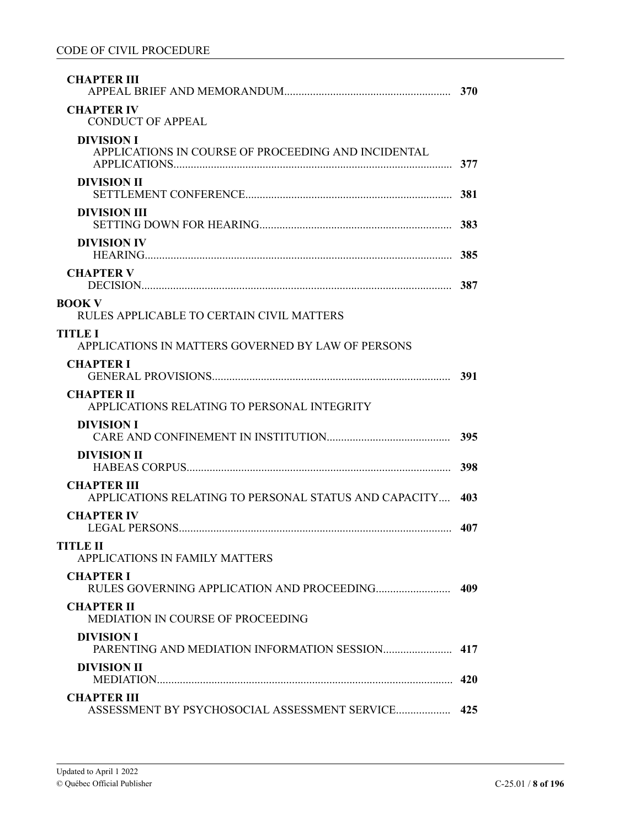| <b>CHAPTER III</b>                                                          |     |
|-----------------------------------------------------------------------------|-----|
| <b>CHAPTER IV</b><br><b>CONDUCT OF APPEAL</b>                               |     |
| <b>DIVISION I</b><br>APPLICATIONS IN COURSE OF PROCEEDING AND INCIDENTAL    |     |
| <b>DIVISION II</b>                                                          |     |
| <b>DIVISION III</b>                                                         |     |
| <b>DIVISION IV</b>                                                          |     |
| <b>CHAPTER V</b>                                                            |     |
| BOOK V<br>RULES APPLICABLE TO CERTAIN CIVIL MATTERS                         |     |
| TITLE I<br>APPLICATIONS IN MATTERS GOVERNED BY LAW OF PERSONS               |     |
| <b>CHAPTER I</b>                                                            | 391 |
| <b>CHAPTER II</b><br>APPLICATIONS RELATING TO PERSONAL INTEGRITY            |     |
| <b>DIVISION I</b>                                                           | 395 |
| <b>DIVISION II</b>                                                          |     |
| <b>CHAPTER III</b><br>APPLICATIONS RELATING TO PERSONAL STATUS AND CAPACITY | 403 |
| <b>CHAPTER IV</b>                                                           | 407 |
| TITLE II<br>APPLICATIONS IN FAMILY MATTERS                                  |     |
| <b>CHAPTER I</b>                                                            |     |
| <b>CHAPTER II</b><br><b>MEDIATION IN COURSE OF PROCEEDING</b>               |     |
| DIVISION I                                                                  | 417 |
| <b>DIVISION II</b>                                                          | 420 |
| <b>CHAPTER III</b><br>ASSESSMENT BY PSYCHOSOCIAL ASSESSMENT SERVICE         | 425 |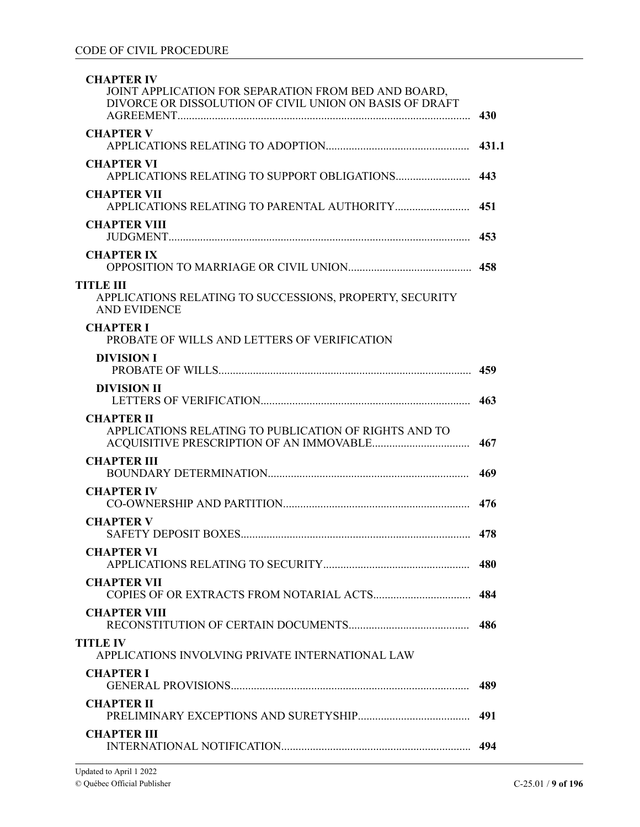| <b>CHAPTER IV</b><br>JOINT APPLICATION FOR SEPARATION FROM BED AND BOARD,                    |       |
|----------------------------------------------------------------------------------------------|-------|
| DIVORCE OR DISSOLUTION OF CIVIL UNION ON BASIS OF DRAFT                                      |       |
| <b>CHAPTER V</b>                                                                             | 431.1 |
| <b>CHAPTER VI</b><br>APPLICATIONS RELATING TO SUPPORT OBLIGATIONS                            | 443   |
| <b>CHAPTER VII</b>                                                                           | 451   |
| <b>CHAPTER VIII</b>                                                                          | 453   |
| <b>CHAPTER IX</b>                                                                            |       |
| TITLE III<br>APPLICATIONS RELATING TO SUCCESSIONS, PROPERTY, SECURITY<br><b>AND EVIDENCE</b> |       |
| <b>CHAPTER I</b><br>PROBATE OF WILLS AND LETTERS OF VERIFICATION                             |       |
| <b>DIVISION I</b>                                                                            |       |
| <b>DIVISION II</b>                                                                           |       |
| <b>CHAPTER II</b><br>APPLICATIONS RELATING TO PUBLICATION OF RIGHTS AND TO                   | 467   |
| <b>CHAPTER III</b>                                                                           | 469   |
| <b>CHAPTER IV</b>                                                                            |       |
| <b>CHAPTER V</b>                                                                             |       |
| <b>CHAPTER VI</b>                                                                            |       |
| <b>CHAPTER VII</b>                                                                           |       |
| <b>CHAPTER VIII</b>                                                                          | 486   |
| TITLE IV<br>APPLICATIONS INVOLVING PRIVATE INTERNATIONAL LAW                                 |       |
| <b>CHAPTER I</b>                                                                             | 489   |
| <b>CHAPTER II</b>                                                                            |       |
| <b>CHAPTER III</b>                                                                           |       |
|                                                                                              |       |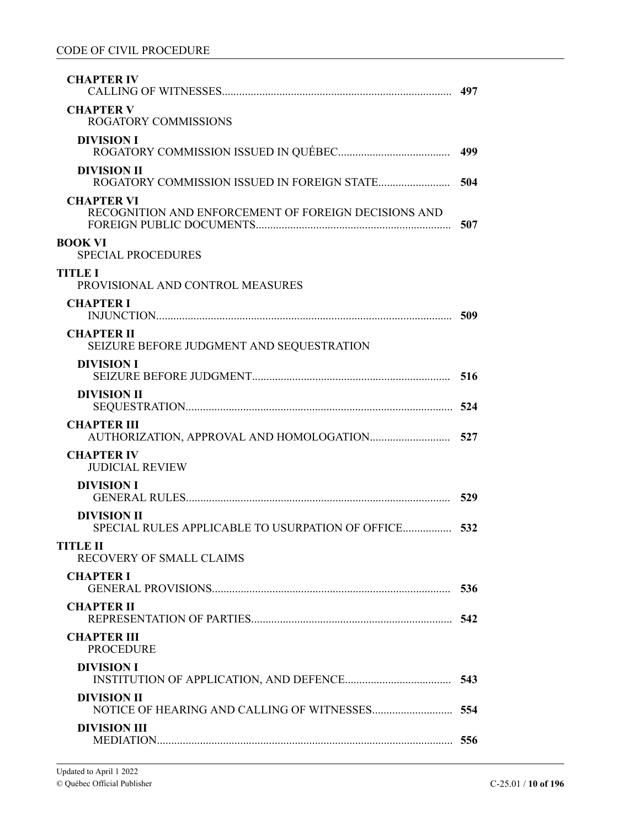| <b>CHAPTER IV</b>                                                          | 497 |
|----------------------------------------------------------------------------|-----|
| <b>CHAPTER V</b><br><b>ROGATORY COMMISSIONS</b>                            |     |
| <b>DIVISION I</b>                                                          |     |
| <b>DIVISION II</b>                                                         |     |
| <b>CHAPTER VI</b><br>RECOGNITION AND ENFORCEMENT OF FOREIGN DECISIONS AND  | 507 |
| BOOK VI<br><b>SPECIAL PROCEDURES</b>                                       |     |
| TITLE I<br>PROVISIONAL AND CONTROL MEASURES                                |     |
| <b>CHAPTER I</b>                                                           |     |
| <b>CHAPTER II</b><br>SEIZURE BEFORE JUDGMENT AND SEQUESTRATION             |     |
| <b>DIVISION I</b>                                                          |     |
| <b>DIVISION II</b>                                                         |     |
| <b>CHAPTER III</b>                                                         |     |
| <b>CHAPTER IV</b><br><b>JUDICIAL REVIEW</b>                                |     |
| <b>DIVISION I</b>                                                          |     |
| <b>DIVISION II</b><br>SPECIAL RULES APPLICABLE TO USURPATION OF OFFICE 532 |     |
| <b>TITLE II</b><br>RECOVERY OF SMALL CLAIMS                                |     |
| <b>CHAPTER I</b>                                                           |     |
| <b>CHAPTER II</b>                                                          |     |
| <b>CHAPTER III</b><br><b>PROCEDURE</b>                                     |     |
| <b>DIVISION I</b>                                                          |     |
| <b>DIVISION II</b>                                                         |     |
| <b>DIVISION III</b>                                                        |     |
|                                                                            |     |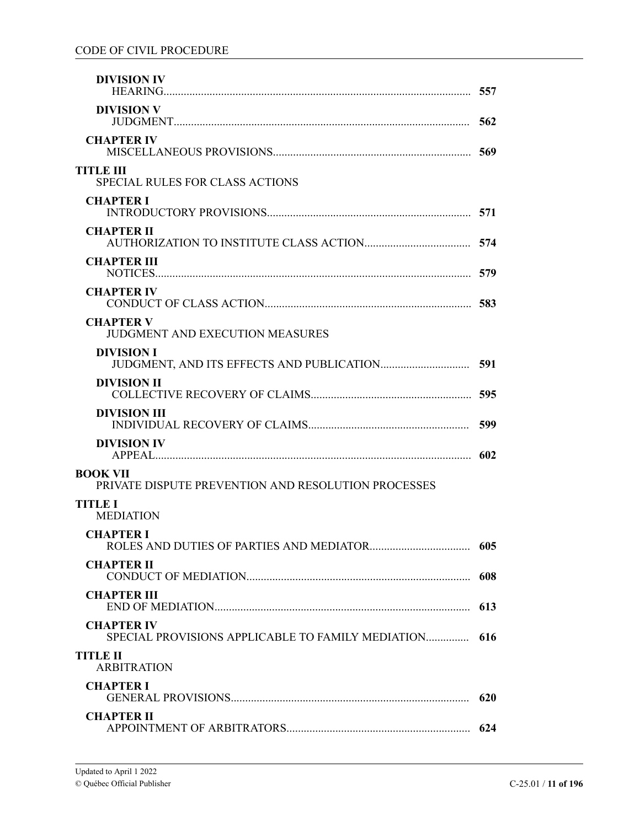| <b>DIVISION IV</b>                                                     |     |
|------------------------------------------------------------------------|-----|
| <b>DIVISION V</b>                                                      |     |
| <b>CHAPTER IV</b>                                                      |     |
| <b>TITLE III</b><br><b>SPECIAL RULES FOR CLASS ACTIONS</b>             |     |
| <b>CHAPTER I</b>                                                       |     |
| <b>CHAPTER II</b>                                                      |     |
| <b>CHAPTER III</b>                                                     |     |
| <b>CHAPTER IV</b>                                                      |     |
| <b>CHAPTER V</b><br><b>JUDGMENT AND EXECUTION MEASURES</b>             |     |
| <b>DIVISION I</b>                                                      |     |
| <b>DIVISION II</b>                                                     |     |
| <b>DIVISION III</b>                                                    |     |
| <b>DIVISION IV</b>                                                     |     |
| <b>BOOK VII</b><br>PRIVATE DISPUTE PREVENTION AND RESOLUTION PROCESSES |     |
| TITLE I<br><b>MEDIATION</b>                                            |     |
| <b>CHAPTER I</b>                                                       | 605 |
| <b>CHAPTER II</b>                                                      | 608 |
| <b>CHAPTER III</b>                                                     | 613 |
| <b>CHAPTER IV</b><br>SPECIAL PROVISIONS APPLICABLE TO FAMILY MEDIATION | 616 |
| <b>TITLE II</b><br><b>ARBITRATION</b>                                  |     |
| <b>CHAPTER I</b>                                                       | 620 |
| <b>CHAPTER II</b>                                                      |     |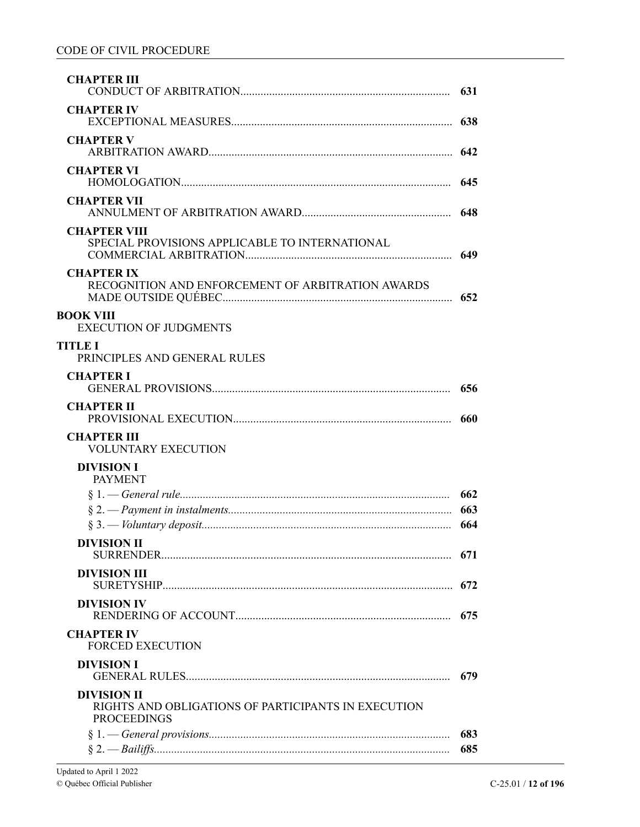| <b>CHAPTER III</b>                                                                              | 631 |
|-------------------------------------------------------------------------------------------------|-----|
| <b>CHAPTER IV</b>                                                                               |     |
| <b>CHAPTER V</b>                                                                                |     |
| <b>CHAPTER VI</b>                                                                               | 645 |
| <b>CHAPTER VII</b>                                                                              | 648 |
| <b>CHAPTER VIII</b><br>SPECIAL PROVISIONS APPLICABLE TO INTERNATIONAL                           |     |
| <b>CHAPTER IX</b><br>RECOGNITION AND ENFORCEMENT OF ARBITRATION AWARDS                          |     |
| BOOK VIII<br><b>EXECUTION OF JUDGMENTS</b>                                                      |     |
| TITLE I<br>PRINCIPLES AND GENERAL RULES                                                         |     |
| <b>CHAPTER I</b>                                                                                | 656 |
| <b>CHAPTER II</b>                                                                               |     |
| <b>CHAPTER III</b><br>VOLUNTARY EXECUTION                                                       |     |
| <b>DIVISION I</b><br><b>PAYMENT</b>                                                             |     |
|                                                                                                 | 662 |
|                                                                                                 |     |
|                                                                                                 |     |
| DIVISION II                                                                                     |     |
| <b>DIVISION III</b>                                                                             | 672 |
| <b>DIVISION IV</b>                                                                              | 675 |
| <b>CHAPTER IV</b><br><b>FORCED EXECUTION</b>                                                    |     |
| <b>DIVISION I</b>                                                                               | 679 |
| <b>DIVISION II</b><br>RIGHTS AND OBLIGATIONS OF PARTICIPANTS IN EXECUTION<br><b>PROCEEDINGS</b> |     |
|                                                                                                 | 683 |
|                                                                                                 | 685 |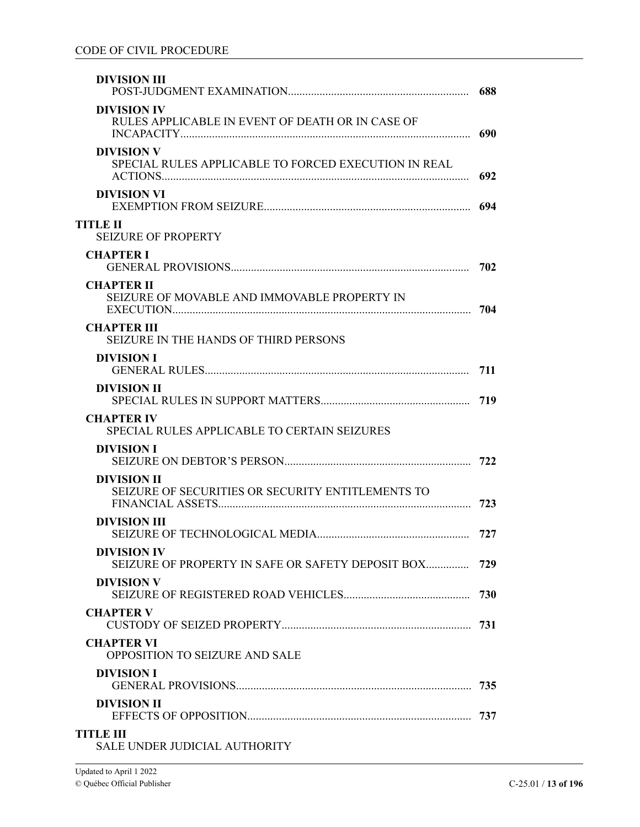| <b>DIVISION III</b>                                                       | 688 |
|---------------------------------------------------------------------------|-----|
| <b>DIVISION IV</b><br>RULES APPLICABLE IN EVENT OF DEATH OR IN CASE OF    | 690 |
| <b>DIVISION V</b><br>SPECIAL RULES APPLICABLE TO FORCED EXECUTION IN REAL | 692 |
| <b>DIVISION VI</b>                                                        |     |
| TITLE II<br><b>SEIZURE OF PROPERTY</b>                                    |     |
| <b>CHAPTER I</b>                                                          |     |
| <b>CHAPTER II</b><br>SEIZURE OF MOVABLE AND IMMOVABLE PROPERTY IN         | 704 |
| <b>CHAPTER III</b><br><b>SEIZURE IN THE HANDS OF THIRD PERSONS</b>        |     |
| <b>DIVISION I</b>                                                         | 711 |
| <b>DIVISION II</b>                                                        |     |
| <b>CHAPTER IV</b><br>SPECIAL RULES APPLICABLE TO CERTAIN SEIZURES         |     |
| <b>DIVISION I</b>                                                         |     |
| <b>DIVISION II</b><br>SEIZURE OF SECURITIES OR SECURITY ENTITLEMENTS TO   |     |
| <b>DIVISION III</b>                                                       | 727 |
| <b>DIVISION IV</b><br>SEIZURE OF PROPERTY IN SAFE OR SAFETY DEPOSIT BOX   | 729 |
| <b>DIVISION V</b>                                                         | 730 |
| <b>CHAPTER V</b>                                                          |     |
| <b>CHAPTER VI</b><br><b>OPPOSITION TO SEIZURE AND SALE</b>                |     |
| <b>DIVISION I</b>                                                         |     |
| <b>DIVISION II</b>                                                        |     |
| <b>TITLE III</b><br><b>SALE UNDER JUDICIAL AUTHORITY</b>                  |     |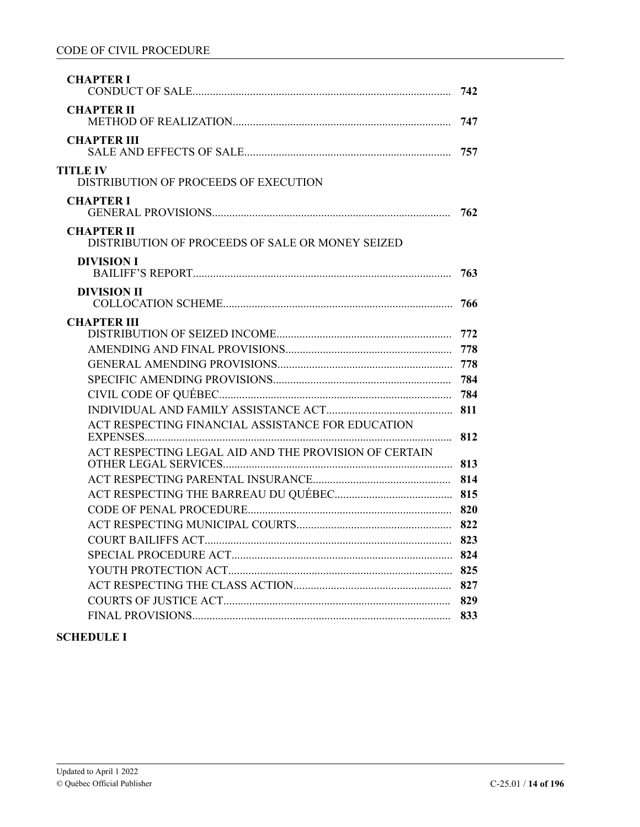| <b>CHAPTER I</b>                                                      |     |
|-----------------------------------------------------------------------|-----|
|                                                                       | 742 |
| <b>CHAPTER II</b>                                                     |     |
| <b>CHAPTER III</b>                                                    |     |
| TITLE IV                                                              |     |
| DISTRIBUTION OF PROCEEDS OF EXECUTION                                 |     |
| <b>CHAPTER I</b>                                                      | 762 |
| <b>CHAPTER II</b><br>DISTRIBUTION OF PROCEEDS OF SALE OR MONEY SEIZED |     |
| <b>DIVISION I</b>                                                     |     |
| <b>DIVISION II</b>                                                    |     |
| <b>CHAPTER III</b>                                                    |     |
|                                                                       |     |
|                                                                       |     |
|                                                                       |     |
|                                                                       |     |
|                                                                       |     |
|                                                                       |     |
| ACT RESPECTING FINANCIAL ASSISTANCE FOR EDUCATION                     | 812 |
| ACT RESPECTING LEGAL AID AND THE PROVISION OF CERTAIN                 |     |
|                                                                       |     |
|                                                                       |     |
|                                                                       |     |
|                                                                       |     |
|                                                                       | 823 |
|                                                                       | 824 |
|                                                                       | 825 |
|                                                                       | 827 |
|                                                                       | 829 |
|                                                                       | 833 |
|                                                                       |     |

# **SCHEDULE I**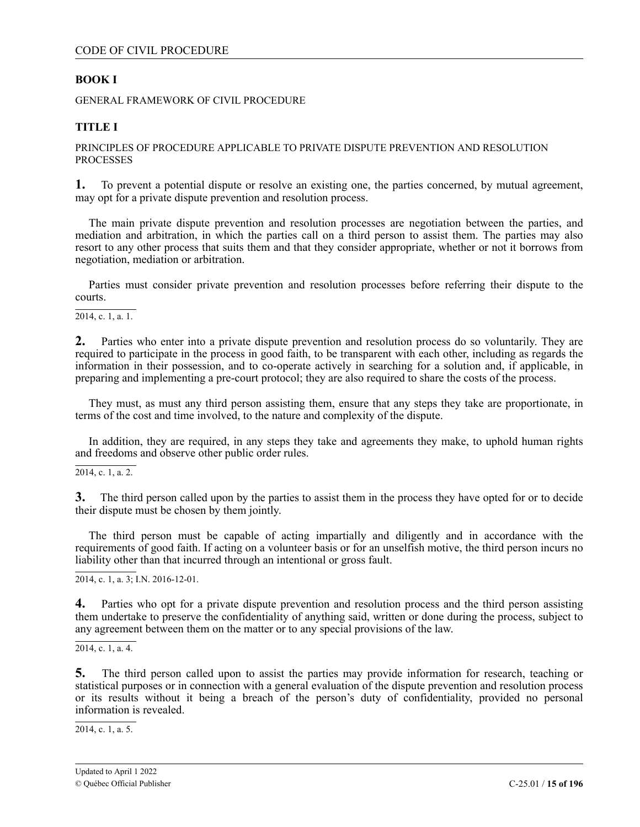## <span id="page-14-0"></span>**BOOK I**

GENERAL FRAMEWORK OF CIVIL PROCEDURE

## **TITLE I**

PRINCIPLES OF PROCEDURE APPLICABLE TO PRIVATE DISPUTE PREVENTION AND RESOLUTION **PROCESSES** 

**1.** To prevent a potential dispute or resolve an existing one, the parties concerned, by mutual agreement, may opt for a private dispute prevention and resolution process.

The main private dispute prevention and resolution processes are negotiation between the parties, and mediation and arbitration, in which the parties call on a third person to assist them. The parties may also resort to any other process that suits them and that they consider appropriate, whether or not it borrows from negotiation, mediation or arbitration.

Parties must consider private prevention and resolution processes before referring their dispute to the courts.

2014, c. 1, a. 1.

**2.** Parties who enter into a private dispute prevention and resolution process do so voluntarily. They are required to participate in the process in good faith, to be transparent with each other, including as regards the information in their possession, and to co-operate actively in searching for a solution and, if applicable, in preparing and implementing a pre-court protocol; they are also required to share the costs of the process.

They must, as must any third person assisting them, ensure that any steps they take are proportionate, in terms of the cost and time involved, to the nature and complexity of the dispute.

In addition, they are required, in any steps they take and agreements they make, to uphold human rights and freedoms and observe other public order rules.

 $\overline{2014, c. 1, a. 2.}$ 

**3.** The third person called upon by the parties to assist them in the process they have opted for or to decide their dispute must be chosen by them jointly.

The third person must be capable of acting impartially and diligently and in accordance with the requirements of good faith. If acting on a volunteer basis or for an unselfish motive, the third person incurs no liability other than that incurred through an intentional or gross fault.

2014, c. 1, a. 3; I.N. 2016-12-01.

**4.** Parties who opt for a private dispute prevention and resolution process and the third person assisting them undertake to preserve the confidentiality of anything said, written or done during the process, subject to any agreement between them on the matter or to any special provisions of the law.

2014, c. 1, a. 4.

**5.** The third person called upon to assist the parties may provide information for research, teaching or statistical purposes or in connection with a general evaluation of the dispute prevention and resolution process or its results without it being a breach of the person's duty of confidentiality, provided no personal information is revealed.

2014, c. 1, a. 5.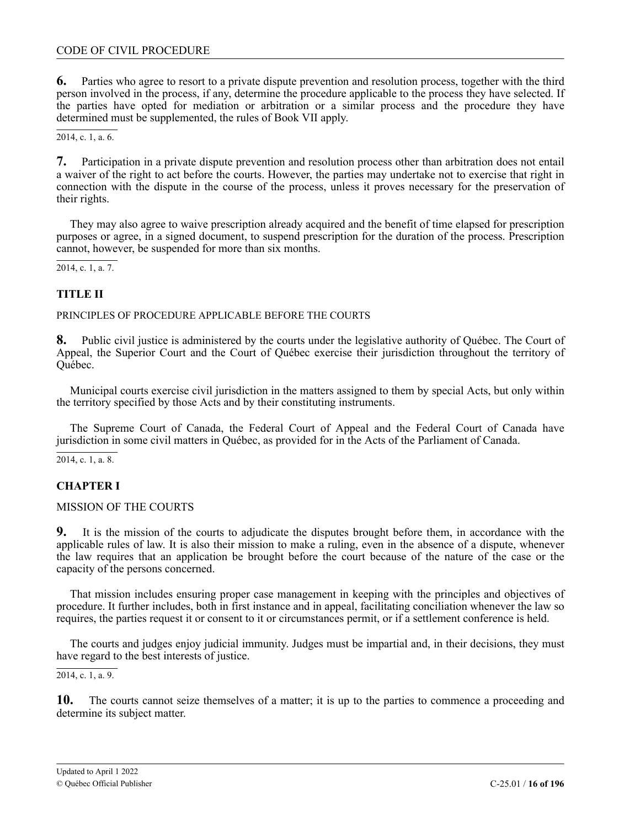<span id="page-15-0"></span>**6.** Parties who agree to resort to a private dispute prevention and resolution process, together with the third person involved in the process, if any, determine the procedure applicable to the process they have selected. If the parties have opted for mediation or arbitration or a similar process and the procedure they have determined must be supplemented, the rules of Book VII apply.

 $\overline{2014, c. 1, a. 6.}$ 

**7.** Participation in a private dispute prevention and resolution process other than arbitration does not entail a waiver of the right to act before the courts. However, the parties may undertake not to exercise that right in connection with the dispute in the course of the process, unless it proves necessary for the preservation of their rights.

They may also agree to waive prescription already acquired and the benefit of time elapsed for prescription purposes or agree, in a signed document, to suspend prescription for the duration of the process. Prescription cannot, however, be suspended for more than six months.

2014, c. 1, a. 7.

## **TITLE II**

PRINCIPLES OF PROCEDURE APPLICABLE BEFORE THE COURTS

**8.** Public civil justice is administered by the courts under the legislative authority of Québec. The Court of Appeal, the Superior Court and the Court of Québec exercise their jurisdiction throughout the territory of Québec.

Municipal courts exercise civil jurisdiction in the matters assigned to them by special Acts, but only within the territory specified by those Acts and by their constituting instruments.

The Supreme Court of Canada, the Federal Court of Appeal and the Federal Court of Canada have jurisdiction in some civil matters in Québec, as provided for in the Acts of the Parliament of Canada.

2014, c. 1, a. 8.

## **CHAPTER I**

#### MISSION OF THE COURTS

**9.** It is the mission of the courts to adjudicate the disputes brought before them, in accordance with the applicable rules of law. It is also their mission to make a ruling, even in the absence of a dispute, whenever the law requires that an application be brought before the court because of the nature of the case or the capacity of the persons concerned.

That mission includes ensuring proper case management in keeping with the principles and objectives of procedure. It further includes, both in first instance and in appeal, facilitating conciliation whenever the law so requires, the parties request it or consent to it or circumstances permit, or if a settlement conference is held.

The courts and judges enjoy judicial immunity. Judges must be impartial and, in their decisions, they must have regard to the best interests of justice.

 $\sqrt{2014 + 1 + 9}$ 

**10.** The courts cannot seize themselves of a matter; it is up to the parties to commence a proceeding and determine its subject matter.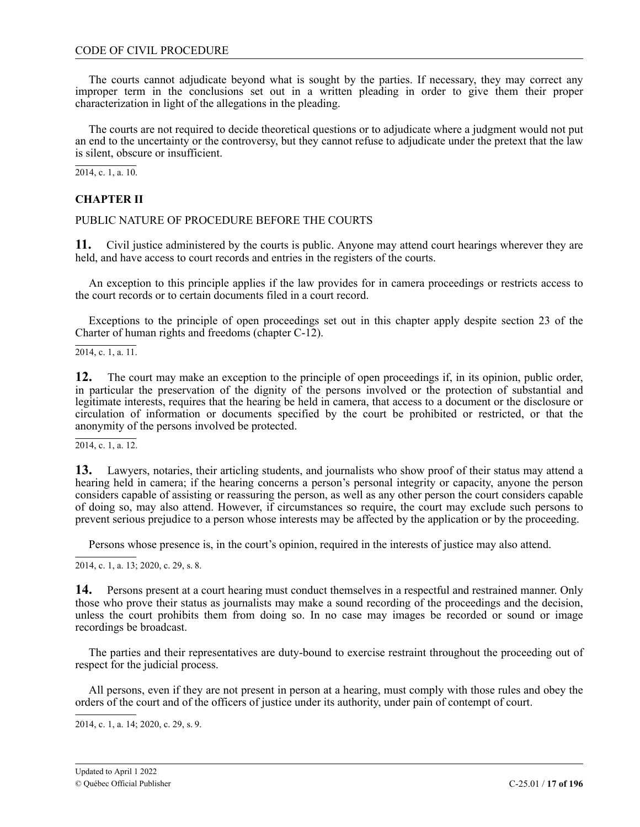<span id="page-16-0"></span>The courts cannot adjudicate beyond what is sought by the parties. If necessary, they may correct any improper term in the conclusions set out in a written pleading in order to give them their proper characterization in light of the allegations in the pleading.

The courts are not required to decide theoretical questions or to adjudicate where a judgment would not put an end to the uncertainty or the controversy, but they cannot refuse to adjudicate under the pretext that the law is silent, obscure or insufficient.

 $\overline{2014, c. 1, a. 10}.$ 

## **CHAPTER II**

#### PUBLIC NATURE OF PROCEDURE BEFORE THE COURTS

**11.** Civil justice administered by the courts is public. Anyone may attend court hearings wherever they are held, and have access to court records and entries in the registers of the courts.

An exception to this principle applies if the law provides for in camera proceedings or restricts access to the court records or to certain documents filed in a court record.

Exceptions to the principle of open proceedings set out in this chapter apply despite section 23 of the Charter of human rights and freedoms (chapter C-12).

 $\overline{2014, c. 1, a. 11}.$ 

**12.** The court may make an exception to the principle of open proceedings if, in its opinion, public order, in particular the preservation of the dignity of the persons involved or the protection of substantial and legitimate interests, requires that the hearing be held in camera, that access to a document or the disclosure or circulation of information or documents specified by the court be prohibited or restricted, or that the anonymity of the persons involved be protected.

2014, c. 1, a. 12.

**13.** Lawyers, notaries, their articling students, and journalists who show proof of their status may attend a hearing held in camera; if the hearing concerns a person's personal integrity or capacity, anyone the person considers capable of assisting or reassuring the person, as well as any other person the court considers capable of doing so, may also attend. However, if circumstances so require, the court may exclude such persons to prevent serious prejudice to a person whose interests may be affected by the application or by the proceeding.

Persons whose presence is, in the court's opinion, required in the interests of justice may also attend.

2014, c. 1, a. 13; 2020, c. 29, s. 8.

14. Persons present at a court hearing must conduct themselves in a respectful and restrained manner. Only those who prove their status as journalists may make a sound recording of the proceedings and the decision, unless the court prohibits them from doing so. In no case may images be recorded or sound or image recordings be broadcast.

The parties and their representatives are duty-bound to exercise restraint throughout the proceeding out of respect for the judicial process.

All persons, even if they are not present in person at a hearing, must comply with those rules and obey the orders of the court and of the officers of justice under its authority, under pain of contempt of court.

2014, c. 1, a. 14; 2020, c. 29, s. 9.

 $\overline{a}$ 

 $\overline{a}$ 2020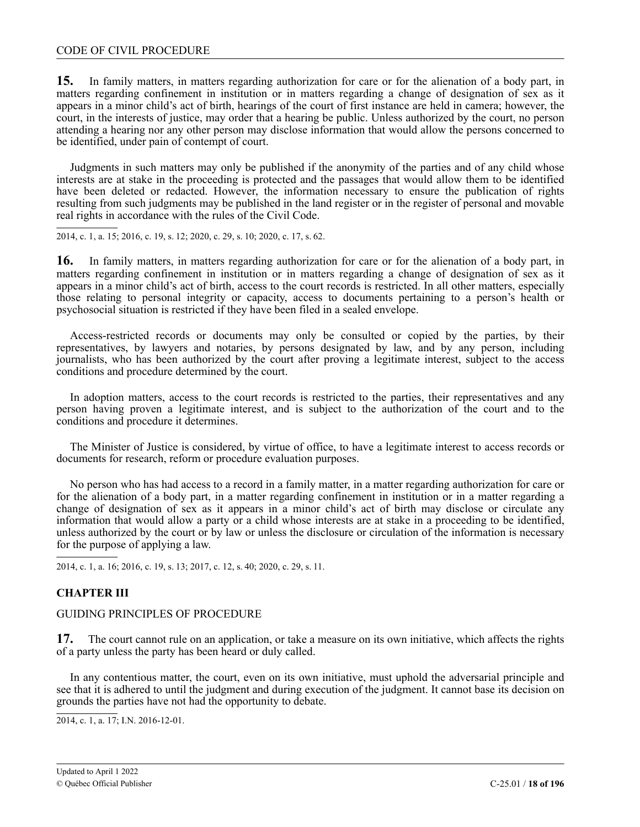<span id="page-17-0"></span>**15.** In family matters, in matters regarding authorization for care or for the alienation of a body part, in matters regarding confinement in institution or in matters regarding a change of designation of sex as it appears in a minor child's act of birth, hearings of the court of first instance are held in camera; however, the court, in the interests of justice, may order that a hearing be public. Unless authorized by the court, no person attending a hearing nor any other person may disclose information that would allow the persons concerned to be identified, under pain of contempt of court.

Judgments in such matters may only be published if the anonymity of the parties and of any child whose interests are at stake in the proceeding is protected and the passages that would allow them to be identified have been deleted or redacted. However, the information necessary to ensure the publication of rights resulting from such judgments may be published in the land register or in the register of personal and movable real rights in accordance with the rules of the Civil Code.

2014, c. 1, a. 15; 2016, c. 19, s. 12; 2020, c. 29, s. 10; 2020, c. 17, s. 62.

16. In family matters, in matters regarding authorization for care or for the alienation of a body part, in matters regarding confinement in institution or in matters regarding a change of designation of sex as it appears in a minor child's act of birth, access to the court records is restricted. In all other matters, especially those relating to personal integrity or capacity, access to documents pertaining to a person's health or . . . psychosocial situation is restricted if they have been filed in a sealed envelope.

Access-restricted records or documents may only be consulted or copied by the parties, by their representatives, by lawyers and notaries, by persons designated by law, and by any person, including journalists, who has been authorized by the court after proving a legitimate interest, subject to the access conditions and procedure determined by the court.

In adoption matters, access to the court records is restricted to the parties, their representatives and any person having proven a legitimate interest, and is subject to the authorization of the court and to the conditions and procedure it determines.

The Minister of Justice is considered, by virtue of office, to have a legitimate interest to access records or documents for research, reform or procedure evaluation purposes.

No person who has had access to a record in a family matter, in a matter regarding authorization for care or for the alienation of a body part, in a matter regarding confinement in institution or in a matter regarding a change of designation of sex as it appears in a minor child's act of birth may disclose or circulate any information that would allow a party or a child whose interests are at stake in a proceeding to be identified, unless authorized by the court or by law or unless the disclosure or circulation of the information is necessary for the purpose of applying a law.

2014, c. 1, a. 16; 2016, c. 19, s. 13; 2017, c. 12, s. 40; 2020, c. 29, s. 11.

# 1 **CHAPTER III**

## GUIDING PRINCIPLES OF PROCEDURE

17. The court cannot rule on an application, or take a measure on its own initiative, which affects the rights of a party unless the party has been heard or duly called.

In any contentious matter, the court, even on its own initiative, must uphold the adversarial principle and see that it is adhered to until the judgment and during execution of the judgment. It cannot base its decision on grounds the parties have not had the opportunity to debate.

2014, c. 1, a. 17; I.N. 2016-12-01.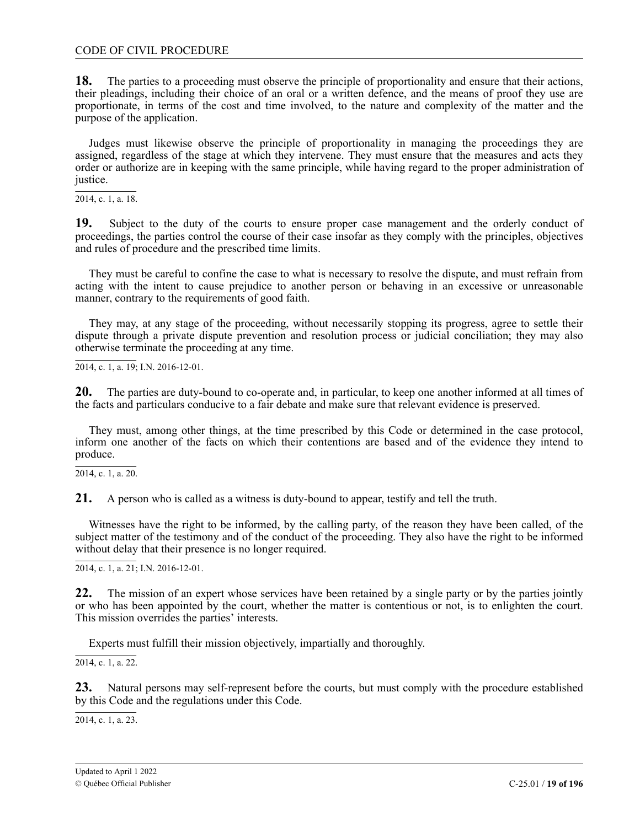**18.** The parties to a proceeding must observe the principle of proportionality and ensure that their actions, their pleadings, including their choice of an oral or a written defence, and the means of proof they use are proportionate, in terms of the cost and time involved, to the nature and complexity of the matter and the purpose of the application.

Judges must likewise observe the principle of proportionality in managing the proceedings they are assigned, regardless of the stage at which they intervene. They must ensure that the measures and acts they order or authorize are in keeping with the same principle, while having regard to the proper administration of justice.

2014, c. 1, a. 18.

**19.** Subject to the duty of the courts to ensure proper case management and the orderly conduct of proceedings, the parties control the course of their case insofar as they comply with the principles, objectives and rules of procedure and the prescribed time limits.

They must be careful to confine the case to what is necessary to resolve the dispute, and must refrain from acting with the intent to cause prejudice to another person or behaving in an excessive or unreasonable manner, contrary to the requirements of good faith.

They may, at any stage of the proceeding, without necessarily stopping its progress, agree to settle their dispute through a private dispute prevention and resolution process or judicial conciliation; they may also otherwise terminate the proceeding at any time.

2014, c. 1, a. 19; I.N. 2016-12-01.

**20.** The parties are duty-bound to co-operate and, in particular, to keep one another informed at all times of the facts and particulars conducive to a fair debate and make sure that relevant evidence is preserved.

They must, among other things, at the time prescribed by this Code or determined in the case protocol, inform one another of the facts on which their contentions are based and of the evidence they intend to produce.

2014, c. 1, a. 20.

**21.** A person who is called as a witness is duty-bound to appear, testify and tell the truth.

Witnesses have the right to be informed, by the calling party, of the reason they have been called, of the subject matter of the testimony and of the conduct of the proceeding. They also have the right to be informed without delay that their presence is no longer required.

2014, c. 1, a. 21; I.N. 2016-12-01.

**22.** The mission of an expert whose services have been retained by a single party or by the parties jointly or who has been appointed by the court, whether the matter is contentious or not, is to enlighten the court. This mission overrides the parties' interests.

Experts must fulfill their mission objectively, impartially and thoroughly.

 $\overline{2014, c. 1, a. 22}$ .

**23.** Natural persons may self-represent before the courts, but must comply with the procedure established by this Code and the regulations under this Code.

2014, c. 1, a. 23.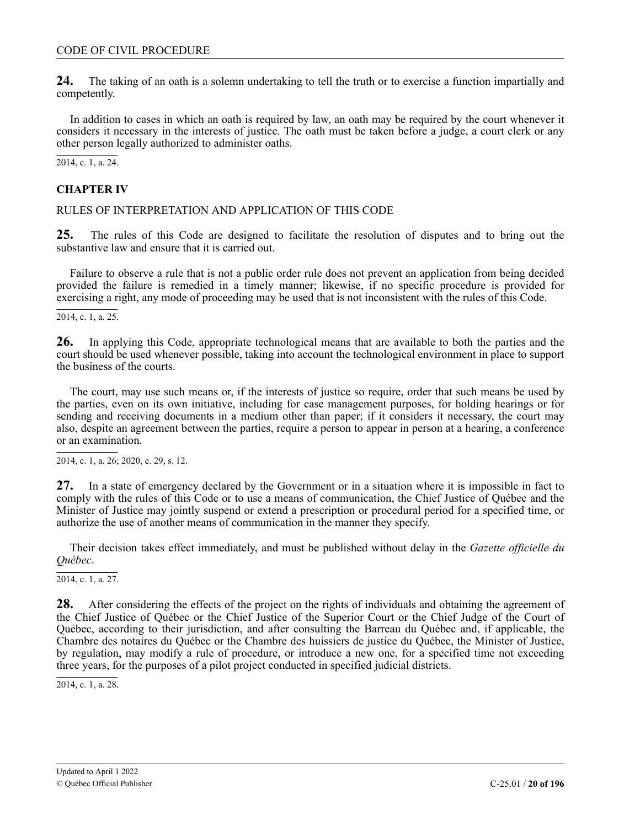<span id="page-19-0"></span>**24.** The taking of an oath is a solemn undertaking to tell the truth or to exercise a function impartially and competently.

In addition to cases in which an oath is required by law, an oath may be required by the court whenever it considers it necessary in the interests of justice. The oath must be taken before a judge, a court clerk or any other person legally authorized to administer oaths.

2014, c. 1, a. 24.

## **CHAPTER IV**

RULES OF INTERPRETATION AND APPLICATION OF THIS CODE

**25.** The rules of this Code are designed to facilitate the resolution of disputes and to bring out the substantive law and ensure that it is carried out.

Failure to observe a rule that is not a public order rule does not prevent an application from being decided provided the failure is remedied in a timely manner; likewise, if no specific procedure is provided for exercising a right, any mode of proceeding may be used that is not inconsistent with the rules of this Code.

2014, c. 1, a. 25.

**26.** In applying this Code, appropriate technological means that are available to both the parties and the court should be used whenever possible, taking into account the technological environment in place to support the business of the courts.

The court, may use such means or, if the interests of justice so require, order that such means be used by the parties, even on its own initiative, including for case management purposes, for holding hearings or for sending and receiving documents in a medium other than paper; if it considers it necessary, the court may also, despite an agreement between the parties, require a person to appear in person at a hearing, a conference or an examination.

2014, c. 1, a. 26; 2020, c. 29, s. 12.

2 **27.** In a state of emergency declared by the Government or in a situation where it is impossible in fact to comply with the rules of this Code or to use a means of communication, the Chief Justice of Québec and the , Minister of Justice may jointly suspend or extend a prescription or procedural period for a specified time, or authorize the use of another means of communication in the manner they specify.

2 Their decision takes effect immediately, and must be published without delay in the *Gazette officielle du Québec*.

2014, c. 1, a. 27.

**28.** After considering the effects of the project on the rights of individuals and obtaining the agreement of the Chief Justice of Québec or the Chief Justice of the Superior Court or the Chief Judge of the Court of Québec, according to their jurisdiction, and after consulting the Barreau du Québec and, if applicable, the Chambre des notaires du Québec or the Chambre des huissiers de justice du Québec, the Minister of Justice, by regulation, may modify a rule of procedure, or introduce a new one, for a specified time not exceeding three years, for the purposes of a pilot project conducted in specified judicial districts.

2014, c. 1, a. 28.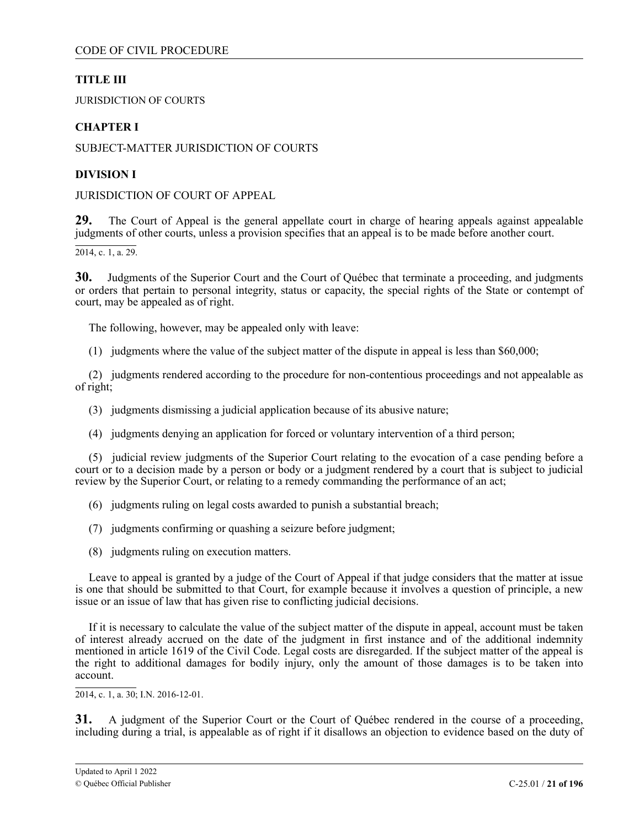## <span id="page-20-0"></span>**TITLE III**

JURISDICTION OF COURTS

## **CHAPTER I**

SUBJECT-MATTER JURISDICTION OF COURTS

## **DIVISION I**

JURISDICTION OF COURT OF APPEAL

**29.** The Court of Appeal is the general appellate court in charge of hearing appeals against appealable judgments of other courts, unless a provision specifies that an appeal is to be made before another court.

 $\overline{2014, c. 1, a. 29}.$ 

**30.** Judgments of the Superior Court and the Court of Québec that terminate a proceeding, and judgments or orders that pertain to personal integrity, status or capacity, the special rights of the State or contempt of court, may be appealed as of right.

The following, however, may be appealed only with leave:

(1) judgments where the value of the subject matter of the dispute in appeal is less than \$60,000;

(2) judgments rendered according to the procedure for non-contentious proceedings and not appealable as of right;

(3) judgments dismissing a judicial application because of its abusive nature;

(4) judgments denying an application for forced or voluntary intervention of a third person;

(5) judicial review judgments of the Superior Court relating to the evocation of a case pending before a court or to a decision made by a person or body or a judgment rendered by a court that is subject to judicial review by the Superior Court, or relating to a remedy commanding the performance of an act;

- (6) judgments ruling on legal costs awarded to punish a substantial breach;
- (7) judgments confirming or quashing a seizure before judgment;
- (8) judgments ruling on execution matters.

Leave to appeal is granted by a judge of the Court of Appeal if that judge considers that the matter at issue is one that should be submitted to that Court, for example because it involves a question of principle, a new issue or an issue of law that has given rise to conflicting judicial decisions.

If it is necessary to calculate the value of the subject matter of the dispute in appeal, account must be taken of interest already accrued on the date of the judgment in first instance and of the additional indemnity mentioned in article 1619 of the Civil Code. Legal costs are disregarded. If the subject matter of the appeal is the right to additional damages for bodily injury, only the amount of those damages is to be taken into account.

2014, c. 1, a. 30; I.N. 2016-12-01.

**31.** A judgment of the Superior Court or the Court of Québec rendered in the course of a proceeding, including during a trial, is appealable as of right if it disallows an objection to evidence based on the duty of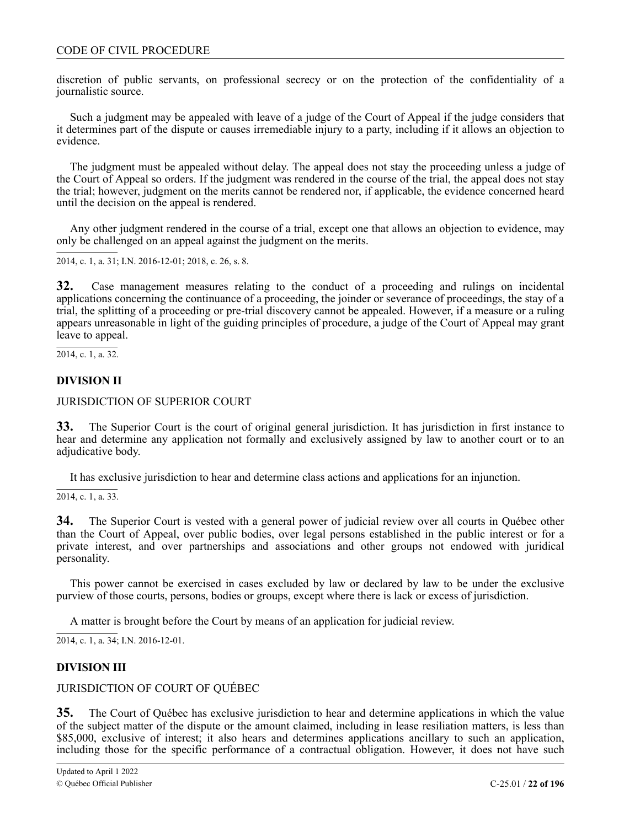<span id="page-21-0"></span>discretion of public servants, on professional secrecy or on the protection of the confidentiality of a journalistic source.

Such a judgment may be appealed with leave of a judge of the Court of Appeal if the judge considers that it determines part of the dispute or causes irremediable injury to a party, including if it allows an objection to evidence.

The judgment must be appealed without delay. The appeal does not stay the proceeding unless a judge of the Court of Appeal so orders. If the judgment was rendered in the course of the trial, the appeal does not stay the trial; however, judgment on the merits cannot be rendered nor, if applicable, the evidence concerned heard until the decision on the appeal is rendered.

Any other judgment rendered in the course of a trial, except one that allows an objection to evidence, may only be challenged on an appeal against the judgment on the merits.

2014, c. 1, a. 31; I.N. 2016-12-01; 2018, c. 26, s. 8.

1 **32.** Case management measures relating to the conduct of a proceeding and rulings on incidental applications concerning the continuance of a proceeding, the joinder or severance of proceedings, the stay of a , trial, the splitting of a proceeding or pre-trial discovery cannot be appealed. However, if a measure or a ruling appears unreasonable in light of the guiding principles of procedure, a judge of the Court of Appeal may grant leave to appeal.

 $\overline{2014, c. 1, a. 32}$ .

#### **DIVISION II**

JURISDICTION OF SUPERIOR COURT

**33.** The Superior Court is the court of original general jurisdiction. It has jurisdiction in first instance to hear and determine any application not formally and exclusively assigned by law to another court or to an adjudicative body.

It has exclusive jurisdiction to hear and determine class actions and applications for an injunction.

 $\overline{2014}$ , c. 1, a. 33.

**34.** The Superior Court is vested with a general power of judicial review over all courts in Québec other than the Court of Appeal, over public bodies, over legal persons established in the public interest or for a private interest, and over partnerships and associations and other groups not endowed with juridical personality.

This power cannot be exercised in cases excluded by law or declared by law to be under the exclusive purview of those courts, persons, bodies or groups, except where there is lack or excess of jurisdiction.

A matter is brought before the Court by means of an application for judicial review.

 $2014$ , c. 1, a. 34; I.N. 2016-12-01.

## **DIVISION III**

JURISDICTION OF COURT OF QUÉBEC

**35.** The Court of Québec has exclusive jurisdiction to hear and determine applications in which the value of the subject matter of the dispute or the amount claimed, including in lease resiliation matters, is less than \$85,000, exclusive of interest; it also hears and determines applications ancillary to such an application, including those for the specific performance of a contractual obligation. However, it does not have such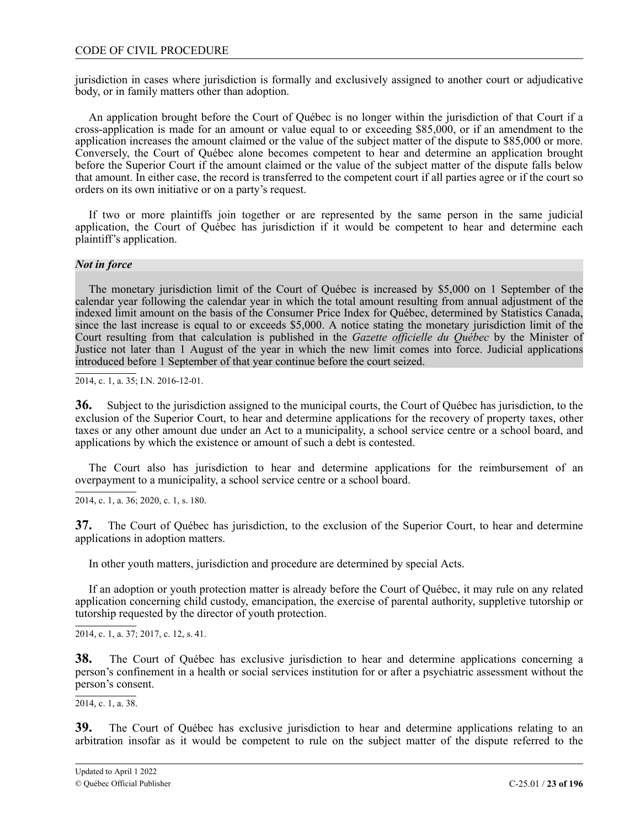jurisdiction in cases where jurisdiction is formally and exclusively assigned to another court or adjudicative body, or in family matters other than adoption.

An application brought before the Court of Québec is no longer within the jurisdiction of that Court if a cross-application is made for an amount or value equal to or exceeding \$85,000, or if an amendment to the application increases the amount claimed or the value of the subject matter of the dispute to \$85,000 or more. Conversely, the Court of Québec alone becomes competent to hear and determine an application brought before the Superior Court if the amount claimed or the value of the subject matter of the dispute falls below that amount. In either case, the record is transferred to the competent court if all parties agree or if the court so orders on its own initiative or on a party's request.

If two or more plaintiffs join together or are represented by the same person in the same judicial application, the Court of Québec has jurisdiction if it would be competent to hear and determine each plaintiff's application.

#### *Not in force*

The monetary jurisdiction limit of the Court of Québec is increased by \$5,000 on 1 September of the calendar year following the calendar year in which the total amount resulting from annual adjustment of the indexed limit amount on the basis of the Consumer Price Index for Québec, determined by Statistics Canada, since the last increase is equal to or exceeds \$5,000. A notice stating the monetary jurisdiction limit of the Court resulting from that calculation is published in the *Gazette officielle du Québec* by the Minister of Justice not later than 1 August of the year in which the new limit comes into force. Judicial applications introduced before 1 September of that year continue before the court seized.

2014, c. 1, a. 35; I.N. 2016-12-01.

**36.** Subject to the jurisdiction assigned to the municipal courts, the Court of Québec has jurisdiction, to the exclusion of the Superior Court, to hear and determine applications for the recovery of property taxes, other taxes or any other amount due under an Act to a municipality, a school service centre or a school board, and applications by which the existence or amount of such a debt is contested.

The Court also has jurisdiction to hear and determine applications for the reimbursement of an overpayment to a municipality, a school service centre or a school board.

2014, c. 1, a. 36; 2020, c. 1, s. 180.

37. The Court of Québec has jurisdiction, to the exclusion of the Superior Court, to hear and determine applications in adoption matters.

In other youth matters, jurisdiction and procedure are determined by special Acts.

1 If an adoption or youth protection matter is already before the Court of Québec, it may rule on any related application concerning child custody, emancipation, the exercise of parental authority, suppletive tutorship or tutorship requested by the director of youth protection.

2014, c. 1, a. 37; 2017, c. 12, s. 41.

1 **38.** The Court of Québec has exclusive jurisdiction to hear and determine applications concerning a 7 person's confinement in a health or social services institution for or after a psychiatric assessment without the , person's consent.

2014, c. 1, a. 38.

2 **39.** The Court of Québec has exclusive jurisdiction to hear and determine applications relating to an arbitration insofar as it would be competent to rule on the subject matter of the dispute referred to the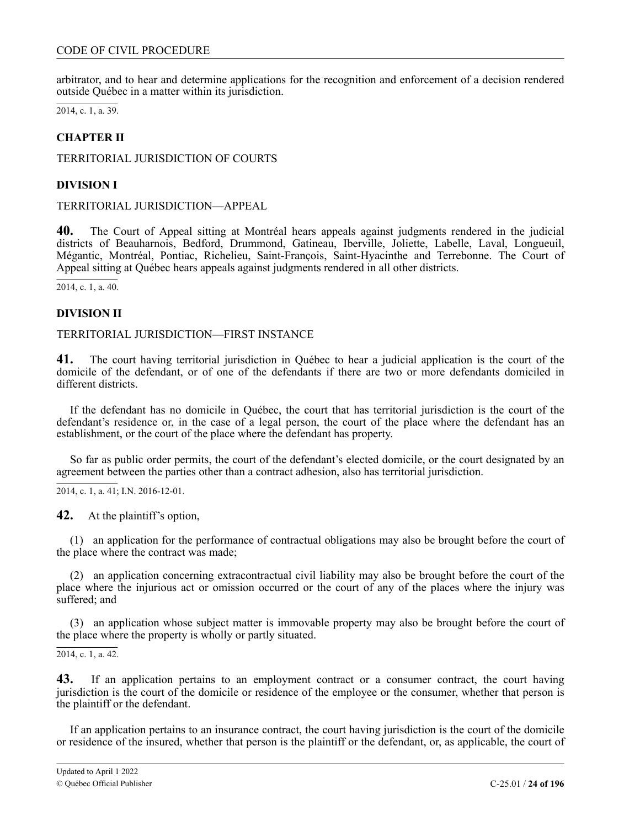<span id="page-23-0"></span>arbitrator, and to hear and determine applications for the recognition and enforcement of a decision rendered outside Québec in a matter within its jurisdiction.

2014, c. 1, a. 39.

## **CHAPTER II**

#### TERRITORIAL JURISDICTION OF COURTS

#### **DIVISION I**

#### TERRITORIAL JURISDICTION—APPEAL

**40.** The Court of Appeal sitting at Montréal hears appeals against judgments rendered in the judicial districts of Beauharnois, Bedford, Drummond, Gatineau, Iberville, Joliette, Labelle, Laval, Longueuil, Mégantic, Montréal, Pontiac, Richelieu, Saint-François, Saint-Hyacinthe and Terrebonne. The Court of Appeal sitting at Québec hears appeals against judgments rendered in all other districts.

2014, c. 1, a. 40.

## **DIVISION II**

#### TERRITORIAL JURISDICTION—FIRST INSTANCE

**41.** The court having territorial jurisdiction in Québec to hear a judicial application is the court of the domicile of the defendant, or of one of the defendants if there are two or more defendants domiciled in different districts.

If the defendant has no domicile in Québec, the court that has territorial jurisdiction is the court of the defendant's residence or, in the case of a legal person, the court of the place where the defendant has an establishment, or the court of the place where the defendant has property.

So far as public order permits, the court of the defendant's elected domicile, or the court designated by an agreement between the parties other than a contract adhesion, also has territorial jurisdiction.

2014, c. 1, a. 41; I.N. 2016-12-01.

**42.** At the plaintiff's option,

(1) an application for the performance of contractual obligations may also be brought before the court of the place where the contract was made;

(2) an application concerning extracontractual civil liability may also be brought before the court of the place where the injurious act or omission occurred or the court of any of the places where the injury was suffered: and

(3) an application whose subject matter is immovable property may also be brought before the court of the place where the property is wholly or partly situated.

2014, c. 1, a. 42.

**43.** If an application pertains to an employment contract or a consumer contract, the court having jurisdiction is the court of the domicile or residence of the employee or the consumer, whether that person is the plaintiff or the defendant.

If an application pertains to an insurance contract, the court having jurisdiction is the court of the domicile or residence of the insured, whether that person is the plaintiff or the defendant, or, as applicable, the court of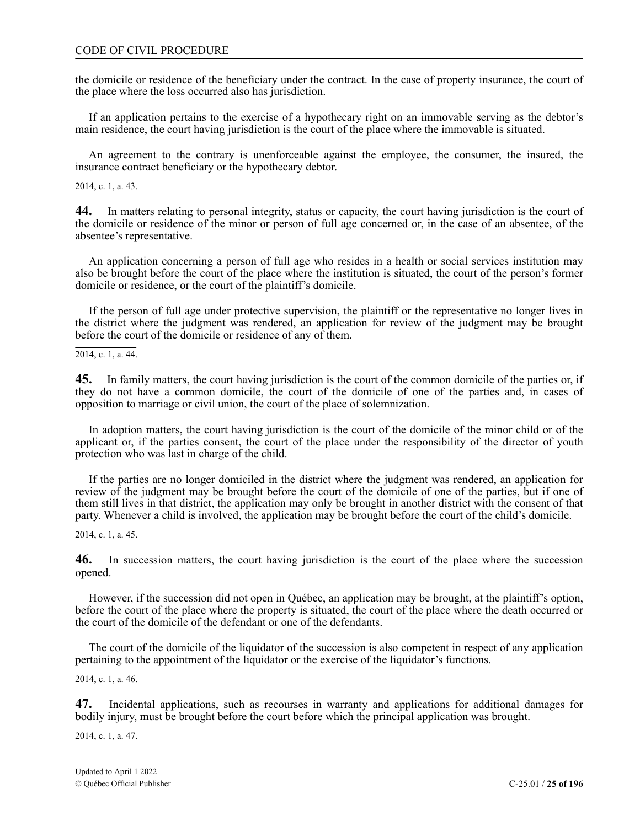the domicile or residence of the beneficiary under the contract. In the case of property insurance, the court of the place where the loss occurred also has jurisdiction.

If an application pertains to the exercise of a hypothecary right on an immovable serving as the debtor's main residence, the court having jurisdiction is the court of the place where the immovable is situated.

An agreement to the contrary is unenforceable against the employee, the consumer, the insured, the insurance contract beneficiary or the hypothecary debtor.

2014, c. 1, a. 43.

**44.** In matters relating to personal integrity, status or capacity, the court having jurisdiction is the court of the domicile or residence of the minor or person of full age concerned or, in the case of an absentee, of the absentee's representative.

An application concerning a person of full age who resides in a health or social services institution may also be brought before the court of the place where the institution is situated, the court of the person's former domicile or residence, or the court of the plaintiff's domicile.

If the person of full age under protective supervision, the plaintiff or the representative no longer lives in the district where the judgment was rendered, an application for review of the judgment may be brought before the court of the domicile or residence of any of them.

2014, c. 1, a. 44.

**45.** In family matters, the court having jurisdiction is the court of the common domicile of the parties or, if they do not have a common domicile, the court of the domicile of one of the parties and, in cases of opposition to marriage or civil union, the court of the place of solemnization.

In adoption matters, the court having jurisdiction is the court of the domicile of the minor child or of the applicant or, if the parties consent, the court of the place under the responsibility of the director of youth protection who was last in charge of the child.

If the parties are no longer domiciled in the district where the judgment was rendered, an application for review of the judgment may be brought before the court of the domicile of one of the parties, but if one of them still lives in that district, the application may only be brought in another district with the consent of that party. Whenever a child is involved, the application may be brought before the court of the child's domicile.

 $2014, c. 1, a. 45.$ 

**46.** In succession matters, the court having jurisdiction is the court of the place where the succession opened.

However, if the succession did not open in Québec, an application may be brought, at the plaintiff's option, before the court of the place where the property is situated, the court of the place where the death occurred or the court of the domicile of the defendant or one of the defendants.

The court of the domicile of the liquidator of the succession is also competent in respect of any application pertaining to the appointment of the liquidator or the exercise of the liquidator's functions.

 $\overline{2014, c. 1, a. 46}$ .

**47.** Incidental applications, such as recourses in warranty and applications for additional damages for bodily injury, must be brought before the court before which the principal application was brought.

2014, c. 1, a. 47.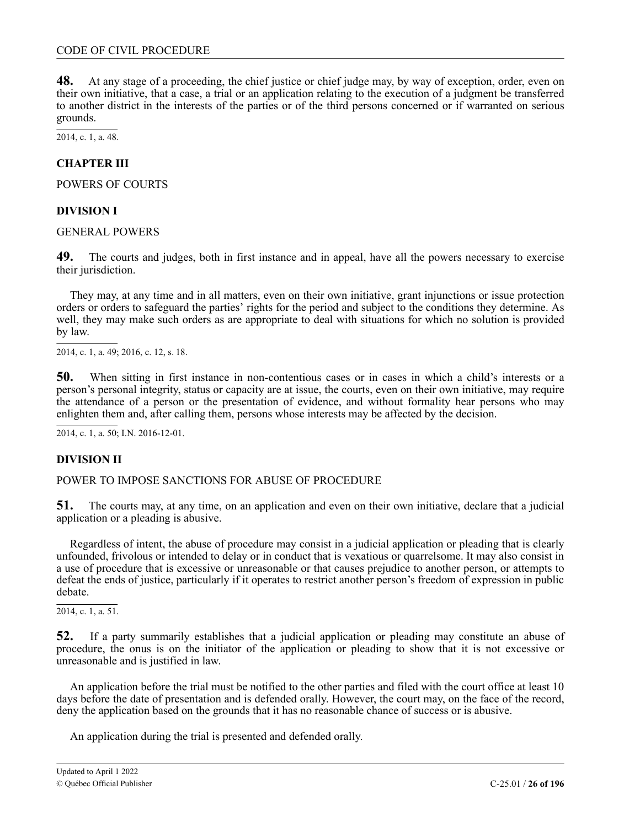<span id="page-25-0"></span>**48.** At any stage of a proceeding, the chief justice or chief judge may, by way of exception, order, even on their own initiative, that a case, a trial or an application relating to the execution of a judgment be transferred to another district in the interests of the parties or of the third persons concerned or if warranted on serious grounds.

2014, c. 1, a. 48.

# **CHAPTER III**

POWERS OF COURTS

## **DIVISION I**

GENERAL POWERS

**49.** The courts and judges, both in first instance and in appeal, have all the powers necessary to exercise their jurisdiction.

They may, at any time and in all matters, even on their own initiative, grant injunctions or issue protection orders or orders to safeguard the parties' rights for the period and subject to the conditions they determine. As well, they may make such orders as are appropriate to deal with situations for which no solution is provided by law.

2014, c. 1, a. 49; 2016, c. 12, s. 18.

50. When sitting in first instance in non-contentious cases or in cases in which a child's interests or a person's personal integrity, status or capacity are at issue, the courts, even on their own initiative, may require the attendance of a person or the presentation of evidence, and without formality hear persons who may c enlighten them and, after calling them, persons whose interests may be affected by the decision.

1 2014, c. 1, a. 50; I.N. 2016-12-01.

## **DIVISION II**

POWER TO IMPOSE SANCTIONS FOR ABUSE OF PROCEDURE

**51.** The courts may, at any time, on an application and even on their own initiative, declare that a judicial application or a pleading is abusive.

Regardless of intent, the abuse of procedure may consist in a judicial application or pleading that is clearly unfounded, frivolous or intended to delay or in conduct that is vexatious or quarrelsome. It may also consist in a use of procedure that is excessive or unreasonable or that causes prejudice to another person, or attempts to defeat the ends of justice, particularly if it operates to restrict another person's freedom of expression in public debate.

2014, c. 1, a. 51.

**52.** If a party summarily establishes that a judicial application or pleading may constitute an abuse of procedure, the onus is on the initiator of the application or pleading to show that it is not excessive or unreasonable and is justified in law.

An application before the trial must be notified to the other parties and filed with the court office at least 10 days before the date of presentation and is defended orally. However, the court may, on the face of the record, deny the application based on the grounds that it has no reasonable chance of success or is abusive.

An application during the trial is presented and defended orally.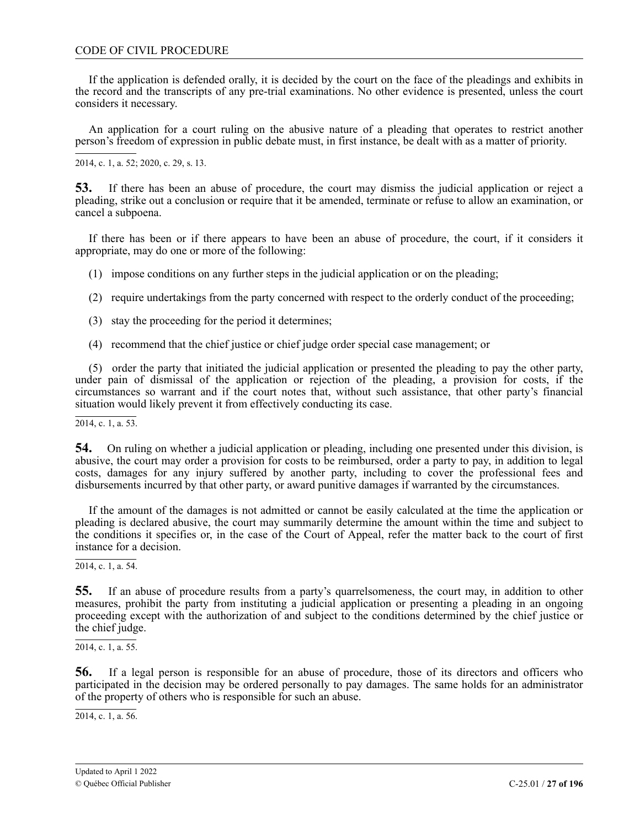If the application is defended orally, it is decided by the court on the face of the pleadings and exhibits in the record and the transcripts of any pre-trial examinations. No other evidence is presented, unless the court considers it necessary.

An application for a court ruling on the abusive nature of a pleading that operates to restrict another person's freedom of expression in public debate must, in first instance, be dealt with as a matter of priority.

2014, c. 1, a. 52; 2020, c. 29, s. 13.

53. If there has been an abuse of procedure, the court may dismiss the judicial application or reject a pleading, strike out a conclusion or require that it be amended, terminate or refuse to allow an examination, or , cancel a subpoena. 1<br>19

If there has been or if there appears to have been an abuse of procedure, the court, if it considers it appropriate, may do one or more of the following:

extending the conditions on any further steps in the judicial application or on the pleading;

(2) require undertakings from the party concerned with respect to the orderly conduct of the proceeding;

- (3) stay the proceeding for the period it determines;
- (4) recommend that the chief justice or chief judge order special case management; or

(5) order the party that initiated the judicial application or presented the pleading to pay the other party, under pain of dismissal of the application or rejection of the pleading, a provision for costs, if the circumstances so warrant and if the court notes that, without such assistance, that other party's financial situation would likely prevent it from effectively conducting its case.

2014, c. 1, a. 53.

**54.** On ruling on whether a judicial application or pleading, including one presented under this division, is abusive, the court may order a provision for costs to be reimbursed, order a party to pay, in addition to legal costs, damages for any injury suffered by another party, including to cover the professional fees and disbursements incurred by that other party, or award punitive damages if warranted by the circumstances.

If the amount of the damages is not admitted or cannot be easily calculated at the time the application or pleading is declared abusive, the court may summarily determine the amount within the time and subject to the conditions it specifies or, in the case of the Court of Appeal, refer the matter back to the court of first instance for a decision.

2014, c. 1, a. 54.

**55.** If an abuse of procedure results from a party's quarrelsomeness, the court may, in addition to other measures, prohibit the party from instituting a judicial application or presenting a pleading in an ongoing proceeding except with the authorization of and subject to the conditions determined by the chief justice or the chief judge.

 $\overline{2014, c. 1, a. 55}.$ 

**56.** If a legal person is responsible for an abuse of procedure, those of its directors and officers who participated in the decision may be ordered personally to pay damages. The same holds for an administrator of the property of others who is responsible for such an abuse.

2014, c. 1, a. 56.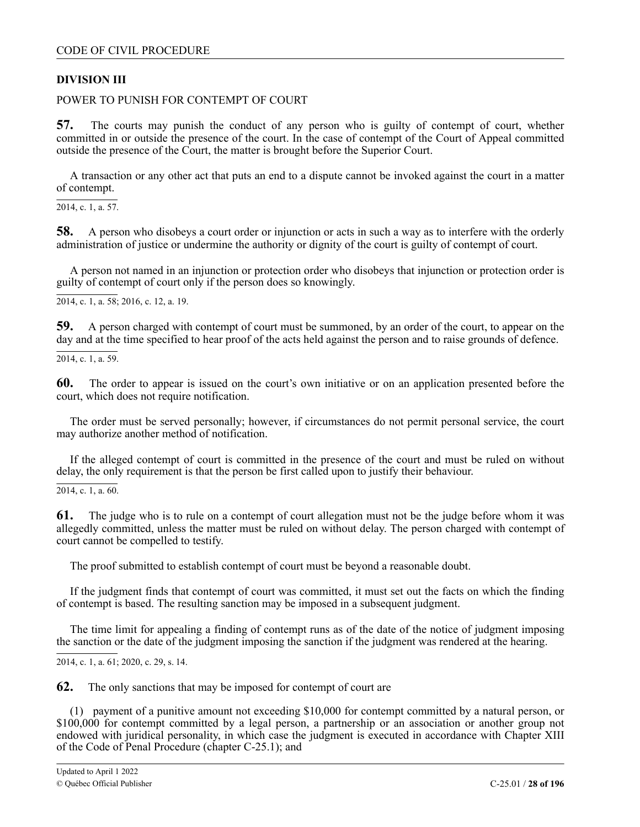## <span id="page-27-0"></span>**DIVISION III**

## POWER TO PUNISH FOR CONTEMPT OF COURT

**57.** The courts may punish the conduct of any person who is guilty of contempt of court, whether committed in or outside the presence of the court. In the case of contempt of the Court of Appeal committed outside the presence of the Court, the matter is brought before the Superior Court.

A transaction or any other act that puts an end to a dispute cannot be invoked against the court in a matter of contempt.

 $\overline{2014, c. 1, a. 57}.$ 

**58.** A person who disobeys a court order or injunction or acts in such a way as to interfere with the orderly administration of justice or undermine the authority or dignity of the court is guilty of contempt of court.

A person not named in an injunction or protection order who disobeys that injunction or protection order is guilty of contempt of court only if the person does so knowingly.

 $\overline{2014, c. 1, a. 58}$ ; 2016, c. 12, a. 19.

**59.** A person charged with contempt of court must be summoned, by an order of the court, to appear on the day and at the time specified to hear proof of the acts held against the person and to raise grounds of defence.

 $\overline{2014, c. 1, a. 59}$ .

**60.** The order to appear is issued on the court's own initiative or on an application presented before the court, which does not require notification.

The order must be served personally; however, if circumstances do not permit personal service, the court may authorize another method of notification.

If the alleged contempt of court is committed in the presence of the court and must be ruled on without delay, the only requirement is that the person be first called upon to justify their behaviour.

2014, c. 1, a. 60.

**61.** The judge who is to rule on a contempt of court allegation must not be the judge before whom it was allegedly committed, unless the matter must be ruled on without delay. The person charged with contempt of court cannot be compelled to testify.

The proof submitted to establish contempt of court must be beyond a reasonable doubt.

If the judgment finds that contempt of court was committed, it must set out the facts on which the finding of contempt is based. The resulting sanction may be imposed in a subsequent judgment.

The time limit for appealing a finding of contempt runs as of the date of the notice of judgment imposing the sanction or the date of the judgment imposing the sanction if the judgment was rendered at the hearing.

2014, c. 1, a. 61; 2 2020, c. 29, s. 14.1

2 **62.** The only sanctions that may be imposed for contempt of court are

, (1) payment of a punitive amount not exceeding \$10,000 for contempt committed by a natural person, or \$100,000 for contempt committed by a legal person, a partnership or an association or another group not . endowed with juridical personality, in which case the judgment is executed in accordance with Chapter XIII of the Code of Penal Procedure (chapter C-25.1); and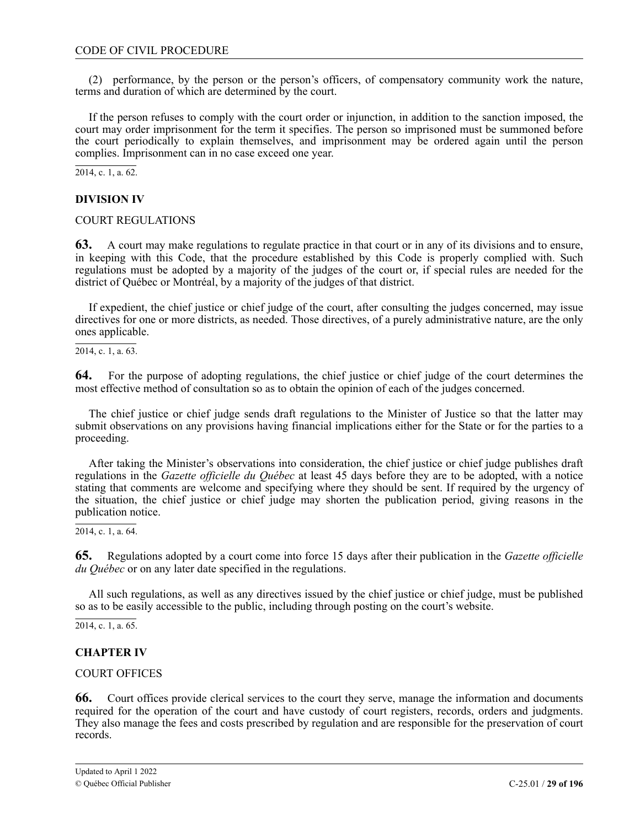<span id="page-28-0"></span>(2) performance, by the person or the person's officers, of compensatory community work the nature, terms and duration of which are determined by the court.

If the person refuses to comply with the court order or injunction, in addition to the sanction imposed, the court may order imprisonment for the term it specifies. The person so imprisoned must be summoned before the court periodically to explain themselves, and imprisonment may be ordered again until the person complies. Imprisonment can in no case exceed one year.

 $\overline{2014, c. 1, a. 62}$ .

#### **DIVISION IV**

#### COURT REGULATIONS

**63.** A court may make regulations to regulate practice in that court or in any of its divisions and to ensure, in keeping with this Code, that the procedure established by this Code is properly complied with. Such regulations must be adopted by a majority of the judges of the court or, if special rules are needed for the district of Québec or Montréal, by a majority of the judges of that district.

If expedient, the chief justice or chief judge of the court, after consulting the judges concerned, may issue directives for one or more districts, as needed. Those directives, of a purely administrative nature, are the only ones applicable.

 $\overline{2014}$ , c. 1, a, 63.

**64.** For the purpose of adopting regulations, the chief justice or chief judge of the court determines the most effective method of consultation so as to obtain the opinion of each of the judges concerned.

The chief justice or chief judge sends draft regulations to the Minister of Justice so that the latter may submit observations on any provisions having financial implications either for the State or for the parties to a proceeding.

After taking the Minister's observations into consideration, the chief justice or chief judge publishes draft regulations in the *Gazette officielle du Québec* at least 45 days before they are to be adopted, with a notice stating that comments are welcome and specifying where they should be sent. If required by the urgency of the situation, the chief justice or chief judge may shorten the publication period, giving reasons in the publication notice.

2014, c. 1, a. 64.

**65.** Regulations adopted by a court come into force 15 days after their publication in the *Gazette officielle du Québec* or on any later date specified in the regulations.

All such regulations, as well as any directives issued by the chief justice or chief judge, must be published so as to be easily accessible to the public, including through posting on the court's website.

2014, c. 1, a. 65.

## **CHAPTER IV**

#### COURT OFFICES

**66.** Court offices provide clerical services to the court they serve, manage the information and documents required for the operation of the court and have custody of court registers, records, orders and judgments. They also manage the fees and costs prescribed by regulation and are responsible for the preservation of court records.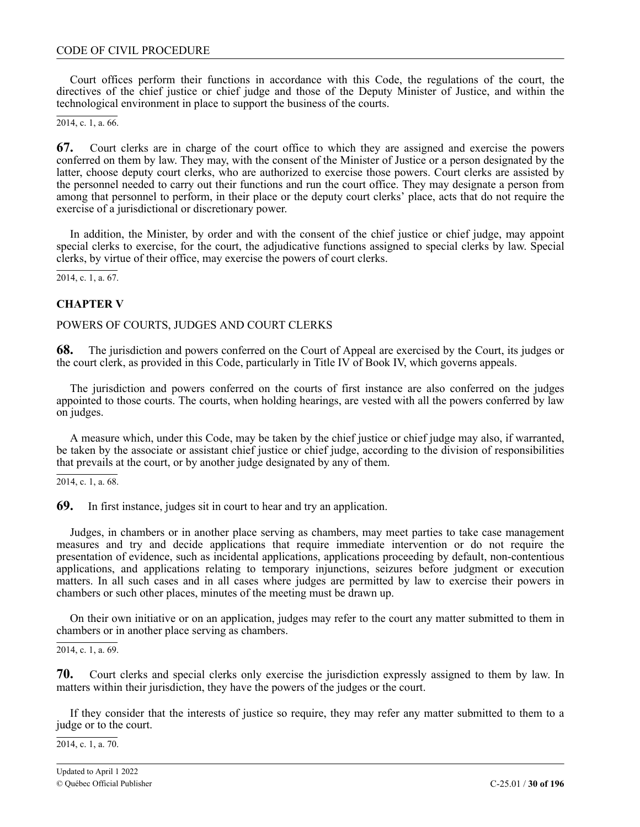<span id="page-29-0"></span>Court offices perform their functions in accordance with this Code, the regulations of the court, the directives of the chief justice or chief judge and those of the Deputy Minister of Justice, and within the technological environment in place to support the business of the courts.

2014, c. 1, a. 66.

**67.** Court clerks are in charge of the court office to which they are assigned and exercise the powers conferred on them by law. They may, with the consent of the Minister of Justice or a person designated by the latter, choose deputy court clerks, who are authorized to exercise those powers. Court clerks are assisted by the personnel needed to carry out their functions and run the court office. They may designate a person from among that personnel to perform, in their place or the deputy court clerks' place, acts that do not require the exercise of a jurisdictional or discretionary power.

In addition, the Minister, by order and with the consent of the chief justice or chief judge, may appoint special clerks to exercise, for the court, the adjudicative functions assigned to special clerks by law. Special clerks, by virtue of their office, may exercise the powers of court clerks.

2014, c. 1, a. 67.

# **CHAPTER V**

#### POWERS OF COURTS, JUDGES AND COURT CLERKS

**68.** The jurisdiction and powers conferred on the Court of Appeal are exercised by the Court, its judges or the court clerk, as provided in this Code, particularly in Title IV of Book IV, which governs appeals.

The jurisdiction and powers conferred on the courts of first instance are also conferred on the judges appointed to those courts. The courts, when holding hearings, are vested with all the powers conferred by law on judges.

A measure which, under this Code, may be taken by the chief justice or chief judge may also, if warranted, be taken by the associate or assistant chief justice or chief judge, according to the division of responsibilities that prevails at the court, or by another judge designated by any of them.

2014, c. 1, a. 68.

**69.** In first instance, judges sit in court to hear and try an application.

Judges, in chambers or in another place serving as chambers, may meet parties to take case management measures and try and decide applications that require immediate intervention or do not require the presentation of evidence, such as incidental applications, applications proceeding by default, non-contentious applications, and applications relating to temporary injunctions, seizures before judgment or execution matters. In all such cases and in all cases where judges are permitted by law to exercise their powers in chambers or such other places, minutes of the meeting must be drawn up.

On their own initiative or on an application, judges may refer to the court any matter submitted to them in chambers or in another place serving as chambers.

2014, c. 1, a. 69.

**70.** Court clerks and special clerks only exercise the jurisdiction expressly assigned to them by law. In matters within their jurisdiction, they have the powers of the judges or the court.

If they consider that the interests of justice so require, they may refer any matter submitted to them to a judge or to the court.

2014, c. 1, a. 70.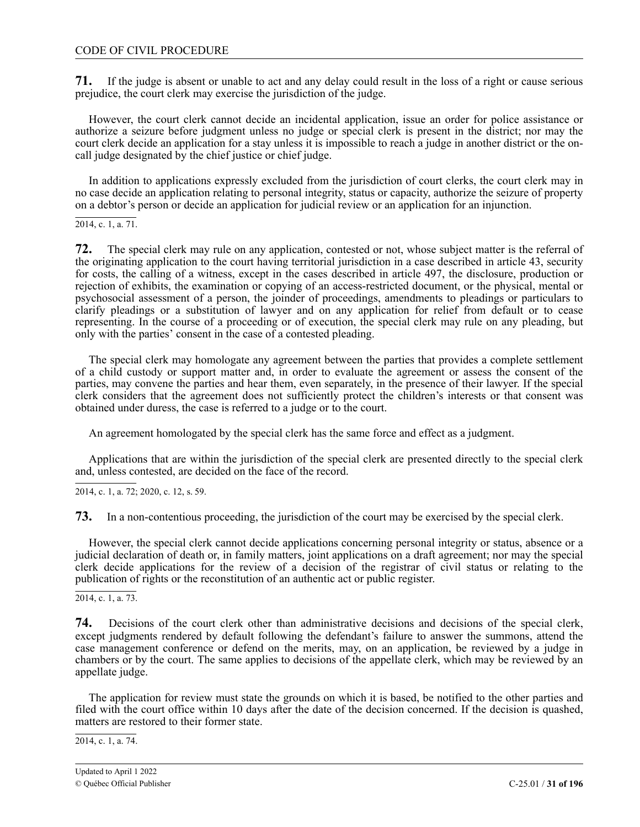**71.** If the judge is absent or unable to act and any delay could result in the loss of a right or cause serious prejudice, the court clerk may exercise the jurisdiction of the judge.

However, the court clerk cannot decide an incidental application, issue an order for police assistance or authorize a seizure before judgment unless no judge or special clerk is present in the district; nor may the court clerk decide an application for a stay unless it is impossible to reach a judge in another district or the oncall judge designated by the chief justice or chief judge.

In addition to applications expressly excluded from the jurisdiction of court clerks, the court clerk may in no case decide an application relating to personal integrity, status or capacity, authorize the seizure of property on a debtor's person or decide an application for judicial review or an application for an injunction.

2014, c. 1, a. 71.

**72.** The special clerk may rule on any application, contested or not, whose subject matter is the referral of the originating application to the court having territorial jurisdiction in a case described in article 43, security for costs, the calling of a witness, except in the cases described in article 497, the disclosure, production or rejection of exhibits, the examination or copying of an access-restricted document, or the physical, mental or psychosocial assessment of a person, the joinder of proceedings, amendments to pleadings or particulars to clarify pleadings or a substitution of lawyer and on any application for relief from default or to cease representing. In the course of a proceeding or of execution, the special clerk may rule on any pleading, but only with the parties' consent in the case of a contested pleading.

The special clerk may homologate any agreement between the parties that provides a complete settlement of a child custody or support matter and, in order to evaluate the agreement or assess the consent of the parties, may convene the parties and hear them, even separately, in the presence of their lawyer. If the special clerk considers that the agreement does not sufficiently protect the children's interests or that consent was obtained under duress, the case is referred to a judge or to the court.

An agreement homologated by the special clerk has the same force and effect as a judgment.

Applications that are within the jurisdiction of the special clerk are presented directly to the special clerk and, unless contested, are decided on the face of the record.

2014, c. 1, a. 72; 2 2020, c. 12, s. 59.1

2 **73.** In a non-contentious proceeding, the jurisdiction of the court may be exercised by the special clerk.

However, the special clerk cannot decide applications concerning personal integrity or status, absence or a judicial declaration of death or, in family matters, joint applications on a draft agreement; nor may the special . clerk decide applications for the review of a decision of the registrar of civil status or relating to the publication of rights or the reconstitution of an authentic act or public register.

2014, c. 1, a. 73.

**74.** Decisions of the court clerk other than administrative decisions and decisions of the special clerk, except judgments rendered by default following the defendant's failure to answer the summons, attend the case management conference or defend on the merits, may, on an application, be reviewed by a judge in chambers or by the court. The same applies to decisions of the appellate clerk, which may be reviewed by an appellate judge.

The application for review must state the grounds on which it is based, be notified to the other parties and filed with the court office within 10 days after the date of the decision concerned. If the decision is quashed, matters are restored to their former state.

2014, c. 1, a. 74.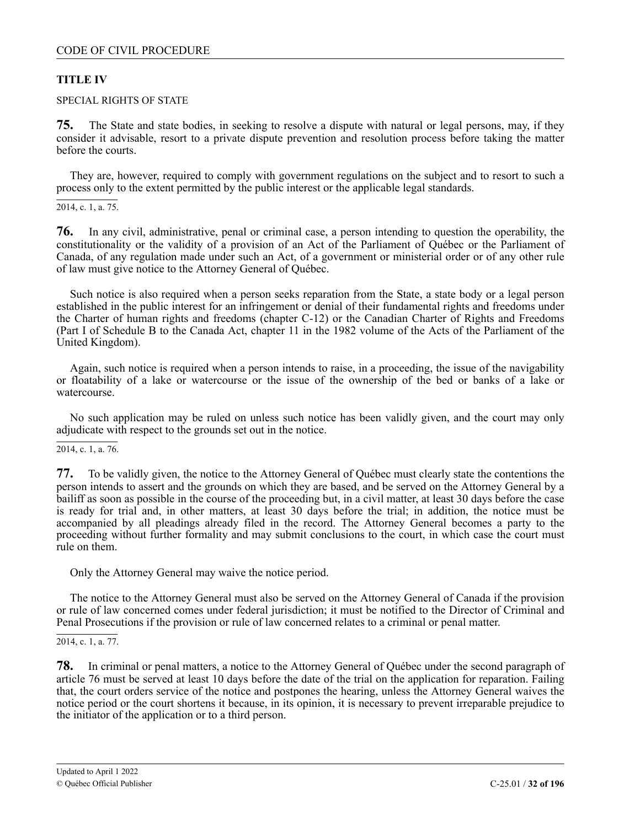## <span id="page-31-0"></span>**TITLE IV**

#### SPECIAL RIGHTS OF STATE

**75.** The State and state bodies, in seeking to resolve a dispute with natural or legal persons, may, if they consider it advisable, resort to a private dispute prevention and resolution process before taking the matter before the courts.

They are, however, required to comply with government regulations on the subject and to resort to such a process only to the extent permitted by the public interest or the applicable legal standards.

 $\overline{2014, c. 1, a. 75}.$ 

**76.** In any civil, administrative, penal or criminal case, a person intending to question the operability, the constitutionality or the validity of a provision of an Act of the Parliament of Québec or the Parliament of Canada, of any regulation made under such an Act, of a government or ministerial order or of any other rule of law must give notice to the Attorney General of Québec.

Such notice is also required when a person seeks reparation from the State, a state body or a legal person established in the public interest for an infringement or denial of their fundamental rights and freedoms under the Charter of human rights and freedoms (chapter C-12) or the Canadian Charter of Rights and Freedoms (Part I of Schedule B to the Canada Act, chapter 11 in the 1982 volume of the Acts of the Parliament of the United Kingdom).

Again, such notice is required when a person intends to raise, in a proceeding, the issue of the navigability or floatability of a lake or watercourse or the issue of the ownership of the bed or banks of a lake or watercourse.

No such application may be ruled on unless such notice has been validly given, and the court may only adjudicate with respect to the grounds set out in the notice.

 $\overline{2014, c. 1, a. 76}$ .

**77.** To be validly given, the notice to the Attorney General of Québec must clearly state the contentions the person intends to assert and the grounds on which they are based, and be served on the Attorney General by a bailiff as soon as possible in the course of the proceeding but, in a civil matter, at least 30 days before the case is ready for trial and, in other matters, at least 30 days before the trial; in addition, the notice must be accompanied by all pleadings already filed in the record. The Attorney General becomes a party to the proceeding without further formality and may submit conclusions to the court, in which case the court must rule on them.

Only the Attorney General may waive the notice period.

The notice to the Attorney General must also be served on the Attorney General of Canada if the provision or rule of law concerned comes under federal jurisdiction; it must be notified to the Director of Criminal and Penal Prosecutions if the provision or rule of law concerned relates to a criminal or penal matter.

#### 2014, c. 1, a. 77.

**78.** In criminal or penal matters, a notice to the Attorney General of Québec under the second paragraph of article 76 must be served at least 10 days before the date of the trial on the application for reparation. Failing that, the court orders service of the notice and postpones the hearing, unless the Attorney General waives the notice period or the court shortens it because, in its opinion, it is necessary to prevent irreparable prejudice to the initiator of the application or to a third person.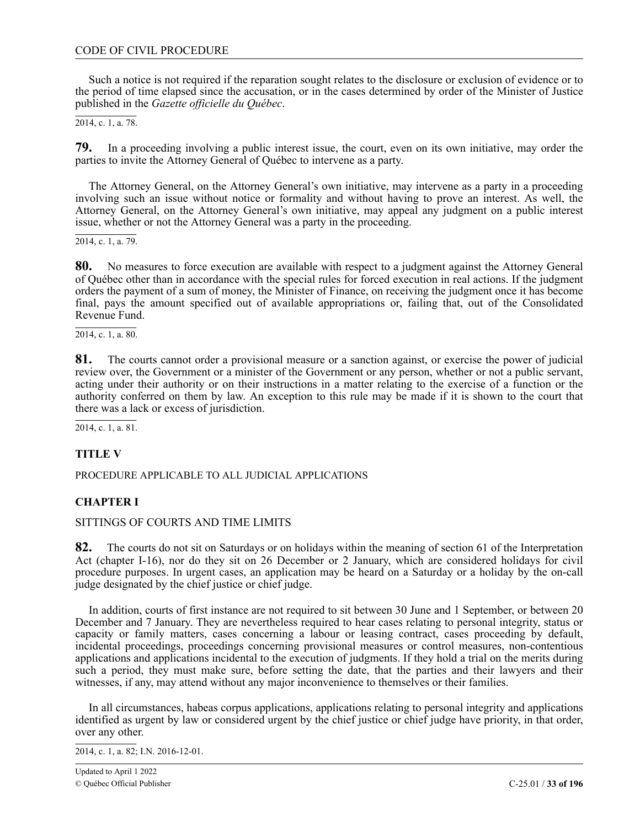<span id="page-32-0"></span>Such a notice is not required if the reparation sought relates to the disclosure or exclusion of evidence or to the period of time elapsed since the accusation, or in the cases determined by order of the Minister of Justice published in the *Gazette officielle du Québec*.

 $\overline{2014, c. 1, a. 78}.$ 

**79.** In a proceeding involving a public interest issue, the court, even on its own initiative, may order the parties to invite the Attorney General of Québec to intervene as a party.

The Attorney General, on the Attorney General's own initiative, may intervene as a party in a proceeding involving such an issue without notice or formality and without having to prove an interest. As well, the Attorney General, on the Attorney General's own initiative, may appeal any judgment on a public interest issue, whether or not the Attorney General was a party in the proceeding.

 $\overline{2014, c. 1, a. 79}.$ 

**80.** No measures to force execution are available with respect to a judgment against the Attorney General of Québec other than in accordance with the special rules for forced execution in real actions. If the judgment orders the payment of a sum of money, the Minister of Finance, on receiving the judgment once it has become final, pays the amount specified out of available appropriations or, failing that, out of the Consolidated Revenue Fund.

2014, c. 1, a. 80.

**81.** The courts cannot order a provisional measure or a sanction against, or exercise the power of judicial review over, the Government or a minister of the Government or any person, whether or not a public servant, acting under their authority or on their instructions in a matter relating to the exercise of a function or the authority conferred on them by law. An exception to this rule may be made if it is shown to the court that there was a lack or excess of jurisdiction.

2014, c. 1, a. 81.

## **TITLE V**

PROCEDURE APPLICABLE TO ALL JUDICIAL APPLICATIONS

## **CHAPTER I**

## SITTINGS OF COURTS AND TIME LIMITS

**82.** The courts do not sit on Saturdays or on holidays within the meaning of section 61 of the Interpretation Act (chapter I-16), nor do they sit on 26 December or 2 January, which are considered holidays for civil procedure purposes. In urgent cases, an application may be heard on a Saturday or a holiday by the on-call judge designated by the chief justice or chief judge.

In addition, courts of first instance are not required to sit between 30 June and 1 September, or between 20 December and 7 January. They are nevertheless required to hear cases relating to personal integrity, status or capacity or family matters, cases concerning a labour or leasing contract, cases proceeding by default, incidental proceedings, proceedings concerning provisional measures or control measures, non-contentious applications and applications incidental to the execution of judgments. If they hold a trial on the merits during such a period, they must make sure, before setting the date, that the parties and their lawyers and their witnesses, if any, may attend without any major inconvenience to themselves or their families.

In all circumstances, habeas corpus applications, applications relating to personal integrity and applications identified as urgent by law or considered urgent by the chief justice or chief judge have priority, in that order, over any other.

2014, c. 1, a. 82; I.N. 2016-12-01.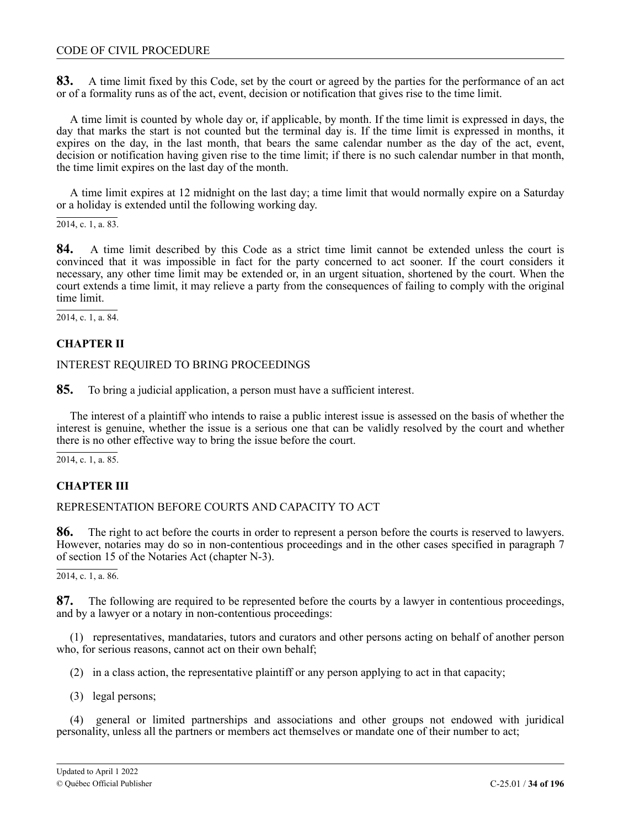<span id="page-33-0"></span>**83.** A time limit fixed by this Code, set by the court or agreed by the parties for the performance of an act or of a formality runs as of the act, event, decision or notification that gives rise to the time limit.

A time limit is counted by whole day or, if applicable, by month. If the time limit is expressed in days, the day that marks the start is not counted but the terminal day is. If the time limit is expressed in months, it expires on the day, in the last month, that bears the same calendar number as the day of the act, event, decision or notification having given rise to the time limit; if there is no such calendar number in that month, the time limit expires on the last day of the month.

A time limit expires at 12 midnight on the last day; a time limit that would normally expire on a Saturday or a holiday is extended until the following working day.

 $\overline{2014, c. 1, a. 83}.$ 

**84.** A time limit described by this Code as a strict time limit cannot be extended unless the court is convinced that it was impossible in fact for the party concerned to act sooner. If the court considers it necessary, any other time limit may be extended or, in an urgent situation, shortened by the court. When the court extends a time limit, it may relieve a party from the consequences of failing to comply with the original time limit.

 $\overline{2014}$ , c. 1, a, 84.

# **CHAPTER II**

## INTEREST REQUIRED TO BRING PROCEEDINGS

**85.** To bring a judicial application, a person must have a sufficient interest.

The interest of a plaintiff who intends to raise a public interest issue is assessed on the basis of whether the interest is genuine, whether the issue is a serious one that can be validly resolved by the court and whether there is no other effective way to bring the issue before the court.

2014, c. 1, a. 85.

# **CHAPTER III**

## REPRESENTATION BEFORE COURTS AND CAPACITY TO ACT

**86.** The right to act before the courts in order to represent a person before the courts is reserved to lawyers. However, notaries may do so in non-contentious proceedings and in the other cases specified in paragraph 7 of section 15 of the Notaries Act (chapter N-3).

2014, c. 1, a. 86.

**87.** The following are required to be represented before the courts by a lawyer in contentious proceedings, and by a lawyer or a notary in non-contentious proceedings:

(1) representatives, mandataries, tutors and curators and other persons acting on behalf of another person who, for serious reasons, cannot act on their own behalf;

- (2) in a class action, the representative plaintiff or any person applying to act in that capacity;
- (3) legal persons;

(4) general or limited partnerships and associations and other groups not endowed with juridical personality, unless all the partners or members act themselves or mandate one of their number to act;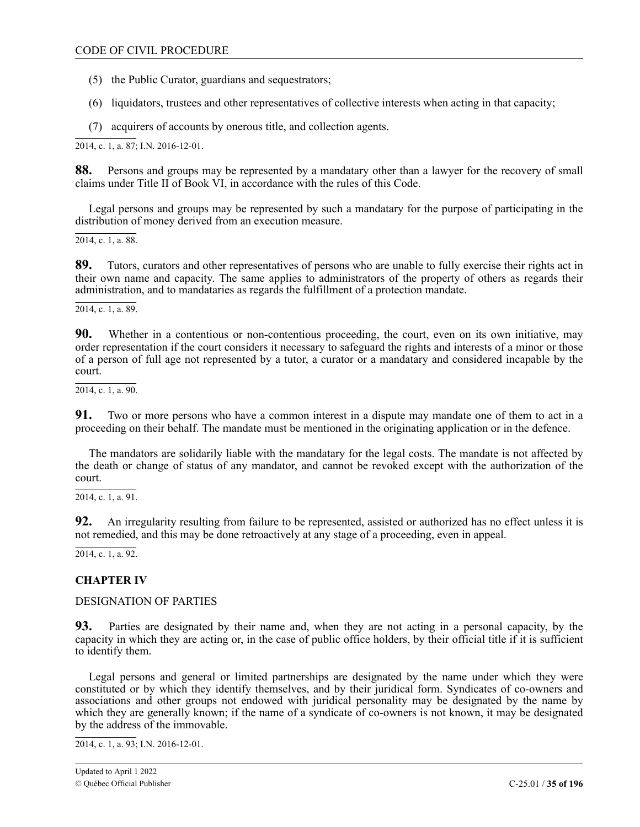- <span id="page-34-0"></span>(5) the Public Curator, guardians and sequestrators;
- (6) liquidators, trustees and other representatives of collective interests when acting in that capacity;
- (7) acquirers of accounts by onerous title, and collection agents.

 $2014, c. 1, a. 87$ ; I.N. 2016-12-01.

**88.** Persons and groups may be represented by a mandatary other than a lawyer for the recovery of small claims under Title II of Book VI, in accordance with the rules of this Code.

Legal persons and groups may be represented by such a mandatary for the purpose of participating in the distribution of money derived from an execution measure.

2014, c. 1, a. 88.

**89.** Tutors, curators and other representatives of persons who are unable to fully exercise their rights act in their own name and capacity. The same applies to administrators of the property of others as regards their administration, and to mandataries as regards the fulfillment of a protection mandate.

 $\overline{2014}$ , c. 1, a. 89.

**90.** Whether in a contentious or non-contentious proceeding, the court, even on its own initiative, may order representation if the court considers it necessary to safeguard the rights and interests of a minor or those of a person of full age not represented by a tutor, a curator or a mandatary and considered incapable by the court.

2014, c. 1, a. 90.

**91.** Two or more persons who have a common interest in a dispute may mandate one of them to act in a proceeding on their behalf. The mandate must be mentioned in the originating application or in the defence.

The mandators are solidarily liable with the mandatary for the legal costs. The mandate is not affected by the death or change of status of any mandator, and cannot be revoked except with the authorization of the court.

 $\overline{2014}$ , c. 1, a. 91.

**92.** An irregularity resulting from failure to be represented, assisted or authorized has no effect unless it is not remedied, and this may be done retroactively at any stage of a proceeding, even in appeal.

2014, c. 1, a. 92.

# **CHAPTER IV**

#### DESIGNATION OF PARTIES

**93.** Parties are designated by their name and, when they are not acting in a personal capacity, by the capacity in which they are acting or, in the case of public office holders, by their official title if it is sufficient to identify them.

Legal persons and general or limited partnerships are designated by the name under which they were constituted or by which they identify themselves, and by their juridical form. Syndicates of co-owners and associations and other groups not endowed with juridical personality may be designated by the name by which they are generally known; if the name of a syndicate of co-owners is not known, it may be designated by the address of the immovable.

 $2014$ , c. 1, a. 93; I.N. 2016-12-01.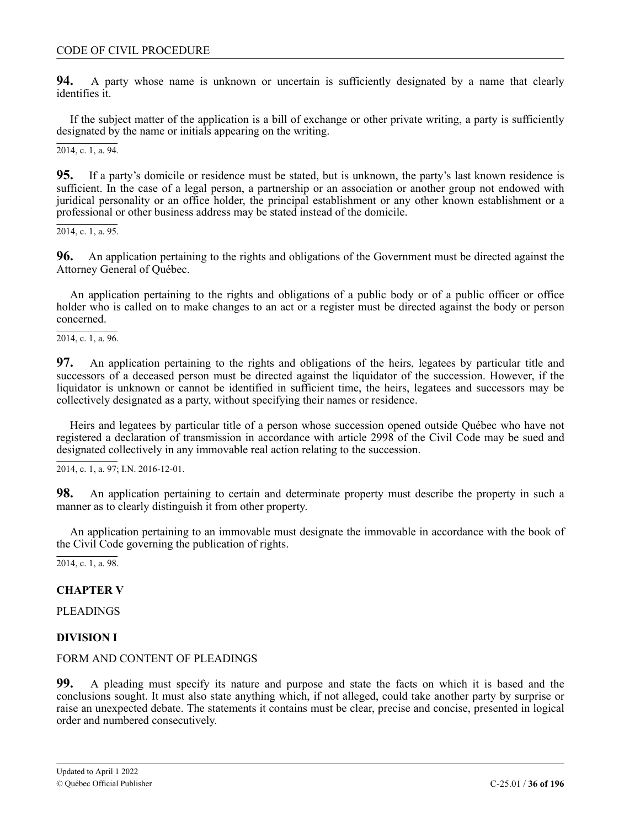<span id="page-35-0"></span>**94.** A party whose name is unknown or uncertain is sufficiently designated by a name that clearly identifies it.

If the subject matter of the application is a bill of exchange or other private writing, a party is sufficiently designated by the name or initials appearing on the writing.

 $\overline{2014, c. 1, a. 94}.$ 

**95.** If a party's domicile or residence must be stated, but is unknown, the party's last known residence is sufficient. In the case of a legal person, a partnership or an association or another group not endowed with juridical personality or an office holder, the principal establishment or any other known establishment or a professional or other business address may be stated instead of the domicile.

2014, c. 1, a. 95.

**96.** An application pertaining to the rights and obligations of the Government must be directed against the Attorney General of Québec.

An application pertaining to the rights and obligations of a public body or of a public officer or office holder who is called on to make changes to an act or a register must be directed against the body or person concerned.

2014, c. 1, a. 96.

**97.** An application pertaining to the rights and obligations of the heirs, legatees by particular title and successors of a deceased person must be directed against the liquidator of the succession. However, if the liquidator is unknown or cannot be identified in sufficient time, the heirs, legatees and successors may be collectively designated as a party, without specifying their names or residence.

Heirs and legatees by particular title of a person whose succession opened outside Québec who have not registered a declaration of transmission in accordance with article 2998 of the Civil Code may be sued and designated collectively in any immovable real action relating to the succession.

2014, c. 1, a. 97; I.N. 2016-12-01.

**98.** An application pertaining to certain and determinate property must describe the property in such a manner as to clearly distinguish it from other property.

An application pertaining to an immovable must designate the immovable in accordance with the book of the Civil Code governing the publication of rights.

2014, c. 1, a. 98.

## **CHAPTER V**

PLEADINGS

## **DIVISION I**

#### FORM AND CONTENT OF PLEADINGS

**99.** A pleading must specify its nature and purpose and state the facts on which it is based and the conclusions sought. It must also state anything which, if not alleged, could take another party by surprise or raise an unexpected debate. The statements it contains must be clear, precise and concise, presented in logical order and numbered consecutively.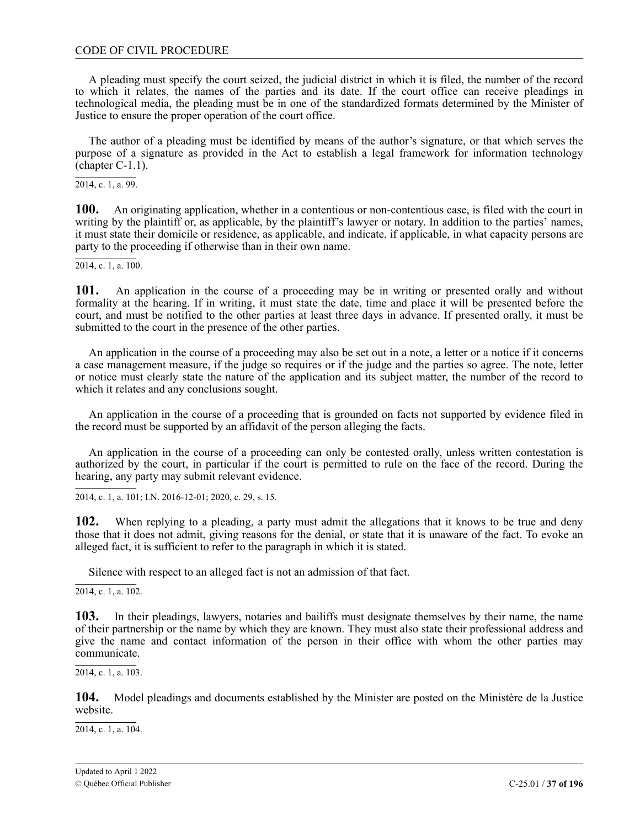A pleading must specify the court seized, the judicial district in which it is filed, the number of the record to which it relates, the names of the parties and its date. If the court office can receive pleadings in technological media, the pleading must be in one of the standardized formats determined by the Minister of Justice to ensure the proper operation of the court office.

The author of a pleading must be identified by means of the author's signature, or that which serves the purpose of a signature as provided in the Act to establish a legal framework for information technology  $(chapter C-1.1).$ 

2014, c. 1, a. 99.

**100.** An originating application, whether in a contentious or non-contentious case, is filed with the court in writing by the plaintiff or, as applicable, by the plaintiff's lawyer or notary. In addition to the parties' names, it must state their domicile or residence, as applicable, and indicate, if applicable, in what capacity persons are party to the proceeding if otherwise than in their own name.

 $\overline{2014, c. 1, a. 100}$ .

**101.** An application in the course of a proceeding may be in writing or presented orally and without formality at the hearing. If in writing, it must state the date, time and place it will be presented before the court, and must be notified to the other parties at least three days in advance. If presented orally, it must be submitted to the court in the presence of the other parties.

An application in the course of a proceeding may also be set out in a note, a letter or a notice if it concerns a case management measure, if the judge so requires or if the judge and the parties so agree. The note, letter or notice must clearly state the nature of the application and its subject matter, the number of the record to which it relates and any conclusions sought.

An application in the course of a proceeding that is grounded on facts not supported by evidence filed in the record must be supported by an affidavit of the person alleging the facts.

An application in the course of a proceeding can only be contested orally, unless written contestation is authorized by the court, in particular if the court is permitted to rule on the face of the record. During the hearing, any party may submit relevant evidence.

2014, c. 1, a. 101; I.N. 2016-12-01; 2020, c. 29, s. 15.

102. When replying to a pleading, a party must admit the allegations that it knows to be true and deny those that it does not admit, giving reasons for the denial, or state that it is unaware of the fact. To evoke an alleged fact, it is sufficient to refer to the paragraph in which it is stated.

. Silence with respect to an alleged fact is not an admission of that fact.

2014, c. 1, a. 102.

**103.** In their pleadings, lawyers, notaries and bailiffs must designate themselves by their name, the name of their partnership or the name by which they are known. They must also state their professional address and give the name and contact information of the person in their office with whom the other parties may communicate.

 $\overline{2014, c. 1, a. 103}.$ 

**104.** Model pleadings and documents established by the Minister are posted on the Ministère de la Justice website.

2014, c. 1, a. 104.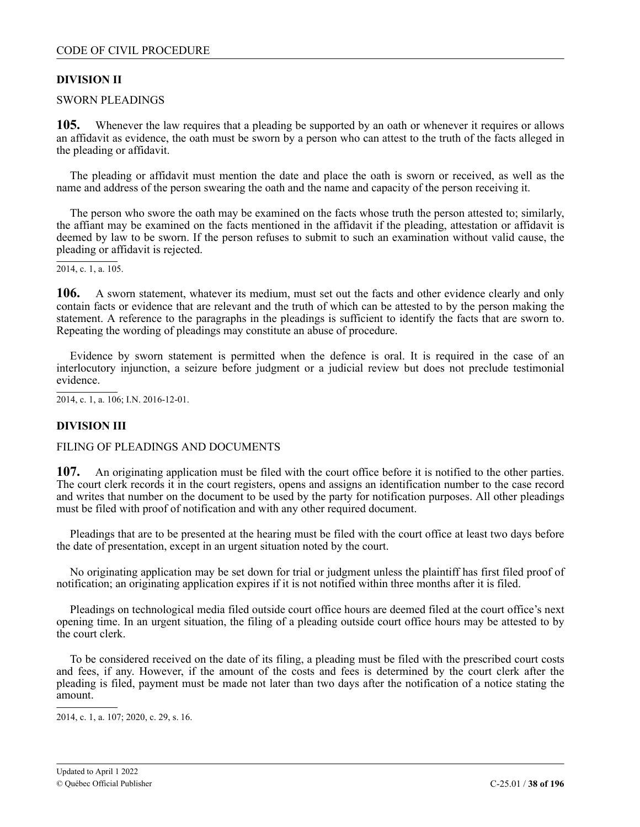### **DIVISION II**

#### SWORN PLEADINGS

**105.** Whenever the law requires that a pleading be supported by an oath or whenever it requires or allows an affidavit as evidence, the oath must be sworn by a person who can attest to the truth of the facts alleged in the pleading or affidavit.

The pleading or affidavit must mention the date and place the oath is sworn or received, as well as the name and address of the person swearing the oath and the name and capacity of the person receiving it.

The person who swore the oath may be examined on the facts whose truth the person attested to; similarly, the affiant may be examined on the facts mentioned in the affidavit if the pleading, attestation or affidavit is deemed by law to be sworn. If the person refuses to submit to such an examination without valid cause, the pleading or affidavit is rejected.

2014, c. 1, a. 105.

**106.** A sworn statement, whatever its medium, must set out the facts and other evidence clearly and only contain facts or evidence that are relevant and the truth of which can be attested to by the person making the statement. A reference to the paragraphs in the pleadings is sufficient to identify the facts that are sworn to. Repeating the wording of pleadings may constitute an abuse of procedure.

Evidence by sworn statement is permitted when the defence is oral. It is required in the case of an interlocutory injunction, a seizure before judgment or a judicial review but does not preclude testimonial evidence.

2014, c. 1, a. 106; I.N. 2016-12-01.

#### **DIVISION III**

### FILING OF PLEADINGS AND DOCUMENTS

**107.** An originating application must be filed with the court office before it is notified to the other parties. The court clerk records it in the court registers, opens and assigns an identification number to the case record and writes that number on the document to be used by the party for notification purposes. All other pleadings must be filed with proof of notification and with any other required document.

Pleadings that are to be presented at the hearing must be filed with the court office at least two days before the date of presentation, except in an urgent situation noted by the court.

No originating application may be set down for trial or judgment unless the plaintiff has first filed proof of notification; an originating application expires if it is not notified within three months after it is filed.

Pleadings on technological media filed outside court office hours are deemed filed at the court office's next opening time. In an urgent situation, the filing of a pleading outside court office hours may be attested to by the court clerk.

To be considered received on the date of its filing, a pleading must be filed with the prescribed court costs and fees, if any. However, if the amount of the costs and fees is determined by the court clerk after the pleading is filed, payment must be made not later than two days after the notification of a notice stating the amount.

2014, c. 1, a. 107; 2020, c. 29, s. 16.

, 2020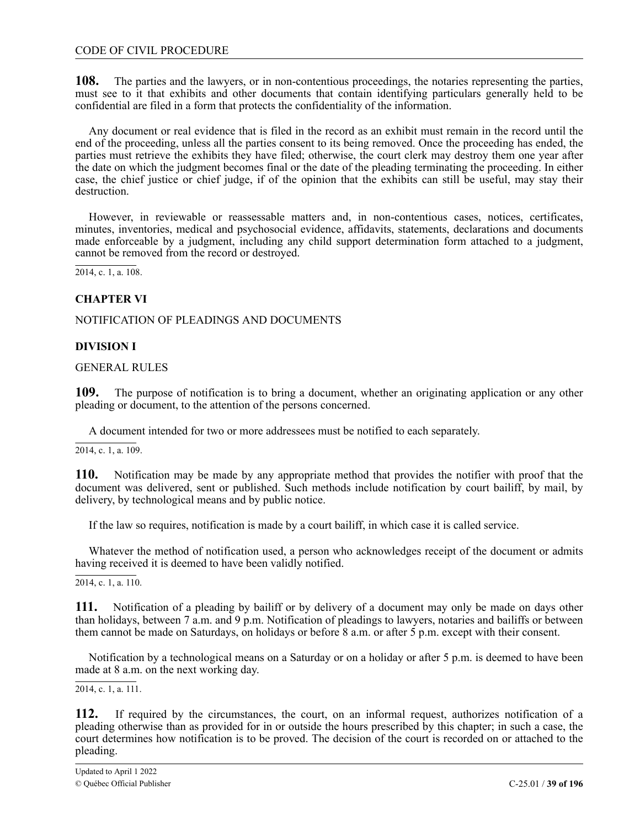**108.** The parties and the lawyers, or in non-contentious proceedings, the notaries representing the parties, must see to it that exhibits and other documents that contain identifying particulars generally held to be confidential are filed in a form that protects the confidentiality of the information.

Any document or real evidence that is filed in the record as an exhibit must remain in the record until the end of the proceeding, unless all the parties consent to its being removed. Once the proceeding has ended, the parties must retrieve the exhibits they have filed; otherwise, the court clerk may destroy them one year after the date on which the judgment becomes final or the date of the pleading terminating the proceeding. In either case, the chief justice or chief judge, if of the opinion that the exhibits can still be useful, may stay their destruction.

However, in reviewable or reassessable matters and, in non-contentious cases, notices, certificates, minutes, inventories, medical and psychosocial evidence, affidavits, statements, declarations and documents made enforceable by a judgment, including any child support determination form attached to a judgment, cannot be removed from the record or destroyed.

2014, c. 1, a. 108.

# **CHAPTER VI**

NOTIFICATION OF PLEADINGS AND DOCUMENTS

### **DIVISION I**

GENERAL RULES

**109.** The purpose of notification is to bring a document, whether an originating application or any other pleading or document, to the attention of the persons concerned.

A document intended for two or more addressees must be notified to each separately.

2014, c. 1, a. 109.

**110.** Notification may be made by any appropriate method that provides the notifier with proof that the document was delivered, sent or published. Such methods include notification by court bailiff, by mail, by delivery, by technological means and by public notice.

If the law so requires, notification is made by a court bailiff, in which case it is called service.

Whatever the method of notification used, a person who acknowledges receipt of the document or admits having received it is deemed to have been validly notified.

2014, c. 1, a. 110.

**111.** Notification of a pleading by bailiff or by delivery of a document may only be made on days other than holidays, between 7 a.m. and 9 p.m. Notification of pleadings to lawyers, notaries and bailiffs or between them cannot be made on Saturdays, on holidays or before 8 a.m. or after 5 p.m. except with their consent.

Notification by a technological means on a Saturday or on a holiday or after 5 p.m. is deemed to have been made at 8 a.m. on the next working day.

2014, c. 1, a. 111.

**112.** If required by the circumstances, the court, on an informal request, authorizes notification of a pleading otherwise than as provided for in or outside the hours prescribed by this chapter; in such a case, the court determines how notification is to be proved. The decision of the court is recorded on or attached to the pleading.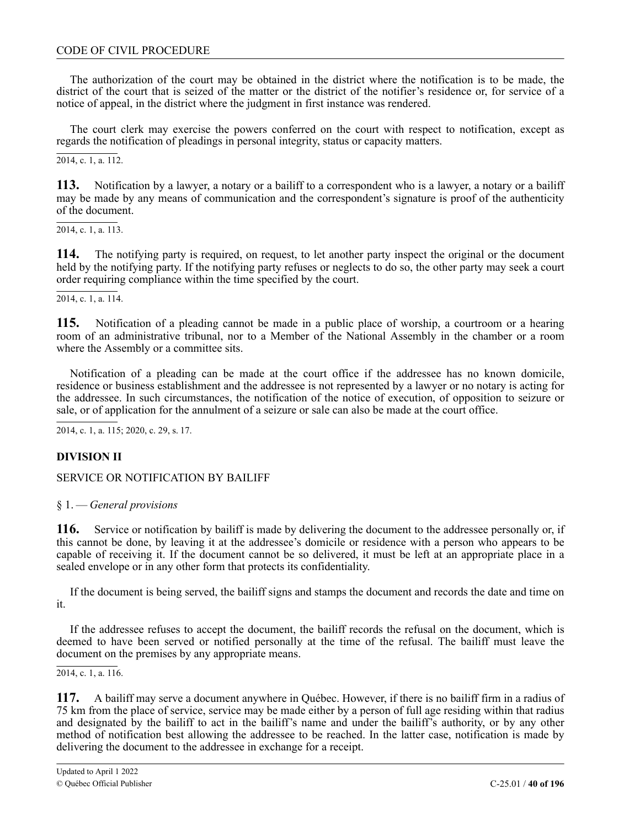The authorization of the court may be obtained in the district where the notification is to be made, the district of the court that is seized of the matter or the district of the notifier's residence or, for service of a notice of appeal, in the district where the judgment in first instance was rendered.

The court clerk may exercise the powers conferred on the court with respect to notification, except as regards the notification of pleadings in personal integrity, status or capacity matters.

2014, c. 1, a. 112.

**113.** Notification by a lawyer, a notary or a bailiff to a correspondent who is a lawyer, a notary or a bailiff may be made by any means of communication and the correspondent's signature is proof of the authenticity of the document.

2014, c. 1, a. 113.

**114.** The notifying party is required, on request, to let another party inspect the original or the document held by the notifying party. If the notifying party refuses or neglects to do so, the other party may seek a court order requiring compliance within the time specified by the court.

2014, c. 1, a. 114.

**115.** Notification of a pleading cannot be made in a public place of worship, a courtroom or a hearing room of an administrative tribunal, nor to a Member of the National Assembly in the chamber or a room where the Assembly or a committee sits.

Notification of a pleading can be made at the court office if the addressee has no known domicile, residence or business establishment and the addressee is not represented by a lawyer or no notary is acting for the addressee. In such circumstances, the notification of the notice of execution, of opposition to seizure or sale, or of application for the annulment of a seizure or sale can also be made at the court office.

2014, c. 1, a. 115; 2020, c. 29, s. 17.

### **DIVISION II**

, SERVICE OR NOTIFICATION BY BAILIFF

. § 1. — *General provisions* 2

116. Service or notification by bailiff is made by delivering the document to the addressee personally or, if this cannot be done, by leaving it at the addressee's domicile or residence with a person who appears to be capable of receiving it. If the document cannot be so delivered, it must be left at an appropriate place in a sealed envelope or in any other form that protects its confidentiality.

If the document is being served, the bailiff signs and stamps the document and records the date and time on it.

If the addressee refuses to accept the document, the bailiff records the refusal on the document, which is deemed to have been served or notified personally at the time of the refusal. The bailiff must leave the document on the premises by any appropriate means.

2014, c. 1, a. 116.

**117.** A bailiff may serve a document anywhere in Québec. However, if there is no bailiff firm in a radius of 75 km from the place of service, service may be made either by a person of full age residing within that radius and designated by the bailiff to act in the bailiff's name and under the bailiff's authority, or by any other method of notification best allowing the addressee to be reached. In the latter case, notification is made by delivering the document to the addressee in exchange for a receipt.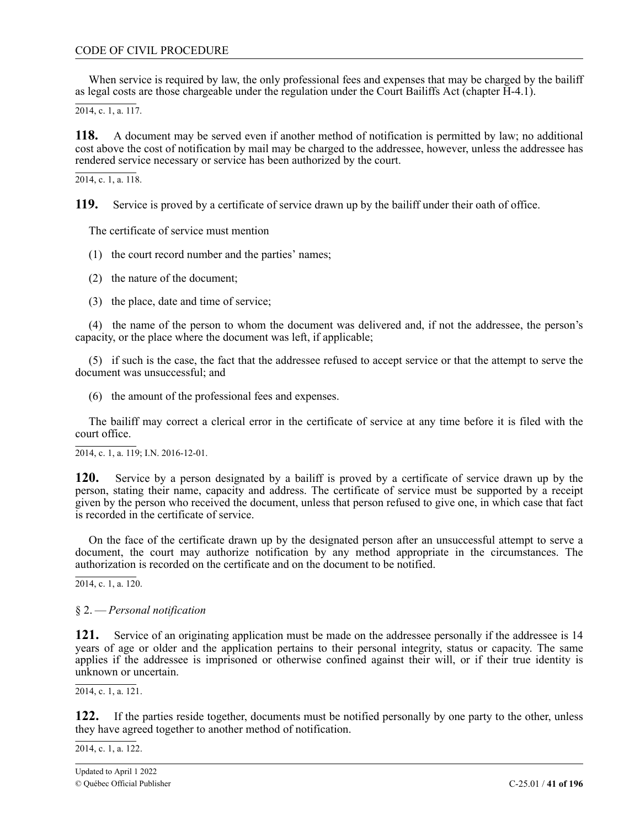When service is required by law, the only professional fees and expenses that may be charged by the bailiff as legal costs are those chargeable under the regulation under the Court Bailiffs Act (chapter H-4.1).

2014, c. 1, a. 117.

**118.** A document may be served even if another method of notification is permitted by law; no additional cost above the cost of notification by mail may be charged to the addressee, however, unless the addressee has rendered service necessary or service has been authorized by the court.

2014, c. 1, a. 118.

**119.** Service is proved by a certificate of service drawn up by the bailiff under their oath of office.

The certificate of service must mention

(1) the court record number and the parties' names;

- (2) the nature of the document;
- (3) the place, date and time of service;

(4) the name of the person to whom the document was delivered and, if not the addressee, the person's capacity, or the place where the document was left, if applicable;

(5) if such is the case, the fact that the addressee refused to accept service or that the attempt to serve the document was unsuccessful; and

(6) the amount of the professional fees and expenses.

The bailiff may correct a clerical error in the certificate of service at any time before it is filed with the court office.

2014, c. 1, a. 119; I.N. 2016-12-01.

**120.** Service by a person designated by a bailiff is proved by a certificate of service drawn up by the person, stating their name, capacity and address. The certificate of service must be supported by a receipt given by the person who received the document, unless that person refused to give one, in which case that fact is recorded in the certificate of service.

On the face of the certificate drawn up by the designated person after an unsuccessful attempt to serve a document, the court may authorize notification by any method appropriate in the circumstances. The authorization is recorded on the certificate and on the document to be notified.

2014, c. 1, a. 120.

### § 2. — *Personal notification*

**121.** Service of an originating application must be made on the addressee personally if the addressee is 14 years of age or older and the application pertains to their personal integrity, status or capacity. The same applies if the addressee is imprisoned or otherwise confined against their will, or if their true identity is unknown or uncertain.

2014, c. 1, a. 121.

**122.** If the parties reside together, documents must be notified personally by one party to the other, unless they have agreed together to another method of notification.

2014, c. 1, a. 122.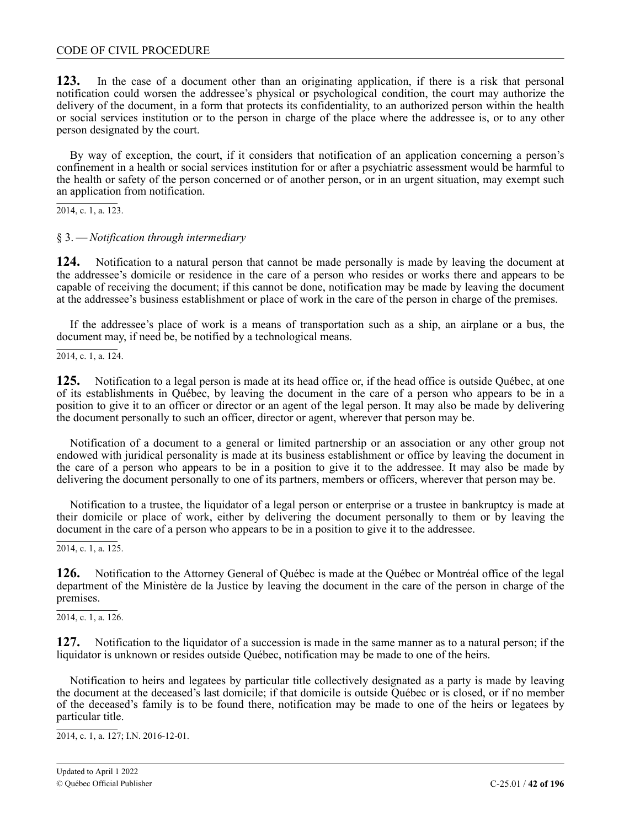**123.** In the case of a document other than an originating application, if there is a risk that personal notification could worsen the addressee's physical or psychological condition, the court may authorize the delivery of the document, in a form that protects its confidentiality, to an authorized person within the health or social services institution or to the person in charge of the place where the addressee is, or to any other person designated by the court.

By way of exception, the court, if it considers that notification of an application concerning a person's confinement in a health or social services institution for or after a psychiatric assessment would be harmful to the health or safety of the person concerned or of another person, or in an urgent situation, may exempt such an application from notification.

2014, c. 1, a. 123.

§ 3. — *Notification through intermediary*

**124.** Notification to a natural person that cannot be made personally is made by leaving the document at the addressee's domicile or residence in the care of a person who resides or works there and appears to be capable of receiving the document; if this cannot be done, notification may be made by leaving the document at the addressee's business establishment or place of work in the care of the person in charge of the premises.

If the addressee's place of work is a means of transportation such as a ship, an airplane or a bus, the document may, if need be, be notified by a technological means.

2014, c. 1, a. 124.

**125.** Notification to a legal person is made at its head office or, if the head office is outside Québec, at one of its establishments in Québec, by leaving the document in the care of a person who appears to be in a position to give it to an officer or director or an agent of the legal person. It may also be made by delivering the document personally to such an officer, director or agent, wherever that person may be.

Notification of a document to a general or limited partnership or an association or any other group not endowed with juridical personality is made at its business establishment or office by leaving the document in the care of a person who appears to be in a position to give it to the addressee. It may also be made by delivering the document personally to one of its partners, members or officers, wherever that person may be.

Notification to a trustee, the liquidator of a legal person or enterprise or a trustee in bankruptcy is made at their domicile or place of work, either by delivering the document personally to them or by leaving the document in the care of a person who appears to be in a position to give it to the addressee.

2014, c. 1, a. 125.

**126.** Notification to the Attorney General of Québec is made at the Québec or Montréal office of the legal department of the Ministère de la Justice by leaving the document in the care of the person in charge of the premises.

2014, c. 1, a. 126.

**127.** Notification to the liquidator of a succession is made in the same manner as to a natural person; if the liquidator is unknown or resides outside Québec, notification may be made to one of the heirs.

Notification to heirs and legatees by particular title collectively designated as a party is made by leaving the document at the deceased's last domicile; if that domicile is outside Québec or is closed, or if no member of the deceased's family is to be found there, notification may be made to one of the heirs or legatees by particular title.

2014, c. 1, a. 127; I.N. 2016-12-01.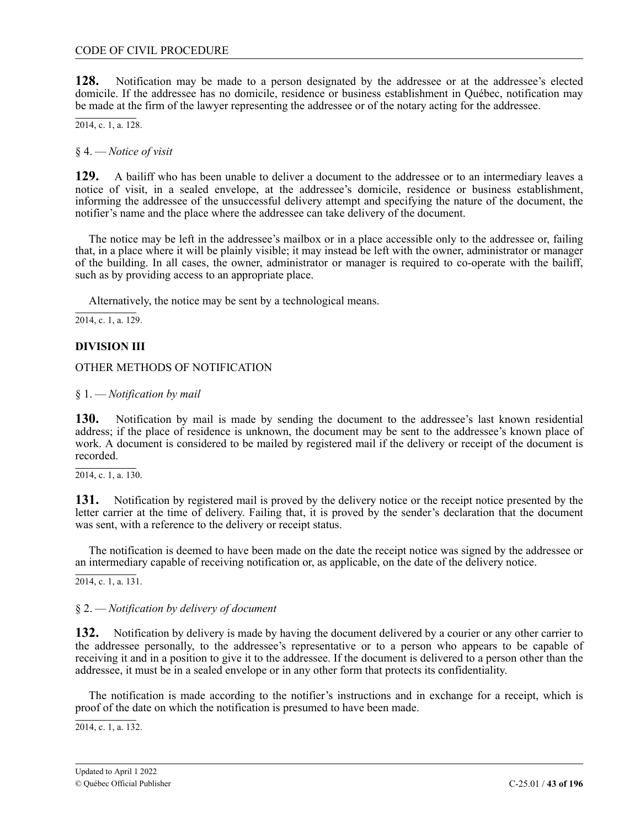**128.** Notification may be made to a person designated by the addressee or at the addressee's elected domicile. If the addressee has no domicile, residence or business establishment in Québec, notification may be made at the firm of the lawyer representing the addressee or of the notary acting for the addressee.

2014, c. 1, a. 128.

§ 4. — *Notice of visit*

**129.** A bailiff who has been unable to deliver a document to the addressee or to an intermediary leaves a notice of visit, in a sealed envelope, at the addressee's domicile, residence or business establishment, informing the addressee of the unsuccessful delivery attempt and specifying the nature of the document, the notifier's name and the place where the addressee can take delivery of the document.

The notice may be left in the addressee's mailbox or in a place accessible only to the addressee or, failing that, in a place where it will be plainly visible; it may instead be left with the owner, administrator or manager of the building. In all cases, the owner, administrator or manager is required to co-operate with the bailiff, such as by providing access to an appropriate place.

Alternatively, the notice may be sent by a technological means.

2014, c. 1, a. 129.

### **DIVISION III**

### OTHER METHODS OF NOTIFICATION

§ 1. — *Notification by mail*

**130.** Notification by mail is made by sending the document to the addressee's last known residential address; if the place of residence is unknown, the document may be sent to the addressee's known place of work. A document is considered to be mailed by registered mail if the delivery or receipt of the document is recorded.

2014, c. 1, a. 130.

**131.** Notification by registered mail is proved by the delivery notice or the receipt notice presented by the letter carrier at the time of delivery. Failing that, it is proved by the sender's declaration that the document was sent, with a reference to the delivery or receipt status.

The notification is deemed to have been made on the date the receipt notice was signed by the addressee or an intermediary capable of receiving notification or, as applicable, on the date of the delivery notice.

2014, c. 1, a. 131.

# § 2. — *Notification by delivery of document*

**132.** Notification by delivery is made by having the document delivered by a courier or any other carrier to the addressee personally, to the addressee's representative or to a person who appears to be capable of receiving it and in a position to give it to the addressee. If the document is delivered to a person other than the addressee, it must be in a sealed envelope or in any other form that protects its confidentiality.

The notification is made according to the notifier's instructions and in exchange for a receipt, which is proof of the date on which the notification is presumed to have been made.

2014, c. 1, a. 132.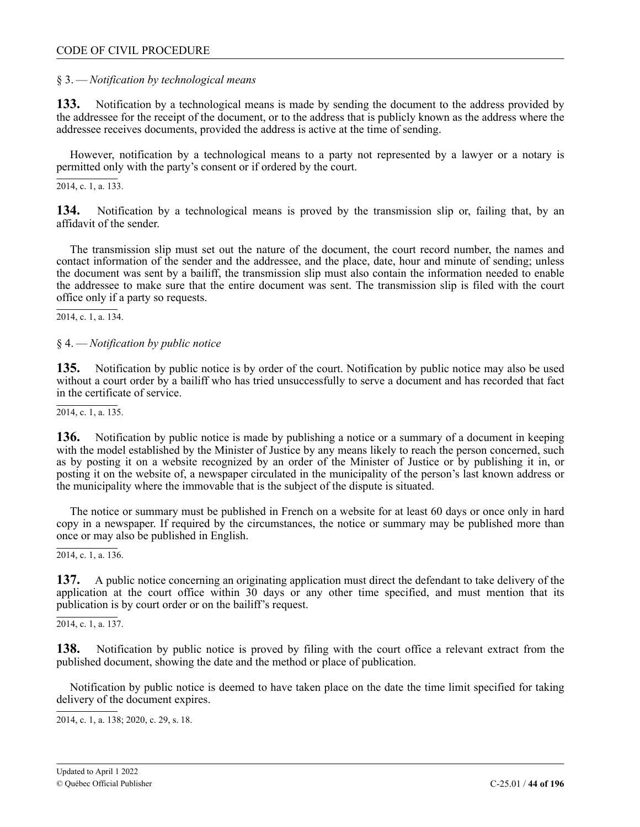### § 3. — *Notification by technological means*

**133.** Notification by a technological means is made by sending the document to the address provided by the addressee for the receipt of the document, or to the address that is publicly known as the address where the addressee receives documents, provided the address is active at the time of sending.

However, notification by a technological means to a party not represented by a lawyer or a notary is permitted only with the party's consent or if ordered by the court.

2014, c. 1, a. 133.

**134.** Notification by a technological means is proved by the transmission slip or, failing that, by an affidavit of the sender.

The transmission slip must set out the nature of the document, the court record number, the names and contact information of the sender and the addressee, and the place, date, hour and minute of sending; unless the document was sent by a bailiff, the transmission slip must also contain the information needed to enable the addressee to make sure that the entire document was sent. The transmission slip is filed with the court office only if a party so requests.

2014, c. 1, a. 134.

#### § 4. — *Notification by public notice*

**135.** Notification by public notice is by order of the court. Notification by public notice may also be used without a court order by a bailiff who has tried unsuccessfully to serve a document and has recorded that fact in the certificate of service.

2014, c. 1, a. 135.

**136.** Notification by public notice is made by publishing a notice or a summary of a document in keeping with the model established by the Minister of Justice by any means likely to reach the person concerned, such as by posting it on a website recognized by an order of the Minister of Justice or by publishing it in, or posting it on the website of, a newspaper circulated in the municipality of the person's last known address or the municipality where the immovable that is the subject of the dispute is situated.

The notice or summary must be published in French on a website for at least 60 days or once only in hard copy in a newspaper. If required by the circumstances, the notice or summary may be published more than once or may also be published in English.

2014, c. 1, a. 136.

**137.** A public notice concerning an originating application must direct the defendant to take delivery of the application at the court office within 30 days or any other time specified, and must mention that its publication is by court order or on the bailiff's request.

2014, c. 1, a. 137.

**138.** Notification by public notice is proved by filing with the court office a relevant extract from the published document, showing the date and the method or place of publication.

Notification by public notice is deemed to have taken place on the date the time limit specified for taking delivery of the document expires.

2014, c. 1, a. 138; 2020, c. 29, s. 18.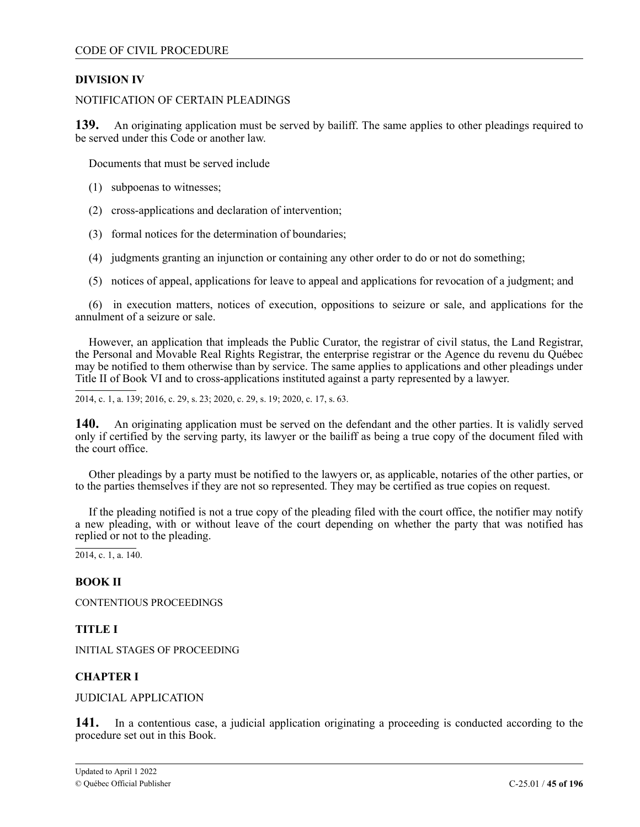## **DIVISION IV**

### NOTIFICATION OF CERTAIN PLEADINGS

**139.** An originating application must be served by bailiff. The same applies to other pleadings required to be served under this Code or another law.

Documents that must be served include

- (1) subpoenas to witnesses;
- (2) cross-applications and declaration of intervention;
- (3) formal notices for the determination of boundaries;
- (4) judgments granting an injunction or containing any other order to do or not do something;
- (5) notices of appeal, applications for leave to appeal and applications for revocation of a judgment; and

(6) in execution matters, notices of execution, oppositions to seizure or sale, and applications for the annulment of a seizure or sale.

However, an application that impleads the Public Curator, the registrar of civil status, the Land Registrar, the Personal and Movable Real Rights Registrar, the enterprise registrar or the Agence du revenu du Québec may be notified to them otherwise than by service. The same applies to applications and other pleadings under Title II of Book VI and to cross-applications instituted against a party represented by a lawyer.

2014, c. 1, a. 139; 2016, c. 29, s. 23; 2020, c. 29, s. 19; 2020, c. 17, s. 63.

140. An originating application must be served on the defendant and the other parties. It is validly served only if certified by the serving party, its lawyer or the bailiff as being a true copy of the document filed with , the court office.

. . . Other pleadings by a party must be notified to the lawyers or, as applicable, notaries of the other parties, or to the parties themselves if they are not so represented. They may be certified as true copies on request.  $\ddot{\phantom{1}}$ 7

If the pleading notified is not a true copy of the pleading filed with the court office, the notifier may notify a new pleading, with or without leave of the court depending on whether the party that was notified has replied or not to the pleading.

2014, c. 1, a. 140.

### **BOOK II**

CONTENTIOUS PROCEEDINGS

### **TITLE I**

INITIAL STAGES OF PROCEEDING

### **CHAPTER I**

#### JUDICIAL APPLICATION

**141.** In a contentious case, a judicial application originating a proceeding is conducted according to the procedure set out in this Book.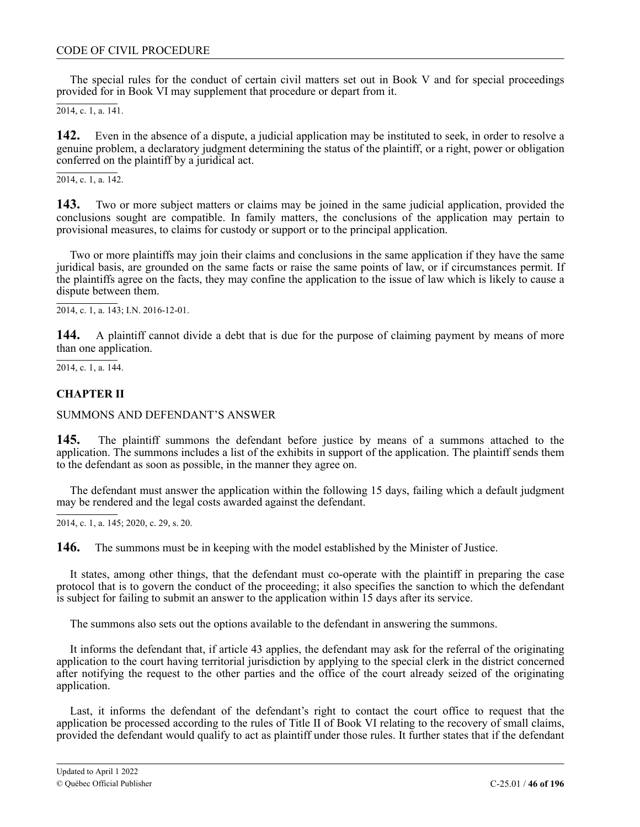The special rules for the conduct of certain civil matters set out in Book V and for special proceedings provided for in Book VI may supplement that procedure or depart from it.

2014, c. 1, a. 141.

**142.** Even in the absence of a dispute, a judicial application may be instituted to seek, in order to resolve a genuine problem, a declaratory judgment determining the status of the plaintiff, or a right, power or obligation conferred on the plaintiff by a juridical act.

2014, c. 1, a. 142.

**143.** Two or more subject matters or claims may be joined in the same judicial application, provided the conclusions sought are compatible. In family matters, the conclusions of the application may pertain to provisional measures, to claims for custody or support or to the principal application.

Two or more plaintiffs may join their claims and conclusions in the same application if they have the same juridical basis, are grounded on the same facts or raise the same points of law, or if circumstances permit. If the plaintiffs agree on the facts, they may confine the application to the issue of law which is likely to cause a dispute between them.

2014, c. 1, a. 143; I.N. 2016-12-01.

**144.** A plaintiff cannot divide a debt that is due for the purpose of claiming payment by means of more than one application.

2014, c. 1, a. 144.

# **CHAPTER II**

SUMMONS AND DEFENDANT'S ANSWER

**145.** The plaintiff summons the defendant before justice by means of a summons attached to the application. The summons includes a list of the exhibits in support of the application. The plaintiff sends them to the defendant as soon as possible, in the manner they agree on.

The defendant must answer the application within the following 15 days, failing which a default judgment may be rendered and the legal costs awarded against the defendant.

2014, c. 1, a. 145; 2020, c. 29, s. 20.

146. The summons must be in keeping with the model established by the Minister of Justice.

It states, among other things, that the defendant must co-operate with the plaintiff in preparing the case protocol that is to govern the conduct of the proceeding; it also specifies the sanction to which the defendant is subject for failing to submit an answer to the application within 15 days after its service.

The summons also sets out the options available to the defendant in answering the summons.

It informs the defendant that, if article 43 applies, the defendant may ask for the referral of the originating application to the court having territorial jurisdiction by applying to the special clerk in the district concerned after notifying the request to the other parties and the office of the court already seized of the originating application.

Last, it informs the defendant of the defendant's right to contact the court office to request that the application be processed according to the rules of Title II of Book VI relating to the recovery of small claims, provided the defendant would qualify to act as plaintiff under those rules. It further states that if the defendant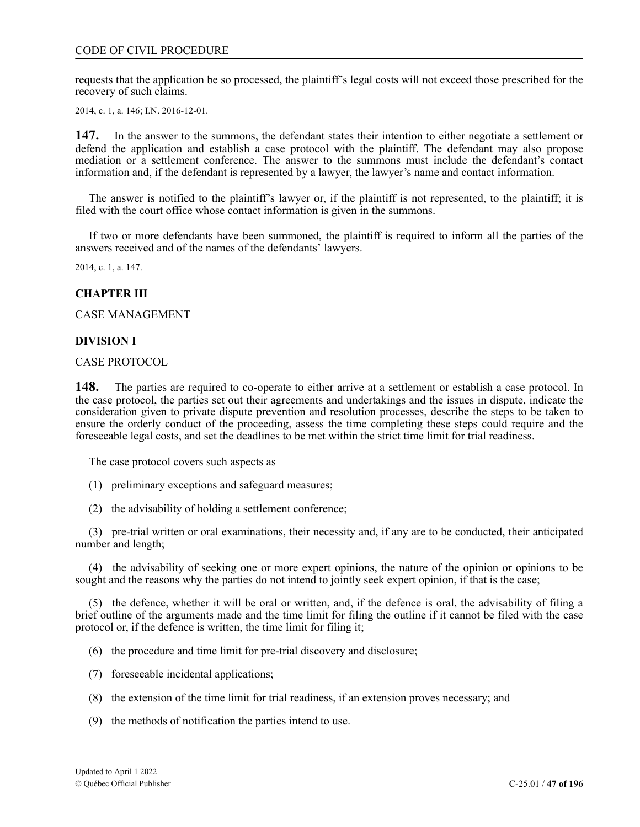requests that the application be so processed, the plaintiff's legal costs will not exceed those prescribed for the recovery of such claims.

2014, c. 1, a. 146; I.N. 2016-12-01.

**147.** In the answer to the summons, the defendant states their intention to either negotiate a settlement or defend the application and establish a case protocol with the plaintiff. The defendant may also propose mediation or a settlement conference. The answer to the summons must include the defendant's contact information and, if the defendant is represented by a lawyer, the lawyer's name and contact information.

The answer is notified to the plaintiff's lawyer or, if the plaintiff is not represented, to the plaintiff; it is filed with the court office whose contact information is given in the summons.

If two or more defendants have been summoned, the plaintiff is required to inform all the parties of the answers received and of the names of the defendants' lawyers.

2014, c. 1, a. 147.

#### **CHAPTER III**

CASE MANAGEMENT

#### **DIVISION I**

CASE PROTOCOL

**148.** The parties are required to co-operate to either arrive at a settlement or establish a case protocol. In the case protocol, the parties set out their agreements and undertakings and the issues in dispute, indicate the consideration given to private dispute prevention and resolution processes, describe the steps to be taken to ensure the orderly conduct of the proceeding, assess the time completing these steps could require and the foreseeable legal costs, and set the deadlines to be met within the strict time limit for trial readiness.

The case protocol covers such aspects as

- (1) preliminary exceptions and safeguard measures;
- (2) the advisability of holding a settlement conference;

(3) pre-trial written or oral examinations, their necessity and, if any are to be conducted, their anticipated number and length;

(4) the advisability of seeking one or more expert opinions, the nature of the opinion or opinions to be sought and the reasons why the parties do not intend to jointly seek expert opinion, if that is the case;

(5) the defence, whether it will be oral or written, and, if the defence is oral, the advisability of filing a brief outline of the arguments made and the time limit for filing the outline if it cannot be filed with the case protocol or, if the defence is written, the time limit for filing it;

- (6) the procedure and time limit for pre-trial discovery and disclosure;
- (7) foreseeable incidental applications;
- (8) the extension of the time limit for trial readiness, if an extension proves necessary; and
- (9) the methods of notification the parties intend to use.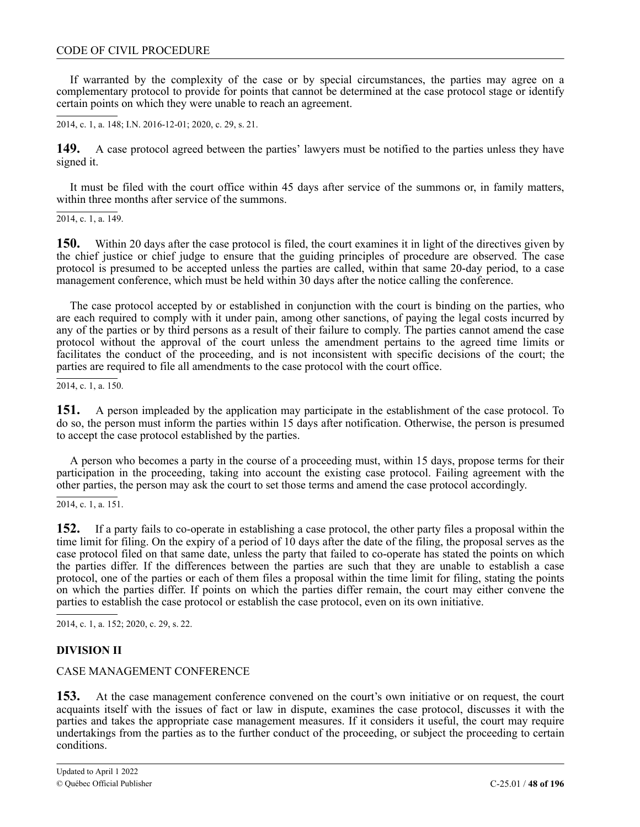If warranted by the complexity of the case or by special circumstances, the parties may agree on a complementary protocol to provide for points that cannot be determined at the case protocol stage or identify certain points on which they were unable to reach an agreement.

2014, c. 1, a. 148; I.N. 2016-12-01; 2020, c. 29, s. 21.

149. A case protocol agreed between the parties' lawyers must be notified to the parties unless they have signed it.

It must be filed with the court office within 45 days after service of the summons or, in family matters, . within three months after service of the summons.

2014, c. 1, a. 149.

**150.** Within 20 days after the case protocol is filed, the court examines it in light of the directives given by the chief justice or chief judge to ensure that the guiding principles of procedure are observed. The case protocol is presumed to be accepted unless the parties are called, within that same 20-day period, to a case management conference, which must be held within 30 days after the notice calling the conference.

The case protocol accepted by or established in conjunction with the court is binding on the parties, who are each required to comply with it under pain, among other sanctions, of paying the legal costs incurred by any of the parties or by third persons as a result of their failure to comply. The parties cannot amend the case protocol without the approval of the court unless the amendment pertains to the agreed time limits or facilitates the conduct of the proceeding, and is not inconsistent with specific decisions of the court; the parties are required to file all amendments to the case protocol with the court office.

 $\overline{2014, c. 1, a. 150}$ .

**151.** A person impleaded by the application may participate in the establishment of the case protocol. To do so, the person must inform the parties within 15 days after notification. Otherwise, the person is presumed to accept the case protocol established by the parties.

A person who becomes a party in the course of a proceeding must, within 15 days, propose terms for their participation in the proceeding, taking into account the existing case protocol. Failing agreement with the other parties, the person may ask the court to set those terms and amend the case protocol accordingly.

2014, c. 1, a. 151.

**152.** If a party fails to co-operate in establishing a case protocol, the other party files a proposal within the time limit for filing. On the expiry of a period of 10 days after the date of the filing, the proposal serves as the case protocol filed on that same date, unless the party that failed to co-operate has stated the points on which the parties differ. If the differences between the parties are such that they are unable to establish a case protocol, one of the parties or each of them files a proposal within the time limit for filing, stating the points on which the parties differ. If points on which the parties differ remain, the court may either convene the parties to establish the case protocol or establish the case protocol, even on its own initiative.

2014, c. 1, a. 152; 2020, c. 29, s. 22.

### **DIVISION II**

CASE MANAGEMENT CONFERENCE  $\mathbb{R}$ 

.

153. At the case management conference convened on the court's own initiative or on request, the court acquaints itself with the issues of fact or law in dispute, examines the case protocol, discusses it with the parties and takes the appropriate case management measures. If it considers it useful, the court may require parties and takes the appropriate case management measures. If it considers it useful, the court may require undertakings from the parties as to the further conduct of the proceeding, or subject the proceeding to certain conditions.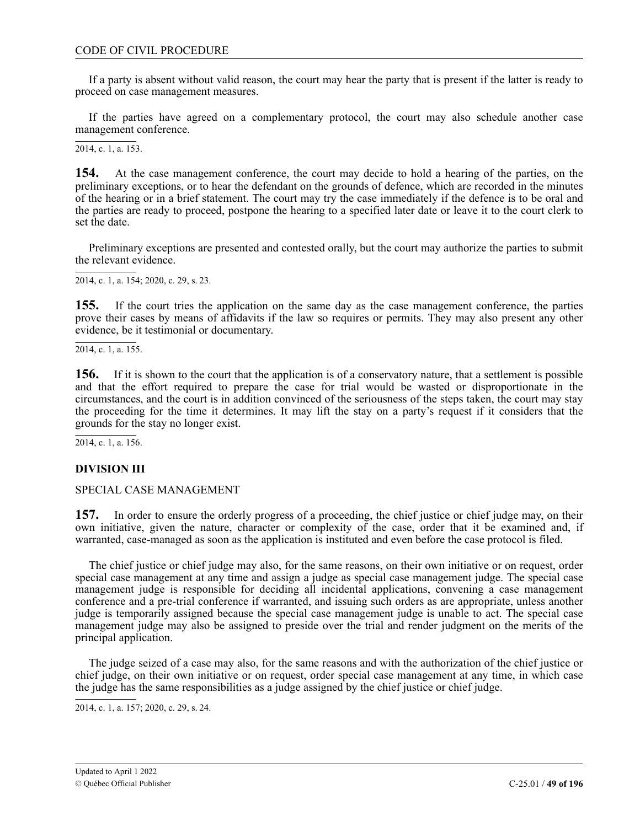If a party is absent without valid reason, the court may hear the party that is present if the latter is ready to proceed on case management measures.

If the parties have agreed on a complementary protocol, the court may also schedule another case management conference.

2014, c. 1, a. 153.

**154.** At the case management conference, the court may decide to hold a hearing of the parties, on the preliminary exceptions, or to hear the defendant on the grounds of defence, which are recorded in the minutes of the hearing or in a brief statement. The court may try the case immediately if the defence is to be oral and the parties are ready to proceed, postpone the hearing to a specified later date or leave it to the court clerk to set the date.

Preliminary exceptions are presented and contested orally, but the court may authorize the parties to submit the relevant evidence.

2014, c. 1, a. 154; 2020, c. 29, s. 23.

155. If the court tries the application on the same day as the case management conference, the parties prove their cases by means of affidavits if the law so requires or permits. They may also present any other , evidence, be it testimonial or documentary.

2014, c. 1, a. 155.

156. If it is shown to the court that the application is of a conservatory nature, that a settlement is possible and that the effort required to prepare the case for trial would be wasted or disproportionate in the circumstances, and the court is in addition convinced of the seriousness of the steps taken, the court may stay the proceeding for the time it determines. It may lift the stay on a party's request if it considers that the grounds for the stay no longer exist.

2014, c. 1, a. 156.

### **DIVISION III**

#### SPECIAL CASE MANAGEMENT

**157.** In order to ensure the orderly progress of a proceeding, the chief justice or chief judge may, on their own initiative, given the nature, character or complexity of the case, order that it be examined and, if warranted, case-managed as soon as the application is instituted and even before the case protocol is filed.

The chief justice or chief judge may also, for the same reasons, on their own initiative or on request, order special case management at any time and assign a judge as special case management judge. The special case management judge is responsible for deciding all incidental applications, convening a case management conference and a pre-trial conference if warranted, and issuing such orders as are appropriate, unless another judge is temporarily assigned because the special case management judge is unable to act. The special case management judge may also be assigned to preside over the trial and render judgment on the merits of the principal application.

The judge seized of a case may also, for the same reasons and with the authorization of the chief justice or chief judge, on their own initiative or on request, order special case management at any time, in which case the judge has the same responsibilities as a judge assigned by the chief justice or chief judge.

2014, c. 1, a. 157; 2020, c. 29, s. 24.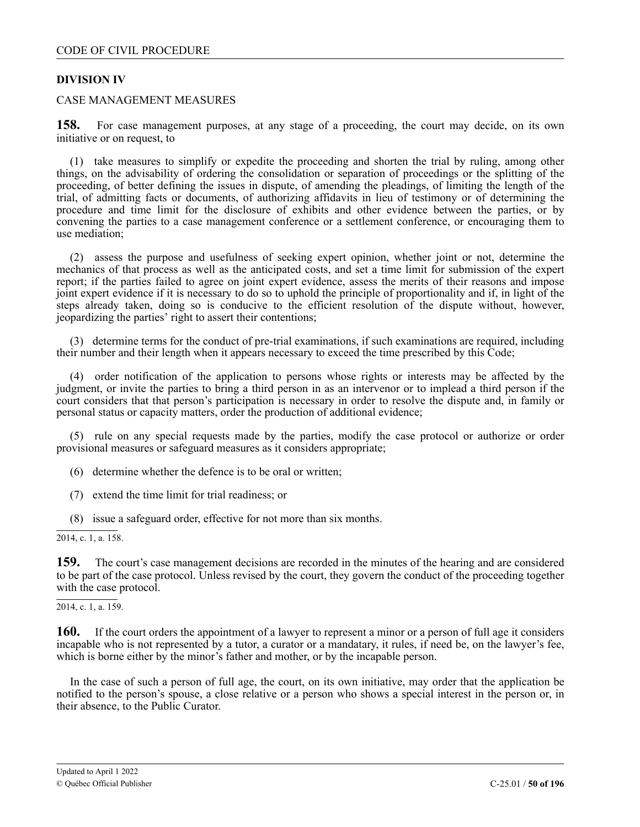### **DIVISION IV**

#### CASE MANAGEMENT MEASURES

**158.** For case management purposes, at any stage of a proceeding, the court may decide, on its own initiative or on request, to

(1) take measures to simplify or expedite the proceeding and shorten the trial by ruling, among other things, on the advisability of ordering the consolidation or separation of proceedings or the splitting of the proceeding, of better defining the issues in dispute, of amending the pleadings, of limiting the length of the trial, of admitting facts or documents, of authorizing affidavits in lieu of testimony or of determining the procedure and time limit for the disclosure of exhibits and other evidence between the parties, or by convening the parties to a case management conference or a settlement conference, or encouraging them to use mediation;

(2) assess the purpose and usefulness of seeking expert opinion, whether joint or not, determine the mechanics of that process as well as the anticipated costs, and set a time limit for submission of the expert report; if the parties failed to agree on joint expert evidence, assess the merits of their reasons and impose joint expert evidence if it is necessary to do so to uphold the principle of proportionality and if, in light of the steps already taken, doing so is conducive to the efficient resolution of the dispute without, however, jeopardizing the parties' right to assert their contentions;

(3) determine terms for the conduct of pre-trial examinations, if such examinations are required, including their number and their length when it appears necessary to exceed the time prescribed by this Code;

(4) order notification of the application to persons whose rights or interests may be affected by the judgment, or invite the parties to bring a third person in as an intervenor or to implead a third person if the court considers that that person's participation is necessary in order to resolve the dispute and, in family or personal status or capacity matters, order the production of additional evidence;

(5) rule on any special requests made by the parties, modify the case protocol or authorize or order provisional measures or safeguard measures as it considers appropriate;

- (6) determine whether the defence is to be oral or written;
- (7) extend the time limit for trial readiness; or
- (8) issue a safeguard order, effective for not more than six months.

2014, c. 1, a. 158.

**159.** The court's case management decisions are recorded in the minutes of the hearing and are considered to be part of the case protocol. Unless revised by the court, they govern the conduct of the proceeding together with the case protocol.

 $2014$ , c. 1, a. 159.

**160.** If the court orders the appointment of a lawyer to represent a minor or a person of full age it considers incapable who is not represented by a tutor, a curator or a mandatary, it rules, if need be, on the lawyer's fee, which is borne either by the minor's father and mother, or by the incapable person.

In the case of such a person of full age, the court, on its own initiative, may order that the application be notified to the person's spouse, a close relative or a person who shows a special interest in the person or, in their absence, to the Public Curator.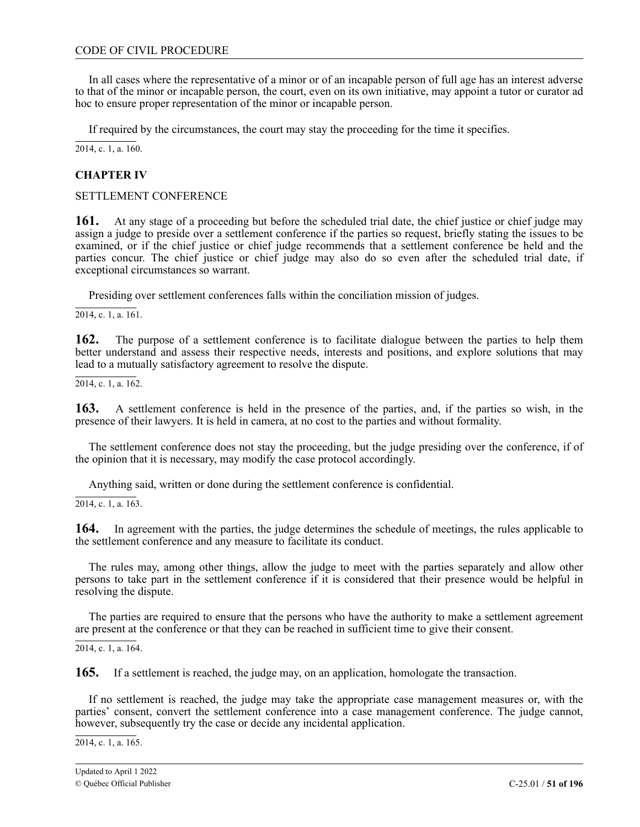In all cases where the representative of a minor or of an incapable person of full age has an interest adverse to that of the minor or incapable person, the court, even on its own initiative, may appoint a tutor or curator ad hoc to ensure proper representation of the minor or incapable person.

If required by the circumstances, the court may stay the proceeding for the time it specifies.

2014, c. 1, a. 160.

# **CHAPTER IV**

SETTLEMENT CONFERENCE

**161.** At any stage of a proceeding but before the scheduled trial date, the chief justice or chief judge may assign a judge to preside over a settlement conference if the parties so request, briefly stating the issues to be examined, or if the chief justice or chief judge recommends that a settlement conference be held and the parties concur. The chief justice or chief judge may also do so even after the scheduled trial date, if exceptional circumstances so warrant.

Presiding over settlement conferences falls within the conciliation mission of judges.

2014, c. 1, a. 161.

**162.** The purpose of a settlement conference is to facilitate dialogue between the parties to help them better understand and assess their respective needs, interests and positions, and explore solutions that may lead to a mutually satisfactory agreement to resolve the dispute.

2014, c. 1, a. 162.

**163.** A settlement conference is held in the presence of the parties, and, if the parties so wish, in the presence of their lawyers. It is held in camera, at no cost to the parties and without formality.

The settlement conference does not stay the proceeding, but the judge presiding over the conference, if of the opinion that it is necessary, may modify the case protocol accordingly.

Anything said, written or done during the settlement conference is confidential.

 $\overline{2014}$ , c. 1, a, 163.

**164.** In agreement with the parties, the judge determines the schedule of meetings, the rules applicable to the settlement conference and any measure to facilitate its conduct.

The rules may, among other things, allow the judge to meet with the parties separately and allow other persons to take part in the settlement conference if it is considered that their presence would be helpful in resolving the dispute.

The parties are required to ensure that the persons who have the authority to make a settlement agreement are present at the conference or that they can be reached in sufficient time to give their consent.

#### 2014, c. 1, a. 164.

**165.** If a settlement is reached, the judge may, on an application, homologate the transaction.

If no settlement is reached, the judge may take the appropriate case management measures or, with the parties' consent, convert the settlement conference into a case management conference. The judge cannot, however, subsequently try the case or decide any incidental application.

2014, c. 1, a. 165.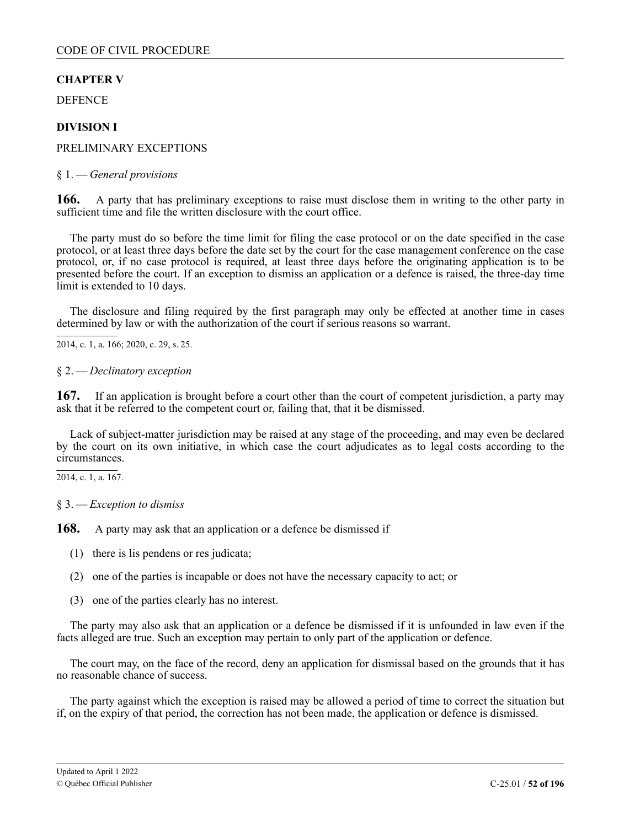# **CHAPTER V**

**DEFENCE** 

# **DIVISION I**

## PRELIMINARY EXCEPTIONS

### § 1. — *General provisions*

**166.** A party that has preliminary exceptions to raise must disclose them in writing to the other party in sufficient time and file the written disclosure with the court office.

The party must do so before the time limit for filing the case protocol or on the date specified in the case protocol, or at least three days before the date set by the court for the case management conference on the case protocol, or, if no case protocol is required, at least three days before the originating application is to be presented before the court. If an exception to dismiss an application or a defence is raised, the three-day time limit is extended to 10 days.

The disclosure and filing required by the first paragraph may only be effected at another time in cases determined by law or with the authorization of the court if serious reasons so warrant.

#### 2014, c. 1, a. 166; 2020, c. 29, s. 25.

### 2 § 2. — *Declinatory exception*

167. If an application is brought before a court other than the court of competent jurisdiction, a party may ask that it be referred to the competent court or, failing that, that it be dismissed.

2 Lack of subject-matter jurisdiction may be raised at any stage of the proceeding, and may even be declared 9 by the court on its own initiative, in which case the court adjudicates as to legal costs according to the circumstances.

2014, c. 1, a. 167.

§ 3. — *Exception to dismiss*

**168.** A party may ask that an application or a defence be dismissed if

- (1) there is lis pendens or res judicata;
- (2) one of the parties is incapable or does not have the necessary capacity to act; or
- (3) one of the parties clearly has no interest.

The party may also ask that an application or a defence be dismissed if it is unfounded in law even if the facts alleged are true. Such an exception may pertain to only part of the application or defence.

The court may, on the face of the record, deny an application for dismissal based on the grounds that it has no reasonable chance of success.

The party against which the exception is raised may be allowed a period of time to correct the situation but if, on the expiry of that period, the correction has not been made, the application or defence is dismissed.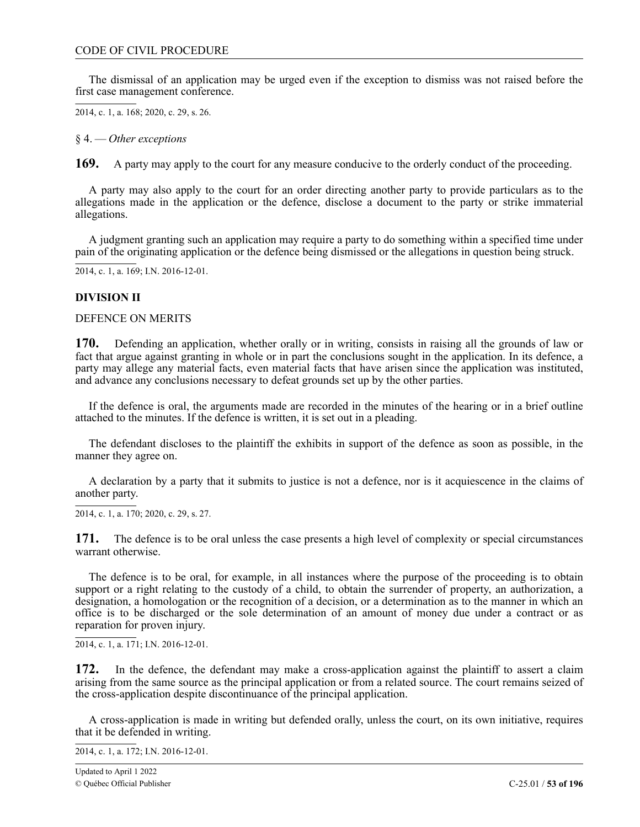The dismissal of an application may be urged even if the exception to dismiss was not raised before the first case management conference.

2014, c. 1, a. 168; 2020, c. 29, s. 26.

2 § 4. — *Other exceptions*

169. A party may apply to the court for any measure conducive to the orderly conduct of the proceeding.  $\overline{\phantom{a}}$ 

. A party may also apply to the court for an order directing another party to provide particulars as to the ,<br>1 allegations made in the application or the defence, disclose a document to the party or strike immaterial allegations.

A judgment granting such an application may require a party to do something within a specified time under pain of the originating application or the defence being dismissed or the allegations in question being struck.

2014, c. 1, a. 169; I.N. 2016-12-01.

#### **DIVISION II**

#### DEFENCE ON MERITS

**170.** Defending an application, whether orally or in writing, consists in raising all the grounds of law or fact that argue against granting in whole or in part the conclusions sought in the application. In its defence, a party may allege any material facts, even material facts that have arisen since the application was instituted, and advance any conclusions necessary to defeat grounds set up by the other parties.

If the defence is oral, the arguments made are recorded in the minutes of the hearing or in a brief outline attached to the minutes. If the defence is written, it is set out in a pleading.

The defendant discloses to the plaintiff the exhibits in support of the defence as soon as possible, in the manner they agree on.

A declaration by a party that it submits to justice is not a defence, nor is it acquiescence in the claims of another party.

2014, c. 1, a. 170; 2020, c. 29, s. 27.

171. The defence is to be oral unless the case presents a high level of complexity or special circumstances warrant otherwise.

The defence is to be oral, for example, in all instances where the purpose of the proceeding is to obtain support or a right relating to the custody of a child, to obtain the surrender of property, an authorization, a designation, a homologation or the recognition of a decision, or a determination as to the manner in which an office is to be discharged or the sole determination of an amount of money due under a contract or as reparation for proven injury.

2014, c. 1, a. 171; I.N. 2016-12-01.

**172.** In the defence, the defendant may make a cross-application against the plaintiff to assert a claim arising from the same source as the principal application or from a related source. The court remains seized of the cross-application despite discontinuance of the principal application.

A cross-application is made in writing but defended orally, unless the court, on its own initiative, requires that it be defended in writing.

2014, c. 1, a. 172; I.N. 2016-12-01.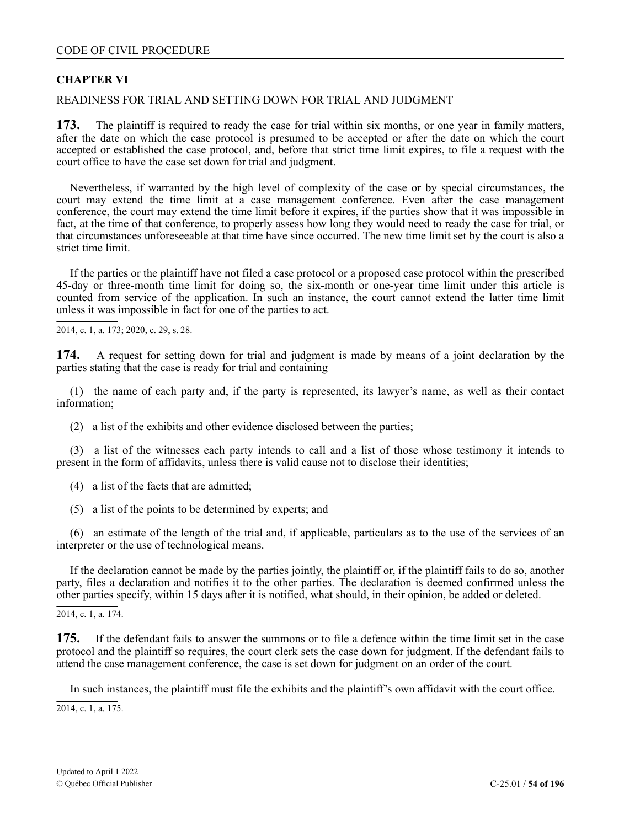# **CHAPTER VI**

### READINESS FOR TRIAL AND SETTING DOWN FOR TRIAL AND JUDGMENT

**173.** The plaintiff is required to ready the case for trial within six months, or one year in family matters, after the date on which the case protocol is presumed to be accepted or after the date on which the court accepted or established the case protocol, and, before that strict time limit expires, to file a request with the court office to have the case set down for trial and judgment.

Nevertheless, if warranted by the high level of complexity of the case or by special circumstances, the court may extend the time limit at a case management conference. Even after the case management conference, the court may extend the time limit before it expires, if the parties show that it was impossible in fact, at the time of that conference, to properly assess how long they would need to ready the case for trial, or that circumstances unforeseeable at that time have since occurred. The new time limit set by the court is also a strict time limit.

If the parties or the plaintiff have not filed a case protocol or a proposed case protocol within the prescribed 45-day or three-month time limit for doing so, the six-month or one-year time limit under this article is counted from service of the application. In such an instance, the court cannot extend the latter time limit unless it was impossible in fact for one of the parties to act.

2014, c. 1, a. 173; 2020, c. 29, s. 28.

174. A request for setting down for trial and judgment is made by means of a joint declaration by the parties stating that the case is ready for trial and containing

c (1) the name of each party and, if the party is represented, its lawyer's name, as well as their contact information;

9 (2) a list of the exhibits and other evidence disclosed between the parties;

(3) a list of the witnesses each party intends to call and a list of those whose testimony it intends to present in the form of affidavits, unless there is valid cause not to disclose their identities;

(4) a list of the facts that are admitted;

(5) a list of the points to be determined by experts; and

(6) an estimate of the length of the trial and, if applicable, particulars as to the use of the services of an interpreter or the use of technological means.

If the declaration cannot be made by the parties jointly, the plaintiff or, if the plaintiff fails to do so, another party, files a declaration and notifies it to the other parties. The declaration is deemed confirmed unless the other parties specify, within 15 days after it is notified, what should, in their opinion, be added or deleted.

2014, c. 1, a. 174.

**175.** If the defendant fails to answer the summons or to file a defence within the time limit set in the case protocol and the plaintiff so requires, the court clerk sets the case down for judgment. If the defendant fails to attend the case management conference, the case is set down for judgment on an order of the court.

In such instances, the plaintiff must file the exhibits and the plaintiff's own affidavit with the court office.

2014, c. 1, a. 175.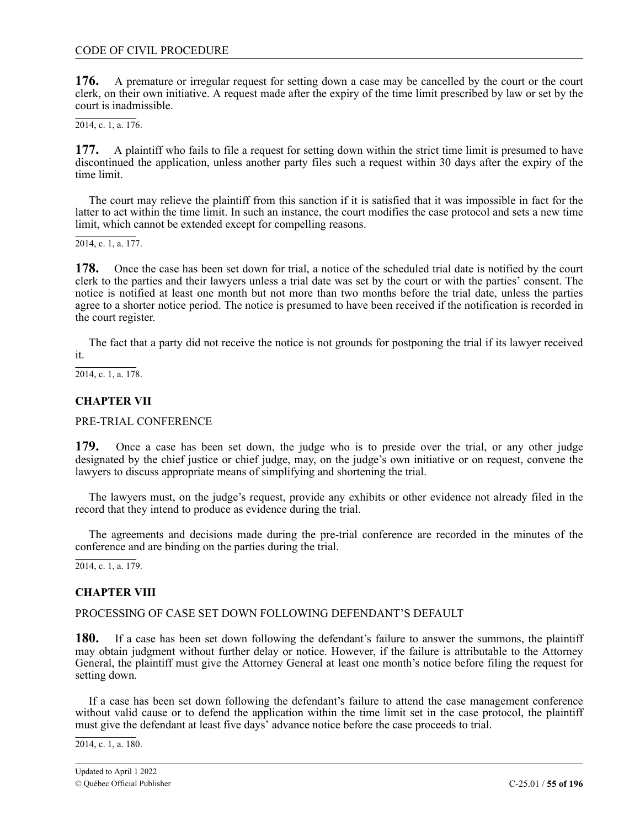**176.** A premature or irregular request for setting down a case may be cancelled by the court or the court clerk, on their own initiative. A request made after the expiry of the time limit prescribed by law or set by the court is inadmissible.

2014, c. 1, a. 176.

**177.** A plaintiff who fails to file a request for setting down within the strict time limit is presumed to have discontinued the application, unless another party files such a request within 30 days after the expiry of the time limit.

The court may relieve the plaintiff from this sanction if it is satisfied that it was impossible in fact for the latter to act within the time limit. In such an instance, the court modifies the case protocol and sets a new time limit, which cannot be extended except for compelling reasons.

 $\overline{2014}$ , c. 1, a. 177.

**178.** Once the case has been set down for trial, a notice of the scheduled trial date is notified by the court clerk to the parties and their lawyers unless a trial date was set by the court or with the parties' consent. The notice is notified at least one month but not more than two months before the trial date, unless the parties agree to a shorter notice period. The notice is presumed to have been received if the notification is recorded in the court register.

The fact that a party did not receive the notice is not grounds for postponing the trial if its lawyer received it.

 $\overline{2014, c. 1, a. 178}.$ 

# **CHAPTER VII**

PRE-TRIAL CONFERENCE

**179.** Once a case has been set down, the judge who is to preside over the trial, or any other judge designated by the chief justice or chief judge, may, on the judge's own initiative or on request, convene the lawyers to discuss appropriate means of simplifying and shortening the trial.

The lawyers must, on the judge's request, provide any exhibits or other evidence not already filed in the record that they intend to produce as evidence during the trial.

The agreements and decisions made during the pre-trial conference are recorded in the minutes of the conference and are binding on the parties during the trial.

2014, c. 1, a. 179.

### **CHAPTER VIII**

#### PROCESSING OF CASE SET DOWN FOLLOWING DEFENDANT'S DEFAULT

**180.** If a case has been set down following the defendant's failure to answer the summons, the plaintiff may obtain judgment without further delay or notice. However, if the failure is attributable to the Attorney General, the plaintiff must give the Attorney General at least one month's notice before filing the request for setting down.

If a case has been set down following the defendant's failure to attend the case management conference without valid cause or to defend the application within the time limit set in the case protocol, the plaintiff must give the defendant at least five days' advance notice before the case proceeds to trial.

2014, c. 1, a. 180.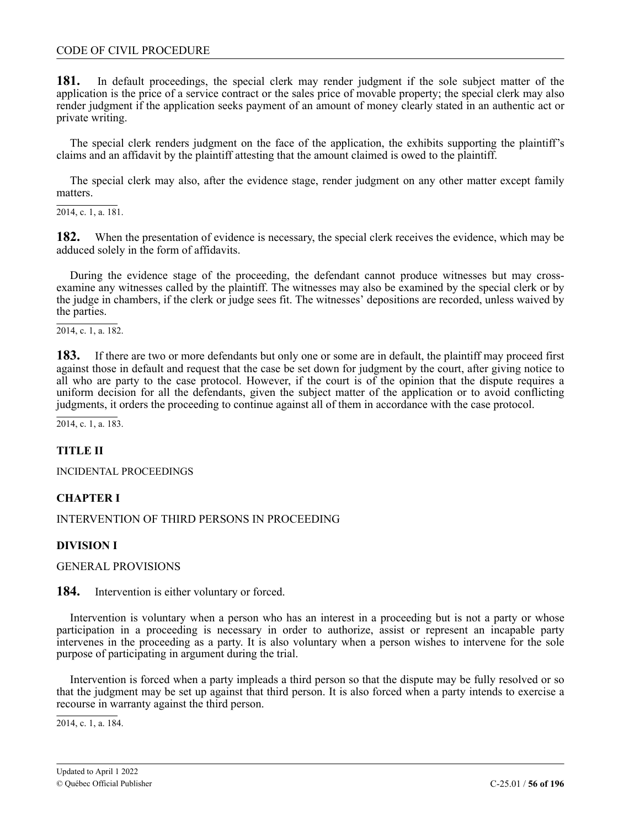**181.** In default proceedings, the special clerk may render judgment if the sole subject matter of the application is the price of a service contract or the sales price of movable property; the special clerk may also render judgment if the application seeks payment of an amount of money clearly stated in an authentic act or private writing.

The special clerk renders judgment on the face of the application, the exhibits supporting the plaintiff's claims and an affidavit by the plaintiff attesting that the amount claimed is owed to the plaintiff.

The special clerk may also, after the evidence stage, render judgment on any other matter except family matters.

2014, c. 1, a. 181.

**182.** When the presentation of evidence is necessary, the special clerk receives the evidence, which may be adduced solely in the form of affidavits.

During the evidence stage of the proceeding, the defendant cannot produce witnesses but may crossexamine any witnesses called by the plaintiff. The witnesses may also be examined by the special clerk or by the judge in chambers, if the clerk or judge sees fit. The witnesses' depositions are recorded, unless waived by the parties.

2014, c. 1, a. 182.

**183.** If there are two or more defendants but only one or some are in default, the plaintiff may proceed first against those in default and request that the case be set down for judgment by the court, after giving notice to all who are party to the case protocol. However, if the court is of the opinion that the dispute requires a uniform decision for all the defendants, given the subject matter of the application or to avoid conflicting judgments, it orders the proceeding to continue against all of them in accordance with the case protocol.

2014, c. 1, a. 183.

### **TITLE II**

INCIDENTAL PROCEEDINGS

### **CHAPTER I**

INTERVENTION OF THIRD PERSONS IN PROCEEDING

### **DIVISION I**

GENERAL PROVISIONS

**184.** Intervention is either voluntary or forced.

Intervention is voluntary when a person who has an interest in a proceeding but is not a party or whose participation in a proceeding is necessary in order to authorize, assist or represent an incapable party intervenes in the proceeding as a party. It is also voluntary when a person wishes to intervene for the sole purpose of participating in argument during the trial.

Intervention is forced when a party impleads a third person so that the dispute may be fully resolved or so that the judgment may be set up against that third person. It is also forced when a party intends to exercise a recourse in warranty against the third person.

2014, c. 1, a. 184.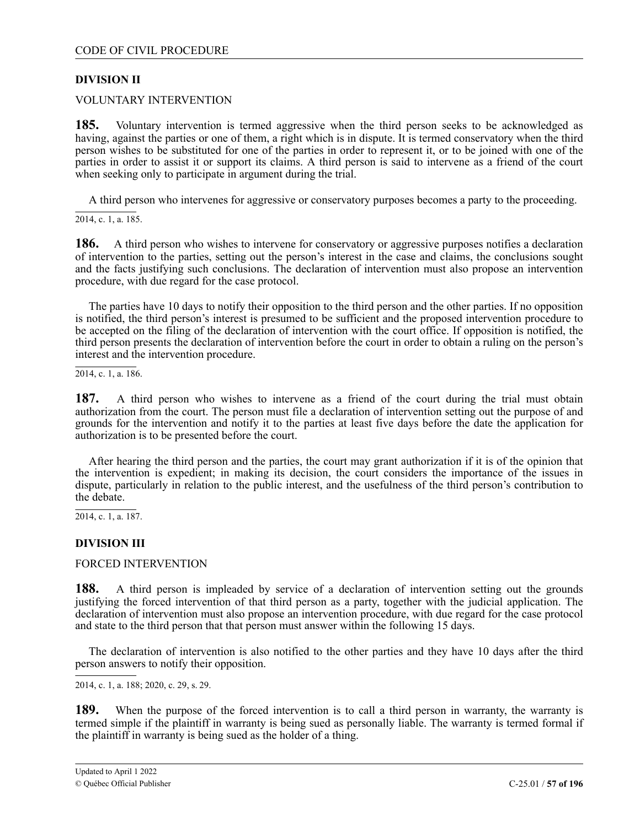# **DIVISION II**

### VOLUNTARY INTERVENTION

**185.** Voluntary intervention is termed aggressive when the third person seeks to be acknowledged as having, against the parties or one of them, a right which is in dispute. It is termed conservatory when the third person wishes to be substituted for one of the parties in order to represent it, or to be joined with one of the parties in order to assist it or support its claims. A third person is said to intervene as a friend of the court when seeking only to participate in argument during the trial.

A third person who intervenes for aggressive or conservatory purposes becomes a party to the proceeding.

2014, c. 1, a. 185.

**186.** A third person who wishes to intervene for conservatory or aggressive purposes notifies a declaration of intervention to the parties, setting out the person's interest in the case and claims, the conclusions sought and the facts justifying such conclusions. The declaration of intervention must also propose an intervention procedure, with due regard for the case protocol.

The parties have 10 days to notify their opposition to the third person and the other parties. If no opposition is notified, the third person's interest is presumed to be sufficient and the proposed intervention procedure to be accepted on the filing of the declaration of intervention with the court office. If opposition is notified, the third person presents the declaration of intervention before the court in order to obtain a ruling on the person's interest and the intervention procedure.

 $\overline{2014, c. 1, a. 186}.$ 

**187.** A third person who wishes to intervene as a friend of the court during the trial must obtain authorization from the court. The person must file a declaration of intervention setting out the purpose of and grounds for the intervention and notify it to the parties at least five days before the date the application for authorization is to be presented before the court.

After hearing the third person and the parties, the court may grant authorization if it is of the opinion that the intervention is expedient; in making its decision, the court considers the importance of the issues in dispute, particularly in relation to the public interest, and the usefulness of the third person's contribution to the debate.

2014, c. 1, a. 187.

# **DIVISION III**

### FORCED INTERVENTION

**188.** A third person is impleaded by service of a declaration of intervention setting out the grounds justifying the forced intervention of that third person as a party, together with the judicial application. The declaration of intervention must also propose an intervention procedure, with due regard for the case protocol and state to the third person that that person must answer within the following 15 days.

The declaration of intervention is also notified to the other parties and they have 10 days after the third person answers to notify their opposition.

2014, c. 1, a. 188; 2020, c. 29, s. 29.

189. When the purpose of the forced intervention is to call a third person in warranty, the warranty is termed simple if the plaintiff in warranty is being sued as personally liable. The warranty is termed formal if the plaintiff in warranty is being sued as the holder of a thing.  $\begin{bmatrix} 2 \\ 2 \end{bmatrix}$ .<br>2912 in<br>2012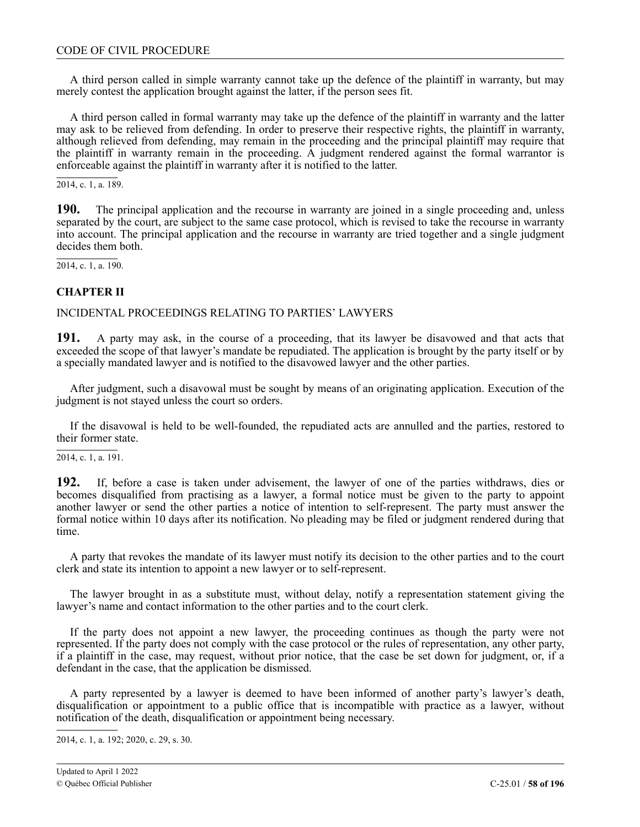A third person called in simple warranty cannot take up the defence of the plaintiff in warranty, but may merely contest the application brought against the latter, if the person sees fit.

A third person called in formal warranty may take up the defence of the plaintiff in warranty and the latter may ask to be relieved from defending. In order to preserve their respective rights, the plaintiff in warranty, although relieved from defending, may remain in the proceeding and the principal plaintiff may require that the plaintiff in warranty remain in the proceeding. A judgment rendered against the formal warrantor is enforceable against the plaintiff in warranty after it is notified to the latter.

2014, c. 1, a. 189.

**190.** The principal application and the recourse in warranty are joined in a single proceeding and, unless separated by the court, are subject to the same case protocol, which is revised to take the recourse in warranty into account. The principal application and the recourse in warranty are tried together and a single judgment decides them both.

2014, c. 1, a.  $\overline{190}$ .

### **CHAPTER II**

### INCIDENTAL PROCEEDINGS RELATING TO PARTIES' LAWYERS

**191.** A party may ask, in the course of a proceeding, that its lawyer be disavowed and that acts that exceeded the scope of that lawyer's mandate be repudiated. The application is brought by the party itself or by a specially mandated lawyer and is notified to the disavowed lawyer and the other parties.

After judgment, such a disavowal must be sought by means of an originating application. Execution of the judgment is not stayed unless the court so orders.

If the disavowal is held to be well-founded, the repudiated acts are annulled and the parties, restored to their former state.

2014, c. 1, a. 191.

**192.** If, before a case is taken under advisement, the lawyer of one of the parties withdraws, dies or becomes disqualified from practising as a lawyer, a formal notice must be given to the party to appoint another lawyer or send the other parties a notice of intention to self-represent. The party must answer the formal notice within 10 days after its notification. No pleading may be filed or judgment rendered during that time.

A party that revokes the mandate of its lawyer must notify its decision to the other parties and to the court clerk and state its intention to appoint a new lawyer or to self-represent.

The lawyer brought in as a substitute must, without delay, notify a representation statement giving the lawyer's name and contact information to the other parties and to the court clerk.

If the party does not appoint a new lawyer, the proceeding continues as though the party were not represented. If the party does not comply with the case protocol or the rules of representation, any other party, if a plaintiff in the case, may request, without prior notice, that the case be set down for judgment, or, if a defendant in the case, that the application be dismissed.

A party represented by a lawyer is deemed to have been informed of another party's lawyer's death, disqualification or appointment to a public office that is incompatible with practice as a lawyer, without notification of the death, disqualification or appointment being necessary.

2014, c. 1, a. 192; 2020, c. 29, s. 30.

2 2020<br>2020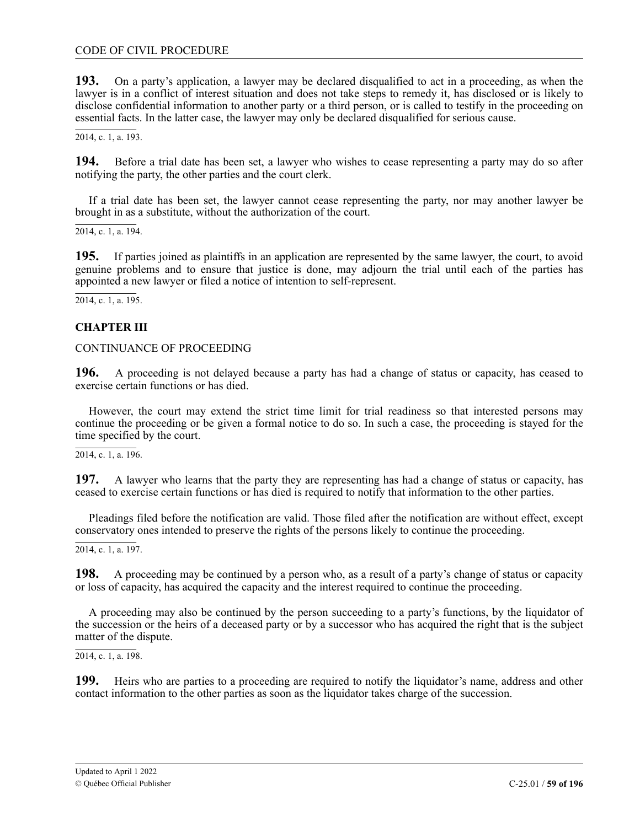**193.** On a party's application, a lawyer may be declared disqualified to act in a proceeding, as when the lawyer is in a conflict of interest situation and does not take steps to remedy it, has disclosed or is likely to disclose confidential information to another party or a third person, or is called to testify in the proceeding on essential facts. In the latter case, the lawyer may only be declared disqualified for serious cause.

2014, c. 1, a. 193.

**194.** Before a trial date has been set, a lawyer who wishes to cease representing a party may do so after notifying the party, the other parties and the court clerk.

If a trial date has been set, the lawyer cannot cease representing the party, nor may another lawyer be brought in as a substitute, without the authorization of the court.

 $\overline{2014, c. 1, a. 194}.$ 

**195.** If parties joined as plaintiffs in an application are represented by the same lawyer, the court, to avoid genuine problems and to ensure that justice is done, may adjourn the trial until each of the parties has appointed a new lawyer or filed a notice of intention to self-represent.

2014, c. 1, a. 195.

### **CHAPTER III**

### CONTINUANCE OF PROCEEDING

**196.** A proceeding is not delayed because a party has had a change of status or capacity, has ceased to exercise certain functions or has died.

However, the court may extend the strict time limit for trial readiness so that interested persons may continue the proceeding or be given a formal notice to do so. In such a case, the proceeding is stayed for the time specified by the court.

2014, c. 1, a. 196.

**197.** A lawyer who learns that the party they are representing has had a change of status or capacity, has ceased to exercise certain functions or has died is required to notify that information to the other parties.

Pleadings filed before the notification are valid. Those filed after the notification are without effect, except conservatory ones intended to preserve the rights of the persons likely to continue the proceeding.

2014, c. 1, a. 197.

**198.** A proceeding may be continued by a person who, as a result of a party's change of status or capacity or loss of capacity, has acquired the capacity and the interest required to continue the proceeding.

A proceeding may also be continued by the person succeeding to a party's functions, by the liquidator of the succession or the heirs of a deceased party or by a successor who has acquired the right that is the subject matter of the dispute.

2014, c. 1, a. 198.

**199.** Heirs who are parties to a proceeding are required to notify the liquidator's name, address and other contact information to the other parties as soon as the liquidator takes charge of the succession.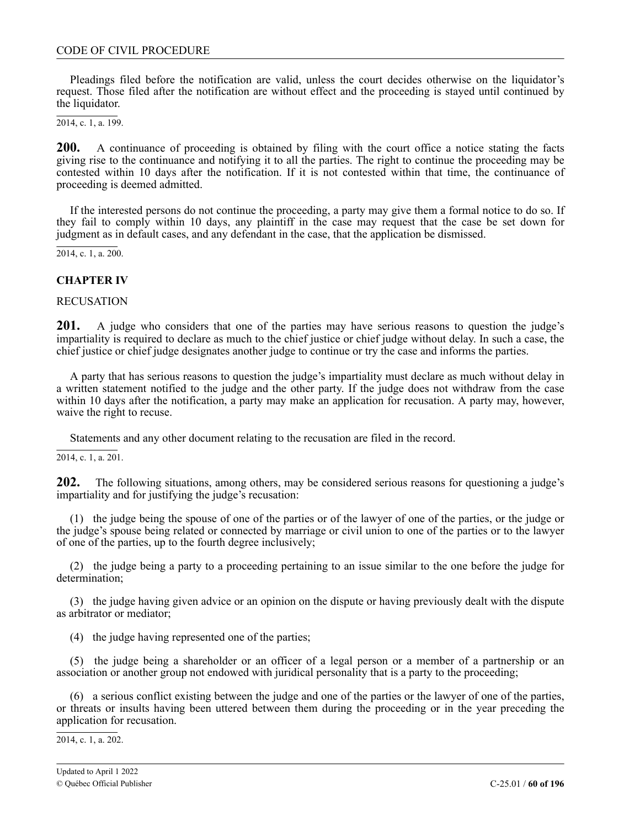Pleadings filed before the notification are valid, unless the court decides otherwise on the liquidator's request. Those filed after the notification are without effect and the proceeding is stayed until continued by the liquidator.

2014, c.  $1, a. 199$ .

**200.** A continuance of proceeding is obtained by filing with the court office a notice stating the facts giving rise to the continuance and notifying it to all the parties. The right to continue the proceeding may be contested within 10 days after the notification. If it is not contested within that time, the continuance of proceeding is deemed admitted.

If the interested persons do not continue the proceeding, a party may give them a formal notice to do so. If they fail to comply within 10 days, any plaintiff in the case may request that the case be set down for judgment as in default cases, and any defendant in the case, that the application be dismissed.

2014, c. 1, a. 200.

#### **CHAPTER IV**

**RECUSATION** 

**201.** A judge who considers that one of the parties may have serious reasons to question the judge's impartiality is required to declare as much to the chief justice or chief judge without delay. In such a case, the chief justice or chief judge designates another judge to continue or try the case and informs the parties.

A party that has serious reasons to question the judge's impartiality must declare as much without delay in a written statement notified to the judge and the other party. If the judge does not withdraw from the case within 10 days after the notification, a party may make an application for recusation. A party may, however, waive the right to recuse.

Statements and any other document relating to the recusation are filed in the record.

2014, c. 1, a. 201.

**202.** The following situations, among others, may be considered serious reasons for questioning a judge's impartiality and for justifying the judge's recusation:

(1) the judge being the spouse of one of the parties or of the lawyer of one of the parties, or the judge or the judge's spouse being related or connected by marriage or civil union to one of the parties or to the lawyer of one of the parties, up to the fourth degree inclusively;

(2) the judge being a party to a proceeding pertaining to an issue similar to the one before the judge for determination;

(3) the judge having given advice or an opinion on the dispute or having previously dealt with the dispute as arbitrator or mediator;

(4) the judge having represented one of the parties;

(5) the judge being a shareholder or an officer of a legal person or a member of a partnership or an association or another group not endowed with juridical personality that is a party to the proceeding;

(6) a serious conflict existing between the judge and one of the parties or the lawyer of one of the parties, or threats or insults having been uttered between them during the proceeding or in the year preceding the application for recusation.

2014, c. 1, a. 202.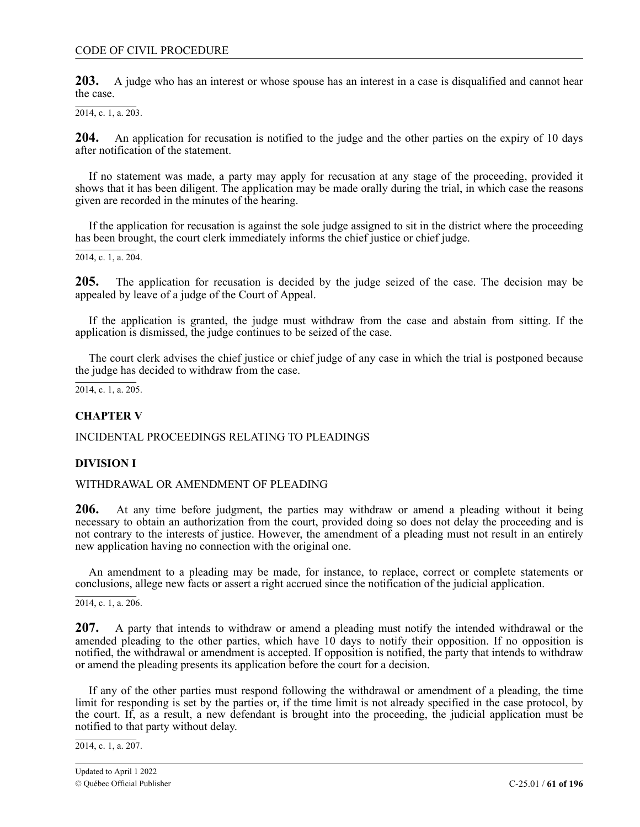**203.** A judge who has an interest or whose spouse has an interest in a case is disqualified and cannot hear the case.

 $\overline{2014}$ , c. 1, a. 203.

**204.** An application for recusation is notified to the judge and the other parties on the expiry of 10 days after notification of the statement.

If no statement was made, a party may apply for recusation at any stage of the proceeding, provided it shows that it has been diligent. The application may be made orally during the trial, in which case the reasons given are recorded in the minutes of the hearing.

If the application for recusation is against the sole judge assigned to sit in the district where the proceeding has been brought, the court clerk immediately informs the chief justice or chief judge.

2014, c. 1, a. 204.

**205.** The application for recusation is decided by the judge seized of the case. The decision may be appealed by leave of a judge of the Court of Appeal.

If the application is granted, the judge must withdraw from the case and abstain from sitting. If the application is dismissed, the judge continues to be seized of the case.

The court clerk advises the chief justice or chief judge of any case in which the trial is postponed because the judge has decided to withdraw from the case.

2014, c. 1, a. 205.

### **CHAPTER V**

INCIDENTAL PROCEEDINGS RELATING TO PLEADINGS

#### **DIVISION I**

#### WITHDRAWAL OR AMENDMENT OF PLEADING

**206.** At any time before judgment, the parties may withdraw or amend a pleading without it being necessary to obtain an authorization from the court, provided doing so does not delay the proceeding and is not contrary to the interests of justice. However, the amendment of a pleading must not result in an entirely new application having no connection with the original one.

An amendment to a pleading may be made, for instance, to replace, correct or complete statements or conclusions, allege new facts or assert a right accrued since the notification of the judicial application.

 $\overline{2014}$ , c. 1, a.  $\overline{206}$ .

**207.** A party that intends to withdraw or amend a pleading must notify the intended withdrawal or the amended pleading to the other parties, which have 10 days to notify their opposition. If no opposition is notified, the withdrawal or amendment is accepted. If opposition is notified, the party that intends to withdraw or amend the pleading presents its application before the court for a decision.

If any of the other parties must respond following the withdrawal or amendment of a pleading, the time limit for responding is set by the parties or, if the time limit is not already specified in the case protocol, by the court. If, as a result, a new defendant is brought into the proceeding, the judicial application must be notified to that party without delay.

2014, c. 1, a. 207.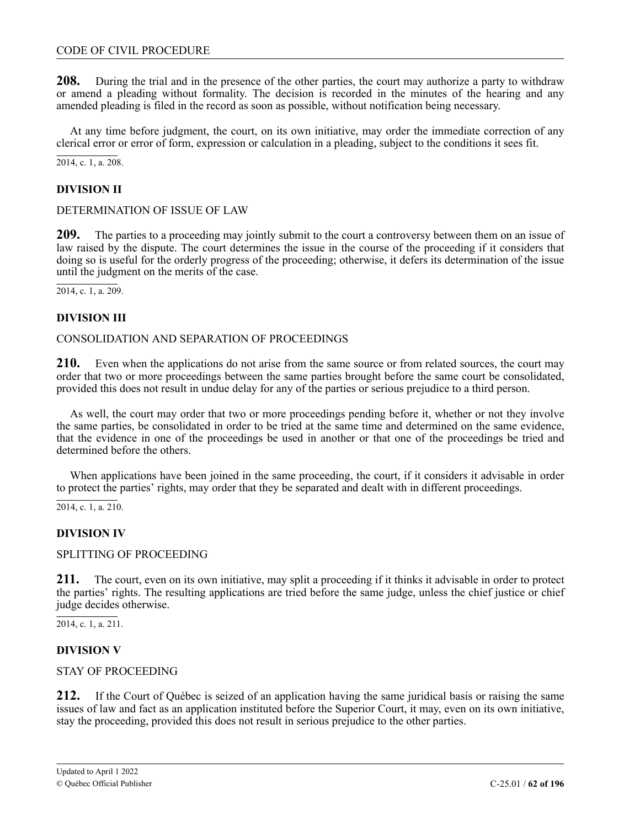**208.** During the trial and in the presence of the other parties, the court may authorize a party to withdraw or amend a pleading without formality. The decision is recorded in the minutes of the hearing and any amended pleading is filed in the record as soon as possible, without notification being necessary.

At any time before judgment, the court, on its own initiative, may order the immediate correction of any clerical error or error of form, expression or calculation in a pleading, subject to the conditions it sees fit.

2014, c. 1, a. 208.

### **DIVISION II**

DETERMINATION OF ISSUE OF LAW

**209.** The parties to a proceeding may jointly submit to the court a controversy between them on an issue of law raised by the dispute. The court determines the issue in the course of the proceeding if it considers that doing so is useful for the orderly progress of the proceeding; otherwise, it defers its determination of the issue until the judgment on the merits of the case.

2014, c. 1, a. 209.

### **DIVISION III**

### CONSOLIDATION AND SEPARATION OF PROCEEDINGS

**210.** Even when the applications do not arise from the same source or from related sources, the court may order that two or more proceedings between the same parties brought before the same court be consolidated, provided this does not result in undue delay for any of the parties or serious prejudice to a third person.

As well, the court may order that two or more proceedings pending before it, whether or not they involve the same parties, be consolidated in order to be tried at the same time and determined on the same evidence, that the evidence in one of the proceedings be used in another or that one of the proceedings be tried and determined before the others.

When applications have been joined in the same proceeding, the court, if it considers it advisable in order to protect the parties' rights, may order that they be separated and dealt with in different proceedings.

2014, c. 1, a. 210.

### **DIVISION IV**

#### SPLITTING OF PROCEEDING

211. The court, even on its own initiative, may split a proceeding if it thinks it advisable in order to protect the parties' rights. The resulting applications are tried before the same judge, unless the chief justice or chief judge decides otherwise.

 $\overline{2014, c. 1, a. 211}.$ 

# **DIVISION V**

### STAY OF PROCEEDING

**212.** If the Court of Québec is seized of an application having the same juridical basis or raising the same issues of law and fact as an application instituted before the Superior Court, it may, even on its own initiative, stay the proceeding, provided this does not result in serious prejudice to the other parties.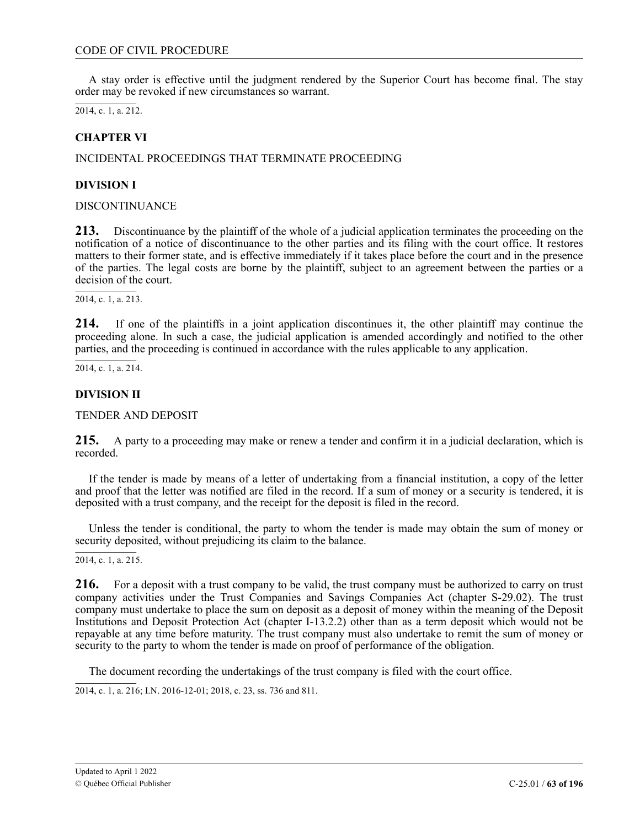A stay order is effective until the judgment rendered by the Superior Court has become final. The stay order may be revoked if new circumstances so warrant.

2014, c. 1, a. 212.

# **CHAPTER VI**

### INCIDENTAL PROCEEDINGS THAT TERMINATE PROCEEDING

### **DIVISION I**

DISCONTINUANCE

**213.** Discontinuance by the plaintiff of the whole of a judicial application terminates the proceeding on the notification of a notice of discontinuance to the other parties and its filing with the court office. It restores matters to their former state, and is effective immediately if it takes place before the court and in the presence of the parties. The legal costs are borne by the plaintiff, subject to an agreement between the parties or a decision of the court.

 $\overline{2014}$ , c. 1, a. 213.

**214.** If one of the plaintiffs in a joint application discontinues it, the other plaintiff may continue the proceeding alone. In such a case, the judicial application is amended accordingly and notified to the other parties, and the proceeding is continued in accordance with the rules applicable to any application.

 $\overline{2014}$ , c. 1, a. 214.

### **DIVISION II**

TENDER AND DEPOSIT

**215.** A party to a proceeding may make or renew a tender and confirm it in a judicial declaration, which is recorded.

If the tender is made by means of a letter of undertaking from a financial institution, a copy of the letter and proof that the letter was notified are filed in the record. If a sum of money or a security is tendered, it is deposited with a trust company, and the receipt for the deposit is filed in the record.

Unless the tender is conditional, the party to whom the tender is made may obtain the sum of money or security deposited, without prejudicing its claim to the balance.

2014, c. 1, a. 215.

**216.** For a deposit with a trust company to be valid, the trust company must be authorized to carry on trust company activities under the Trust Companies and Savings Companies Act (chapter S-29.02). The trust company must undertake to place the sum on deposit as a deposit of money within the meaning of the Deposit Institutions and Deposit Protection Act (chapter I-13.2.2) other than as a term deposit which would not be repayable at any time before maturity. The trust company must also undertake to remit the sum of money or security to the party to whom the tender is made on proof of performance of the obligation.

The document recording the undertakings of the trust company is filed with the court office.

2014, c. 1, a. 216; I.N. 2016-12-01; 2018, c. 23, ss. 736 and 811.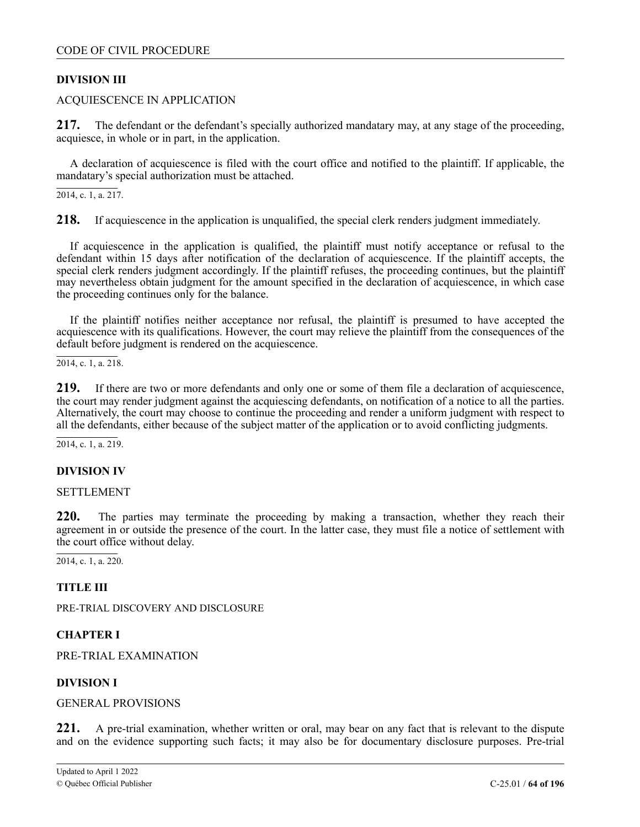# **DIVISION III**

### ACQUIESCENCE IN APPLICATION

**217.** The defendant or the defendant's specially authorized mandatary may, at any stage of the proceeding, acquiesce, in whole or in part, in the application.

A declaration of acquiescence is filed with the court office and notified to the plaintiff. If applicable, the mandatary's special authorization must be attached.

2014, c. 1, a. 217.

**218.** If acquiescence in the application is unqualified, the special clerk renders judgment immediately.

If acquiescence in the application is qualified, the plaintiff must notify acceptance or refusal to the defendant within 15 days after notification of the declaration of acquiescence. If the plaintiff accepts, the special clerk renders judgment accordingly. If the plaintiff refuses, the proceeding continues, but the plaintiff may nevertheless obtain judgment for the amount specified in the declaration of acquiescence, in which case the proceeding continues only for the balance.

If the plaintiff notifies neither acceptance nor refusal, the plaintiff is presumed to have accepted the acquiescence with its qualifications. However, the court may relieve the plaintiff from the consequences of the default before judgment is rendered on the acquiescence.

 $\overline{2014, c. 1, a. 218}.$ 

**219.** If there are two or more defendants and only one or some of them file a declaration of acquiescence, the court may render judgment against the acquiescing defendants, on notification of a notice to all the parties. Alternatively, the court may choose to continue the proceeding and render a uniform judgment with respect to all the defendants, either because of the subject matter of the application or to avoid conflicting judgments.

2014, c. 1, a. 219.

### **DIVISION IV**

#### SETTLEMENT

**220.** The parties may terminate the proceeding by making a transaction, whether they reach their agreement in or outside the presence of the court. In the latter case, they must file a notice of settlement with the court office without delay.

2014, c. 1, a. 220.

### **TITLE III**

PRE-TRIAL DISCOVERY AND DISCLOSURE

### **CHAPTER I**

PRE-TRIAL EXAMINATION

### **DIVISION I**

#### GENERAL PROVISIONS

**221.** A pre-trial examination, whether written or oral, may bear on any fact that is relevant to the dispute and on the evidence supporting such facts; it may also be for documentary disclosure purposes. Pre-trial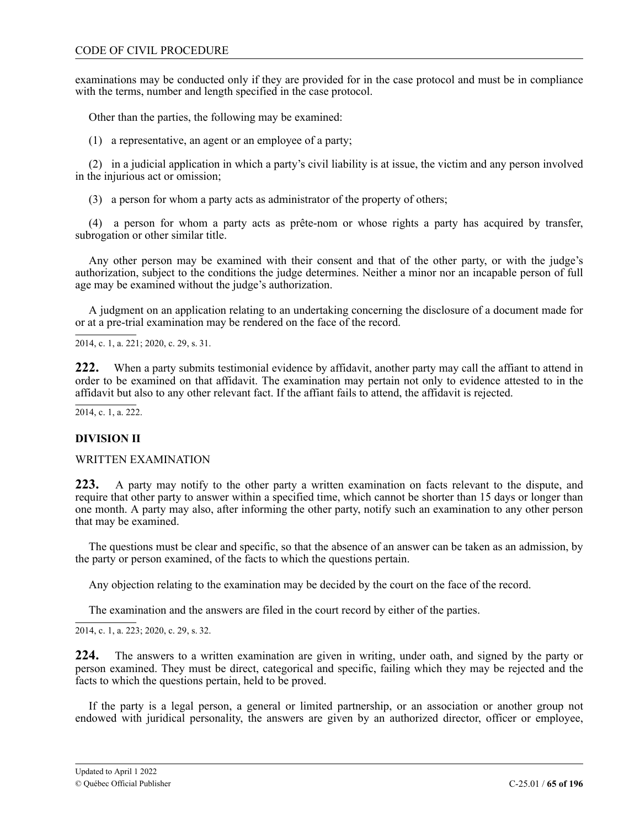examinations may be conducted only if they are provided for in the case protocol and must be in compliance with the terms, number and length specified in the case protocol.

Other than the parties, the following may be examined:

(1) a representative, an agent or an employee of a party;

(2) in a judicial application in which a party's civil liability is at issue, the victim and any person involved in the injurious act or omission;

(3) a person for whom a party acts as administrator of the property of others;

(4) a person for whom a party acts as prête-nom or whose rights a party has acquired by transfer, subrogation or other similar title.

Any other person may be examined with their consent and that of the other party, or with the judge's authorization, subject to the conditions the judge determines. Neither a minor nor an incapable person of full age may be examined without the judge's authorization.

A judgment on an application relating to an undertaking concerning the disclosure of a document made for or at a pre-trial examination may be rendered on the face of the record.

2014, c. 1, a. 221; 2020, c. 29, s. 31.

2 **222.** When a party submits testimonial evidence by affidavit, another party may call the affiant to attend in order to be examined on that affidavit. The examination may pertain not only to evidence attested to in the affidavit but also to any other relevant fact. If the affiant fails to attend, the affidavit is rejected.

2014, c. 1, a. 222.

### **DIVISION II**

#### WRITTEN EXAMINATION

**223.** A party may notify to the other party a written examination on facts relevant to the dispute, and require that other party to answer within a specified time, which cannot be shorter than 15 days or longer than one month. A party may also, after informing the other party, notify such an examination to any other person that may be examined.

The questions must be clear and specific, so that the absence of an answer can be taken as an admission, by the party or person examined, of the facts to which the questions pertain.

Any objection relating to the examination may be decided by the court on the face of the record.

The examination and the answers are filed in the court record by either of the parties.

2014, c. 1, a. 223; 2020, c. 29, s. 32.

2 **224.** The answers to a written examination are given in writing, under oath, and signed by the party or person examined. They must be direct, categorical and specific, failing which they may be rejected and the facts to which the questions pertain, held to be proved.

. If the party is a legal person, a general or limited partnership, or an association or another group not endowed with juridical personality, the answers are given by an authorized director, officer or employee,  $\ddot{\phantom{0}}$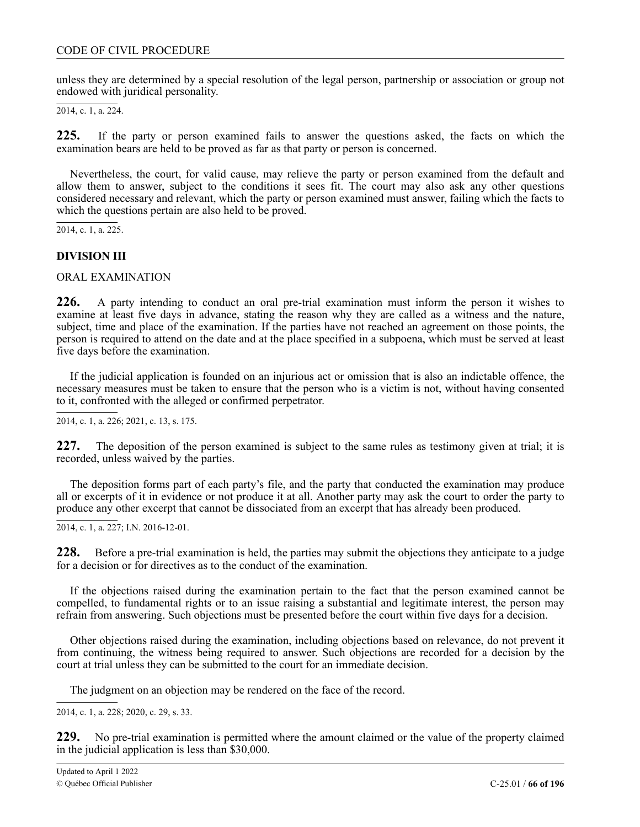unless they are determined by a special resolution of the legal person, partnership or association or group not endowed with juridical personality.

#### 2014, c. 1, a. 224.

**225.** If the party or person examined fails to answer the questions asked, the facts on which the examination bears are held to be proved as far as that party or person is concerned.

Nevertheless, the court, for valid cause, may relieve the party or person examined from the default and allow them to answer, subject to the conditions it sees fit. The court may also ask any other questions considered necessary and relevant, which the party or person examined must answer, failing which the facts to which the questions pertain are also held to be proved.

2014, c. 1, a. 225.

### **DIVISION III**

ORAL EXAMINATION

**226.** A party intending to conduct an oral pre-trial examination must inform the person it wishes to examine at least five days in advance, stating the reason why they are called as a witness and the nature, subject, time and place of the examination. If the parties have not reached an agreement on those points, the person is required to attend on the date and at the place specified in a subpoena, which must be served at least five days before the examination.

If the judicial application is founded on an injurious act or omission that is also an indictable offence, the necessary measures must be taken to ensure that the person who is a victim is not, without having consented to it, confronted with the alleged or confirmed perpetrator.

2014, c. 1, a. 226; 2021, c. 13, s. 175.

2 **227.** The deposition of the person examined is subject to the same rules as testimony given at trial; it is recorded, unless waived by the parties.

The deposition forms part of each party's file, and the party that conducted the examination may produce all or excerpts of it in evidence or not produce it at all. Another party may ask the court to order the party to produce any other excerpt that cannot be dissociated from an excerpt that has already been produced.

2014, c. 1, a. 227; I.N. 2016-12-01.

**228.** Before a pre-trial examination is held, the parties may submit the objections they anticipate to a judge for a decision or for directives as to the conduct of the examination.

If the objections raised during the examination pertain to the fact that the person examined cannot be compelled, to fundamental rights or to an issue raising a substantial and legitimate interest, the person may refrain from answering. Such objections must be presented before the court within five days for a decision.

Other objections raised during the examination, including objections based on relevance, do not prevent it from continuing, the witness being required to answer. Such objections are recorded for a decision by the court at trial unless they can be submitted to the court for an immediate decision.

The judgment on an objection may be rendered on the face of the record.

2014, c. 1, a. 228; 2020, c. 29, s. 33.

2 2 **229.** No pre-trial examination is permitted where the amount claimed or the value of the property claimed 0 0 in the judicial application is less than \$30,000. , ,  $\frac{1}{2}$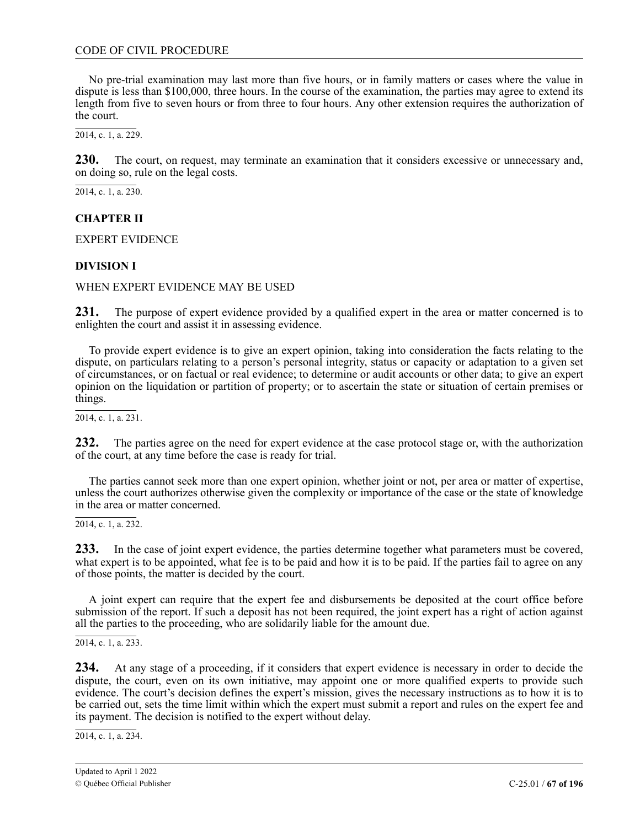No pre-trial examination may last more than five hours, or in family matters or cases where the value in dispute is less than \$100,000, three hours. In the course of the examination, the parties may agree to extend its length from five to seven hours or from three to four hours. Any other extension requires the authorization of the court.

2014, c. 1, a. 229.

**230.** The court, on request, may terminate an examination that it considers excessive or unnecessary and, on doing so, rule on the legal costs.

2014, c. 1, a. 230.

### **CHAPTER II**

EXPERT EVIDENCE

### **DIVISION I**

#### WHEN EXPERT EVIDENCE MAY BE USED

231. The purpose of expert evidence provided by a qualified expert in the area or matter concerned is to enlighten the court and assist it in assessing evidence.

To provide expert evidence is to give an expert opinion, taking into consideration the facts relating to the dispute, on particulars relating to a person's personal integrity, status or capacity or adaptation to a given set of circumstances, or on factual or real evidence; to determine or audit accounts or other data; to give an expert opinion on the liquidation or partition of property; or to ascertain the state or situation of certain premises or things.

2014, c. 1, a. 231.

**232.** The parties agree on the need for expert evidence at the case protocol stage or, with the authorization of the court, at any time before the case is ready for trial.

The parties cannot seek more than one expert opinion, whether joint or not, per area or matter of expertise, unless the court authorizes otherwise given the complexity or importance of the case or the state of knowledge in the area or matter concerned.

2014, c. 1, a. 232.

**233.** In the case of joint expert evidence, the parties determine together what parameters must be covered, what expert is to be appointed, what fee is to be paid and how it is to be paid. If the parties fail to agree on any of those points, the matter is decided by the court.

A joint expert can require that the expert fee and disbursements be deposited at the court office before submission of the report. If such a deposit has not been required, the joint expert has a right of action against all the parties to the proceeding, who are solidarily liable for the amount due.

2014, c. 1, a. 233.

234. At any stage of a proceeding, if it considers that expert evidence is necessary in order to decide the dispute, the court, even on its own initiative, may appoint one or more qualified experts to provide such evidence. The court's decision defines the expert's mission, gives the necessary instructions as to how it is to be carried out, sets the time limit within which the expert must submit a report and rules on the expert fee and its payment. The decision is notified to the expert without delay.

2014, c. 1, a. 234.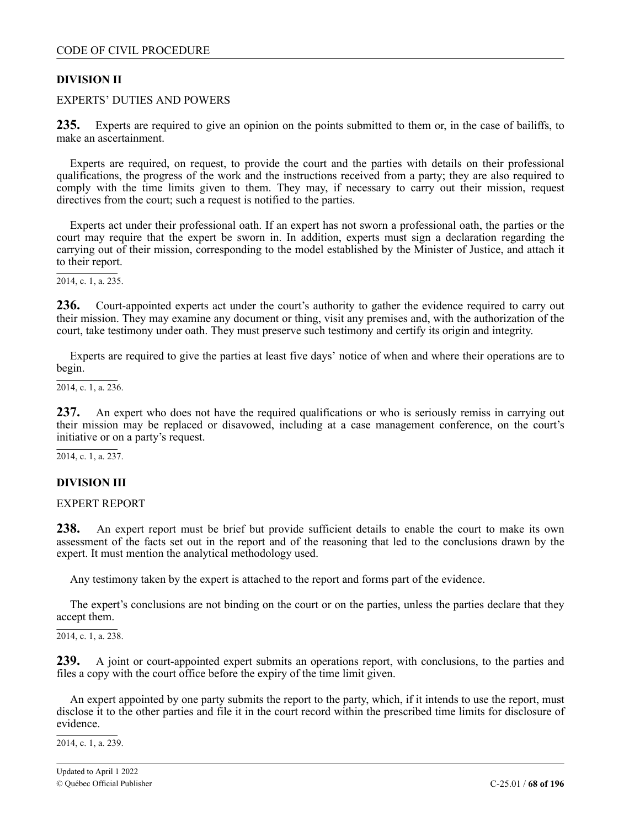### **DIVISION II**

### EXPERTS' DUTIES AND POWERS

**235.** Experts are required to give an opinion on the points submitted to them or, in the case of bailiffs, to make an ascertainment.

Experts are required, on request, to provide the court and the parties with details on their professional qualifications, the progress of the work and the instructions received from a party; they are also required to comply with the time limits given to them. They may, if necessary to carry out their mission, request directives from the court; such a request is notified to the parties.

Experts act under their professional oath. If an expert has not sworn a professional oath, the parties or the court may require that the expert be sworn in. In addition, experts must sign a declaration regarding the carrying out of their mission, corresponding to the model established by the Minister of Justice, and attach it to their report.

2014, c. 1, a. 235.

236. Court-appointed experts act under the court's authority to gather the evidence required to carry out their mission. They may examine any document or thing, visit any premises and, with the authorization of the court, take testimony under oath. They must preserve such testimony and certify its origin and integrity.

Experts are required to give the parties at least five days' notice of when and where their operations are to begin.

2014, c. 1, a. 236.

237. An expert who does not have the required qualifications or who is seriously remiss in carrying out their mission may be replaced or disavowed, including at a case management conference, on the court's initiative or on a party's request.

2014, c. 1, a. 237.

### **DIVISION III**

EXPERT REPORT

**238.** An expert report must be brief but provide sufficient details to enable the court to make its own assessment of the facts set out in the report and of the reasoning that led to the conclusions drawn by the expert. It must mention the analytical methodology used.

Any testimony taken by the expert is attached to the report and forms part of the evidence.

The expert's conclusions are not binding on the court or on the parties, unless the parties declare that they accept them.

 $2014, c. 1, a. 238.$ 

**239.** A joint or court-appointed expert submits an operations report, with conclusions, to the parties and files a copy with the court office before the expiry of the time limit given.

An expert appointed by one party submits the report to the party, which, if it intends to use the report, must disclose it to the other parties and file it in the court record within the prescribed time limits for disclosure of evidence.

2014, c. 1, a. 239.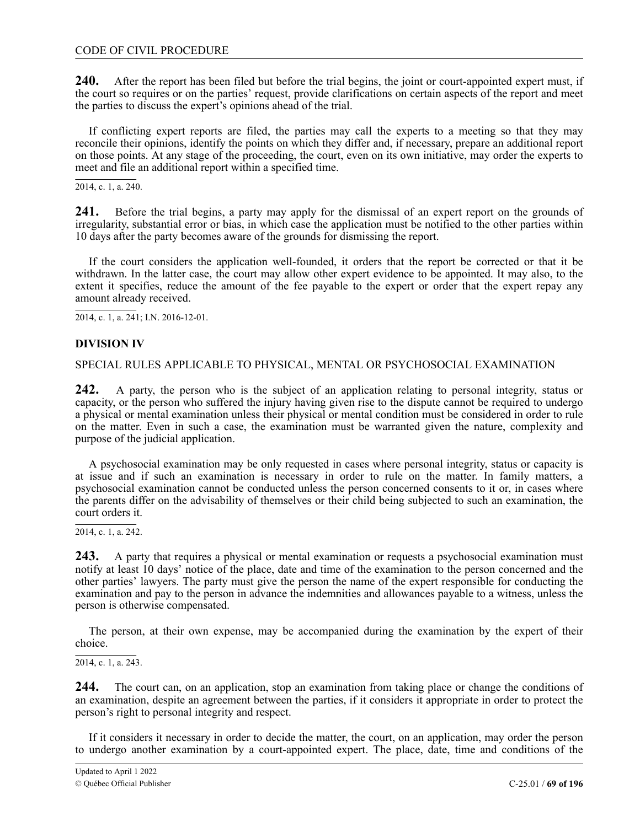240. After the report has been filed but before the trial begins, the joint or court-appointed expert must, if the court so requires or on the parties' request, provide clarifications on certain aspects of the report and meet the parties to discuss the expert's opinions ahead of the trial.

If conflicting expert reports are filed, the parties may call the experts to a meeting so that they may reconcile their opinions, identify the points on which they differ and, if necessary, prepare an additional report on those points. At any stage of the proceeding, the court, even on its own initiative, may order the experts to meet and file an additional report within a specified time.

 $\overline{2014}$ , c. 1, a. 240.

**241.** Before the trial begins, a party may apply for the dismissal of an expert report on the grounds of irregularity, substantial error or bias, in which case the application must be notified to the other parties within 10 days after the party becomes aware of the grounds for dismissing the report.

If the court considers the application well-founded, it orders that the report be corrected or that it be withdrawn. In the latter case, the court may allow other expert evidence to be appointed. It may also, to the extent it specifies, reduce the amount of the fee payable to the expert or order that the expert repay any amount already received.

2014, c. 1, a. 241; I.N. 2016-12-01.

### **DIVISION IV**

SPECIAL RULES APPLICABLE TO PHYSICAL, MENTAL OR PSYCHOSOCIAL EXAMINATION

**242.** A party, the person who is the subject of an application relating to personal integrity, status or capacity, or the person who suffered the injury having given rise to the dispute cannot be required to undergo a physical or mental examination unless their physical or mental condition must be considered in order to rule on the matter. Even in such a case, the examination must be warranted given the nature, complexity and purpose of the judicial application.

A psychosocial examination may be only requested in cases where personal integrity, status or capacity is at issue and if such an examination is necessary in order to rule on the matter. In family matters, a psychosocial examination cannot be conducted unless the person concerned consents to it or, in cases where the parents differ on the advisability of themselves or their child being subjected to such an examination, the court orders it.

2014, c. 1, a. 242.

**243.** A party that requires a physical or mental examination or requests a psychosocial examination must notify at least 10 days' notice of the place, date and time of the examination to the person concerned and the other parties' lawyers. The party must give the person the name of the expert responsible for conducting the examination and pay to the person in advance the indemnities and allowances payable to a witness, unless the person is otherwise compensated.

The person, at their own expense, may be accompanied during the examination by the expert of their choice.

2014, c. 1, a. 243.

**244.** The court can, on an application, stop an examination from taking place or change the conditions of an examination, despite an agreement between the parties, if it considers it appropriate in order to protect the person's right to personal integrity and respect.

If it considers it necessary in order to decide the matter, the court, on an application, may order the person to undergo another examination by a court-appointed expert. The place, date, time and conditions of the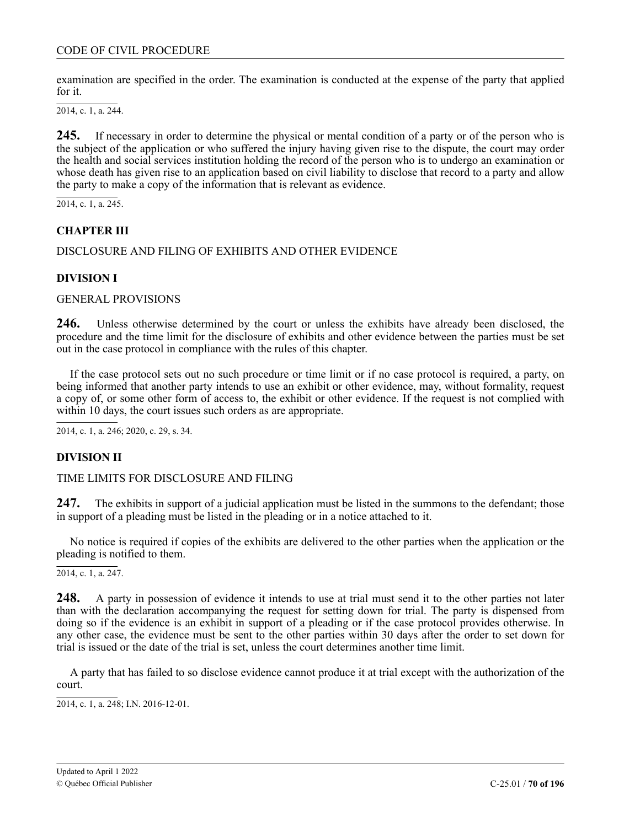examination are specified in the order. The examination is conducted at the expense of the party that applied for it.

2014, c. 1, a. 244.

**245.** If necessary in order to determine the physical or mental condition of a party or of the person who is the subject of the application or who suffered the injury having given rise to the dispute, the court may order the health and social services institution holding the record of the person who is to undergo an examination or whose death has given rise to an application based on civil liability to disclose that record to a party and allow the party to make a copy of the information that is relevant as evidence.

 $2014$ , c. 1, a. 245.

# **CHAPTER III**

DISCLOSURE AND FILING OF EXHIBITS AND OTHER EVIDENCE

### **DIVISION I**

#### GENERAL PROVISIONS

**246.** Unless otherwise determined by the court or unless the exhibits have already been disclosed, the procedure and the time limit for the disclosure of exhibits and other evidence between the parties must be set out in the case protocol in compliance with the rules of this chapter.

If the case protocol sets out no such procedure or time limit or if no case protocol is required, a party, on being informed that another party intends to use an exhibit or other evidence, may, without formality, request a copy of, or some other form of access to, the exhibit or other evidence. If the request is not complied with within 10 days, the court issues such orders as are appropriate.

2014, c. 1, a. 246; 2020, c. 29, s. 34.

### **DIVISION II**

, TIME LIMITS FOR DISCLOSURE AND FILING

247. The exhibits in support of a judicial application must be listed in the summons to the defendant; those 2 in support of a pleading must be listed in the pleading or in a notice attached to it.

No notice is required if copies of the exhibits are delivered to the other parties when the application or the pleading is notified to them.

2014, c. 1, a. 247.

**248.** A party in possession of evidence it intends to use at trial must send it to the other parties not later than with the declaration accompanying the request for setting down for trial. The party is dispensed from doing so if the evidence is an exhibit in support of a pleading or if the case protocol provides otherwise. In any other case, the evidence must be sent to the other parties within 30 days after the order to set down for trial is issued or the date of the trial is set, unless the court determines another time limit.

A party that has failed to so disclose evidence cannot produce it at trial except with the authorization of the court.

2014, c. 1, a. 248; I.N. 2016-12-01.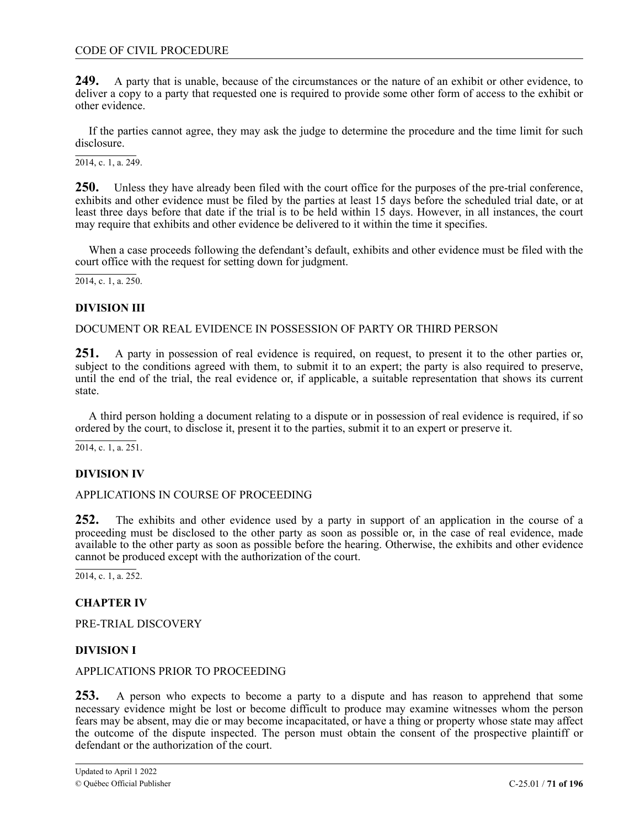**249.** A party that is unable, because of the circumstances or the nature of an exhibit or other evidence, to deliver a copy to a party that requested one is required to provide some other form of access to the exhibit or other evidence.

If the parties cannot agree, they may ask the judge to determine the procedure and the time limit for such disclosure.

2014, c. 1, a. 249.

**250.** Unless they have already been filed with the court office for the purposes of the pre-trial conference, exhibits and other evidence must be filed by the parties at least 15 days before the scheduled trial date, or at least three days before that date if the trial is to be held within 15 days. However, in all instances, the court may require that exhibits and other evidence be delivered to it within the time it specifies.

When a case proceeds following the defendant's default, exhibits and other evidence must be filed with the court office with the request for setting down for judgment.

2014, c. 1, a. 250.

# **DIVISION III**

DOCUMENT OR REAL EVIDENCE IN POSSESSION OF PARTY OR THIRD PERSON

**251.** A party in possession of real evidence is required, on request, to present it to the other parties or, subject to the conditions agreed with them, to submit it to an expert; the party is also required to preserve, until the end of the trial, the real evidence or, if applicable, a suitable representation that shows its current state.

A third person holding a document relating to a dispute or in possession of real evidence is required, if so ordered by the court, to disclose it, present it to the parties, submit it to an expert or preserve it.

2014, c. 1, a. 251.

### **DIVISION IV**

#### APPLICATIONS IN COURSE OF PROCEEDING

**252.** The exhibits and other evidence used by a party in support of an application in the course of a proceeding must be disclosed to the other party as soon as possible or, in the case of real evidence, made available to the other party as soon as possible before the hearing. Otherwise, the exhibits and other evidence cannot be produced except with the authorization of the court.

2014, c. 1, a. 252.

### **CHAPTER IV**

PRE-TRIAL DISCOVERY

### **DIVISION I**

### APPLICATIONS PRIOR TO PROCEEDING

**253.** A person who expects to become a party to a dispute and has reason to apprehend that some necessary evidence might be lost or become difficult to produce may examine witnesses whom the person fears may be absent, may die or may become incapacitated, or have a thing or property whose state may affect the outcome of the dispute inspected. The person must obtain the consent of the prospective plaintiff or defendant or the authorization of the court.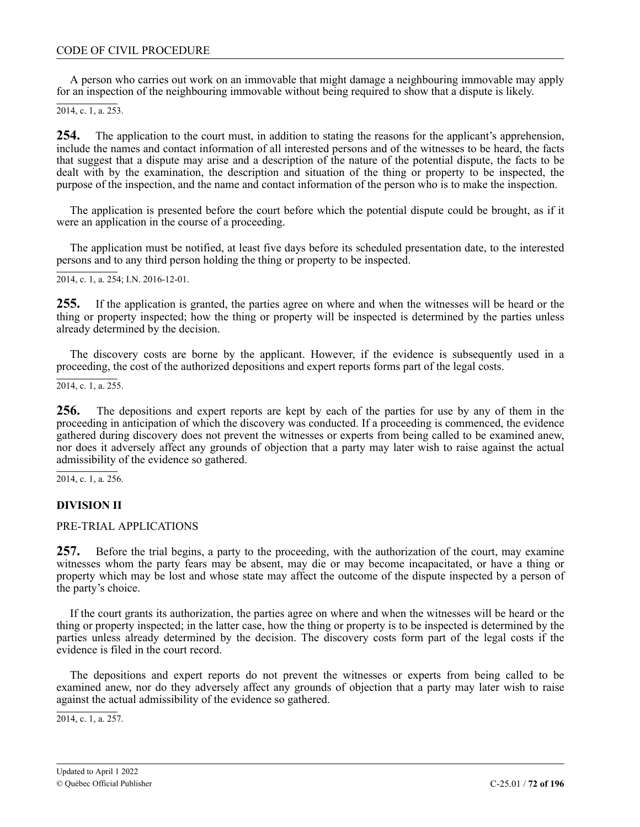A person who carries out work on an immovable that might damage a neighbouring immovable may apply for an inspection of the neighbouring immovable without being required to show that a dispute is likely.

2014, c. 1, a. 253.

**254.** The application to the court must, in addition to stating the reasons for the applicant's apprehension, include the names and contact information of all interested persons and of the witnesses to be heard, the facts that suggest that a dispute may arise and a description of the nature of the potential dispute, the facts to be dealt with by the examination, the description and situation of the thing or property to be inspected, the purpose of the inspection, and the name and contact information of the person who is to make the inspection.

The application is presented before the court before which the potential dispute could be brought, as if it were an application in the course of a proceeding.

The application must be notified, at least five days before its scheduled presentation date, to the interested persons and to any third person holding the thing or property to be inspected.

2014, c. 1, a. 254; I.N. 2016-12-01.

**255.** If the application is granted, the parties agree on where and when the witnesses will be heard or the thing or property inspected; how the thing or property will be inspected is determined by the parties unless already determined by the decision.

The discovery costs are borne by the applicant. However, if the evidence is subsequently used in a proceeding, the cost of the authorized depositions and expert reports forms part of the legal costs.

 $\overline{2014, c. 1, a. 255}.$ 

**256.** The depositions and expert reports are kept by each of the parties for use by any of them in the proceeding in anticipation of which the discovery was conducted. If a proceeding is commenced, the evidence gathered during discovery does not prevent the witnesses or experts from being called to be examined anew, nor does it adversely affect any grounds of objection that a party may later wish to raise against the actual admissibility of the evidence so gathered.

 $2014, c. 1, a. 256.$ 

### **DIVISION II**

PRE-TRIAL APPLICATIONS

**257.** Before the trial begins, a party to the proceeding, with the authorization of the court, may examine witnesses whom the party fears may be absent, may die or may become incapacitated, or have a thing or property which may be lost and whose state may affect the outcome of the dispute inspected by a person of the party's choice.

If the court grants its authorization, the parties agree on where and when the witnesses will be heard or the thing or property inspected; in the latter case, how the thing or property is to be inspected is determined by the parties unless already determined by the decision. The discovery costs form part of the legal costs if the evidence is filed in the court record.

The depositions and expert reports do not prevent the witnesses or experts from being called to be examined anew, nor do they adversely affect any grounds of objection that a party may later wish to raise against the actual admissibility of the evidence so gathered.

2014, c. 1, a. 257.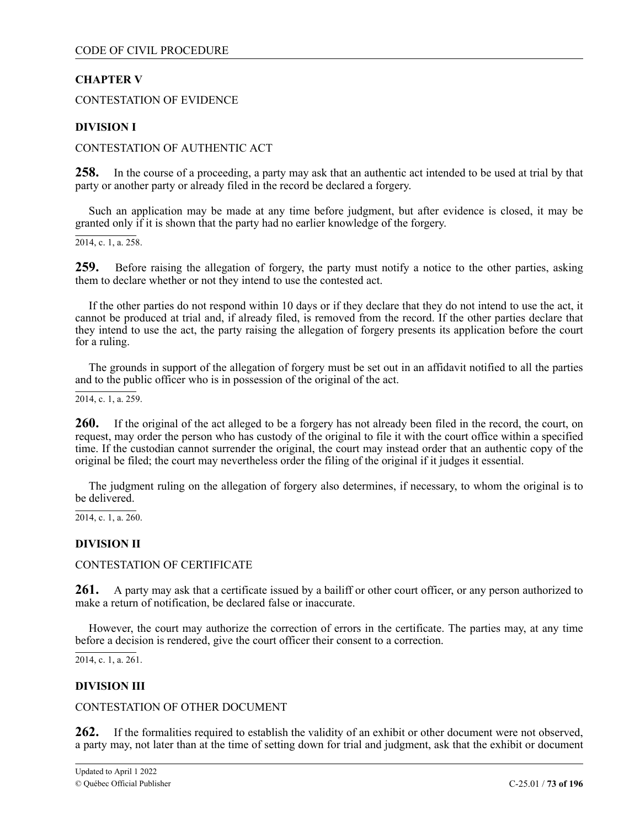# **CHAPTER V**

CONTESTATION OF EVIDENCE

## **DIVISION I**

## CONTESTATION OF AUTHENTIC ACT

**258.** In the course of a proceeding, a party may ask that an authentic act intended to be used at trial by that party or another party or already filed in the record be declared a forgery.

Such an application may be made at any time before judgment, but after evidence is closed, it may be granted only if it is shown that the party had no earlier knowledge of the forgery.

2014, c. 1, a. 258.

**259.** Before raising the allegation of forgery, the party must notify a notice to the other parties, asking them to declare whether or not they intend to use the contested act.

If the other parties do not respond within 10 days or if they declare that they do not intend to use the act, it cannot be produced at trial and, if already filed, is removed from the record. If the other parties declare that they intend to use the act, the party raising the allegation of forgery presents its application before the court for a ruling.

The grounds in support of the allegation of forgery must be set out in an affidavit notified to all the parties and to the public officer who is in possession of the original of the act.

 $\overline{2014}$ , c. 1, a, 259.

**260.** If the original of the act alleged to be a forgery has not already been filed in the record, the court, on request, may order the person who has custody of the original to file it with the court office within a specified time. If the custodian cannot surrender the original, the court may instead order that an authentic copy of the original be filed; the court may nevertheless order the filing of the original if it judges it essential.

The judgment ruling on the allegation of forgery also determines, if necessary, to whom the original is to be delivered.

 $\overline{2014, c. 1, a. 260}$ .

## **DIVISION II**

#### CONTESTATION OF CERTIFICATE

**261.** A party may ask that a certificate issued by a bailiff or other court officer, or any person authorized to make a return of notification, be declared false or inaccurate.

However, the court may authorize the correction of errors in the certificate. The parties may, at any time before a decision is rendered, give the court officer their consent to a correction.

2014, c. 1, a. 261.

## **DIVISION III**

#### CONTESTATION OF OTHER DOCUMENT

**262.** If the formalities required to establish the validity of an exhibit or other document were not observed, a party may, not later than at the time of setting down for trial and judgment, ask that the exhibit or document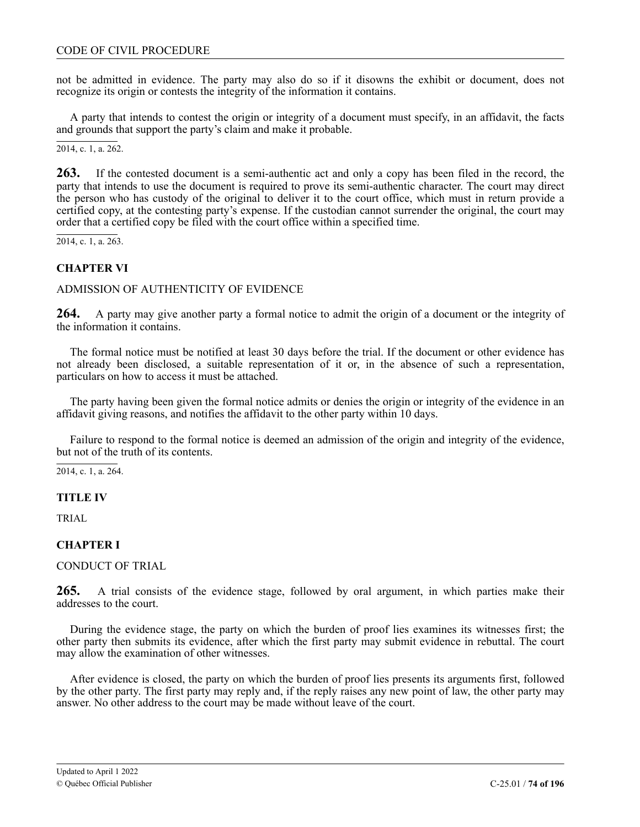not be admitted in evidence. The party may also do so if it disowns the exhibit or document, does not recognize its origin or contests the integrity of the information it contains.

A party that intends to contest the origin or integrity of a document must specify, in an affidavit, the facts and grounds that support the party's claim and make it probable.

2014, c. 1, a. 262.

**263.** If the contested document is a semi-authentic act and only a copy has been filed in the record, the party that intends to use the document is required to prove its semi-authentic character. The court may direct the person who has custody of the original to deliver it to the court office, which must in return provide a certified copy, at the contesting party's expense. If the custodian cannot surrender the original, the court may order that a certified copy be filed with the court office within a specified time.

 $2014, c. 1, a. 263.$ 

# **CHAPTER VI**

ADMISSION OF AUTHENTICITY OF EVIDENCE

**264.** A party may give another party a formal notice to admit the origin of a document or the integrity of the information it contains.

The formal notice must be notified at least 30 days before the trial. If the document or other evidence has not already been disclosed, a suitable representation of it or, in the absence of such a representation, particulars on how to access it must be attached.

The party having been given the formal notice admits or denies the origin or integrity of the evidence in an affidavit giving reasons, and notifies the affidavit to the other party within 10 days.

Failure to respond to the formal notice is deemed an admission of the origin and integrity of the evidence, but not of the truth of its contents.

2014, c. 1, a. 264.

## **TITLE IV**

TRIAL

# **CHAPTER I**

CONDUCT OF TRIAL

**265.** A trial consists of the evidence stage, followed by oral argument, in which parties make their addresses to the court.

During the evidence stage, the party on which the burden of proof lies examines its witnesses first; the other party then submits its evidence, after which the first party may submit evidence in rebuttal. The court may allow the examination of other witnesses.

After evidence is closed, the party on which the burden of proof lies presents its arguments first, followed by the other party. The first party may reply and, if the reply raises any new point of law, the other party may answer. No other address to the court may be made without leave of the court.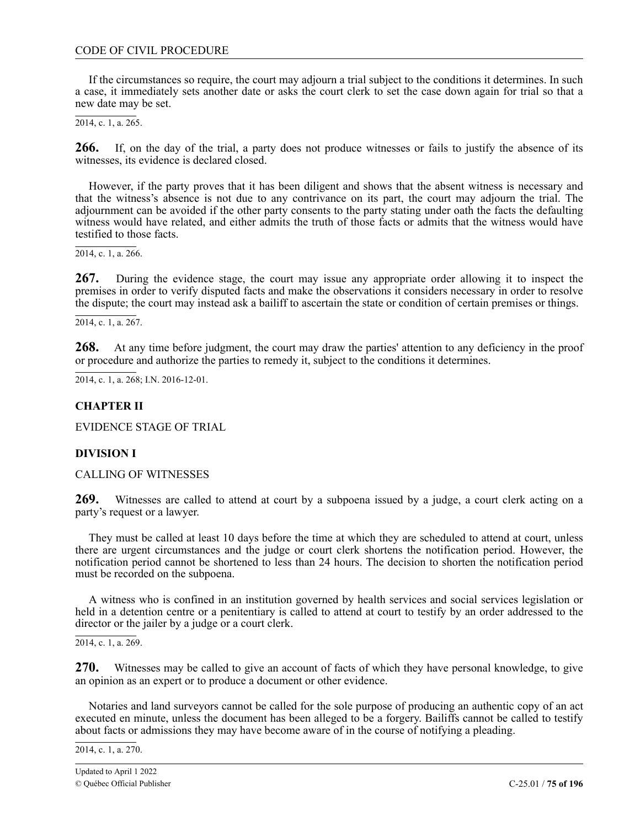If the circumstances so require, the court may adjourn a trial subject to the conditions it determines. In such a case, it immediately sets another date or asks the court clerk to set the case down again for trial so that a new date may be set.

 $\overline{2014}$ , c. 1, a. 265.

**266.** If, on the day of the trial, a party does not produce witnesses or fails to justify the absence of its witnesses, its evidence is declared closed.

However, if the party proves that it has been diligent and shows that the absent witness is necessary and that the witness's absence is not due to any contrivance on its part, the court may adjourn the trial. The adjournment can be avoided if the other party consents to the party stating under oath the facts the defaulting witness would have related, and either admits the truth of those facts or admits that the witness would have testified to those facts.

 $\overline{2014, c. 1, a. 266}.$ 

**267.** During the evidence stage, the court may issue any appropriate order allowing it to inspect the premises in order to verify disputed facts and make the observations it considers necessary in order to resolve the dispute; the court may instead ask a bailiff to ascertain the state or condition of certain premises or things.

2014, c. 1, a. 267.

**268.** At any time before judgment, the court may draw the parties' attention to any deficiency in the proof or procedure and authorize the parties to remedy it, subject to the conditions it determines.

2014, c. 1, a. 268; I.N. 2016-12-01.

## **CHAPTER II**

EVIDENCE STAGE OF TRIAL

#### **DIVISION I**

CALLING OF WITNESSES

**269.** Witnesses are called to attend at court by a subpoena issued by a judge, a court clerk acting on a party's request or a lawyer.

They must be called at least 10 days before the time at which they are scheduled to attend at court, unless there are urgent circumstances and the judge or court clerk shortens the notification period. However, the notification period cannot be shortened to less than 24 hours. The decision to shorten the notification period must be recorded on the subpoena.

A witness who is confined in an institution governed by health services and social services legislation or held in a detention centre or a penitentiary is called to attend at court to testify by an order addressed to the director or the jailer by a judge or a court clerk.

2014, c. 1, a. 269.

**270.** Witnesses may be called to give an account of facts of which they have personal knowledge, to give an opinion as an expert or to produce a document or other evidence.

Notaries and land surveyors cannot be called for the sole purpose of producing an authentic copy of an act executed en minute, unless the document has been alleged to be a forgery. Bailiffs cannot be called to testify about facts or admissions they may have become aware of in the course of notifying a pleading.

2014, c. 1, a. 270.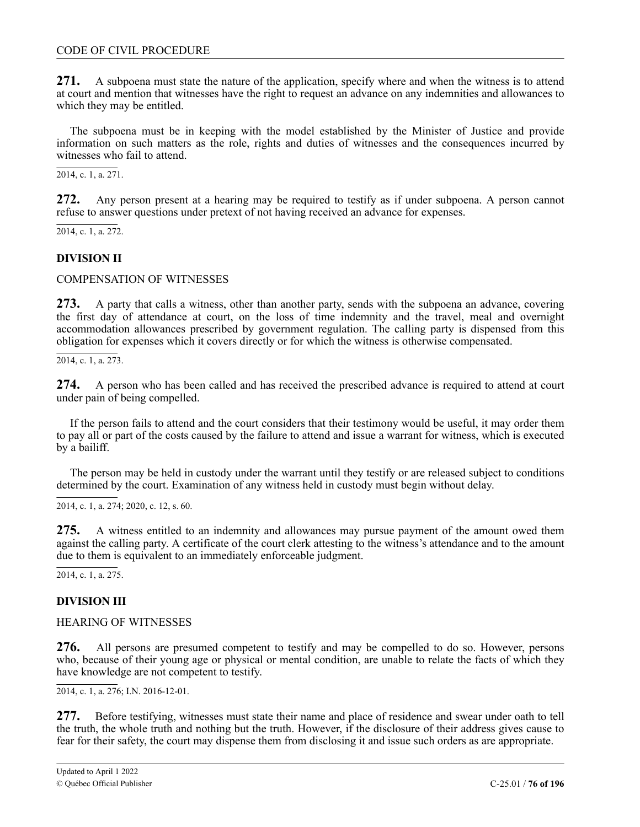**271.** A subpoena must state the nature of the application, specify where and when the witness is to attend at court and mention that witnesses have the right to request an advance on any indemnities and allowances to which they may be entitled.

The subpoena must be in keeping with the model established by the Minister of Justice and provide information on such matters as the role, rights and duties of witnesses and the consequences incurred by witnesses who fail to attend.

2014, c. 1, a. 271.

**272.** Any person present at a hearing may be required to testify as if under subpoena. A person cannot refuse to answer questions under pretext of not having received an advance for expenses.

2014, c. 1, a. 272.

# **DIVISION II**

COMPENSATION OF WITNESSES

**273.** A party that calls a witness, other than another party, sends with the subpoena an advance, covering the first day of attendance at court, on the loss of time indemnity and the travel, meal and overnight accommodation allowances prescribed by government regulation. The calling party is dispensed from this obligation for expenses which it covers directly or for which the witness is otherwise compensated.

2014, c. 1, a. 273.

**274.** A person who has been called and has received the prescribed advance is required to attend at court under pain of being compelled.

If the person fails to attend and the court considers that their testimony would be useful, it may order them to pay all or part of the costs caused by the failure to attend and issue a warrant for witness, which is executed by a bailiff.

The person may be held in custody under the warrant until they testify or are released subject to conditions determined by the court. Examination of any witness held in custody must begin without delay.

2014, c. 1, a. 274; 2020, c. 12, s. 60.

2 **275.** A witness entitled to an indemnity and allowances may pursue payment of the amount owed them against the calling party. A certificate of the court clerk attesting to the witness's attendance and to the amount due to them is equivalent to an immediately enforceable judgment.

 $\overline{2014, c. 1, a. 275}.$ 

## 2 **DIVISION III**

#### HEARING OF WITNESSES

**276.** All persons are presumed competent to testify and may be compelled to do so. However, persons who, because of their young age or physical or mental condition, are unable to relate the facts of which they have knowledge are not competent to testify.

2014, c. 1, a. 276; I.N. 2016-12-01.

**277.** Before testifying, witnesses must state their name and place of residence and swear under oath to tell the truth, the whole truth and nothing but the truth. However, if the disclosure of their address gives cause to fear for their safety, the court may dispense them from disclosing it and issue such orders as are appropriate.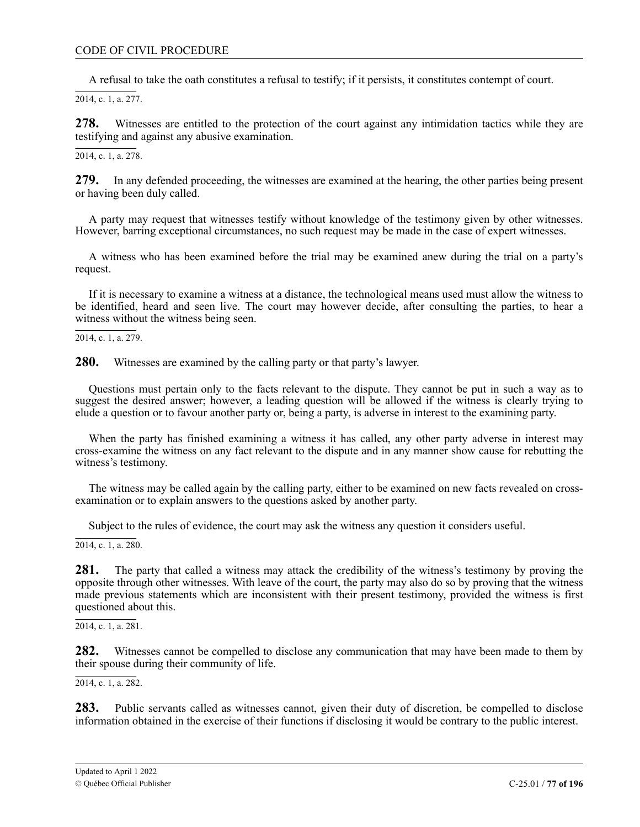A refusal to take the oath constitutes a refusal to testify; if it persists, it constitutes contempt of court.

 $\overline{2014, c. 1, a. 277}.$ 

**278.** Witnesses are entitled to the protection of the court against any intimidation tactics while they are testifying and against any abusive examination.

 $\overline{2014}$ , c. 1, a. 278.

**279.** In any defended proceeding, the witnesses are examined at the hearing, the other parties being present or having been duly called.

A party may request that witnesses testify without knowledge of the testimony given by other witnesses. However, barring exceptional circumstances, no such request may be made in the case of expert witnesses.

A witness who has been examined before the trial may be examined anew during the trial on a party's request.

If it is necessary to examine a witness at a distance, the technological means used must allow the witness to be identified, heard and seen live. The court may however decide, after consulting the parties, to hear a witness without the witness being seen.

2014, c. 1, a. 279.

**280.** Witnesses are examined by the calling party or that party's lawyer.

Questions must pertain only to the facts relevant to the dispute. They cannot be put in such a way as to suggest the desired answer; however, a leading question will be allowed if the witness is clearly trying to elude a question or to favour another party or, being a party, is adverse in interest to the examining party.

When the party has finished examining a witness it has called, any other party adverse in interest may cross-examine the witness on any fact relevant to the dispute and in any manner show cause for rebutting the witness's testimony.

The witness may be called again by the calling party, either to be examined on new facts revealed on crossexamination or to explain answers to the questions asked by another party.

Subject to the rules of evidence, the court may ask the witness any question it considers useful.

2014, c. 1, a. 280.

**281.** The party that called a witness may attack the credibility of the witness's testimony by proving the opposite through other witnesses. With leave of the court, the party may also do so by proving that the witness made previous statements which are inconsistent with their present testimony, provided the witness is first questioned about this.

2014, c. 1, a. 281.

**282.** Witnesses cannot be compelled to disclose any communication that may have been made to them by their spouse during their community of life.

2014, c. 1, a. 282.

283. Public servants called as witnesses cannot, given their duty of discretion, be compelled to disclose information obtained in the exercise of their functions if disclosing it would be contrary to the public interest.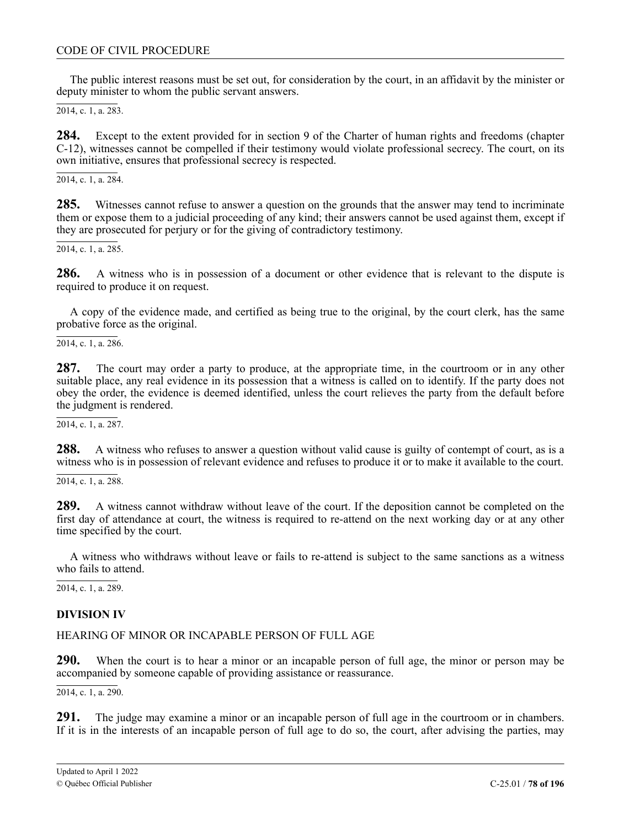The public interest reasons must be set out, for consideration by the court, in an affidavit by the minister or deputy minister to whom the public servant answers.

2014, c. 1, a. 283.

**284.** Except to the extent provided for in section 9 of the Charter of human rights and freedoms (chapter C-12), witnesses cannot be compelled if their testimony would violate professional secrecy. The court, on its own initiative, ensures that professional secrecy is respected.

2014, c. 1, a. 284.

**285.** Witnesses cannot refuse to answer a question on the grounds that the answer may tend to incriminate them or expose them to a judicial proceeding of any kind; their answers cannot be used against them, except if they are prosecuted for perjury or for the giving of contradictory testimony.

2014, c. 1, a. 285.

**286.** A witness who is in possession of a document or other evidence that is relevant to the dispute is required to produce it on request.

A copy of the evidence made, and certified as being true to the original, by the court clerk, has the same probative force as the original.

2014, c. 1, a. 286.

287. The court may order a party to produce, at the appropriate time, in the courtroom or in any other suitable place, any real evidence in its possession that a witness is called on to identify. If the party does not obey the order, the evidence is deemed identified, unless the court relieves the party from the default before the judgment is rendered.

2014, c. 1, a. 287.

**288.** A witness who refuses to answer a question without valid cause is guilty of contempt of court, as is a witness who is in possession of relevant evidence and refuses to produce it or to make it available to the court.

2014, c. 1, a. 288.

**289.** A witness cannot withdraw without leave of the court. If the deposition cannot be completed on the first day of attendance at court, the witness is required to re-attend on the next working day or at any other time specified by the court.

A witness who withdraws without leave or fails to re-attend is subject to the same sanctions as a witness who fails to attend.

2014, c. 1, a. 289.

## **DIVISION IV**

HEARING OF MINOR OR INCAPABLE PERSON OF FULL AGE

**290.** When the court is to hear a minor or an incapable person of full age, the minor or person may be accompanied by someone capable of providing assistance or reassurance.

2014 c. 1, a. 290.

**291.** The judge may examine a minor or an incapable person of full age in the courtroom or in chambers. If it is in the interests of an incapable person of full age to do so, the court, after advising the parties, may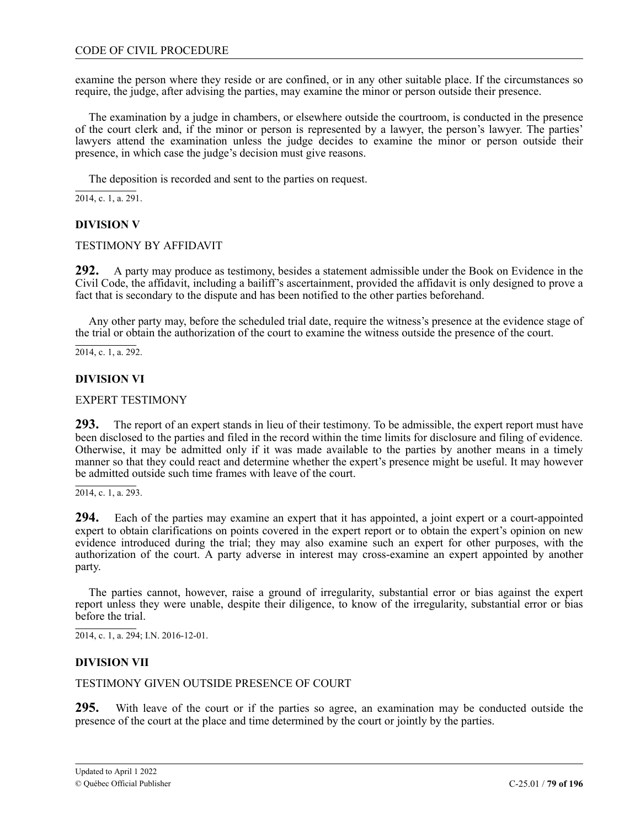examine the person where they reside or are confined, or in any other suitable place. If the circumstances so require, the judge, after advising the parties, may examine the minor or person outside their presence.

The examination by a judge in chambers, or elsewhere outside the courtroom, is conducted in the presence of the court clerk and, if the minor or person is represented by a lawyer, the person's lawyer. The parties' lawyers attend the examination unless the judge decides to examine the minor or person outside their presence, in which case the judge's decision must give reasons.

The deposition is recorded and sent to the parties on request.

 $\overline{2014}$ , c. 1, a.  $\overline{291}$ .

## **DIVISION V**

#### TESTIMONY BY AFFIDAVIT

**292.** A party may produce as testimony, besides a statement admissible under the Book on Evidence in the Civil Code, the affidavit, including a bailiff's ascertainment, provided the affidavit is only designed to prove a fact that is secondary to the dispute and has been notified to the other parties beforehand.

Any other party may, before the scheduled trial date, require the witness's presence at the evidence stage of the trial or obtain the authorization of the court to examine the witness outside the presence of the court.

 $\overline{2014}$ , c. 1, a. 292.

# **DIVISION VI**

EXPERT TESTIMONY

**293.** The report of an expert stands in lieu of their testimony. To be admissible, the expert report must have been disclosed to the parties and filed in the record within the time limits for disclosure and filing of evidence. Otherwise, it may be admitted only if it was made available to the parties by another means in a timely manner so that they could react and determine whether the expert's presence might be useful. It may however be admitted outside such time frames with leave of the court.

2014, c. 1, a. 293.

**294.** Each of the parties may examine an expert that it has appointed, a joint expert or a court-appointed expert to obtain clarifications on points covered in the expert report or to obtain the expert's opinion on new evidence introduced during the trial; they may also examine such an expert for other purposes, with the authorization of the court. A party adverse in interest may cross-examine an expert appointed by another party.

The parties cannot, however, raise a ground of irregularity, substantial error or bias against the expert report unless they were unable, despite their diligence, to know of the irregularity, substantial error or bias before the trial.

2014, c. 1, a. 294; I.N. 2016-12-01.

## **DIVISION VII**

#### TESTIMONY GIVEN OUTSIDE PRESENCE OF COURT

**295.** With leave of the court or if the parties so agree, an examination may be conducted outside the presence of the court at the place and time determined by the court or jointly by the parties.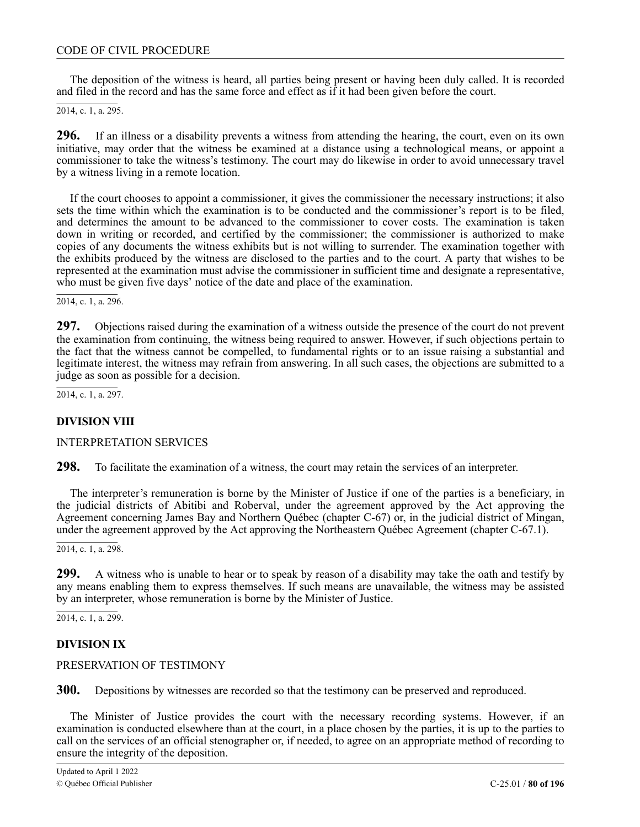The deposition of the witness is heard, all parties being present or having been duly called. It is recorded and filed in the record and has the same force and effect as if it had been given before the court.

2014, c. 1, a. 295.

**296.** If an illness or a disability prevents a witness from attending the hearing, the court, even on its own initiative, may order that the witness be examined at a distance using a technological means, or appoint a commissioner to take the witness's testimony. The court may do likewise in order to avoid unnecessary travel by a witness living in a remote location.

If the court chooses to appoint a commissioner, it gives the commissioner the necessary instructions; it also sets the time within which the examination is to be conducted and the commissioner's report is to be filed, and determines the amount to be advanced to the commissioner to cover costs. The examination is taken down in writing or recorded, and certified by the commissioner; the commissioner is authorized to make copies of any documents the witness exhibits but is not willing to surrender. The examination together with the exhibits produced by the witness are disclosed to the parties and to the court. A party that wishes to be represented at the examination must advise the commissioner in sufficient time and designate a representative, who must be given five days' notice of the date and place of the examination.

2014, c. 1, a. 296.

**297.** Objections raised during the examination of a witness outside the presence of the court do not prevent the examination from continuing, the witness being required to answer. However, if such objections pertain to the fact that the witness cannot be compelled, to fundamental rights or to an issue raising a substantial and legitimate interest, the witness may refrain from answering. In all such cases, the objections are submitted to a judge as soon as possible for a decision.

2014, c. 1, a. 297.

## **DIVISION VIII**

INTERPRETATION SERVICES

**298.** To facilitate the examination of a witness, the court may retain the services of an interpreter.

The interpreter's remuneration is borne by the Minister of Justice if one of the parties is a beneficiary, in the judicial districts of Abitibi and Roberval, under the agreement approved by the Act approving the Agreement concerning James Bay and Northern Québec (chapter C-67) or, in the judicial district of Mingan, under the agreement approved by the Act approving the Northeastern Québec Agreement (chapter C-67.1).

2014, c. 1, a. 298.

**299.** A witness who is unable to hear or to speak by reason of a disability may take the oath and testify by any means enabling them to express themselves. If such means are unavailable, the witness may be assisted by an interpreter, whose remuneration is borne by the Minister of Justice.

2014, c. 1, a. 299.

## **DIVISION IX**

## PRESERVATION OF TESTIMONY

**300.** Depositions by witnesses are recorded so that the testimony can be preserved and reproduced.

The Minister of Justice provides the court with the necessary recording systems. However, if an examination is conducted elsewhere than at the court, in a place chosen by the parties, it is up to the parties to call on the services of an official stenographer or, if needed, to agree on an appropriate method of recording to ensure the integrity of the deposition.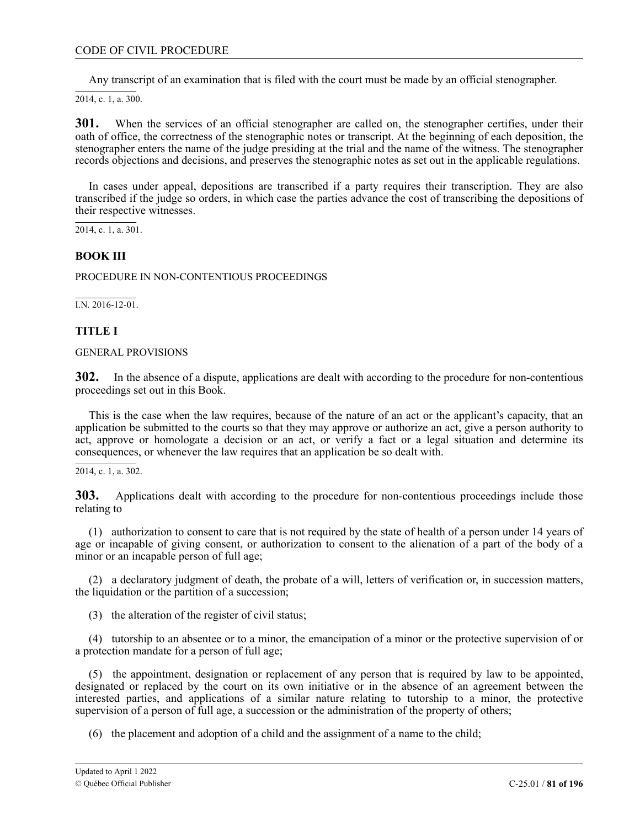Any transcript of an examination that is filed with the court must be made by an official stenographer.

 $\overline{2014}$ , c. 1, a. 300.

**301.** When the services of an official stenographer are called on, the stenographer certifies, under their oath of office, the correctness of the stenographic notes or transcript. At the beginning of each deposition, the stenographer enters the name of the judge presiding at the trial and the name of the witness. The stenographer records objections and decisions, and preserves the stenographic notes as set out in the applicable regulations.

In cases under appeal, depositions are transcribed if a party requires their transcription. They are also transcribed if the judge so orders, in which case the parties advance the cost of transcribing the depositions of their respective witnesses.

2014, c. 1, a. 301.

## **BOOK III**

PROCEDURE IN NON-CONTENTIOUS PROCEEDINGS

 $\overline{LN}$ . 2016-12-01.

## **TITLE I**

GENERAL PROVISIONS

**302.** In the absence of a dispute, applications are dealt with according to the procedure for non-contentious proceedings set out in this Book.

This is the case when the law requires, because of the nature of an act or the applicant's capacity, that an application be submitted to the courts so that they may approve or authorize an act, give a person authority to act, approve or homologate a decision or an act, or verify a fact or a legal situation and determine its consequences, or whenever the law requires that an application be so dealt with.

2014, c. 1, a. 302.

**303.** Applications dealt with according to the procedure for non-contentious proceedings include those relating to

(1) authorization to consent to care that is not required by the state of health of a person under 14 years of age or incapable of giving consent, or authorization to consent to the alienation of a part of the body of a minor or an incapable person of full age;

(2) a declaratory judgment of death, the probate of a will, letters of verification or, in succession matters, the liquidation or the partition of a succession;

(3) the alteration of the register of civil status;

(4) tutorship to an absentee or to a minor, the emancipation of a minor or the protective supervision of or a protection mandate for a person of full age;

(5) the appointment, designation or replacement of any person that is required by law to be appointed, designated or replaced by the court on its own initiative or in the absence of an agreement between the interested parties, and applications of a similar nature relating to tutorship to a minor, the protective supervision of a person of full age, a succession or the administration of the property of others;

(6) the placement and adoption of a child and the assignment of a name to the child;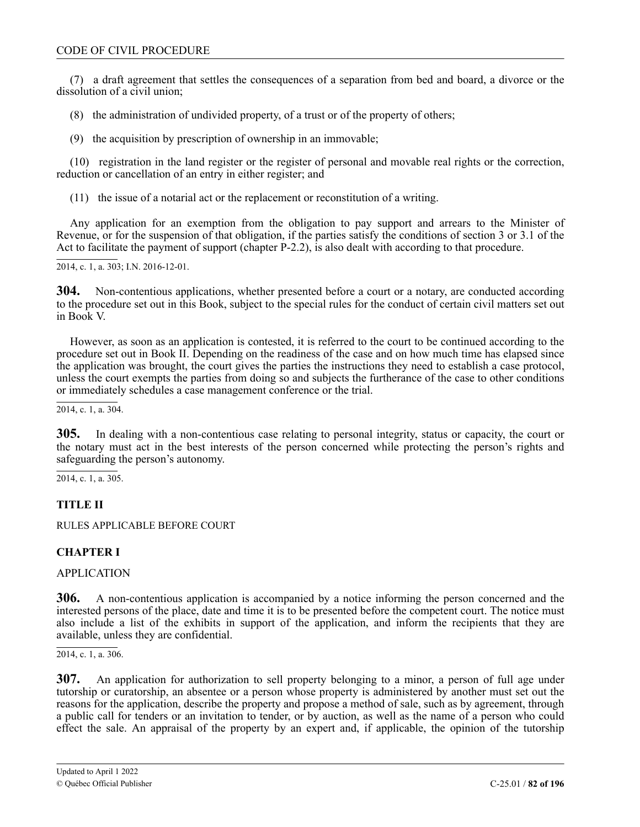(7) a draft agreement that settles the consequences of a separation from bed and board, a divorce or the dissolution of a civil union;

(8) the administration of undivided property, of a trust or of the property of others;

(9) the acquisition by prescription of ownership in an immovable;

(10) registration in the land register or the register of personal and movable real rights or the correction, reduction or cancellation of an entry in either register; and

(11) the issue of a notarial act or the replacement or reconstitution of a writing.

Any application for an exemption from the obligation to pay support and arrears to the Minister of Revenue, or for the suspension of that obligation, if the parties satisfy the conditions of section 3 or 3.1 of the Act to facilitate the payment of support (chapter P-2.2), is also dealt with according to that procedure.

 $2014, c. 1, a. 303$ ; I.N. 2016-12-01.

**304.** Non-contentious applications, whether presented before a court or a notary, are conducted according to the procedure set out in this Book, subject to the special rules for the conduct of certain civil matters set out in Book V.

However, as soon as an application is contested, it is referred to the court to be continued according to the procedure set out in Book II. Depending on the readiness of the case and on how much time has elapsed since the application was brought, the court gives the parties the instructions they need to establish a case protocol, unless the court exempts the parties from doing so and subjects the furtherance of the case to other conditions or immediately schedules a case management conference or the trial.

2014, c. 1, a. 304.

**305.** In dealing with a non-contentious case relating to personal integrity, status or capacity, the court or the notary must act in the best interests of the person concerned while protecting the person's rights and safeguarding the person's autonomy.

2014, c. 1, a. 305.

## **TITLE II**

RULES APPLICABLE BEFORE COURT

## **CHAPTER I**

#### APPLICATION

**306.** A non-contentious application is accompanied by a notice informing the person concerned and the interested persons of the place, date and time it is to be presented before the competent court. The notice must also include a list of the exhibits in support of the application, and inform the recipients that they are available, unless they are confidential.

2014, c. 1, a. 306.

**307.** An application for authorization to sell property belonging to a minor, a person of full age under tutorship or curatorship, an absentee or a person whose property is administered by another must set out the reasons for the application, describe the property and propose a method of sale, such as by agreement, through a public call for tenders or an invitation to tender, or by auction, as well as the name of a person who could effect the sale. An appraisal of the property by an expert and, if applicable, the opinion of the tutorship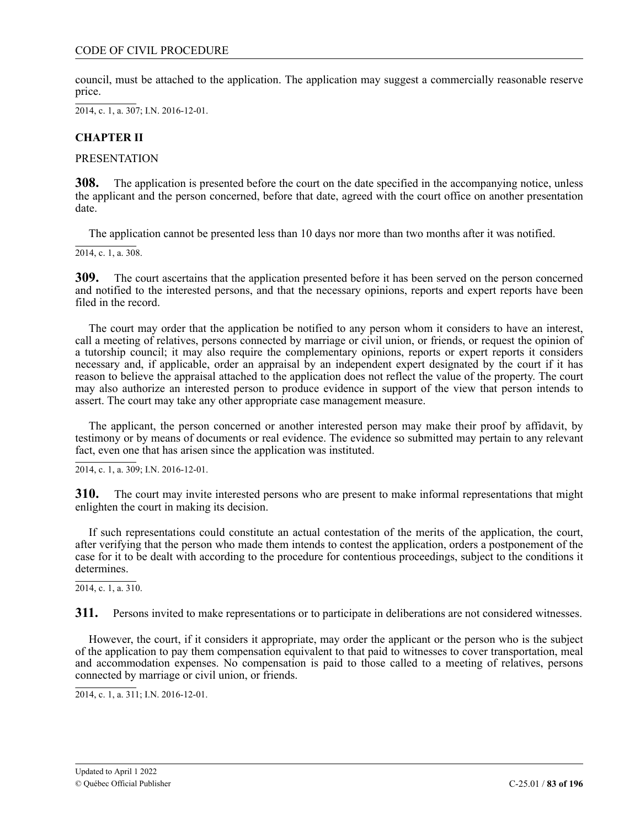council, must be attached to the application. The application may suggest a commercially reasonable reserve price.

2014, c. 1, a. 307; I.N. 2016-12-01.

# **CHAPTER II**

## **PRESENTATION**

**308.** The application is presented before the court on the date specified in the accompanying notice, unless the applicant and the person concerned, before that date, agreed with the court office on another presentation date.

The application cannot be presented less than 10 days nor more than two months after it was notified.

 $\overline{2014}$ , c. 1, a. 308.

**309.** The court ascertains that the application presented before it has been served on the person concerned and notified to the interested persons, and that the necessary opinions, reports and expert reports have been filed in the record.

The court may order that the application be notified to any person whom it considers to have an interest, call a meeting of relatives, persons connected by marriage or civil union, or friends, or request the opinion of a tutorship council; it may also require the complementary opinions, reports or expert reports it considers necessary and, if applicable, order an appraisal by an independent expert designated by the court if it has reason to believe the appraisal attached to the application does not reflect the value of the property. The court may also authorize an interested person to produce evidence in support of the view that person intends to assert. The court may take any other appropriate case management measure.

The applicant, the person concerned or another interested person may make their proof by affidavit, by testimony or by means of documents or real evidence. The evidence so submitted may pertain to any relevant fact, even one that has arisen since the application was instituted.

 $2014$ , c. 1, a.  $309$ ; I.N. 2016-12-01.

**310.** The court may invite interested persons who are present to make informal representations that might enlighten the court in making its decision.

If such representations could constitute an actual contestation of the merits of the application, the court, after verifying that the person who made them intends to contest the application, orders a postponement of the case for it to be dealt with according to the procedure for contentious proceedings, subject to the conditions it determines.

2014, c. 1, a. 310.

**311.** Persons invited to make representations or to participate in deliberations are not considered witnesses.

However, the court, if it considers it appropriate, may order the applicant or the person who is the subject of the application to pay them compensation equivalent to that paid to witnesses to cover transportation, meal and accommodation expenses. No compensation is paid to those called to a meeting of relatives, persons connected by marriage or civil union, or friends.

 $2014$ , c. 1, a. 311; I.N. 2016-12-01.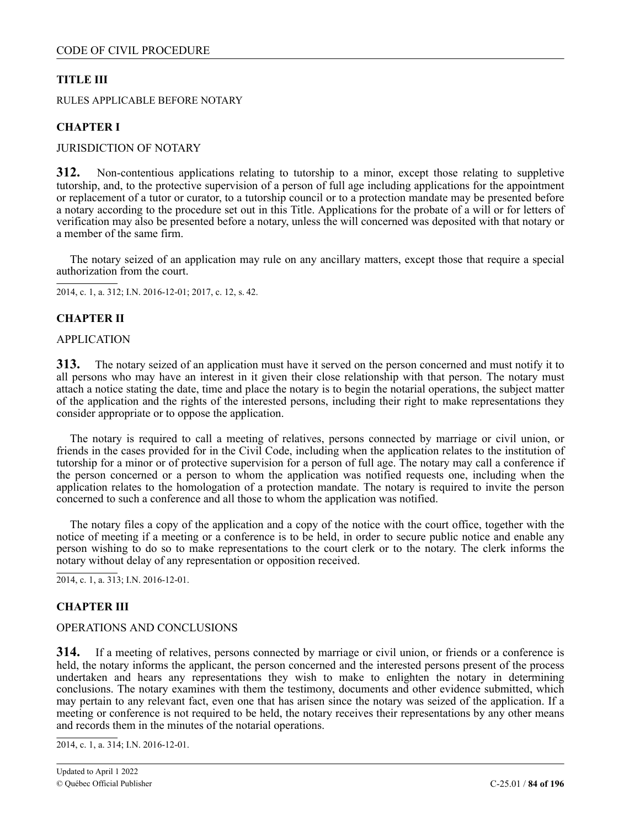# **TITLE III**

RULES APPLICABLE BEFORE NOTARY

# **CHAPTER I**

#### JURISDICTION OF NOTARY

**312.** Non-contentious applications relating to tutorship to a minor, except those relating to suppletive tutorship, and, to the protective supervision of a person of full age including applications for the appointment or replacement of a tutor or curator, to a tutorship council or to a protection mandate may be presented before a notary according to the procedure set out in this Title. Applications for the probate of a will or for letters of verification may also be presented before a notary, unless the will concerned was deposited with that notary or a member of the same firm.

The notary seized of an application may rule on any ancillary matters, except those that require a special authorization from the court.

2014, c. 1, a. 312; I.N. 2016-12-01; 2017, c. 12, s. 42.

# **CHAPTER II**

## APPLICATION

. **313.** The notary seized of an application must have it served on the person concerned and must notify it to all persons who may have an interest in it given their close relationship with that person. The notary must attach a notice stating the date, time and place the notary is to begin the notarial operations, the subject matter of the application and the rights of the interested persons, including their right to make representations they consider appropriate or to oppose the application.

The notary is required to call a meeting of relatives, persons connected by marriage or civil union, or friends in the cases provided for in the Civil Code, including when the application relates to the institution of tutorship for a minor or of protective supervision for a person of full age. The notary may call a conference if the person concerned or a person to whom the application was notified requests one, including when the application relates to the homologation of a protection mandate. The notary is required to invite the person concerned to such a conference and all those to whom the application was notified.

The notary files a copy of the application and a copy of the notice with the court office, together with the notice of meeting if a meeting or a conference is to be held, in order to secure public notice and enable any person wishing to do so to make representations to the court clerk or to the notary. The clerk informs the notary without delay of any representation or opposition received.

2014, c. 1, a. 313; I.N. 2016-12-01.

## **CHAPTER III**

#### OPERATIONS AND CONCLUSIONS

**314.** If a meeting of relatives, persons connected by marriage or civil union, or friends or a conference is held, the notary informs the applicant, the person concerned and the interested persons present of the process undertaken and hears any representations they wish to make to enlighten the notary in determining conclusions. The notary examines with them the testimony, documents and other evidence submitted, which may pertain to any relevant fact, even one that has arisen since the notary was seized of the application. If a meeting or conference is not required to be held, the notary receives their representations by any other means and records them in the minutes of the notarial operations.

2014, c. 1, a. 314; I.N. 2016-12-01.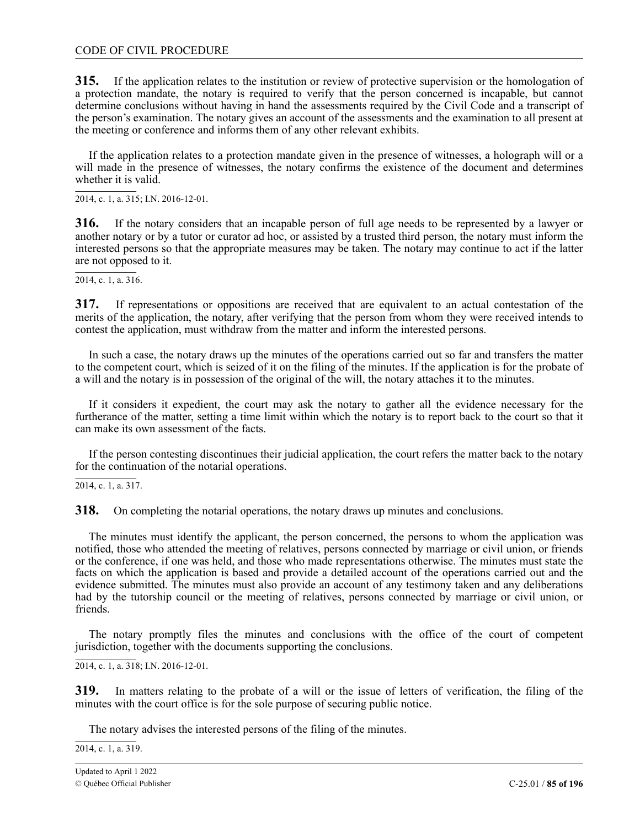**315.** If the application relates to the institution or review of protective supervision or the homologation of a protection mandate, the notary is required to verify that the person concerned is incapable, but cannot determine conclusions without having in hand the assessments required by the Civil Code and a transcript of the person's examination. The notary gives an account of the assessments and the examination to all present at the meeting or conference and informs them of any other relevant exhibits.

If the application relates to a protection mandate given in the presence of witnesses, a holograph will or a will made in the presence of witnesses, the notary confirms the existence of the document and determines whether it is valid.

2014, c. 1, a. 315; I.N. 2016-12-01.

**316.** If the notary considers that an incapable person of full age needs to be represented by a lawyer or another notary or by a tutor or curator ad hoc, or assisted by a trusted third person, the notary must inform the interested persons so that the appropriate measures may be taken. The notary may continue to act if the latter are not opposed to it.

2014, c. 1, a. 316.

**317.** If representations or oppositions are received that are equivalent to an actual contestation of the merits of the application, the notary, after verifying that the person from whom they were received intends to contest the application, must withdraw from the matter and inform the interested persons.

In such a case, the notary draws up the minutes of the operations carried out so far and transfers the matter to the competent court, which is seized of it on the filing of the minutes. If the application is for the probate of a will and the notary is in possession of the original of the will, the notary attaches it to the minutes.

If it considers it expedient, the court may ask the notary to gather all the evidence necessary for the furtherance of the matter, setting a time limit within which the notary is to report back to the court so that it can make its own assessment of the facts.

If the person contesting discontinues their judicial application, the court refers the matter back to the notary for the continuation of the notarial operations.

2014, c. 1, a. 317.

**318.** On completing the notarial operations, the notary draws up minutes and conclusions.

The minutes must identify the applicant, the person concerned, the persons to whom the application was notified, those who attended the meeting of relatives, persons connected by marriage or civil union, or friends or the conference, if one was held, and those who made representations otherwise. The minutes must state the facts on which the application is based and provide a detailed account of the operations carried out and the evidence submitted. The minutes must also provide an account of any testimony taken and any deliberations had by the tutorship council or the meeting of relatives, persons connected by marriage or civil union, or friends.

The notary promptly files the minutes and conclusions with the office of the court of competent jurisdiction, together with the documents supporting the conclusions.

2014, c. 1, a. 318; I.N. 2016-12-01.

**319.** In matters relating to the probate of a will or the issue of letters of verification, the filing of the minutes with the court office is for the sole purpose of securing public notice.

The notary advises the interested persons of the filing of the minutes.

2014, c. 1, a. 319.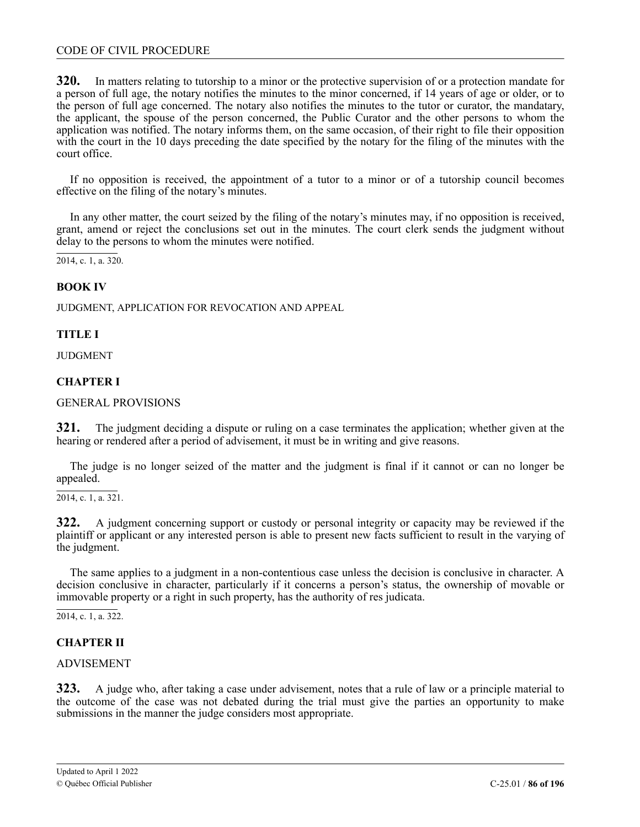**320.** In matters relating to tutorship to a minor or the protective supervision of or a protection mandate for a person of full age, the notary notifies the minutes to the minor concerned, if 14 years of age or older, or to the person of full age concerned. The notary also notifies the minutes to the tutor or curator, the mandatary, the applicant, the spouse of the person concerned, the Public Curator and the other persons to whom the application was notified. The notary informs them, on the same occasion, of their right to file their opposition with the court in the 10 days preceding the date specified by the notary for the filing of the minutes with the court office.

If no opposition is received, the appointment of a tutor to a minor or of a tutorship council becomes effective on the filing of the notary's minutes.

In any other matter, the court seized by the filing of the notary's minutes may, if no opposition is received, grant, amend or reject the conclusions set out in the minutes. The court clerk sends the judgment without delay to the persons to whom the minutes were notified.

2014, c. 1, a. 320.

## **BOOK IV**

JUDGMENT, APPLICATION FOR REVOCATION AND APPEAL

## **TITLE I**

JUDGMENT

## **CHAPTER I**

GENERAL PROVISIONS

**321.** The judgment deciding a dispute or ruling on a case terminates the application; whether given at the hearing or rendered after a period of advisement, it must be in writing and give reasons.

The judge is no longer seized of the matter and the judgment is final if it cannot or can no longer be appealed.

2014, c. 1, a. 321.

**322.** A judgment concerning support or custody or personal integrity or capacity may be reviewed if the plaintiff or applicant or any interested person is able to present new facts sufficient to result in the varying of the judgment.

The same applies to a judgment in a non-contentious case unless the decision is conclusive in character. A decision conclusive in character, particularly if it concerns a person's status, the ownership of movable or immovable property or a right in such property, has the authority of res judicata.

2014, c. 1, a. 322.

## **CHAPTER II**

## ADVISEMENT

**323.** A judge who, after taking a case under advisement, notes that a rule of law or a principle material to the outcome of the case was not debated during the trial must give the parties an opportunity to make submissions in the manner the judge considers most appropriate.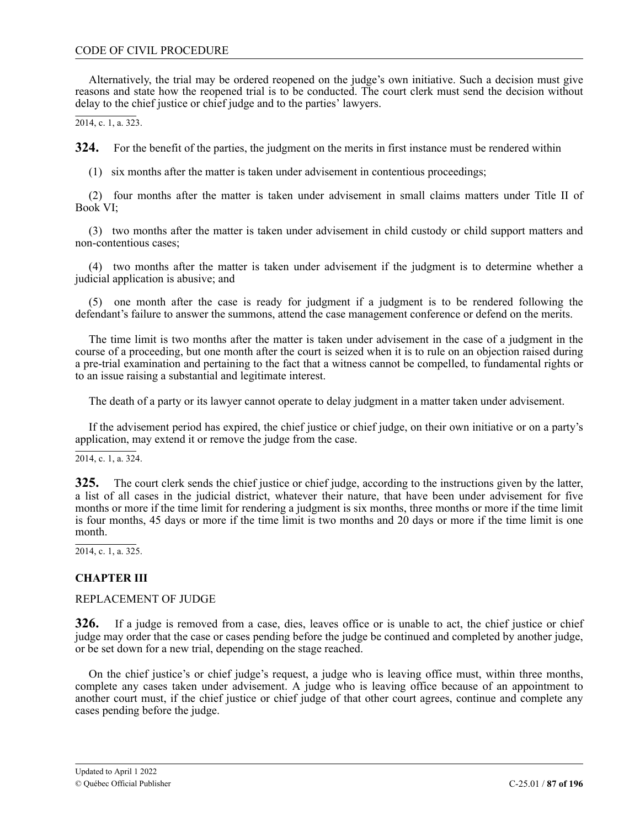Alternatively, the trial may be ordered reopened on the judge's own initiative. Such a decision must give reasons and state how the reopened trial is to be conducted. The court clerk must send the decision without delay to the chief justice or chief judge and to the parties' lawyers.

2014, c. 1, a. 323.

**324.** For the benefit of the parties, the judgment on the merits in first instance must be rendered within

(1) six months after the matter is taken under advisement in contentious proceedings;

(2) four months after the matter is taken under advisement in small claims matters under Title II of Book VI;

(3) two months after the matter is taken under advisement in child custody or child support matters and non-contentious cases;

(4) two months after the matter is taken under advisement if the judgment is to determine whether a judicial application is abusive; and

(5) one month after the case is ready for judgment if a judgment is to be rendered following the defendant's failure to answer the summons, attend the case management conference or defend on the merits.

The time limit is two months after the matter is taken under advisement in the case of a judgment in the course of a proceeding, but one month after the court is seized when it is to rule on an objection raised during a pre-trial examination and pertaining to the fact that a witness cannot be compelled, to fundamental rights or to an issue raising a substantial and legitimate interest.

The death of a party or its lawyer cannot operate to delay judgment in a matter taken under advisement.

If the advisement period has expired, the chief justice or chief judge, on their own initiative or on a party's application, may extend it or remove the judge from the case.

2014, c. 1, a. 324.

**325.** The court clerk sends the chief justice or chief judge, according to the instructions given by the latter, a list of all cases in the judicial district, whatever their nature, that have been under advisement for five months or more if the time limit for rendering a judgment is six months, three months or more if the time limit is four months, 45 days or more if the time limit is two months and 20 days or more if the time limit is one month.

2014, c. 1, a. 325.

## **CHAPTER III**

#### REPLACEMENT OF JUDGE

**326.** If a judge is removed from a case, dies, leaves office or is unable to act, the chief justice or chief judge may order that the case or cases pending before the judge be continued and completed by another judge, or be set down for a new trial, depending on the stage reached.

On the chief justice's or chief judge's request, a judge who is leaving office must, within three months, complete any cases taken under advisement. A judge who is leaving office because of an appointment to another court must, if the chief justice or chief judge of that other court agrees, continue and complete any cases pending before the judge.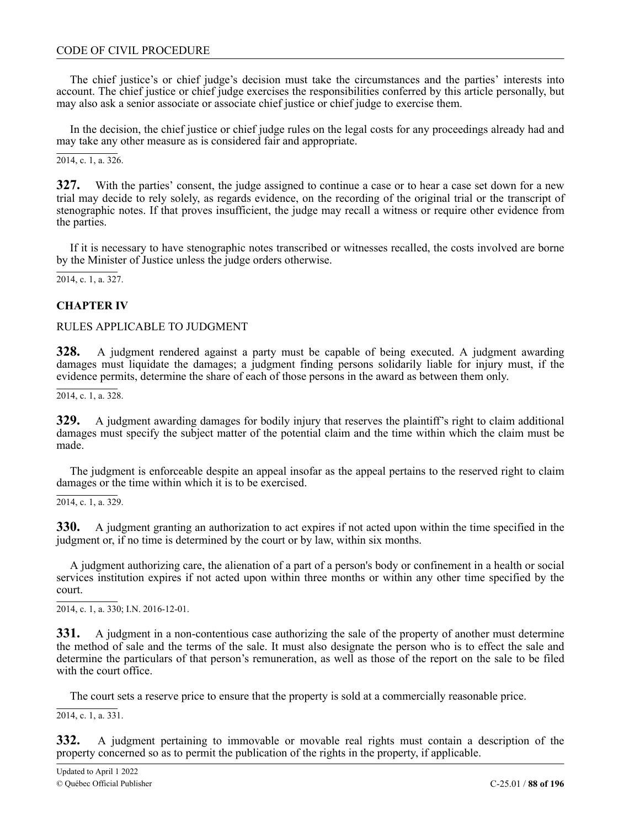The chief justice's or chief judge's decision must take the circumstances and the parties' interests into account. The chief justice or chief judge exercises the responsibilities conferred by this article personally, but may also ask a senior associate or associate chief justice or chief judge to exercise them.

In the decision, the chief justice or chief judge rules on the legal costs for any proceedings already had and may take any other measure as is considered fair and appropriate.

2014, c. 1, a. 326.

**327.** With the parties' consent, the judge assigned to continue a case or to hear a case set down for a new trial may decide to rely solely, as regards evidence, on the recording of the original trial or the transcript of stenographic notes. If that proves insufficient, the judge may recall a witness or require other evidence from the parties.

If it is necessary to have stenographic notes transcribed or witnesses recalled, the costs involved are borne by the Minister of Justice unless the judge orders otherwise.

2014, c. 1, a. 327.

## **CHAPTER IV**

RULES APPLICABLE TO JUDGMENT

**328.** A judgment rendered against a party must be capable of being executed. A judgment awarding damages must liquidate the damages; a judgment finding persons solidarily liable for injury must, if the evidence permits, determine the share of each of those persons in the award as between them only.

2014, c. 1, a. 328.

**329.** A judgment awarding damages for bodily injury that reserves the plaintiff's right to claim additional damages must specify the subject matter of the potential claim and the time within which the claim must be made.

The judgment is enforceable despite an appeal insofar as the appeal pertains to the reserved right to claim damages or the time within which it is to be exercised.

 $\overline{2014}$ , c. 1, a, 329.

**330.** A judgment granting an authorization to act expires if not acted upon within the time specified in the judgment or, if no time is determined by the court or by law, within six months.

A judgment authorizing care, the alienation of a part of a person's body or confinement in a health or social services institution expires if not acted upon within three months or within any other time specified by the court.

2014, c. 1, a. 330; I.N. 2016-12-01.

**331.** A judgment in a non-contentious case authorizing the sale of the property of another must determine the method of sale and the terms of the sale. It must also designate the person who is to effect the sale and determine the particulars of that person's remuneration, as well as those of the report on the sale to be filed with the court office.

The court sets a reserve price to ensure that the property is sold at a commercially reasonable price.

2014, c. 1, a. 331.

**332.** A judgment pertaining to immovable or movable real rights must contain a description of the property concerned so as to permit the publication of the rights in the property, if applicable.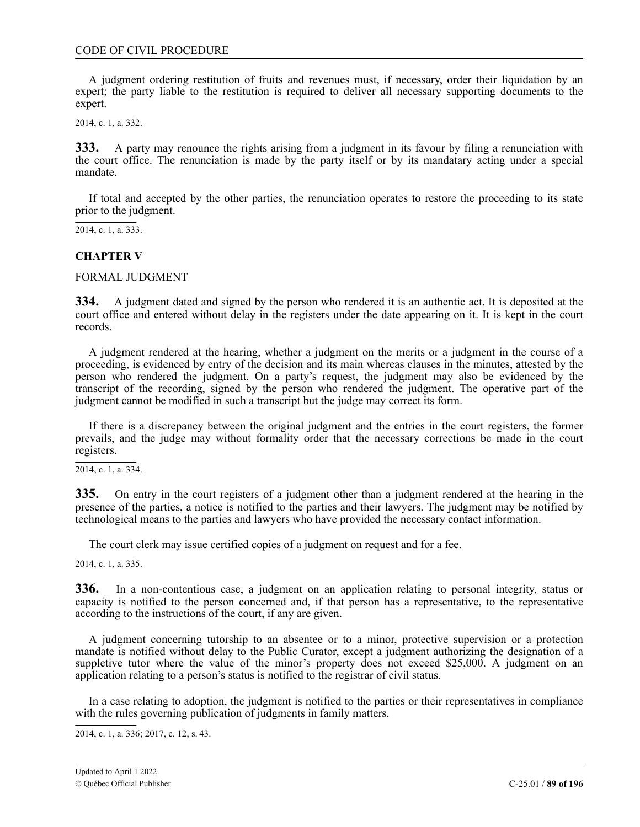A judgment ordering restitution of fruits and revenues must, if necessary, order their liquidation by an expert; the party liable to the restitution is required to deliver all necessary supporting documents to the expert.

2014, c. 1, a. 332.

**333.** A party may renounce the rights arising from a judgment in its favour by filing a renunciation with the court office. The renunciation is made by the party itself or by its mandatary acting under a special mandate.

If total and accepted by the other parties, the renunciation operates to restore the proceeding to its state prior to the judgment.

 $\overline{2014}$ , c. 1, a. 333.

# **CHAPTER V**

FORMAL JUDGMENT

**334.** A judgment dated and signed by the person who rendered it is an authentic act. It is deposited at the court office and entered without delay in the registers under the date appearing on it. It is kept in the court records.

A judgment rendered at the hearing, whether a judgment on the merits or a judgment in the course of a proceeding, is evidenced by entry of the decision and its main whereas clauses in the minutes, attested by the person who rendered the judgment. On a party's request, the judgment may also be evidenced by the transcript of the recording, signed by the person who rendered the judgment. The operative part of the judgment cannot be modified in such a transcript but the judge may correct its form.

If there is a discrepancy between the original judgment and the entries in the court registers, the former prevails, and the judge may without formality order that the necessary corrections be made in the court registers.

 $\overline{2014}$ , c. 1, a, 334.

**335.** On entry in the court registers of a judgment other than a judgment rendered at the hearing in the presence of the parties, a notice is notified to the parties and their lawyers. The judgment may be notified by technological means to the parties and lawyers who have provided the necessary contact information.

The court clerk may issue certified copies of a judgment on request and for a fee.

 $\overline{2014, c. 1, a. 335}.$ 

**336.** In a non-contentious case, a judgment on an application relating to personal integrity, status or capacity is notified to the person concerned and, if that person has a representative, to the representative according to the instructions of the court, if any are given.

A judgment concerning tutorship to an absentee or to a minor, protective supervision or a protection mandate is notified without delay to the Public Curator, except a judgment authorizing the designation of a suppletive tutor where the value of the minor's property does not exceed \$25,000. A judgment on an application relating to a person's status is notified to the registrar of civil status.

In a case relating to adoption, the judgment is notified to the parties or their representatives in compliance with the rules governing publication of judgments in family matters.

2014, c. 1, a. 336; 2017, c. 12, s. 43.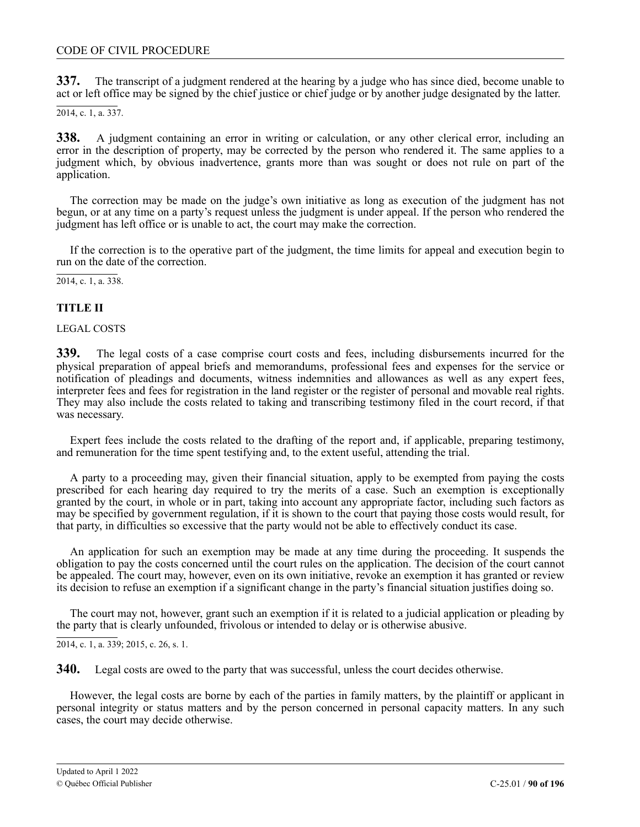**337.** The transcript of a judgment rendered at the hearing by a judge who has since died, become unable to act or left office may be signed by the chief justice or chief judge or by another judge designated by the latter.

2014, c. 1, a. 337.

**338.** A judgment containing an error in writing or calculation, or any other clerical error, including an error in the description of property, may be corrected by the person who rendered it. The same applies to a judgment which, by obvious inadvertence, grants more than was sought or does not rule on part of the application.

The correction may be made on the judge's own initiative as long as execution of the judgment has not begun, or at any time on a party's request unless the judgment is under appeal. If the person who rendered the judgment has left office or is unable to act, the court may make the correction.

If the correction is to the operative part of the judgment, the time limits for appeal and execution begin to run on the date of the correction.

2014, c. 1, a. 338.

## **TITLE II**

#### LEGAL COSTS

**339.** The legal costs of a case comprise court costs and fees, including disbursements incurred for the physical preparation of appeal briefs and memorandums, professional fees and expenses for the service or notification of pleadings and documents, witness indemnities and allowances as well as any expert fees, interpreter fees and fees for registration in the land register or the register of personal and movable real rights. They may also include the costs related to taking and transcribing testimony filed in the court record, if that was necessary.

Expert fees include the costs related to the drafting of the report and, if applicable, preparing testimony, and remuneration for the time spent testifying and, to the extent useful, attending the trial.

A party to a proceeding may, given their financial situation, apply to be exempted from paying the costs prescribed for each hearing day required to try the merits of a case. Such an exemption is exceptionally granted by the court, in whole or in part, taking into account any appropriate factor, including such factors as may be specified by government regulation, if it is shown to the court that paying those costs would result, for that party, in difficulties so excessive that the party would not be able to effectively conduct its case.

An application for such an exemption may be made at any time during the proceeding. It suspends the obligation to pay the costs concerned until the court rules on the application. The decision of the court cannot be appealed. The court may, however, even on its own initiative, revoke an exemption it has granted or review its decision to refuse an exemption if a significant change in the party's financial situation justifies doing so.

The court may not, however, grant such an exemption if it is related to a judicial application or pleading by the party that is clearly unfounded, frivolous or intended to delay or is otherwise abusive.

```
2014, c. 1, a. 339; 2015, c. 26, s. 1.
```
**340.** Legal costs are owed to the party that was successful, unless the court decides otherwise.

However, the legal costs are borne by each of the parties in family matters, by the plaintiff or applicant in personal integrity or status matters and by the person concerned in personal capacity matters. In any such cases, the court may decide otherwise.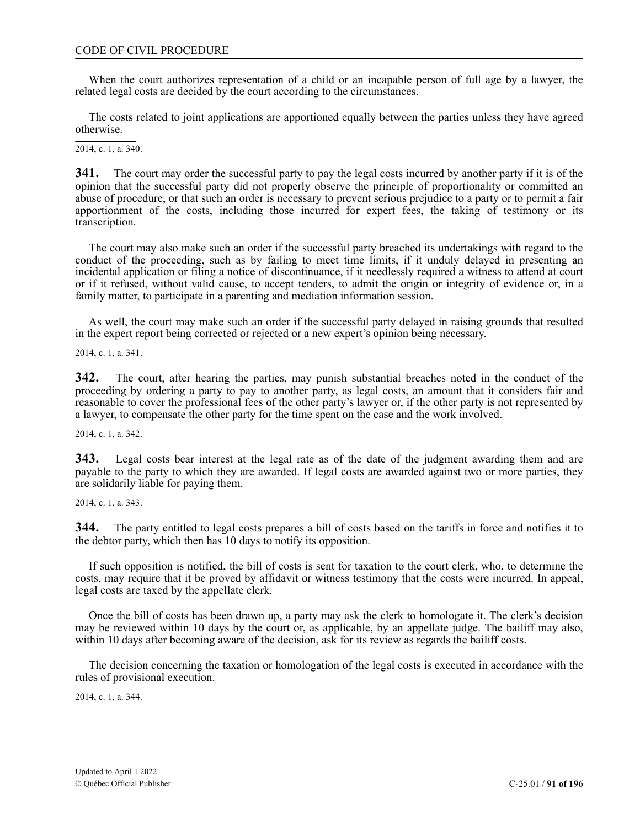When the court authorizes representation of a child or an incapable person of full age by a lawyer, the related legal costs are decided by the court according to the circumstances.

The costs related to joint applications are apportioned equally between the parties unless they have agreed otherwise.

2014, c. 1, a. 340.

**341.** The court may order the successful party to pay the legal costs incurred by another party if it is of the opinion that the successful party did not properly observe the principle of proportionality or committed an abuse of procedure, or that such an order is necessary to prevent serious prejudice to a party or to permit a fair apportionment of the costs, including those incurred for expert fees, the taking of testimony or its transcription.

The court may also make such an order if the successful party breached its undertakings with regard to the conduct of the proceeding, such as by failing to meet time limits, if it unduly delayed in presenting an incidental application or filing a notice of discontinuance, if it needlessly required a witness to attend at court or if it refused, without valid cause, to accept tenders, to admit the origin or integrity of evidence or, in a family matter, to participate in a parenting and mediation information session.

As well, the court may make such an order if the successful party delayed in raising grounds that resulted in the expert report being corrected or rejected or a new expert's opinion being necessary.

2014, c. 1, a. 341.

**342.** The court, after hearing the parties, may punish substantial breaches noted in the conduct of the proceeding by ordering a party to pay to another party, as legal costs, an amount that it considers fair and reasonable to cover the professional fees of the other party's lawyer or, if the other party is not represented by a lawyer, to compensate the other party for the time spent on the case and the work involved.

2014, c. 1, a. 342.

**343.** Legal costs bear interest at the legal rate as of the date of the judgment awarding them and are payable to the party to which they are awarded. If legal costs are awarded against two or more parties, they are solidarily liable for paying them.

2014, c. 1, a. 343.

**344.** The party entitled to legal costs prepares a bill of costs based on the tariffs in force and notifies it to the debtor party, which then has 10 days to notify its opposition.

If such opposition is notified, the bill of costs is sent for taxation to the court clerk, who, to determine the costs, may require that it be proved by affidavit or witness testimony that the costs were incurred. In appeal, legal costs are taxed by the appellate clerk.

Once the bill of costs has been drawn up, a party may ask the clerk to homologate it. The clerk's decision may be reviewed within 10 days by the court or, as applicable, by an appellate judge. The bailiff may also, within 10 days after becoming aware of the decision, ask for its review as regards the bailiff costs.

The decision concerning the taxation or homologation of the legal costs is executed in accordance with the rules of provisional execution.

2014, c. 1, a. 344.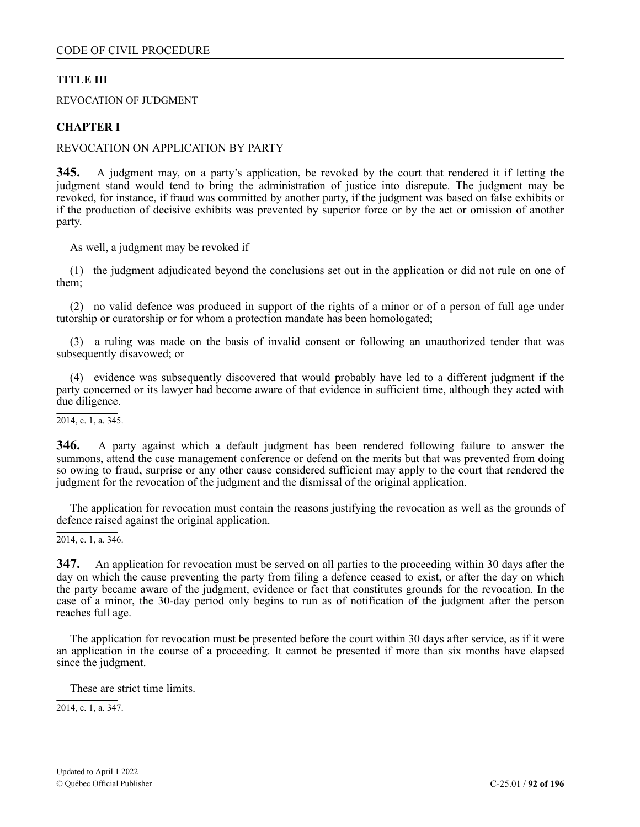# **TITLE III**

REVOCATION OF JUDGMENT

# **CHAPTER I**

## REVOCATION ON APPLICATION BY PARTY

**345.** A judgment may, on a party's application, be revoked by the court that rendered it if letting the judgment stand would tend to bring the administration of justice into disrepute. The judgment may be revoked, for instance, if fraud was committed by another party, if the judgment was based on false exhibits or if the production of decisive exhibits was prevented by superior force or by the act or omission of another party.

As well, a judgment may be revoked if

(1) the judgment adjudicated beyond the conclusions set out in the application or did not rule on one of them;

(2) no valid defence was produced in support of the rights of a minor or of a person of full age under tutorship or curatorship or for whom a protection mandate has been homologated;

(3) a ruling was made on the basis of invalid consent or following an unauthorized tender that was subsequently disavowed; or

(4) evidence was subsequently discovered that would probably have led to a different judgment if the party concerned or its lawyer had become aware of that evidence in sufficient time, although they acted with due diligence.

 $\overline{2014}$ , c. 1, a. 345.

**346.** A party against which a default judgment has been rendered following failure to answer the summons, attend the case management conference or defend on the merits but that was prevented from doing so owing to fraud, surprise or any other cause considered sufficient may apply to the court that rendered the judgment for the revocation of the judgment and the dismissal of the original application.

The application for revocation must contain the reasons justifying the revocation as well as the grounds of defence raised against the original application.

2014, c. 1, a. 346.

**347.** An application for revocation must be served on all parties to the proceeding within 30 days after the day on which the cause preventing the party from filing a defence ceased to exist, or after the day on which the party became aware of the judgment, evidence or fact that constitutes grounds for the revocation. In the case of a minor, the 30-day period only begins to run as of notification of the judgment after the person reaches full age.

The application for revocation must be presented before the court within 30 days after service, as if it were an application in the course of a proceeding. It cannot be presented if more than six months have elapsed since the judgment.

These are strict time limits.

2014, c. 1, a. 347.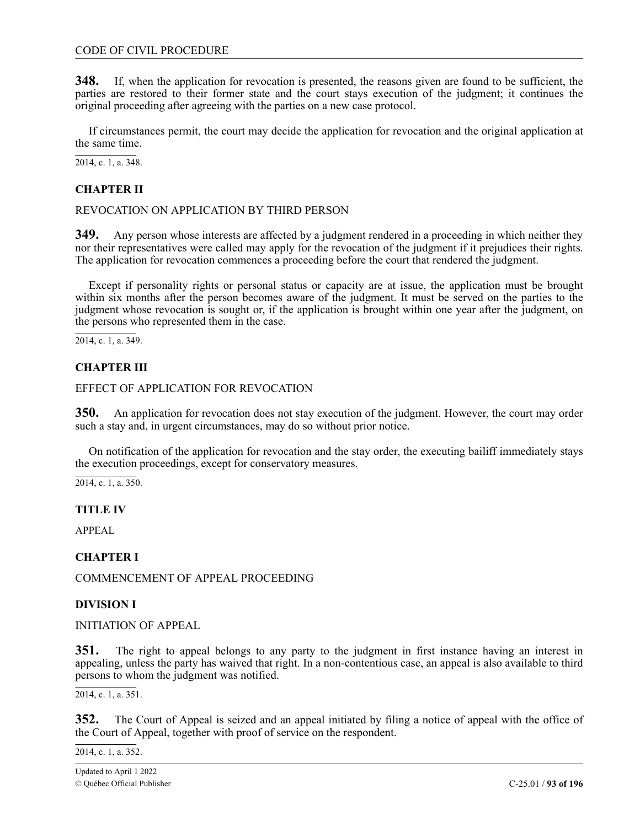**348.** If, when the application for revocation is presented, the reasons given are found to be sufficient, the parties are restored to their former state and the court stays execution of the judgment; it continues the original proceeding after agreeing with the parties on a new case protocol.

If circumstances permit, the court may decide the application for revocation and the original application at the same time.

2014, c. 1, a. 348.

# **CHAPTER II**

## REVOCATION ON APPLICATION BY THIRD PERSON

**349.** Any person whose interests are affected by a judgment rendered in a proceeding in which neither they nor their representatives were called may apply for the revocation of the judgment if it prejudices their rights. The application for revocation commences a proceeding before the court that rendered the judgment.

Except if personality rights or personal status or capacity are at issue, the application must be brought within six months after the person becomes aware of the judgment. It must be served on the parties to the judgment whose revocation is sought or, if the application is brought within one year after the judgment, on the persons who represented them in the case.

 $\overline{2014, c. 1, a. 349}.$ 

# **CHAPTER III**

## EFFECT OF APPLICATION FOR REVOCATION

**350.** An application for revocation does not stay execution of the judgment. However, the court may order such a stay and, in urgent circumstances, may do so without prior notice.

On notification of the application for revocation and the stay order, the executing bailiff immediately stays the execution proceedings, except for conservatory measures.

2014, c. 1, a. 350.

#### **TITLE IV**

APPEAL

## **CHAPTER I**

COMMENCEMENT OF APPEAL PROCEEDING

## **DIVISION I**

INITIATION OF APPEAL

**351.** The right to appeal belongs to any party to the judgment in first instance having an interest in appealing, unless the party has waived that right. In a non-contentious case, an appeal is also available to third persons to whom the judgment was notified.

 $\overline{2014}$ , c. 1, a. 351.

**352.** The Court of Appeal is seized and an appeal initiated by filing a notice of appeal with the office of the Court of Appeal, together with proof of service on the respondent.

2014, c. 1, a. 352.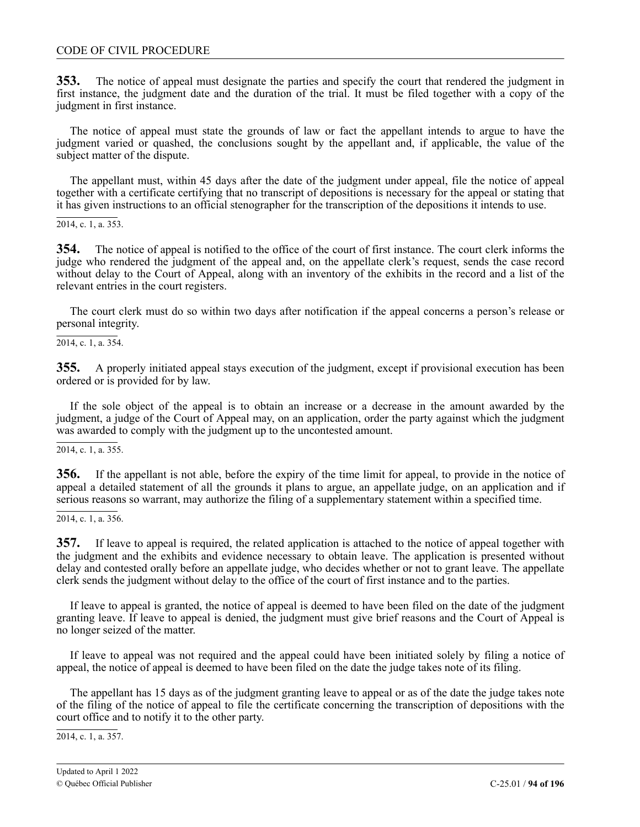**353.** The notice of appeal must designate the parties and specify the court that rendered the judgment in first instance, the judgment date and the duration of the trial. It must be filed together with a copy of the judgment in first instance.

The notice of appeal must state the grounds of law or fact the appellant intends to argue to have the judgment varied or quashed, the conclusions sought by the appellant and, if applicable, the value of the subject matter of the dispute.

The appellant must, within 45 days after the date of the judgment under appeal, file the notice of appeal together with a certificate certifying that no transcript of depositions is necessary for the appeal or stating that it has given instructions to an official stenographer for the transcription of the depositions it intends to use.

2014, c. 1, a. 353.

**354.** The notice of appeal is notified to the office of the court of first instance. The court clerk informs the judge who rendered the judgment of the appeal and, on the appellate clerk's request, sends the case record without delay to the Court of Appeal, along with an inventory of the exhibits in the record and a list of the relevant entries in the court registers.

The court clerk must do so within two days after notification if the appeal concerns a person's release or personal integrity.

 $\overline{2014}$ , c. 1, a. 354.

**355.** A properly initiated appeal stays execution of the judgment, except if provisional execution has been ordered or is provided for by law.

If the sole object of the appeal is to obtain an increase or a decrease in the amount awarded by the judgment, a judge of the Court of Appeal may, on an application, order the party against which the judgment was awarded to comply with the judgment up to the uncontested amount.

2014, c. 1, a. 355.

**356.** If the appellant is not able, before the expiry of the time limit for appeal, to provide in the notice of appeal a detailed statement of all the grounds it plans to argue, an appellate judge, on an application and if serious reasons so warrant, may authorize the filing of a supplementary statement within a specified time.

2014, c. 1, a. 356.

**357.** If leave to appeal is required, the related application is attached to the notice of appeal together with the judgment and the exhibits and evidence necessary to obtain leave. The application is presented without delay and contested orally before an appellate judge, who decides whether or not to grant leave. The appellate clerk sends the judgment without delay to the office of the court of first instance and to the parties.

If leave to appeal is granted, the notice of appeal is deemed to have been filed on the date of the judgment granting leave. If leave to appeal is denied, the judgment must give brief reasons and the Court of Appeal is no longer seized of the matter.

If leave to appeal was not required and the appeal could have been initiated solely by filing a notice of appeal, the notice of appeal is deemed to have been filed on the date the judge takes note of its filing.

The appellant has 15 days as of the judgment granting leave to appeal or as of the date the judge takes note of the filing of the notice of appeal to file the certificate concerning the transcription of depositions with the court office and to notify it to the other party.

2014, c. 1, a. 357.

Updated to April 1 2022 4 1 © Québec Official Publisher C-25.01 / **94 of 196**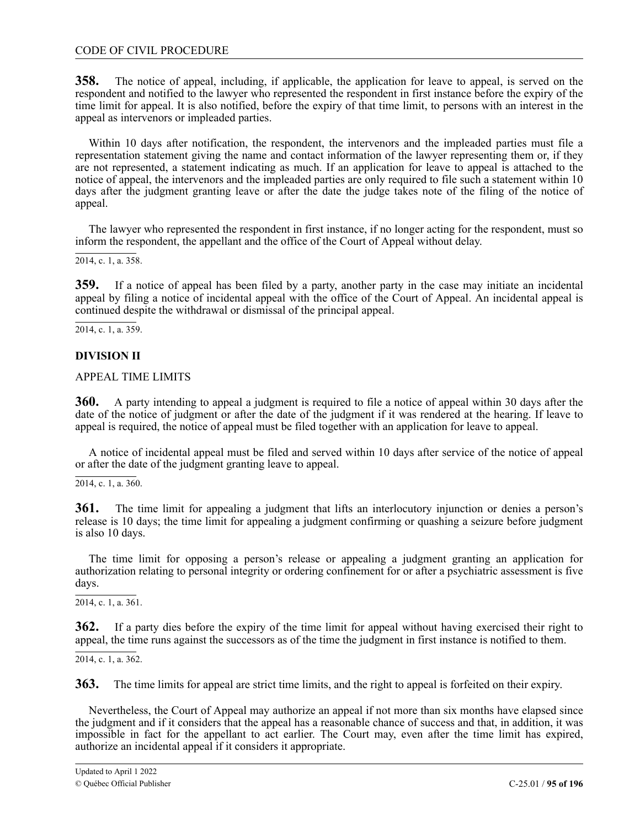**358.** The notice of appeal, including, if applicable, the application for leave to appeal, is served on the respondent and notified to the lawyer who represented the respondent in first instance before the expiry of the time limit for appeal. It is also notified, before the expiry of that time limit, to persons with an interest in the appeal as intervenors or impleaded parties.

Within 10 days after notification, the respondent, the intervenors and the impleaded parties must file a representation statement giving the name and contact information of the lawyer representing them or, if they are not represented, a statement indicating as much. If an application for leave to appeal is attached to the notice of appeal, the intervenors and the impleaded parties are only required to file such a statement within 10 days after the judgment granting leave or after the date the judge takes note of the filing of the notice of appeal.

The lawyer who represented the respondent in first instance, if no longer acting for the respondent, must so inform the respondent, the appellant and the office of the Court of Appeal without delay.

2014, c. 1, a. 358.

**359.** If a notice of appeal has been filed by a party, another party in the case may initiate an incidental appeal by filing a notice of incidental appeal with the office of the Court of Appeal. An incidental appeal is continued despite the withdrawal or dismissal of the principal appeal.

2014, c. 1, a. 359.

## **DIVISION II**

APPEAL TIME LIMITS

**360.** A party intending to appeal a judgment is required to file a notice of appeal within 30 days after the date of the notice of judgment or after the date of the judgment if it was rendered at the hearing. If leave to appeal is required, the notice of appeal must be filed together with an application for leave to appeal.

A notice of incidental appeal must be filed and served within 10 days after service of the notice of appeal or after the date of the judgment granting leave to appeal.

2014, c. 1, a. 360.

**361.** The time limit for appealing a judgment that lifts an interlocutory injunction or denies a person's release is 10 days; the time limit for appealing a judgment confirming or quashing a seizure before judgment is also 10 days.

The time limit for opposing a person's release or appealing a judgment granting an application for authorization relating to personal integrity or ordering confinement for or after a psychiatric assessment is five days.

2014, c. 1, a. 361.

**362.** If a party dies before the expiry of the time limit for appeal without having exercised their right to appeal, the time runs against the successors as of the time the judgment in first instance is notified to them.

2014, c. 1, a. 362.

**363.** The time limits for appeal are strict time limits, and the right to appeal is forfeited on their expiry.

Nevertheless, the Court of Appeal may authorize an appeal if not more than six months have elapsed since the judgment and if it considers that the appeal has a reasonable chance of success and that, in addition, it was impossible in fact for the appellant to act earlier. The Court may, even after the time limit has expired, authorize an incidental appeal if it considers it appropriate.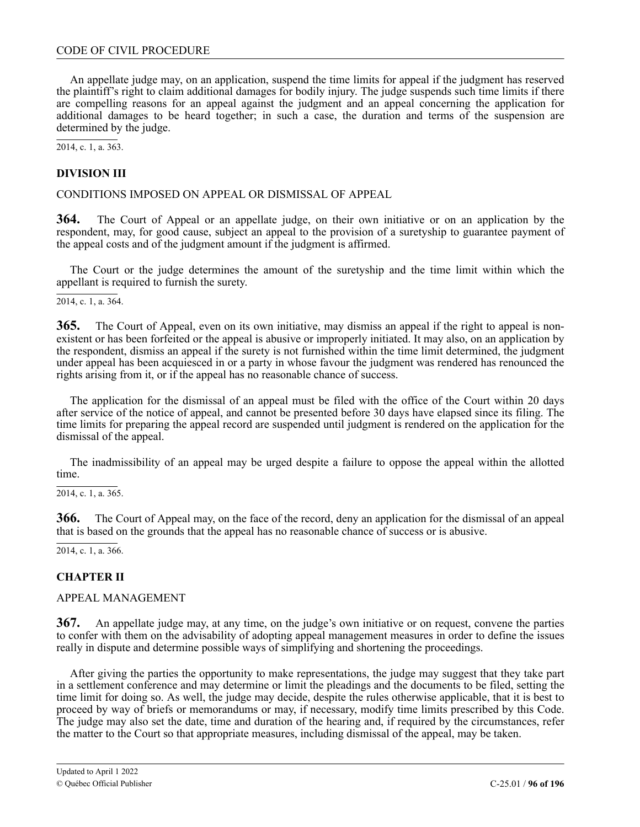An appellate judge may, on an application, suspend the time limits for appeal if the judgment has reserved the plaintiff's right to claim additional damages for bodily injury. The judge suspends such time limits if there are compelling reasons for an appeal against the judgment and an appeal concerning the application for additional damages to be heard together; in such a case, the duration and terms of the suspension are determined by the judge.

2014, c. 1, a. 363.

# **DIVISION III**

CONDITIONS IMPOSED ON APPEAL OR DISMISSAL OF APPEAL

**364.** The Court of Appeal or an appellate judge, on their own initiative or on an application by the respondent, may, for good cause, subject an appeal to the provision of a suretyship to guarantee payment of the appeal costs and of the judgment amount if the judgment is affirmed.

The Court or the judge determines the amount of the suretyship and the time limit within which the appellant is required to furnish the surety.

2014, c. 1, a. 364.

**365.** The Court of Appeal, even on its own initiative, may dismiss an appeal if the right to appeal is nonexistent or has been forfeited or the appeal is abusive or improperly initiated. It may also, on an application by the respondent, dismiss an appeal if the surety is not furnished within the time limit determined, the judgment under appeal has been acquiesced in or a party in whose favour the judgment was rendered has renounced the rights arising from it, or if the appeal has no reasonable chance of success.

The application for the dismissal of an appeal must be filed with the office of the Court within 20 days after service of the notice of appeal, and cannot be presented before 30 days have elapsed since its filing. The time limits for preparing the appeal record are suspended until judgment is rendered on the application for the dismissal of the appeal.

The inadmissibility of an appeal may be urged despite a failure to oppose the appeal within the allotted time.

2014, c. 1, a. 365.

**366.** The Court of Appeal may, on the face of the record, deny an application for the dismissal of an appeal that is based on the grounds that the appeal has no reasonable chance of success or is abusive.

2014, c. 1, a. 366.

## **CHAPTER II**

#### APPEAL MANAGEMENT

**367.** An appellate judge may, at any time, on the judge's own initiative or on request, convene the parties to confer with them on the advisability of adopting appeal management measures in order to define the issues really in dispute and determine possible ways of simplifying and shortening the proceedings.

After giving the parties the opportunity to make representations, the judge may suggest that they take part in a settlement conference and may determine or limit the pleadings and the documents to be filed, setting the time limit for doing so. As well, the judge may decide, despite the rules otherwise applicable, that it is best to proceed by way of briefs or memorandums or may, if necessary, modify time limits prescribed by this Code. The judge may also set the date, time and duration of the hearing and, if required by the circumstances, refer the matter to the Court so that appropriate measures, including dismissal of the appeal, may be taken.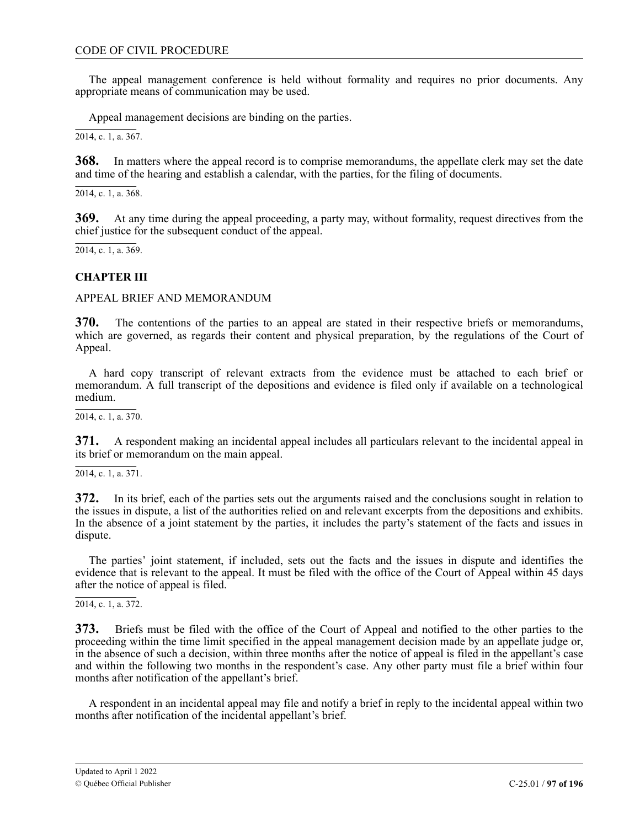The appeal management conference is held without formality and requires no prior documents. Any appropriate means of communication may be used.

Appeal management decisions are binding on the parties.

2014, c. 1, a. 367.

**368.** In matters where the appeal record is to comprise memorandums, the appellate clerk may set the date and time of the hearing and establish a calendar, with the parties, for the filing of documents.

2014, c. 1, a. 368.

**369.** At any time during the appeal proceeding, a party may, without formality, request directives from the chief justice for the subsequent conduct of the appeal.

2014, c. 1, a. 369.

## **CHAPTER III**

#### APPEAL BRIEF AND MEMORANDUM

**370.** The contentions of the parties to an appeal are stated in their respective briefs or memorandums, which are governed, as regards their content and physical preparation, by the regulations of the Court of Appeal.

A hard copy transcript of relevant extracts from the evidence must be attached to each brief or memorandum. A full transcript of the depositions and evidence is filed only if available on a technological medium.

2014, c. 1, a. 370.

**371.** A respondent making an incidental appeal includes all particulars relevant to the incidental appeal in its brief or memorandum on the main appeal.

 $\overline{2014, c. 1, a. 371}.$ 

**372.** In its brief, each of the parties sets out the arguments raised and the conclusions sought in relation to the issues in dispute, a list of the authorities relied on and relevant excerpts from the depositions and exhibits. In the absence of a joint statement by the parties, it includes the party's statement of the facts and issues in dispute.

The parties' joint statement, if included, sets out the facts and the issues in dispute and identifies the evidence that is relevant to the appeal. It must be filed with the office of the Court of Appeal within 45 days after the notice of appeal is filed.

2014, c. 1, a. 372.

**373.** Briefs must be filed with the office of the Court of Appeal and notified to the other parties to the proceeding within the time limit specified in the appeal management decision made by an appellate judge or, in the absence of such a decision, within three months after the notice of appeal is filed in the appellant's case and within the following two months in the respondent's case. Any other party must file a brief within four months after notification of the appellant's brief.

A respondent in an incidental appeal may file and notify a brief in reply to the incidental appeal within two months after notification of the incidental appellant's brief.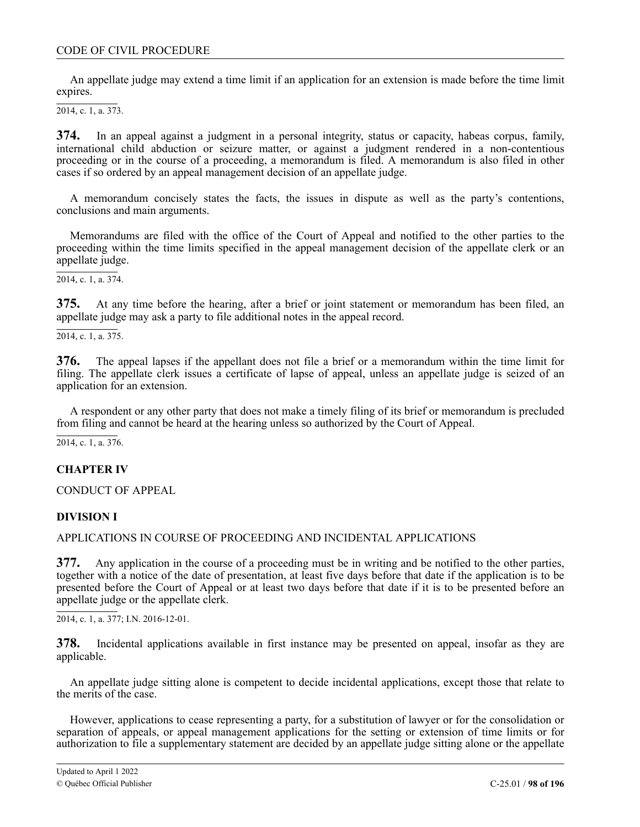An appellate judge may extend a time limit if an application for an extension is made before the time limit expires.

2014, c. 1, a. 373.

**374.** In an appeal against a judgment in a personal integrity, status or capacity, habeas corpus, family, international child abduction or seizure matter, or against a judgment rendered in a non-contentious proceeding or in the course of a proceeding, a memorandum is filed. A memorandum is also filed in other cases if so ordered by an appeal management decision of an appellate judge.

A memorandum concisely states the facts, the issues in dispute as well as the party's contentions, conclusions and main arguments.

Memorandums are filed with the office of the Court of Appeal and notified to the other parties to the proceeding within the time limits specified in the appeal management decision of the appellate clerk or an appellate judge.

2014, c. 1, a. 374.

**375.** At any time before the hearing, after a brief or joint statement or memorandum has been filed, an appellate judge may ask a party to file additional notes in the appeal record.

 $\overline{2014}$ , c. 1, a, 375.

**376.** The appeal lapses if the appellant does not file a brief or a memorandum within the time limit for filing. The appellate clerk issues a certificate of lapse of appeal, unless an appellate judge is seized of an application for an extension.

A respondent or any other party that does not make a timely filing of its brief or memorandum is precluded from filing and cannot be heard at the hearing unless so authorized by the Court of Appeal.

 $\overline{2014, c. 1, a. 376}.$ 

#### **CHAPTER IV**

CONDUCT OF APPEAL

## **DIVISION I**

APPLICATIONS IN COURSE OF PROCEEDING AND INCIDENTAL APPLICATIONS

**377.** Any application in the course of a proceeding must be in writing and be notified to the other parties, together with a notice of the date of presentation, at least five days before that date if the application is to be presented before the Court of Appeal or at least two days before that date if it is to be presented before an appellate judge or the appellate clerk.

2014, c. 1, a. 377; I.N. 2016-12-01.

**378.** Incidental applications available in first instance may be presented on appeal, insofar as they are applicable.

An appellate judge sitting alone is competent to decide incidental applications, except those that relate to the merits of the case.

However, applications to cease representing a party, for a substitution of lawyer or for the consolidation or separation of appeals, or appeal management applications for the setting or extension of time limits or for authorization to file a supplementary statement are decided by an appellate judge sitting alone or the appellate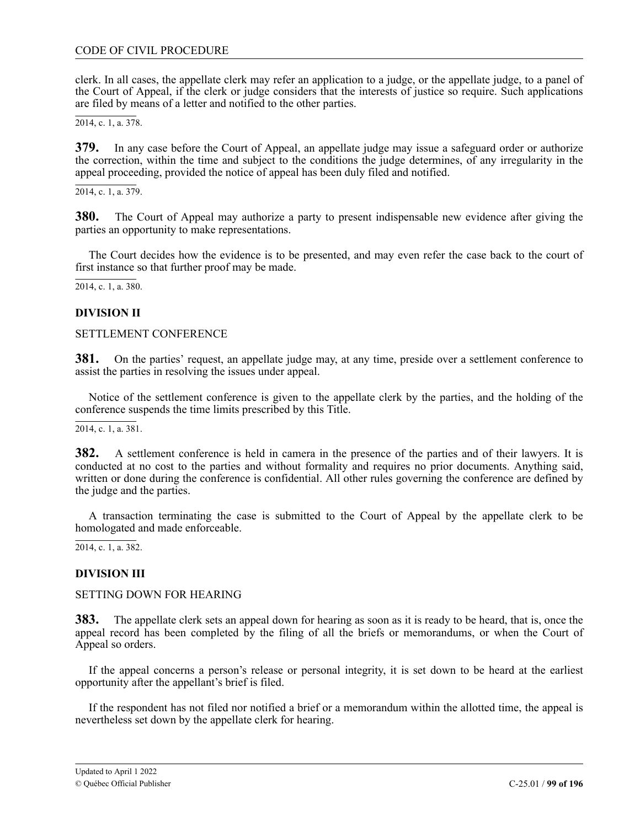clerk. In all cases, the appellate clerk may refer an application to a judge, or the appellate judge, to a panel of the Court of Appeal, if the clerk or judge considers that the interests of justice so require. Such applications are filed by means of a letter and notified to the other parties.

 $\overline{2014}$ , c. 1, a. 378.

**379.** In any case before the Court of Appeal, an appellate judge may issue a safeguard order or authorize the correction, within the time and subject to the conditions the judge determines, of any irregularity in the appeal proceeding, provided the notice of appeal has been duly filed and notified.

 $\overline{2014}$ , c. 1, a. 379.

**380.** The Court of Appeal may authorize a party to present indispensable new evidence after giving the parties an opportunity to make representations.

The Court decides how the evidence is to be presented, and may even refer the case back to the court of first instance so that further proof may be made.

2014, c. 1, a. 380.

## **DIVISION II**

#### SETTLEMENT CONFERENCE

**381.** On the parties' request, an appellate judge may, at any time, preside over a settlement conference to assist the parties in resolving the issues under appeal.

Notice of the settlement conference is given to the appellate clerk by the parties, and the holding of the conference suspends the time limits prescribed by this Title.

2014, c. 1, a. 381.

**382.** A settlement conference is held in camera in the presence of the parties and of their lawyers. It is conducted at no cost to the parties and without formality and requires no prior documents. Anything said, written or done during the conference is confidential. All other rules governing the conference are defined by the judge and the parties.

A transaction terminating the case is submitted to the Court of Appeal by the appellate clerk to be homologated and made enforceable.

2014, c. 1, a. 382.

#### **DIVISION III**

#### SETTING DOWN FOR HEARING

**383.** The appellate clerk sets an appeal down for hearing as soon as it is ready to be heard, that is, once the appeal record has been completed by the filing of all the briefs or memorandums, or when the Court of Appeal so orders.

If the appeal concerns a person's release or personal integrity, it is set down to be heard at the earliest opportunity after the appellant's brief is filed.

If the respondent has not filed nor notified a brief or a memorandum within the allotted time, the appeal is nevertheless set down by the appellate clerk for hearing.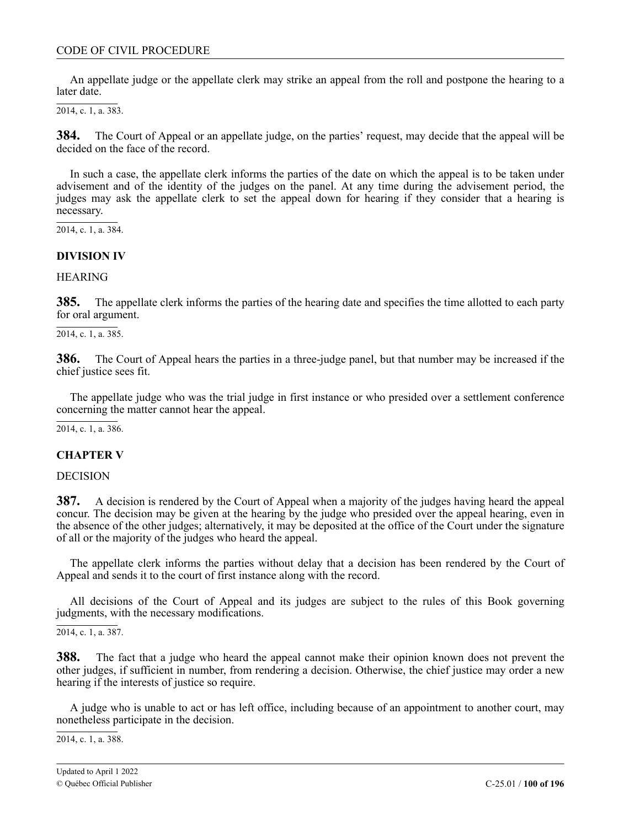An appellate judge or the appellate clerk may strike an appeal from the roll and postpone the hearing to a later date.

2014, c. 1, a. 383.

**384.** The Court of Appeal or an appellate judge, on the parties' request, may decide that the appeal will be decided on the face of the record.

In such a case, the appellate clerk informs the parties of the date on which the appeal is to be taken under advisement and of the identity of the judges on the panel. At any time during the advisement period, the judges may ask the appellate clerk to set the appeal down for hearing if they consider that a hearing is necessary.

2014, c. 1, a. 384.

# **DIVISION IV**

HEARING

**385.** The appellate clerk informs the parties of the hearing date and specifies the time allotted to each party for oral argument.

2014, c. 1, a. 385.

**386.** The Court of Appeal hears the parties in a three-judge panel, but that number may be increased if the chief justice sees fit.

The appellate judge who was the trial judge in first instance or who presided over a settlement conference concerning the matter cannot hear the appeal.

2014, c. 1, a. 386.

## **CHAPTER V**

DECISION

**387.** A decision is rendered by the Court of Appeal when a majority of the judges having heard the appeal concur. The decision may be given at the hearing by the judge who presided over the appeal hearing, even in the absence of the other judges; alternatively, it may be deposited at the office of the Court under the signature of all or the majority of the judges who heard the appeal.

The appellate clerk informs the parties without delay that a decision has been rendered by the Court of Appeal and sends it to the court of first instance along with the record.

All decisions of the Court of Appeal and its judges are subject to the rules of this Book governing judgments, with the necessary modifications.

2014, c. 1, a. 387.

**388.** The fact that a judge who heard the appeal cannot make their opinion known does not prevent the other judges, if sufficient in number, from rendering a decision. Otherwise, the chief justice may order a new hearing if the interests of justice so require.

A judge who is unable to act or has left office, including because of an appointment to another court, may nonetheless participate in the decision.

2014, c. 1, a. 388.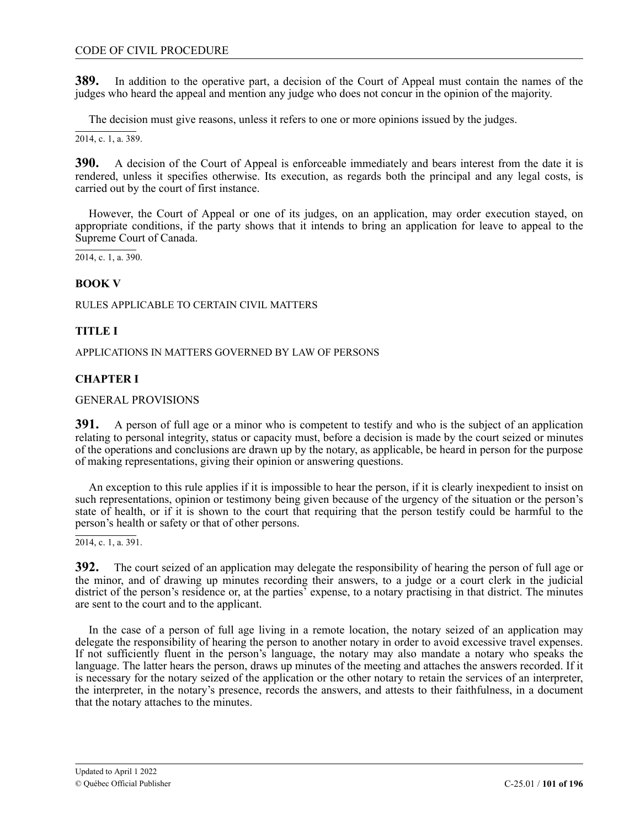**389.** In addition to the operative part, a decision of the Court of Appeal must contain the names of the judges who heard the appeal and mention any judge who does not concur in the opinion of the majority.

The decision must give reasons, unless it refers to one or more opinions issued by the judges.

2014, c. 1, a. 389.

**390.** A decision of the Court of Appeal is enforceable immediately and bears interest from the date it is rendered, unless it specifies otherwise. Its execution, as regards both the principal and any legal costs, is carried out by the court of first instance.

However, the Court of Appeal or one of its judges, on an application, may order execution stayed, on appropriate conditions, if the party shows that it intends to bring an application for leave to appeal to the Supreme Court of Canada.

2014, c. 1, a. 390.

## **BOOK V**

RULES APPLICABLE TO CERTAIN CIVIL MATTERS

## **TITLE I**

APPLICATIONS IN MATTERS GOVERNED BY LAW OF PERSONS

# **CHAPTER I**

GENERAL PROVISIONS

**391.** A person of full age or a minor who is competent to testify and who is the subject of an application relating to personal integrity, status or capacity must, before a decision is made by the court seized or minutes of the operations and conclusions are drawn up by the notary, as applicable, be heard in person for the purpose of making representations, giving their opinion or answering questions.

An exception to this rule applies if it is impossible to hear the person, if it is clearly inexpedient to insist on such representations, opinion or testimony being given because of the urgency of the situation or the person's state of health, or if it is shown to the court that requiring that the person testify could be harmful to the person's health or safety or that of other persons.

 $\overline{2014}$ , c. 1, a. 391.

**392.** The court seized of an application may delegate the responsibility of hearing the person of full age or the minor, and of drawing up minutes recording their answers, to a judge or a court clerk in the judicial district of the person's residence or, at the parties' expense, to a notary practising in that district. The minutes are sent to the court and to the applicant.

In the case of a person of full age living in a remote location, the notary seized of an application may delegate the responsibility of hearing the person to another notary in order to avoid excessive travel expenses. If not sufficiently fluent in the person's language, the notary may also mandate a notary who speaks the language. The latter hears the person, draws up minutes of the meeting and attaches the answers recorded. If it is necessary for the notary seized of the application or the other notary to retain the services of an interpreter, the interpreter, in the notary's presence, records the answers, and attests to their faithfulness, in a document that the notary attaches to the minutes.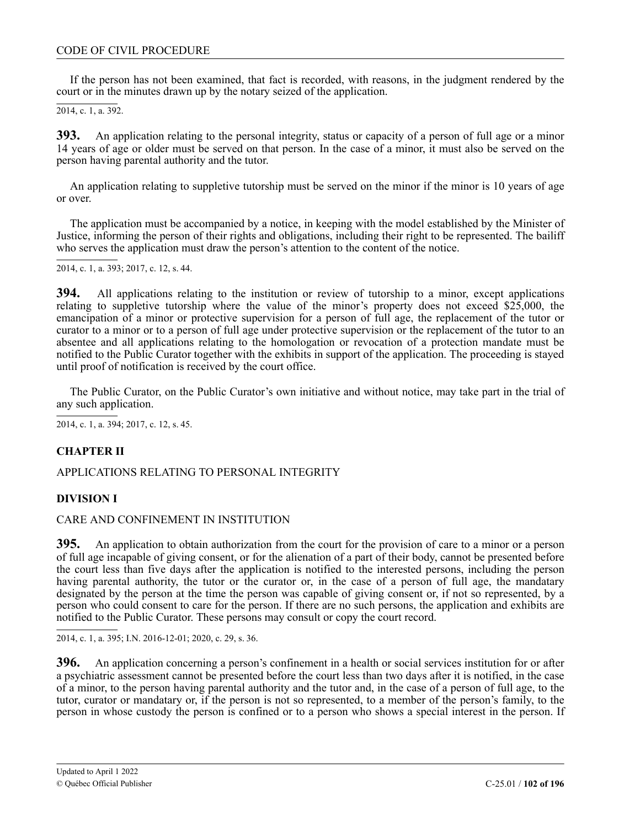If the person has not been examined, that fact is recorded, with reasons, in the judgment rendered by the court or in the minutes drawn up by the notary seized of the application.

2014, c. 1, a. 392.

**393.** An application relating to the personal integrity, status or capacity of a person of full age or a minor 14 years of age or older must be served on that person. In the case of a minor, it must also be served on the person having parental authority and the tutor.

An application relating to suppletive tutorship must be served on the minor if the minor is 10 years of age or over.

The application must be accompanied by a notice, in keeping with the model established by the Minister of Justice, informing the person of their rights and obligations, including their right to be represented. The bailiff who serves the application must draw the person's attention to the content of the notice.

2014, c. 1, a. 393; 2017, c. 12, s. 44.

1 **394.** All applications relating to the institution or review of tutorship to a minor, except applications relating to suppletive tutorship where the value of the minor's property does not exceed \$25,000, the emancipation of a minor or protective supervision for a person of full age, the replacement of the tutor or c curator to a minor or to a person of full age under protective supervision or the replacement of the tutor to an . absentee and all applications relating to the homologation or revocation of a protection mandate must be 1 notified to the Public Curator together with the exhibits in support of the application. The proceeding is stayed until proof of notification is received by the court office.

The Public Curator, on the Public Curator's own initiative and without notice, may take part in the trial of any such application.

2014, c. 1, a. 394; 2017, c. 12, s. 45.

# **CHAPTER II**

, APPLICATIONS RELATING TO PERSONAL INTEGRITY

## **DIVISION I**

## CARE AND CONFINEMENT IN INSTITUTION

**395.** An application to obtain authorization from the court for the provision of care to a minor or a person of full age incapable of giving consent, or for the alienation of a part of their body, cannot be presented before the court less than five days after the application is notified to the interested persons, including the person having parental authority, the tutor or the curator or, in the case of a person of full age, the mandatary designated by the person at the time the person was capable of giving consent or, if not so represented, by a person who could consent to care for the person. If there are no such persons, the application and exhibits are notified to the Public Curator. These persons may consult or copy the court record.

2014, c. 1, a. 395; I.N. 2016-12-01; 2020, c. 29, s. 36.

2 **396.** An application concerning a person's confinement in a health or social services institution for or after a psychiatric assessment cannot be presented before the court less than two days after it is notified, in the case of a minor, to the person having parental authority and the tutor and, in the case of a person of full age, to the tutor, curator or mandatary or, if the person is not so represented, to a member of the person's family, to the . person in whose custody the person is confined or to a person who shows a special interest in the person. If 2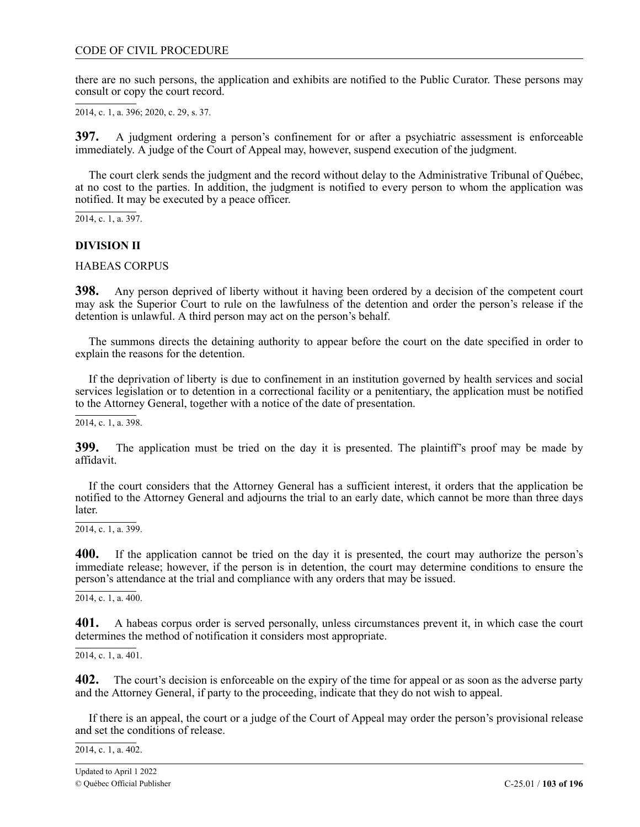there are no such persons, the application and exhibits are notified to the Public Curator. These persons may consult or copy the court record.

2014, c. 1, a. 396; 2020, c. 29, s. 37.

2 **397.** A judgment ordering a person's confinement for or after a psychiatric assessment is enforceable immediately. A judge of the Court of Appeal may, however, suspend execution of the judgment.

The court clerk sends the judgment and the record without delay to the Administrative Tribunal of Québec, at no cost to the parties. In addition, the judgment is notified to every person to whom the application was  $\mathbf{z}$ notified. It may be executed by a peace officer.

2014, c. 1, a. 397.

## **DIVISION II**

HABEAS CORPUS

**398.** Any person deprived of liberty without it having been ordered by a decision of the competent court may ask the Superior Court to rule on the lawfulness of the detention and order the person's release if the detention is unlawful. A third person may act on the person's behalf.

The summons directs the detaining authority to appear before the court on the date specified in order to explain the reasons for the detention.

If the deprivation of liberty is due to confinement in an institution governed by health services and social services legislation or to detention in a correctional facility or a penitentiary, the application must be notified to the Attorney General, together with a notice of the date of presentation.

2014, c. 1, a. 398.

**399.** The application must be tried on the day it is presented. The plaintiff's proof may be made by affidavit.

If the court considers that the Attorney General has a sufficient interest, it orders that the application be notified to the Attorney General and adjourns the trial to an early date, which cannot be more than three days later.

 $2014$ , c. 1, a. 399.

**400.** If the application cannot be tried on the day it is presented, the court may authorize the person's immediate release; however, if the person is in detention, the court may determine conditions to ensure the person's attendance at the trial and compliance with any orders that may be issued.

2014, c. 1, a. 400.

**401.** A habeas corpus order is served personally, unless circumstances prevent it, in which case the court determines the method of notification it considers most appropriate.

2014, c. 1, a. 401.

**402.** The court's decision is enforceable on the expiry of the time for appeal or as soon as the adverse party and the Attorney General, if party to the proceeding, indicate that they do not wish to appeal.

If there is an appeal, the court or a judge of the Court of Appeal may order the person's provisional release and set the conditions of release.

2014, c. 1, a. 402.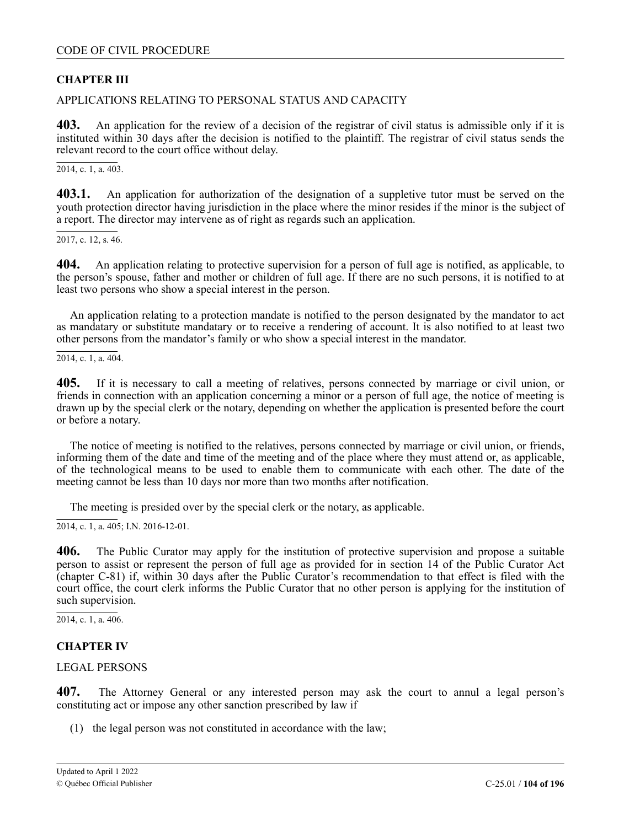# **CHAPTER III**

# APPLICATIONS RELATING TO PERSONAL STATUS AND CAPACITY

**403.** An application for the review of a decision of the registrar of civil status is admissible only if it is instituted within 30 days after the decision is notified to the plaintiff. The registrar of civil status sends the relevant record to the court office without delay.

2014, c. 1, a. 403.

**403.1.** An application for authorization of the designation of a suppletive tutor must be served on the youth protection director having jurisdiction in the place where the minor resides if the minor is the subject of a report. The director may intervene as of right as regards such an application.

2017, c. 12, s. 46.

404. 7 the person's spouse, father and mother or children of full age. If there are no such persons, it is notified to at least two persons who show a special interest in the person. **404.** An application relating to protective supervision for a person of full age is notified, as applicable, to

as mandatary or substitute mandatary or to receive a rendering of account. It is also notified to at least two other persons from the mandator's family or who show a special interest in the mandator. An application relating to a protection mandate is notified to the person designated by the mandator to act

2014, c. 1, a. 404.

**405.** If it is necessary to call a meeting of relatives, persons connected by marriage or civil union, or friends in connection with an application concerning a minor or a person of full age, the notice of meeting is drawn up by the special clerk or the notary, depending on whether the application is presented before the court or before a notary.

The notice of meeting is notified to the relatives, persons connected by marriage or civil union, or friends, informing them of the date and time of the meeting and of the place where they must attend or, as applicable, of the technological means to be used to enable them to communicate with each other. The date of the meeting cannot be less than 10 days nor more than two months after notification.

The meeting is presided over by the special clerk or the notary, as applicable.

2014, c. 1, a. 405; I.N. 2016-12-01.

**406.** The Public Curator may apply for the institution of protective supervision and propose a suitable person to assist or represent the person of full age as provided for in section 14 of the Public Curator Act (chapter C-81) if, within 30 days after the Public Curator's recommendation to that effect is filed with the court office, the court clerk informs the Public Curator that no other person is applying for the institution of such supervision.

2014, c. 1, a. 406.

# **CHAPTER IV**

# LEGAL PERSONS

**407.** The Attorney General or any interested person may ask the court to annul a legal person's constituting act or impose any other sanction prescribed by law if

(1) the legal person was not constituted in accordance with the law;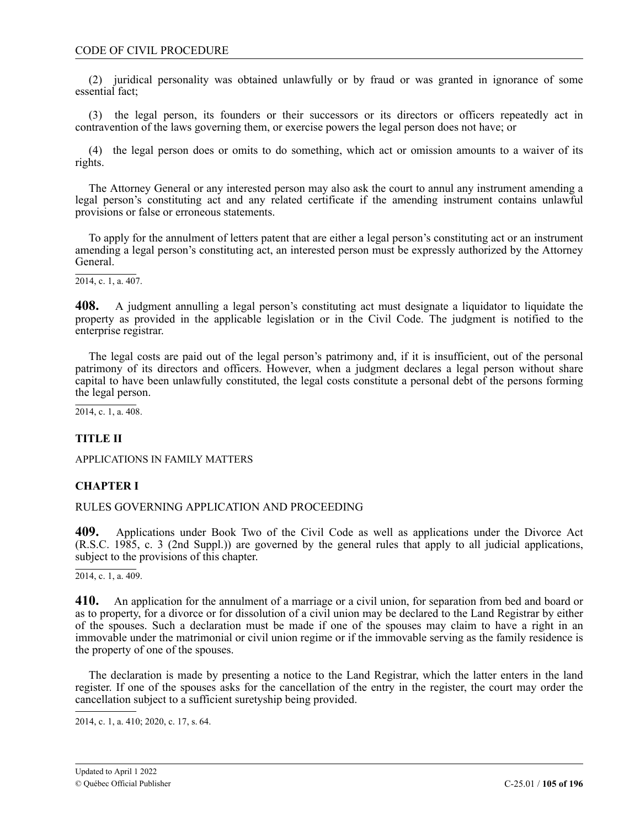(2) juridical personality was obtained unlawfully or by fraud or was granted in ignorance of some essential fact;

(3) the legal person, its founders or their successors or its directors or officers repeatedly act in contravention of the laws governing them, or exercise powers the legal person does not have; or

(4) the legal person does or omits to do something, which act or omission amounts to a waiver of its rights.

The Attorney General or any interested person may also ask the court to annul any instrument amending a legal person's constituting act and any related certificate if the amending instrument contains unlawful provisions or false or erroneous statements.

To apply for the annulment of letters patent that are either a legal person's constituting act or an instrument amending a legal person's constituting act, an interested person must be expressly authorized by the Attorney General.

2014, c. 1, a. 407.

**408.** A judgment annulling a legal person's constituting act must designate a liquidator to liquidate the property as provided in the applicable legislation or in the Civil Code. The judgment is notified to the enterprise registrar.

The legal costs are paid out of the legal person's patrimony and, if it is insufficient, out of the personal patrimony of its directors and officers. However, when a judgment declares a legal person without share capital to have been unlawfully constituted, the legal costs constitute a personal debt of the persons forming the legal person.

2014, c. 1, a. 408.

#### **TITLE II**

APPLICATIONS IN FAMILY MATTERS

#### **CHAPTER I**

#### RULES GOVERNING APPLICATION AND PROCEEDING

2020

**409.** Applications under Book Two of the Civil Code as well as applications under the Divorce Act (R.S.C. 1985, c. 3 (2nd Suppl.)) are governed by the general rules that apply to all judicial applications, subject to the provisions of this chapter.

2014, c. 1, a. 409.

**410.** An application for the annulment of a marriage or a civil union, for separation from bed and board or as to property, for a divorce or for dissolution of a civil union may be declared to the Land Registrar by either of the spouses. Such a declaration must be made if one of the spouses may claim to have a right in an immovable under the matrimonial or civil union regime or if the immovable serving as the family residence is the property of one of the spouses.

The declaration is made by presenting a notice to the Land Registrar, which the latter enters in the land register. If one of the spouses asks for the cancellation of the entry in the register, the court may order the cancellation subject to a sufficient suretyship being provided.

2014, c. 1, a. 410; 2020, c. 17, s. 64.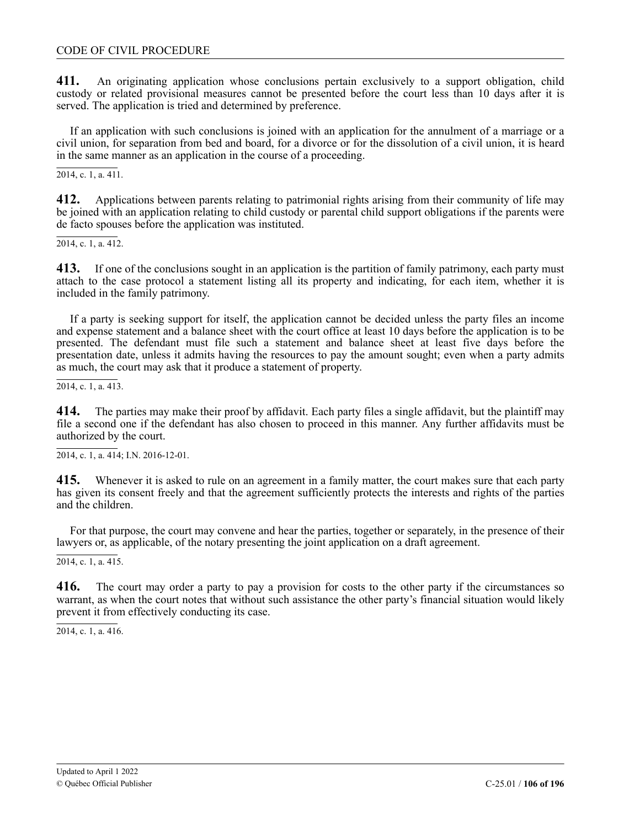**411.** An originating application whose conclusions pertain exclusively to a support obligation, child custody or related provisional measures cannot be presented before the court less than 10 days after it is served. The application is tried and determined by preference.

If an application with such conclusions is joined with an application for the annulment of a marriage or a civil union, for separation from bed and board, for a divorce or for the dissolution of a civil union, it is heard in the same manner as an application in the course of a proceeding.

2014, c. 1, a. 411.

**412.** Applications between parents relating to patrimonial rights arising from their community of life may be joined with an application relating to child custody or parental child support obligations if the parents were de facto spouses before the application was instituted.

 $\overline{2014}$ , c. 1, a. 412.

**413.** If one of the conclusions sought in an application is the partition of family patrimony, each party must attach to the case protocol a statement listing all its property and indicating, for each item, whether it is included in the family patrimony.

If a party is seeking support for itself, the application cannot be decided unless the party files an income and expense statement and a balance sheet with the court office at least 10 days before the application is to be presented. The defendant must file such a statement and balance sheet at least five days before the presentation date, unless it admits having the resources to pay the amount sought; even when a party admits as much, the court may ask that it produce a statement of property.

 $\overline{2014, c. 1, a. 413}.$ 

**414.** The parties may make their proof by affidavit. Each party files a single affidavit, but the plaintiff may file a second one if the defendant has also chosen to proceed in this manner. Any further affidavits must be authorized by the court.

 $2014$ , c. 1, a. 414; I.N. 2016-12-01.

**415.** Whenever it is asked to rule on an agreement in a family matter, the court makes sure that each party has given its consent freely and that the agreement sufficiently protects the interests and rights of the parties and the children.

For that purpose, the court may convene and hear the parties, together or separately, in the presence of their lawyers or, as applicable, of the notary presenting the joint application on a draft agreement.

 $\overline{2014, c. 1, a. 415}.$ 

**416.** The court may order a party to pay a provision for costs to the other party if the circumstances so warrant, as when the court notes that without such assistance the other party's financial situation would likely prevent it from effectively conducting its case.

2014, c. 1, a. 416.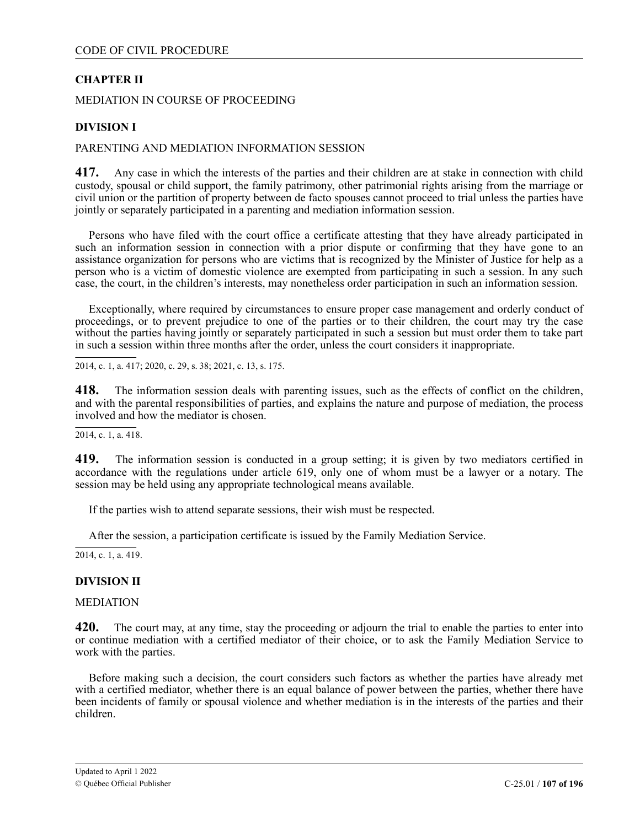# **CHAPTER II**

## MEDIATION IN COURSE OF PROCEEDING

## **DIVISION I**

## PARENTING AND MEDIATION INFORMATION SESSION

**417.** Any case in which the interests of the parties and their children are at stake in connection with child custody, spousal or child support, the family patrimony, other patrimonial rights arising from the marriage or civil union or the partition of property between de facto spouses cannot proceed to trial unless the parties have jointly or separately participated in a parenting and mediation information session.

Persons who have filed with the court office a certificate attesting that they have already participated in such an information session in connection with a prior dispute or confirming that they have gone to an assistance organization for persons who are victims that is recognized by the Minister of Justice for help as a person who is a victim of domestic violence are exempted from participating in such a session. In any such case, the court, in the children's interests, may nonetheless order participation in such an information session.

Exceptionally, where required by circumstances to ensure proper case management and orderly conduct of proceedings, or to prevent prejudice to one of the parties or to their children, the court may try the case without the parties having jointly or separately participated in such a session but must order them to take part in such a session within three months after the order, unless the court considers it inappropriate.

2014, c. 1, a. 417; 2020, c. 29, s. 38; 2021, c. 13, s. 175.

418. The information session deals with parenting issues, such as the effects of conflict on the children, and with the parental responsibilities of parties, and explains the nature and purpose of mediation, the process involved and how the mediator is chosen.

2014, c. 1, a. 418.

419. The information session is conducted in a group setting; it is given by two mediators certified in accordance with the regulations under article 619, only one of whom must be a lawyer or a notary. The session may be held using any appropriate technological means available.

If the parties wish to attend separate sessions, their wish must be respected.

After the session, a participation certificate is issued by the Family Mediation Service.

2014, c. 1, a. 419.

## **DIVISION II**

## MEDIATION

**420.** The court may, at any time, stay the proceeding or adjourn the trial to enable the parties to enter into or continue mediation with a certified mediator of their choice, or to ask the Family Mediation Service to work with the parties.

Before making such a decision, the court considers such factors as whether the parties have already met with a certified mediator, whether there is an equal balance of power between the parties, whether there have been incidents of family or spousal violence and whether mediation is in the interests of the parties and their children.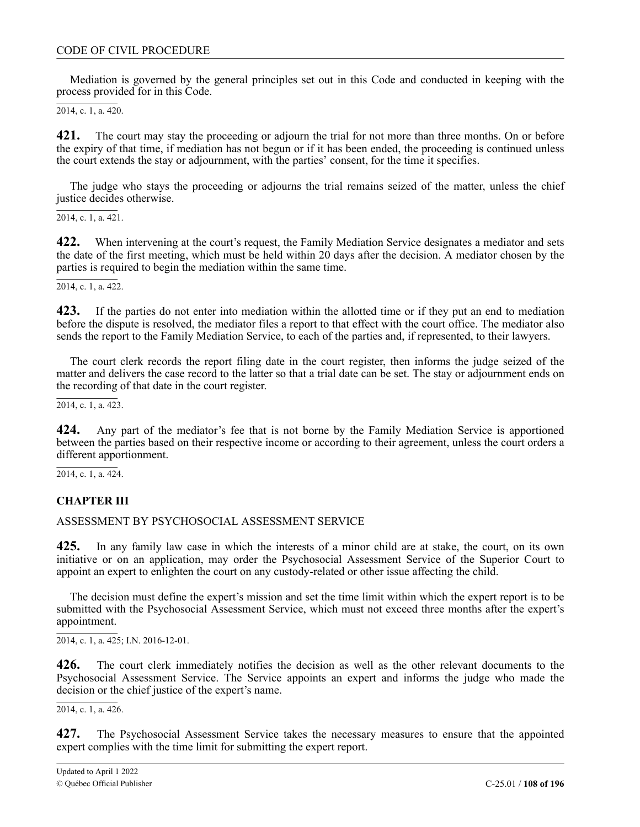Mediation is governed by the general principles set out in this Code and conducted in keeping with the process provided for in this Code.

2014, c. 1, a. 420.

**421.** The court may stay the proceeding or adjourn the trial for not more than three months. On or before the expiry of that time, if mediation has not begun or if it has been ended, the proceeding is continued unless the court extends the stay or adjournment, with the parties' consent, for the time it specifies.

The judge who stays the proceeding or adjourns the trial remains seized of the matter, unless the chief justice decides otherwise.

2014, c. 1, a. 421.

**422.** When intervening at the court's request, the Family Mediation Service designates a mediator and sets the date of the first meeting, which must be held within 20 days after the decision. A mediator chosen by the parties is required to begin the mediation within the same time.

2014, c. 1, a. 422.

**423.** If the parties do not enter into mediation within the allotted time or if they put an end to mediation before the dispute is resolved, the mediator files a report to that effect with the court office. The mediator also sends the report to the Family Mediation Service, to each of the parties and, if represented, to their lawyers.

The court clerk records the report filing date in the court register, then informs the judge seized of the matter and delivers the case record to the latter so that a trial date can be set. The stay or adjournment ends on the recording of that date in the court register.

2014, c. 1, a. 423.

**424.** Any part of the mediator's fee that is not borne by the Family Mediation Service is apportioned between the parties based on their respective income or according to their agreement, unless the court orders a different apportionment.

 $\overline{2014}$ , c. 1, a, 424.

#### **CHAPTER III**

#### ASSESSMENT BY PSYCHOSOCIAL ASSESSMENT SERVICE

**425.** In any family law case in which the interests of a minor child are at stake, the court, on its own initiative or on an application, may order the Psychosocial Assessment Service of the Superior Court to appoint an expert to enlighten the court on any custody-related or other issue affecting the child.

The decision must define the expert's mission and set the time limit within which the expert report is to be submitted with the Psychosocial Assessment Service, which must not exceed three months after the expert's appointment.

2014, c. 1, a. 425; I.N. 2016-12-01.

**426.** The court clerk immediately notifies the decision as well as the other relevant documents to the Psychosocial Assessment Service. The Service appoints an expert and informs the judge who made the decision or the chief justice of the expert's name.

2014, c. 1, a. 426.

**427.** The Psychosocial Assessment Service takes the necessary measures to ensure that the appointed expert complies with the time limit for submitting the expert report.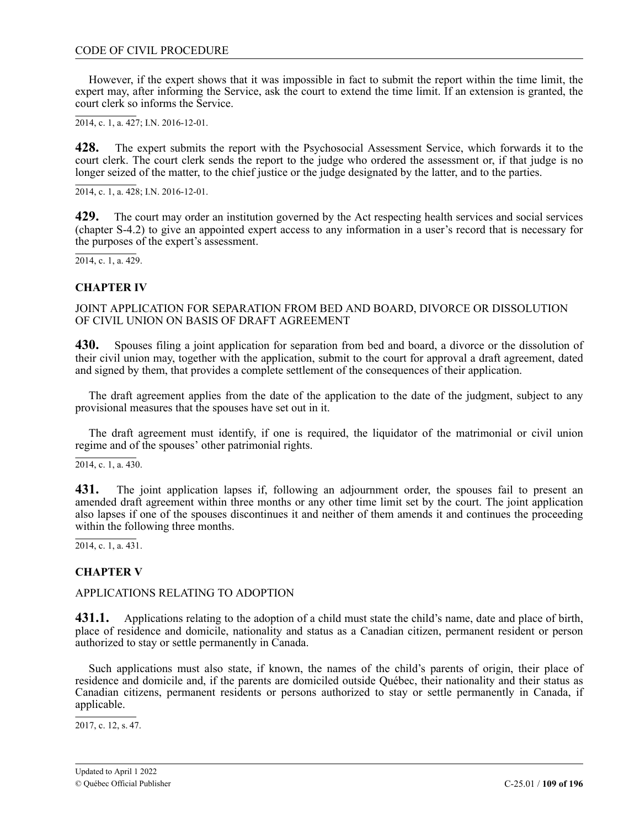However, if the expert shows that it was impossible in fact to submit the report within the time limit, the expert may, after informing the Service, ask the court to extend the time limit. If an extension is granted, the court clerk so informs the Service.

 $2014$ , c. 1, a.  $427$ ; I.N. 2016-12-01.

**428.** The expert submits the report with the Psychosocial Assessment Service, which forwards it to the court clerk. The court clerk sends the report to the judge who ordered the assessment or, if that judge is no longer seized of the matter, to the chief justice or the judge designated by the latter, and to the parties.

2014, c. 1, a. 428; I.N. 2016-12-01.

**429.** The court may order an institution governed by the Act respecting health services and social services (chapter S-4.2) to give an appointed expert access to any information in a user's record that is necessary for the purposes of the expert's assessment.

2014, c. 1, a. 429.

## **CHAPTER IV**

#### JOINT APPLICATION FOR SEPARATION FROM BED AND BOARD, DIVORCE OR DISSOLUTION OF CIVIL UNION ON BASIS OF DRAFT AGREEMENT

**430.** Spouses filing a joint application for separation from bed and board, a divorce or the dissolution of their civil union may, together with the application, submit to the court for approval a draft agreement, dated and signed by them, that provides a complete settlement of the consequences of their application.

The draft agreement applies from the date of the application to the date of the judgment, subject to any provisional measures that the spouses have set out in it.

The draft agreement must identify, if one is required, the liquidator of the matrimonial or civil union regime and of the spouses' other patrimonial rights.

 $\overline{2014, c. 1, a. 430}$ .

**431.** The joint application lapses if, following an adjournment order, the spouses fail to present an amended draft agreement within three months or any other time limit set by the court. The joint application also lapses if one of the spouses discontinues it and neither of them amends it and continues the proceeding within the following three months.

2014, c. 1, a. 431.

## **CHAPTER V**

#### APPLICATIONS RELATING TO ADOPTION

**431.1.** Applications relating to the adoption of a child must state the child's name, date and place of birth, place of residence and domicile, nationality and status as a Canadian citizen, permanent resident or person authorized to stay or settle permanently in Canada.

Such applications must also state, if known, the names of the child's parents of origin, their place of residence and domicile and, if the parents are domiciled outside Québec, their nationality and their status as Canadian citizens, permanent residents or persons authorized to stay or settle permanently in Canada, if applicable.

2017, c. 12, s. 47.

 $\overline{a}$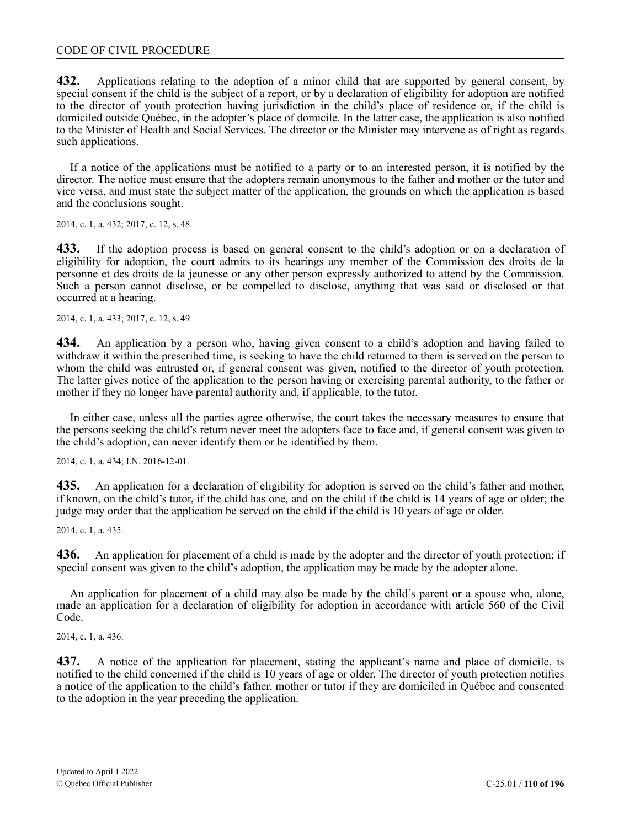**432.** Applications relating to the adoption of a minor child that are supported by general consent, by special consent if the child is the subject of a report, or by a declaration of eligibility for adoption are notified to the director of youth protection having jurisdiction in the child's place of residence or, if the child is domiciled outside Québec, in the adopter's place of domicile. In the latter case, the application is also notified to the Minister of Health and Social Services. The director or the Minister may intervene as of right as regards such applications.

If a notice of the applications must be notified to a party or to an interested person, it is notified by the director. The notice must ensure that the adopters remain anonymous to the father and mother or the tutor and vice versa, and must state the subject matter of the application, the grounds on which the application is based and the conclusions sought.

2014, c. 1, a. 432; 2017, c. 12, s. 48.

1 **433.** If the adoption process is based on general consent to the child's adoption or on a declaration of eligibility for adoption, the court admits to its hearings any member of the Commission des droits de la , personne et des droits de la jeunesse or any other person expressly authorized to attend by the Commission. Such a person cannot disclose, or be compelled to disclose, anything that was said or disclosed or that . occurred at a hearing.

2014, c. 1, a. 433; 2017, c. 12, s. 49.

1 **434.** An application by a person who, having given consent to a child's adoption and having failed to withdraw it within the prescribed time, is seeking to have the child returned to them is served on the person to whom the child was entrusted or, if general consent was given, notified to the director of youth protection. The latter gives notice of the application to the person having or exercising parental authority, to the father or . mother if they no longer have parental authority and, if applicable, to the tutor.

In either case, unless all the parties agree otherwise, the court takes the necessary measures to ensure that the persons seeking the child's return never meet the adopters face to face and, if general consent was given to the child's adoption, can never identify them or be identified by them.

2014, c. 1, a. 434; I.N. 2016-12-01.

**435.** An application for a declaration of eligibility for adoption is served on the child's father and mother, if known, on the child's tutor, if the child has one, and on the child if the child is 14 years of age or older; the judge may order that the application be served on the child if the child is 10 years of age or older.

2014, c. 1, a. 435.

**436.** An application for placement of a child is made by the adopter and the director of youth protection; if special consent was given to the child's adoption, the application may be made by the adopter alone.

An application for placement of a child may also be made by the child's parent or a spouse who, alone, made an application for a declaration of eligibility for adoption in accordance with article 560 of the Civil Code.

2014, c. 1, a. 436.

**437.** A notice of the application for placement, stating the applicant's name and place of domicile, is notified to the child concerned if the child is 10 years of age or older. The director of youth protection notifies a notice of the application to the child's father, mother or tutor if they are domiciled in Québec and consented to the adoption in the year preceding the application.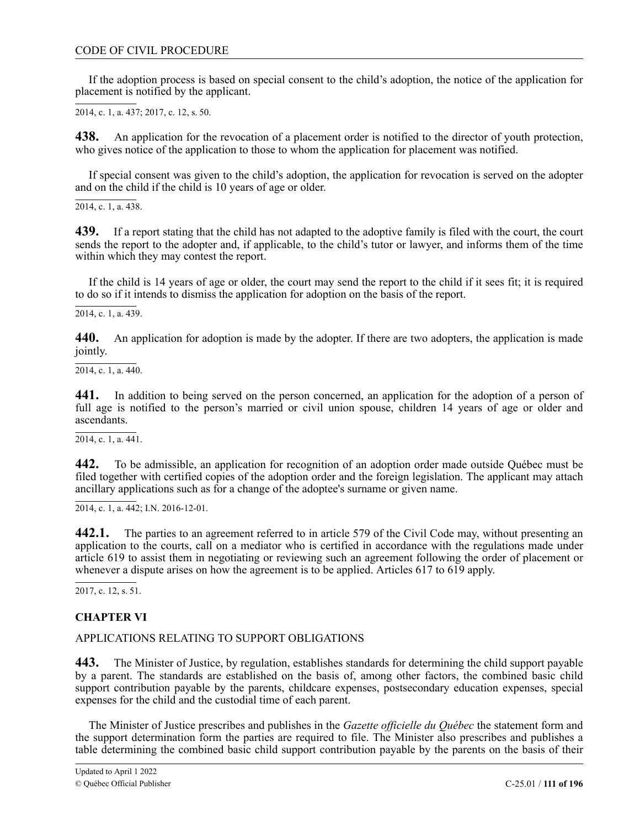If the adoption process is based on special consent to the child's adoption, the notice of the application for placement is notified by the applicant.

2014, c. 1, a. 437; 2 2017, c. 12, s. 50.1

1 **438.** An application for the revocation of a placement order is notified to the director of youth protection, who gives notice of the application to those to whom the application for placement was notified.

If special consent was given to the child's adoption, the application for revocation is served on the adopter and on the child if the child is 10 years of age or older.

2014, c. 1, a. 438.

**439.** If a report stating that the child has not adapted to the adoptive family is filed with the court, the court sends the report to the adopter and, if applicable, to the child's tutor or lawyer, and informs them of the time within which they may contest the report.

If the child is 14 years of age or older, the court may send the report to the child if it sees fit; it is required to do so if it intends to dismiss the application for adoption on the basis of the report.

2014, c. 1, a. 439.

**440.** An application for adoption is made by the adopter. If there are two adopters, the application is made jointly.

2014, c. 1, a. 440.

**441.** In addition to being served on the person concerned, an application for the adoption of a person of full age is notified to the person's married or civil union spouse, children 14 years of age or older and ascendants.

2014, c. 1, a. 441.

**442.** To be admissible, an application for recognition of an adoption order made outside Québec must be filed together with certified copies of the adoption order and the foreign legislation. The applicant may attach ancillary applications such as for a change of the adoptee's surname or given name.

2014, c. 1, a. 442; I.N. 2016-12-01.

**442.1.** The parties to an agreement referred to in article 579 of the Civil Code may, without presenting an application to the courts, call on a mediator who is certified in accordance with the regulations made under article 619 to assist them in negotiating or reviewing such an agreement following the order of placement or whenever a dispute arises on how the agreement is to be applied. Articles 617 to 619 apply.

2017, c. 12, s. 51.

# **CHAPTER VI**

## , APPLICATIONS RELATING TO SUPPORT OBLIGATIONS

443. by a parent. The standards are established on the basis of, among other factors, the combined basic child support contribution payable by the parents, childcare expenses, postsecondary education expenses, special **443.** The Minister of Justice, by regulation, establishes standards for determining the child support payable expenses for the child and the custodial time of each parent.

The Minister of Justice prescribes and publishes in the *Gazette officielle du Québec* the statement form and the support determination form the parties are required to file. The Minister also prescribes and publishes a table determining the combined basic child support contribution payable by the parents on the basis of their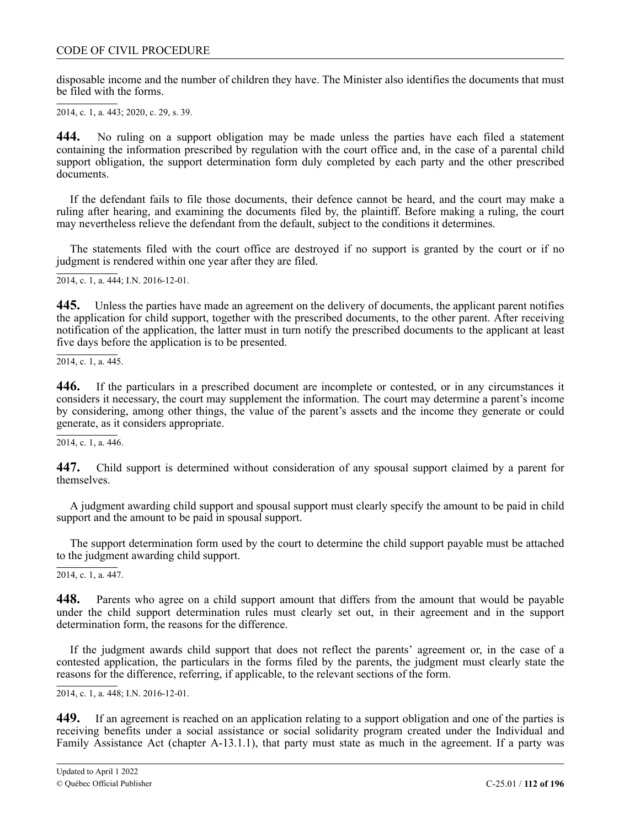disposable income and the number of children they have. The Minister also identifies the documents that must be filed with the forms.

2014, c. 1, a. 443; 2020, c. 29, s. 39.

2 **444.** No ruling on a support obligation may be made unless the parties have each filed a statement containing the information prescribed by regulation with the court office and, in the case of a parental child support obligation, the support determination form duly completed by each party and the other prescribed documents.

If the defendant fails to file those documents, their defence cannot be heard, and the court may make a ruling after hearing, and examining the documents filed by, the plaintiff. Before making a ruling, the court may nevertheless relieve the defendant from the default, subject to the conditions it determines.

The statements filed with the court office are destroyed if no support is granted by the court or if no judgment is rendered within one year after they are filed.

2014, c. 1, a. 444; I.N. 2016-12-01.

**445.** Unless the parties have made an agreement on the delivery of documents, the applicant parent notifies the application for child support, together with the prescribed documents, to the other parent. After receiving notification of the application, the latter must in turn notify the prescribed documents to the applicant at least five days before the application is to be presented.

2014, c. 1, a. 445.

**446.** If the particulars in a prescribed document are incomplete or contested, or in any circumstances it considers it necessary, the court may supplement the information. The court may determine a parent's income by considering, among other things, the value of the parent's assets and the income they generate or could generate, as it considers appropriate.

 $\overline{2014}$ , c. 1, a. 446.

**447.** Child support is determined without consideration of any spousal support claimed by a parent for themselves.

A judgment awarding child support and spousal support must clearly specify the amount to be paid in child support and the amount to be paid in spousal support.

The support determination form used by the court to determine the child support payable must be attached to the judgment awarding child support.

 $2014$ , c. 1, a.  $447$ .

**448.** Parents who agree on a child support amount that differs from the amount that would be payable under the child support determination rules must clearly set out, in their agreement and in the support determination form, the reasons for the difference.

If the judgment awards child support that does not reflect the parents' agreement or, in the case of a contested application, the particulars in the forms filed by the parents, the judgment must clearly state the reasons for the difference, referring, if applicable, to the relevant sections of the form.

2014, c. 1, a. 448; I.N. 2016-12-01.

**449.** If an agreement is reached on an application relating to a support obligation and one of the parties is receiving benefits under a social assistance or social solidarity program created under the Individual and Family Assistance Act (chapter A-13.1.1), that party must state as much in the agreement. If a party was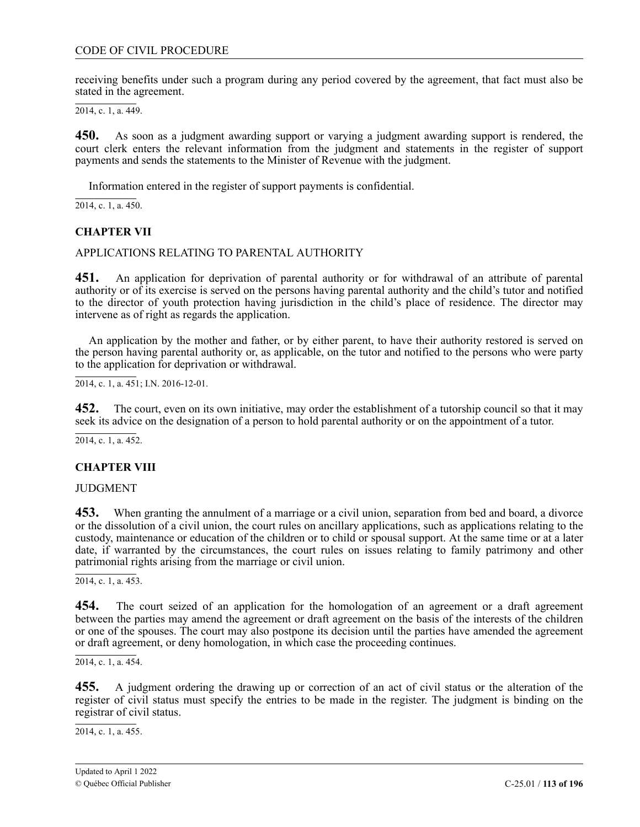receiving benefits under such a program during any period covered by the agreement, that fact must also be stated in the agreement.

2014, c. 1, a. 449.

**450.** As soon as a judgment awarding support or varying a judgment awarding support is rendered, the court clerk enters the relevant information from the judgment and statements in the register of support payments and sends the statements to the Minister of Revenue with the judgment.

Information entered in the register of support payments is confidential.

2014, c. 1, a. 450.

# **CHAPTER VII**

#### APPLICATIONS RELATING TO PARENTAL AUTHORITY

**451.** An application for deprivation of parental authority or for withdrawal of an attribute of parental authority or of its exercise is served on the persons having parental authority and the child's tutor and notified to the director of youth protection having jurisdiction in the child's place of residence. The director may intervene as of right as regards the application.

An application by the mother and father, or by either parent, to have their authority restored is served on the person having parental authority or, as applicable, on the tutor and notified to the persons who were party to the application for deprivation or withdrawal.

2014, c. 1, a. 451; I.N. 2016-12-01.

**452.** The court, even on its own initiative, may order the establishment of a tutorship council so that it may seek its advice on the designation of a person to hold parental authority or on the appointment of a tutor.

2014, c. 1, a. 452.

#### **CHAPTER VIII**

JUDGMENT

**453.** When granting the annulment of a marriage or a civil union, separation from bed and board, a divorce or the dissolution of a civil union, the court rules on ancillary applications, such as applications relating to the custody, maintenance or education of the children or to child or spousal support. At the same time or at a later date, if warranted by the circumstances, the court rules on issues relating to family patrimony and other patrimonial rights arising from the marriage or civil union.

 $\overline{2014, c. 1, a. 453}.$ 

**454.** The court seized of an application for the homologation of an agreement or a draft agreement between the parties may amend the agreement or draft agreement on the basis of the interests of the children or one of the spouses. The court may also postpone its decision until the parties have amended the agreement or draft agreement, or deny homologation, in which case the proceeding continues.

2014, c. 1, a. 454.

**455.** A judgment ordering the drawing up or correction of an act of civil status or the alteration of the register of civil status must specify the entries to be made in the register. The judgment is binding on the registrar of civil status.

2014, c. 1, a. 455.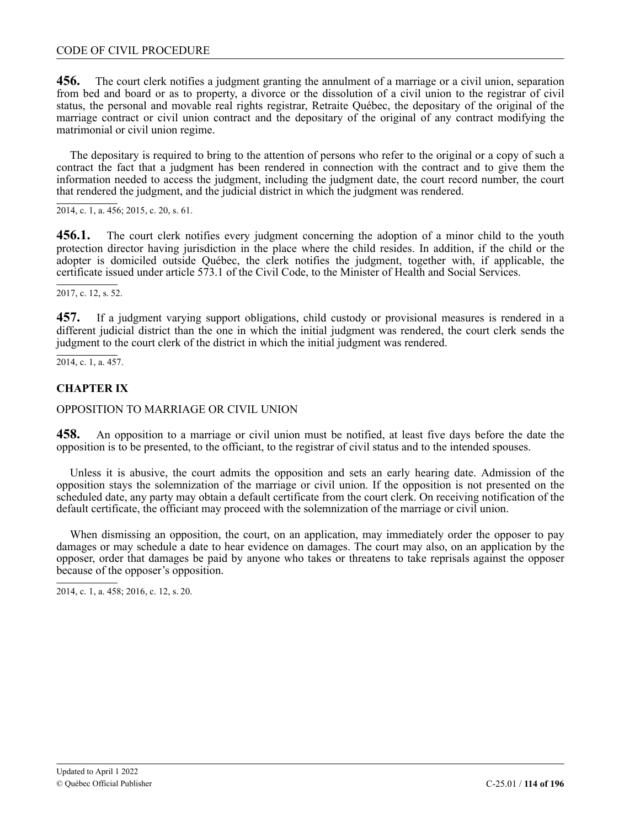**456.** The court clerk notifies a judgment granting the annulment of a marriage or a civil union, separation from bed and board or as to property, a divorce or the dissolution of a civil union to the registrar of civil status, the personal and movable real rights registrar, Retraite Québec, the depositary of the original of the marriage contract or civil union contract and the depositary of the original of any contract modifying the matrimonial or civil union regime.

The depositary is required to bring to the attention of persons who refer to the original or a copy of such a contract the fact that a judgment has been rendered in connection with the contract and to give them the information needed to access the judgment, including the judgment date, the court record number, the court that rendered the judgment, and the judicial district in which the judgment was rendered.

2014, c. 1, a. 456; 2015, c. 20, s. 61.

**456.1.** The court clerk notifies every judgment concerning the adoption of a minor child to the youth protection director having jurisdiction in the place where the child resides. In addition, if the child or the adopter is domiciled outside Québec, the clerk notifies the judgment, together with, if applicable, the certificate issued under article 573.1 of the Civil Code, to the Minister of Health and Social Services.

2017, c. 12, s. 52.

1 **457.** If a judgment varying support obligations, child custody or provisional measures is rendered in a different judicial district than the one in which the initial judgment was rendered, the court clerk sends the judgment to the court clerk of the district in which the initial judgment was rendered.

 $\overline{a}$ . 2014, c. 1, a. 457.

# 2 **CHAPTER IX**

# OPPOSITION TO MARRIAGE OR CIVIL UNION

**458.** An opposition to a marriage or civil union must be notified, at least five days before the date the opposition is to be presented, to the officiant, to the registrar of civil status and to the intended spouses.

Unless it is abusive, the court admits the opposition and sets an early hearing date. Admission of the opposition stays the solemnization of the marriage or civil union. If the opposition is not presented on the scheduled date, any party may obtain a default certificate from the court clerk. On receiving notification of the default certificate, the officiant may proceed with the solemnization of the marriage or civil union.

When dismissing an opposition, the court, on an application, may immediately order the opposer to pay damages or may schedule a date to hear evidence on damages. The court may also, on an application by the opposer, order that damages be paid by anyone who takes or threatens to take reprisals against the opposer because of the opposer's opposition.

2014, c. 1, a. 458; 2 2016, c. 12, s. 20.1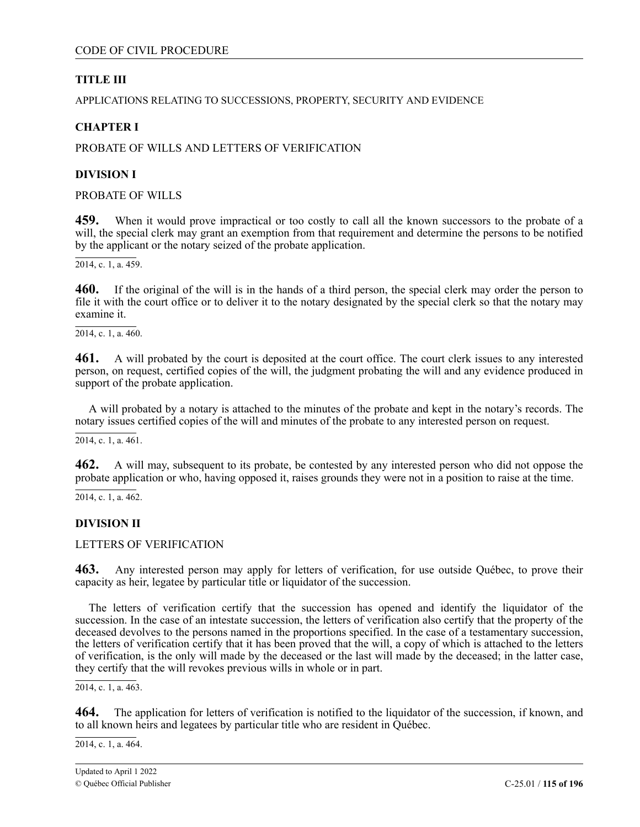# **TITLE III**

APPLICATIONS RELATING TO SUCCESSIONS, PROPERTY, SECURITY AND EVIDENCE

# **CHAPTER I**

PROBATE OF WILLS AND LETTERS OF VERIFICATION

## **DIVISION I**

#### PROBATE OF WILLS

**459.** When it would prove impractical or too costly to call all the known successors to the probate of a will, the special clerk may grant an exemption from that requirement and determine the persons to be notified by the applicant or the notary seized of the probate application.

 $\overline{2014, c. 1, a. 459}.$ 

**460.** If the original of the will is in the hands of a third person, the special clerk may order the person to file it with the court office or to deliver it to the notary designated by the special clerk so that the notary may examine it.

2014, c. 1, a. 460.

**461.** A will probated by the court is deposited at the court office. The court clerk issues to any interested person, on request, certified copies of the will, the judgment probating the will and any evidence produced in support of the probate application.

A will probated by a notary is attached to the minutes of the probate and kept in the notary's records. The notary issues certified copies of the will and minutes of the probate to any interested person on request.

2014, c. 1, a. 461.

**462.** A will may, subsequent to its probate, be contested by any interested person who did not oppose the probate application or who, having opposed it, raises grounds they were not in a position to raise at the time.

2014, c. 1, a. 462.

## **DIVISION II**

LETTERS OF VERIFICATION

**463.** Any interested person may apply for letters of verification, for use outside Québec, to prove their capacity as heir, legatee by particular title or liquidator of the succession.

The letters of verification certify that the succession has opened and identify the liquidator of the succession. In the case of an intestate succession, the letters of verification also certify that the property of the deceased devolves to the persons named in the proportions specified. In the case of a testamentary succession, the letters of verification certify that it has been proved that the will, a copy of which is attached to the letters of verification, is the only will made by the deceased or the last will made by the deceased; in the latter case, they certify that the will revokes previous wills in whole or in part.

2014, c. 1, a. 463.

**464.** The application for letters of verification is notified to the liquidator of the succession, if known, and to all known heirs and legatees by particular title who are resident in Québec.

2014, c. 1, a. 464.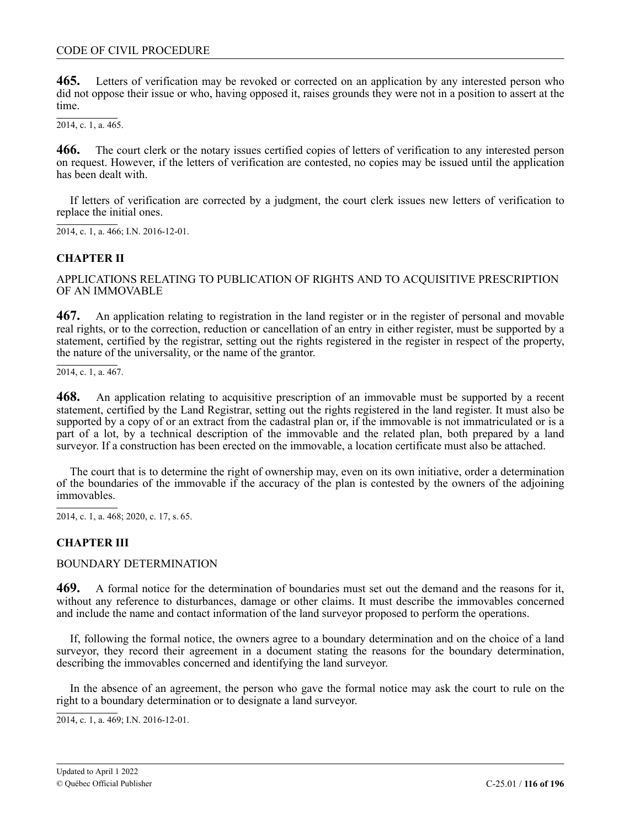**465.** Letters of verification may be revoked or corrected on an application by any interested person who did not oppose their issue or who, having opposed it, raises grounds they were not in a position to assert at the time.

2014, c. 1, a. 465.

**466.** The court clerk or the notary issues certified copies of letters of verification to any interested person on request. However, if the letters of verification are contested, no copies may be issued until the application has been dealt with.

If letters of verification are corrected by a judgment, the court clerk issues new letters of verification to replace the initial ones.

 $2014$ , c. 1, a. 466; I.N. 2016-12-01.

## **CHAPTER II**

APPLICATIONS RELATING TO PUBLICATION OF RIGHTS AND TO ACQUISITIVE PRESCRIPTION OF AN IMMOVABLE

**467.** An application relating to registration in the land register or in the register of personal and movable real rights, or to the correction, reduction or cancellation of an entry in either register, must be supported by a statement, certified by the registrar, setting out the rights registered in the register in respect of the property, the nature of the universality, or the name of the grantor.

2014, c. 1, a. 467.

**468.** An application relating to acquisitive prescription of an immovable must be supported by a recent statement, certified by the Land Registrar, setting out the rights registered in the land register. It must also be supported by a copy of or an extract from the cadastral plan or, if the immovable is not immatriculated or is a part of a lot, by a technical description of the immovable and the related plan, both prepared by a land surveyor. If a construction has been erected on the immovable, a location certificate must also be attached.

The court that is to determine the right of ownership may, even on its own initiative, order a determination of the boundaries of the immovable if the accuracy of the plan is contested by the owners of the adjoining immovables.

2014, c. 1, a. 468; 2020, c. 17, s. 65.

## 2 **CHAPTER III**

#### , BOUNDARY DETERMINATION

. **469.** A formal notice for the determination of boundaries must set out the demand and the reasons for it, without any reference to disturbances, damage or other claims. It must describe the immovables concerned and include the name and contact information of the land surveyor proposed to perform the operations.

If, following the formal notice, the owners agree to a boundary determination and on the choice of a land surveyor, they record their agreement in a document stating the reasons for the boundary determination, describing the immovables concerned and identifying the land surveyor.

In the absence of an agreement, the person who gave the formal notice may ask the court to rule on the right to a boundary determination or to designate a land surveyor.

 $2014$ , c. 1, a.  $469$ ; I.N. 2016-12-01.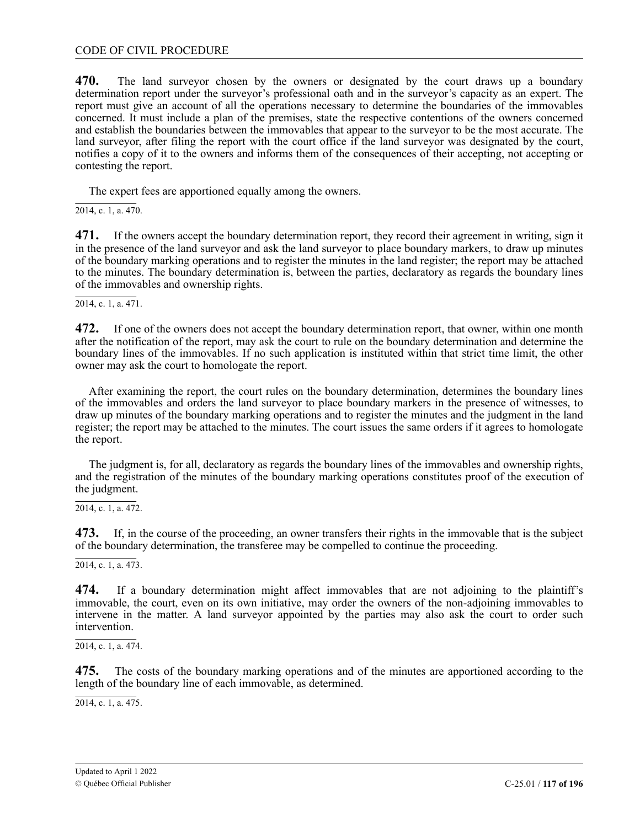**470.** The land surveyor chosen by the owners or designated by the court draws up a boundary determination report under the surveyor's professional oath and in the surveyor's capacity as an expert. The report must give an account of all the operations necessary to determine the boundaries of the immovables concerned. It must include a plan of the premises, state the respective contentions of the owners concerned and establish the boundaries between the immovables that appear to the surveyor to be the most accurate. The land surveyor, after filing the report with the court office if the land surveyor was designated by the court, notifies a copy of it to the owners and informs them of the consequences of their accepting, not accepting or contesting the report.

The expert fees are apportioned equally among the owners.

 $\overline{2014, c. 1, a. 470}.$ 

**471.** If the owners accept the boundary determination report, they record their agreement in writing, sign it in the presence of the land surveyor and ask the land surveyor to place boundary markers, to draw up minutes of the boundary marking operations and to register the minutes in the land register; the report may be attached to the minutes. The boundary determination is, between the parties, declaratory as regards the boundary lines of the immovables and ownership rights.

2014, c. 1, a. 471.

**472.** If one of the owners does not accept the boundary determination report, that owner, within one month after the notification of the report, may ask the court to rule on the boundary determination and determine the boundary lines of the immovables. If no such application is instituted within that strict time limit, the other owner may ask the court to homologate the report.

After examining the report, the court rules on the boundary determination, determines the boundary lines of the immovables and orders the land surveyor to place boundary markers in the presence of witnesses, to draw up minutes of the boundary marking operations and to register the minutes and the judgment in the land register; the report may be attached to the minutes. The court issues the same orders if it agrees to homologate the report.

The judgment is, for all, declaratory as regards the boundary lines of the immovables and ownership rights, and the registration of the minutes of the boundary marking operations constitutes proof of the execution of the judgment.

 $\overline{2014}$ , c. 1, a. 472.

**473.** If, in the course of the proceeding, an owner transfers their rights in the immovable that is the subject of the boundary determination, the transferee may be compelled to continue the proceeding.

2014, c. 1, a. 473.

**474.** If a boundary determination might affect immovables that are not adjoining to the plaintiff's immovable, the court, even on its own initiative, may order the owners of the non-adjoining immovables to intervene in the matter. A land surveyor appointed by the parties may also ask the court to order such intervention.

 $\overline{2014}$ , c. 1, a. 474.

**475.** The costs of the boundary marking operations and of the minutes are apportioned according to the length of the boundary line of each immovable, as determined.

2014, c. 1, a. 475.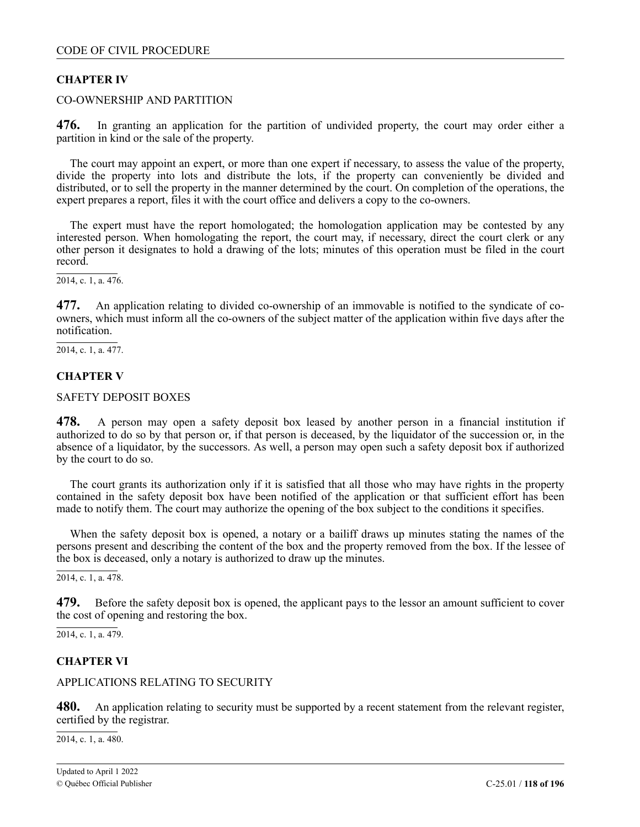## **CHAPTER IV**

#### CO-OWNERSHIP AND PARTITION

**476.** In granting an application for the partition of undivided property, the court may order either a partition in kind or the sale of the property.

The court may appoint an expert, or more than one expert if necessary, to assess the value of the property, divide the property into lots and distribute the lots, if the property can conveniently be divided and distributed, or to sell the property in the manner determined by the court. On completion of the operations, the expert prepares a report, files it with the court office and delivers a copy to the co-owners.

The expert must have the report homologated; the homologation application may be contested by any interested person. When homologating the report, the court may, if necessary, direct the court clerk or any other person it designates to hold a drawing of the lots; minutes of this operation must be filed in the court record.

2014, c. 1, a. 476.

**477.** An application relating to divided co-ownership of an immovable is notified to the syndicate of coowners, which must inform all the co-owners of the subject matter of the application within five days after the notification.

2014, c. 1, a. 477.

## **CHAPTER V**

#### SAFETY DEPOSIT BOXES

**478.** A person may open a safety deposit box leased by another person in a financial institution if authorized to do so by that person or, if that person is deceased, by the liquidator of the succession or, in the absence of a liquidator, by the successors. As well, a person may open such a safety deposit box if authorized by the court to do so.

The court grants its authorization only if it is satisfied that all those who may have rights in the property contained in the safety deposit box have been notified of the application or that sufficient effort has been made to notify them. The court may authorize the opening of the box subject to the conditions it specifies.

When the safety deposit box is opened, a notary or a bailiff draws up minutes stating the names of the persons present and describing the content of the box and the property removed from the box. If the lessee of the box is deceased, only a notary is authorized to draw up the minutes.

2014, c. 1, a. 478.

**479.** Before the safety deposit box is opened, the applicant pays to the lessor an amount sufficient to cover the cost of opening and restoring the box.

2014, c. 1, a. 479.

## **CHAPTER VI**

#### APPLICATIONS RELATING TO SECURITY

**480.** An application relating to security must be supported by a recent statement from the relevant register, certified by the registrar.

2014, c. 1, a. 480.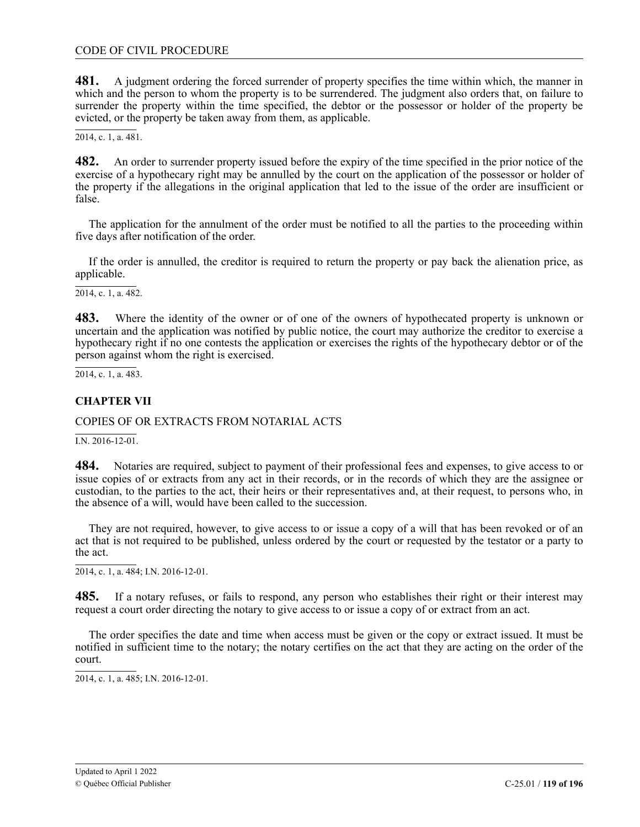**481.** A judgment ordering the forced surrender of property specifies the time within which, the manner in which and the person to whom the property is to be surrendered. The judgment also orders that, on failure to surrender the property within the time specified, the debtor or the possessor or holder of the property be evicted, or the property be taken away from them, as applicable.

2014, c. 1, a. 481.

**482.** An order to surrender property issued before the expiry of the time specified in the prior notice of the exercise of a hypothecary right may be annulled by the court on the application of the possessor or holder of the property if the allegations in the original application that led to the issue of the order are insufficient or false.

The application for the annulment of the order must be notified to all the parties to the proceeding within five days after notification of the order.

If the order is annulled, the creditor is required to return the property or pay back the alienation price, as applicable.

2014, c. 1, a. 482.

**483.** Where the identity of the owner or of one of the owners of hypothecated property is unknown or uncertain and the application was notified by public notice, the court may authorize the creditor to exercise a hypothecary right if no one contests the application or exercises the rights of the hypothecary debtor or of the person against whom the right is exercised.

 $\overline{2014}$ , c. 1, a. 483.

## **CHAPTER VII**

COPIES OF OR EXTRACTS FROM NOTARIAL ACTS

 $\overline{LN}$ . 2016-12-01.

**484.** Notaries are required, subject to payment of their professional fees and expenses, to give access to or issue copies of or extracts from any act in their records, or in the records of which they are the assignee or custodian, to the parties to the act, their heirs or their representatives and, at their request, to persons who, in the absence of a will, would have been called to the succession.

They are not required, however, to give access to or issue a copy of a will that has been revoked or of an act that is not required to be published, unless ordered by the court or requested by the testator or a party to the act.

2014, c. 1, a. 484; I.N. 2016-12-01.

**485.** If a notary refuses, or fails to respond, any person who establishes their right or their interest may request a court order directing the notary to give access to or issue a copy of or extract from an act.

The order specifies the date and time when access must be given or the copy or extract issued. It must be notified in sufficient time to the notary; the notary certifies on the act that they are acting on the order of the court.

 $2014$ , c. 1, a.  $485$ ; I.N. 2016-12-01.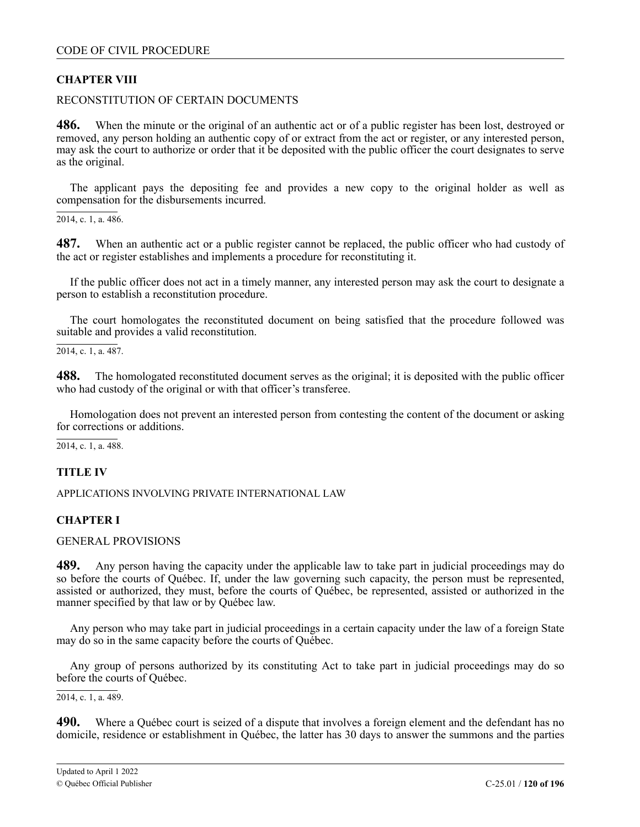# **CHAPTER VIII**

#### RECONSTITUTION OF CERTAIN DOCUMENTS

**486.** When the minute or the original of an authentic act or of a public register has been lost, destroyed or removed, any person holding an authentic copy of or extract from the act or register, or any interested person, may ask the court to authorize or order that it be deposited with the public officer the court designates to serve as the original.

The applicant pays the depositing fee and provides a new copy to the original holder as well as compensation for the disbursements incurred.

2014, c. 1, a. 486.

**487.** When an authentic act or a public register cannot be replaced, the public officer who had custody of the act or register establishes and implements a procedure for reconstituting it.

If the public officer does not act in a timely manner, any interested person may ask the court to designate a person to establish a reconstitution procedure.

The court homologates the reconstituted document on being satisfied that the procedure followed was suitable and provides a valid reconstitution.

2014, c. 1, a. 487.

**488.** The homologated reconstituted document serves as the original; it is deposited with the public officer who had custody of the original or with that officer's transferee.

Homologation does not prevent an interested person from contesting the content of the document or asking for corrections or additions.

2014, c. 1, a. 488.

## **TITLE IV**

APPLICATIONS INVOLVING PRIVATE INTERNATIONAL LAW

## **CHAPTER I**

#### GENERAL PROVISIONS

**489.** Any person having the capacity under the applicable law to take part in judicial proceedings may do so before the courts of Québec. If, under the law governing such capacity, the person must be represented, assisted or authorized, they must, before the courts of Québec, be represented, assisted or authorized in the manner specified by that law or by Québec law.

Any person who may take part in judicial proceedings in a certain capacity under the law of a foreign State may do so in the same capacity before the courts of Québec.

Any group of persons authorized by its constituting Act to take part in judicial proceedings may do so before the courts of Québec.

 $2014, c. 1, a. 489.$ 

**490.** Where a Québec court is seized of a dispute that involves a foreign element and the defendant has no domicile, residence or establishment in Québec, the latter has 30 days to answer the summons and the parties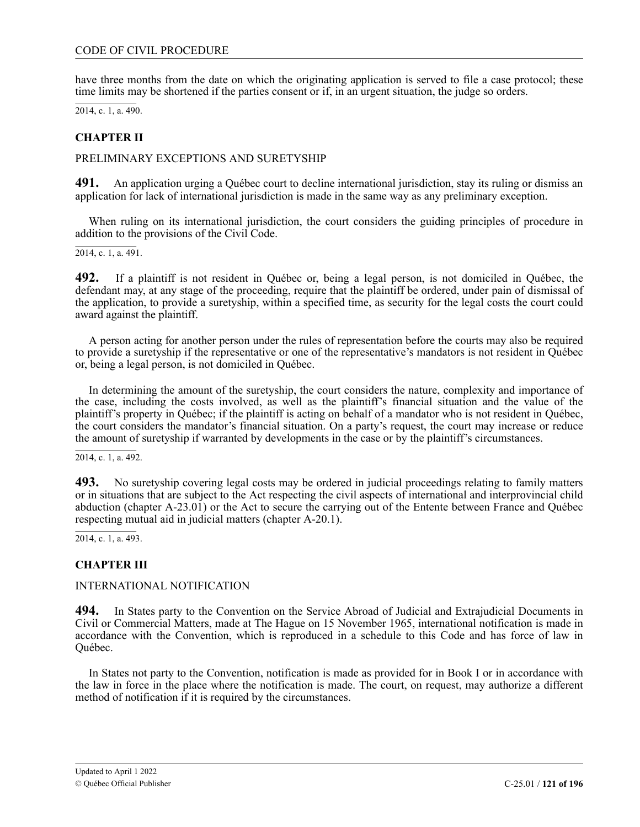have three months from the date on which the originating application is served to file a case protocol; these time limits may be shortened if the parties consent or if, in an urgent situation, the judge so orders.

2014, c. 1, a. 490.

## **CHAPTER II**

## PRELIMINARY EXCEPTIONS AND SURETYSHIP

**491.** An application urging a Québec court to decline international jurisdiction, stay its ruling or dismiss an application for lack of international jurisdiction is made in the same way as any preliminary exception.

When ruling on its international jurisdiction, the court considers the guiding principles of procedure in addition to the provisions of the Civil Code.

 $\overline{2014}$ , c. 1, a. 491.

**492.** If a plaintiff is not resident in Québec or, being a legal person, is not domiciled in Québec, the defendant may, at any stage of the proceeding, require that the plaintiff be ordered, under pain of dismissal of the application, to provide a suretyship, within a specified time, as security for the legal costs the court could award against the plaintiff.

A person acting for another person under the rules of representation before the courts may also be required to provide a suretyship if the representative or one of the representative's mandators is not resident in Québec or, being a legal person, is not domiciled in Québec.

In determining the amount of the suretyship, the court considers the nature, complexity and importance of the case, including the costs involved, as well as the plaintiff's financial situation and the value of the plaintiff's property in Québec; if the plaintiff is acting on behalf of a mandator who is not resident in Québec, the court considers the mandator's financial situation. On a party's request, the court may increase or reduce the amount of suretyship if warranted by developments in the case or by the plaintiff's circumstances.

2014, c. 1, a. 492.

**493.** No suretyship covering legal costs may be ordered in judicial proceedings relating to family matters or in situations that are subject to the Act respecting the civil aspects of international and interprovincial child abduction (chapter A-23.01) or the Act to secure the carrying out of the Entente between France and Québec respecting mutual aid in judicial matters (chapter A-20.1).

2014, c. 1, a. 493.

## **CHAPTER III**

## INTERNATIONAL NOTIFICATION

**494.** In States party to the Convention on the Service Abroad of Judicial and Extrajudicial Documents in Civil or Commercial Matters, made at The Hague on 15 November 1965, international notification is made in accordance with the Convention, which is reproduced in a schedule to this Code and has force of law in Québec.

In States not party to the Convention, notification is made as provided for in Book I or in accordance with the law in force in the place where the notification is made. The court, on request, may authorize a different method of notification if it is required by the circumstances.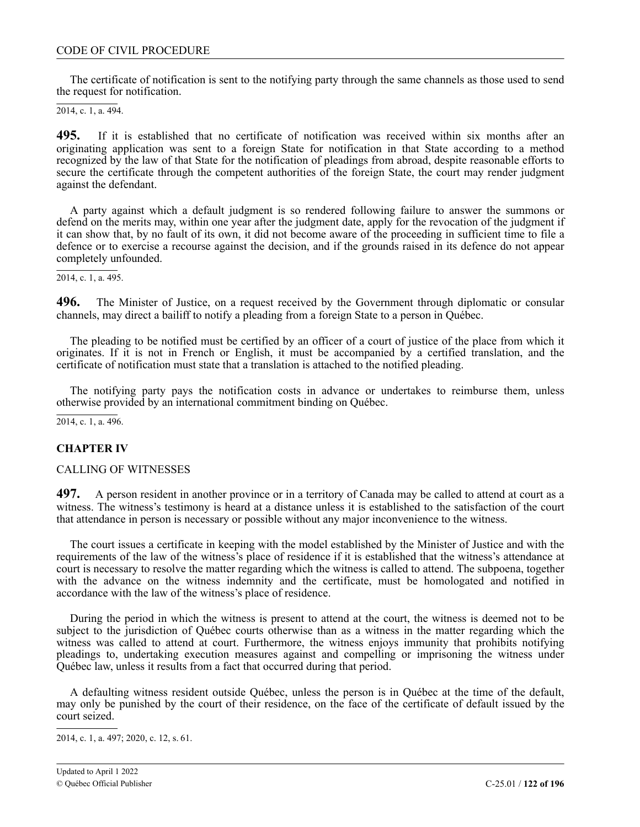The certificate of notification is sent to the notifying party through the same channels as those used to send the request for notification.

2014, c. 1, a. 494.

**495.** If it is established that no certificate of notification was received within six months after an originating application was sent to a foreign State for notification in that State according to a method recognized by the law of that State for the notification of pleadings from abroad, despite reasonable efforts to secure the certificate through the competent authorities of the foreign State, the court may render judgment against the defendant.

A party against which a default judgment is so rendered following failure to answer the summons or defend on the merits may, within one year after the judgment date, apply for the revocation of the judgment if it can show that, by no fault of its own, it did not become aware of the proceeding in sufficient time to file a defence or to exercise a recourse against the decision, and if the grounds raised in its defence do not appear completely unfounded.

2014, c. 1, a. 495.

**496.** The Minister of Justice, on a request received by the Government through diplomatic or consular channels, may direct a bailiff to notify a pleading from a foreign State to a person in Québec.

The pleading to be notified must be certified by an officer of a court of justice of the place from which it originates. If it is not in French or English, it must be accompanied by a certified translation, and the certificate of notification must state that a translation is attached to the notified pleading.

The notifying party pays the notification costs in advance or undertakes to reimburse them, unless otherwise provided by an international commitment binding on Québec.

2014, c. 1, a. 496.

#### **CHAPTER IV**

#### CALLING OF WITNESSES

**497.** A person resident in another province or in a territory of Canada may be called to attend at court as a witness. The witness's testimony is heard at a distance unless it is established to the satisfaction of the court that attendance in person is necessary or possible without any major inconvenience to the witness.

The court issues a certificate in keeping with the model established by the Minister of Justice and with the requirements of the law of the witness's place of residence if it is established that the witness's attendance at court is necessary to resolve the matter regarding which the witness is called to attend. The subpoena, together with the advance on the witness indemnity and the certificate, must be homologated and notified in accordance with the law of the witness's place of residence.

During the period in which the witness is present to attend at the court, the witness is deemed not to be subject to the jurisdiction of Québec courts otherwise than as a witness in the matter regarding which the witness was called to attend at court. Furthermore, the witness enjoys immunity that prohibits notifying pleadings to, undertaking execution measures against and compelling or imprisoning the witness under Québec law, unless it results from a fact that occurred during that period.

A defaulting witness resident outside Québec, unless the person is in Québec at the time of the default, may only be punished by the court of their residence, on the face of the certificate of default issued by the court seized.

2014, c. 1, a. 497; 2020, c. 12, s. 61.

2 2020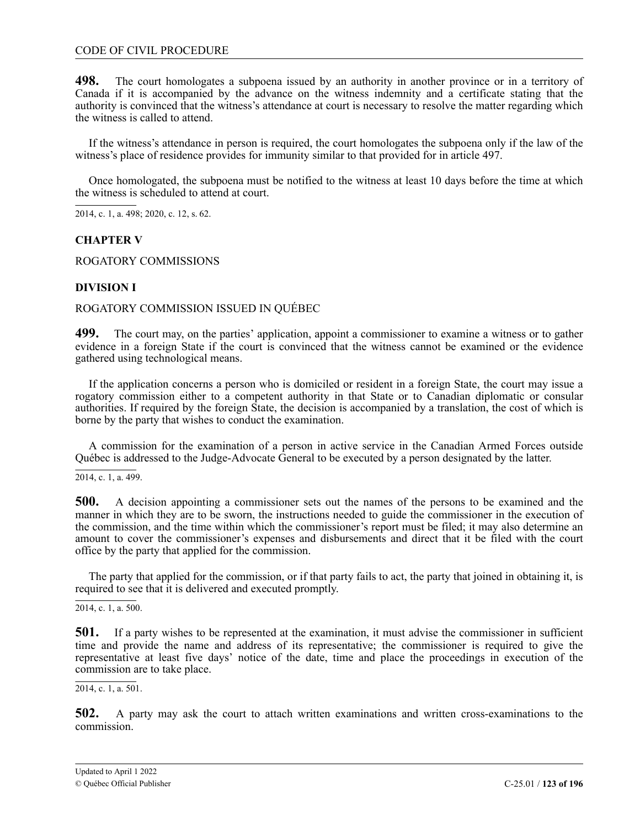**498.** The court homologates a subpoena issued by an authority in another province or in a territory of Canada if it is accompanied by the advance on the witness indemnity and a certificate stating that the authority is convinced that the witness's attendance at court is necessary to resolve the matter regarding which the witness is called to attend.

If the witness's attendance in person is required, the court homologates the subpoena only if the law of the witness's place of residence provides for immunity similar to that provided for in article 497.

Once homologated, the subpoena must be notified to the witness at least 10 days before the time at which the witness is scheduled to attend at court.

2014, c. 1, a. 498; 2 2020, c. 12, s. 62.1

## **CHAPTER V**

, ROGATORY COMMISSIONS

## **DIVISION I**

#### 2 ROGATORY COMMISSION ISSUED IN QUÉBEC

**499.** The court may, on the parties' application, appoint a commissioner to examine a witness or to gather evidence in a foreign State if the court is convinced that the witness cannot be examined or the evidence gathered using technological means.

If the application concerns a person who is domiciled or resident in a foreign State, the court may issue a rogatory commission either to a competent authority in that State or to Canadian diplomatic or consular authorities. If required by the foreign State, the decision is accompanied by a translation, the cost of which is borne by the party that wishes to conduct the examination.

A commission for the examination of a person in active service in the Canadian Armed Forces outside Québec is addressed to the Judge-Advocate General to be executed by a person designated by the latter.

 $\overline{2014}$ , c. 1, a. 499.

**500.** A decision appointing a commissioner sets out the names of the persons to be examined and the manner in which they are to be sworn, the instructions needed to guide the commissioner in the execution of the commission, and the time within which the commissioner's report must be filed; it may also determine an amount to cover the commissioner's expenses and disbursements and direct that it be filed with the court office by the party that applied for the commission.

The party that applied for the commission, or if that party fails to act, the party that joined in obtaining it, is required to see that it is delivered and executed promptly.

 $\overline{2014}$ , c. 1, a. 500.

**501.** If a party wishes to be represented at the examination, it must advise the commissioner in sufficient time and provide the name and address of its representative; the commissioner is required to give the representative at least five days' notice of the date, time and place the proceedings in execution of the commission are to take place.

2014, c. 1, a. 501.

**502.** A party may ask the court to attach written examinations and written cross-examinations to the commission.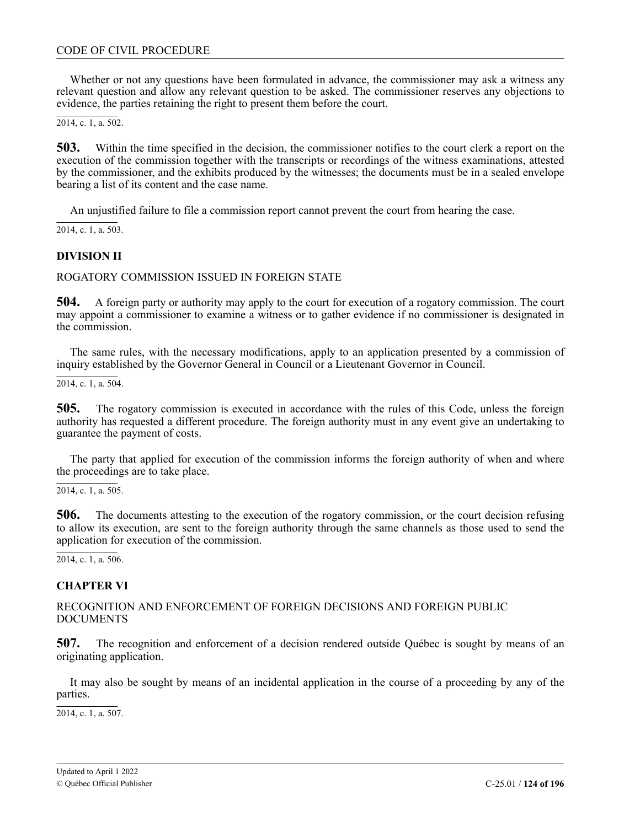Whether or not any questions have been formulated in advance, the commissioner may ask a witness any relevant question and allow any relevant question to be asked. The commissioner reserves any objections to evidence, the parties retaining the right to present them before the court.

 $\overline{2014}$ , c. 1, a. 502.

**503.** Within the time specified in the decision, the commissioner notifies to the court clerk a report on the execution of the commission together with the transcripts or recordings of the witness examinations, attested by the commissioner, and the exhibits produced by the witnesses; the documents must be in a sealed envelope bearing a list of its content and the case name.

An unjustified failure to file a commission report cannot prevent the court from hearing the case.

2014, c. 1, a. 503.

## **DIVISION II**

#### ROGATORY COMMISSION ISSUED IN FOREIGN STATE

**504.** A foreign party or authority may apply to the court for execution of a rogatory commission. The court may appoint a commissioner to examine a witness or to gather evidence if no commissioner is designated in the commission.

The same rules, with the necessary modifications, apply to an application presented by a commission of inquiry established by the Governor General in Council or a Lieutenant Governor in Council.

2014, c. 1, a. 504.

**505.** The rogatory commission is executed in accordance with the rules of this Code, unless the foreign authority has requested a different procedure. The foreign authority must in any event give an undertaking to guarantee the payment of costs.

The party that applied for execution of the commission informs the foreign authority of when and where the proceedings are to take place.

 $\overline{2014}$ , c. 1, a, 505.

**506.** The documents attesting to the execution of the rogatory commission, or the court decision refusing to allow its execution, are sent to the foreign authority through the same channels as those used to send the application for execution of the commission.

2014, c. 1, a. 506.

## **CHAPTER VI**

RECOGNITION AND ENFORCEMENT OF FOREIGN DECISIONS AND FOREIGN PUBLIC DOCUMENTS

**507.** The recognition and enforcement of a decision rendered outside Québec is sought by means of an originating application.

It may also be sought by means of an incidental application in the course of a proceeding by any of the parties.

2014, c. 1, a. 507.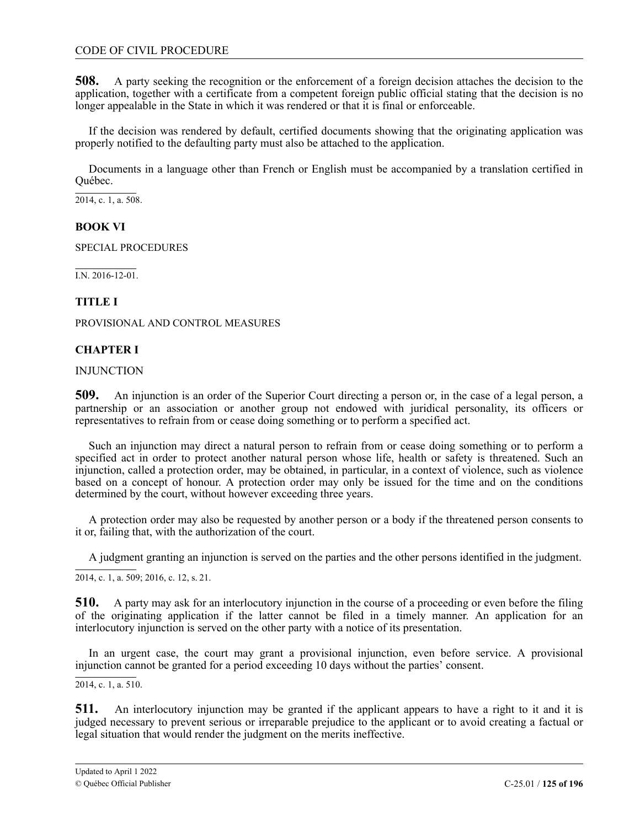**508.** A party seeking the recognition or the enforcement of a foreign decision attaches the decision to the application, together with a certificate from a competent foreign public official stating that the decision is no longer appealable in the State in which it was rendered or that it is final or enforceable.

If the decision was rendered by default, certified documents showing that the originating application was properly notified to the defaulting party must also be attached to the application.

Documents in a language other than French or English must be accompanied by a translation certified in Québec.

2014, c. 1, a. 508.

# **BOOK VI**

SPECIAL PROCEDURES

I.N. 2016-12-01.

## **TITLE I**

PROVISIONAL AND CONTROL MEASURES

## **CHAPTER I**

INJUNCTION

**509.** An injunction is an order of the Superior Court directing a person or, in the case of a legal person, a partnership or an association or another group not endowed with juridical personality, its officers or representatives to refrain from or cease doing something or to perform a specified act.

Such an injunction may direct a natural person to refrain from or cease doing something or to perform a specified act in order to protect another natural person whose life, health or safety is threatened. Such an injunction, called a protection order, may be obtained, in particular, in a context of violence, such as violence based on a concept of honour. A protection order may only be issued for the time and on the conditions determined by the court, without however exceeding three years.

A protection order may also be requested by another person or a body if the threatened person consents to it or, failing that, with the authorization of the court.

A judgment granting an injunction is served on the parties and the other persons identified in the judgment.

2014, c. 1, a. 509; 2016, c. 12, s. 21.

**510.** A party may ask for an interlocutory injunction in the course of a proceeding or even before the filing of the originating application if the latter cannot be filed in a timely manner. An application for an interlocutory injunction is served on the other party with a notice of its presentation.

. In an urgent case, the court may grant a provisional injunction, even before service. A provisional 1 injunction cannot be granted for a period exceeding 10 days without the parties' consent.

 $\overline{2014, c. 1, a. 510}.$ 

**511.** An interlocutory injunction may be granted if the applicant appears to have a right to it and it is judged necessary to prevent serious or irreparable prejudice to the applicant or to avoid creating a factual or legal situation that would render the judgment on the merits ineffective.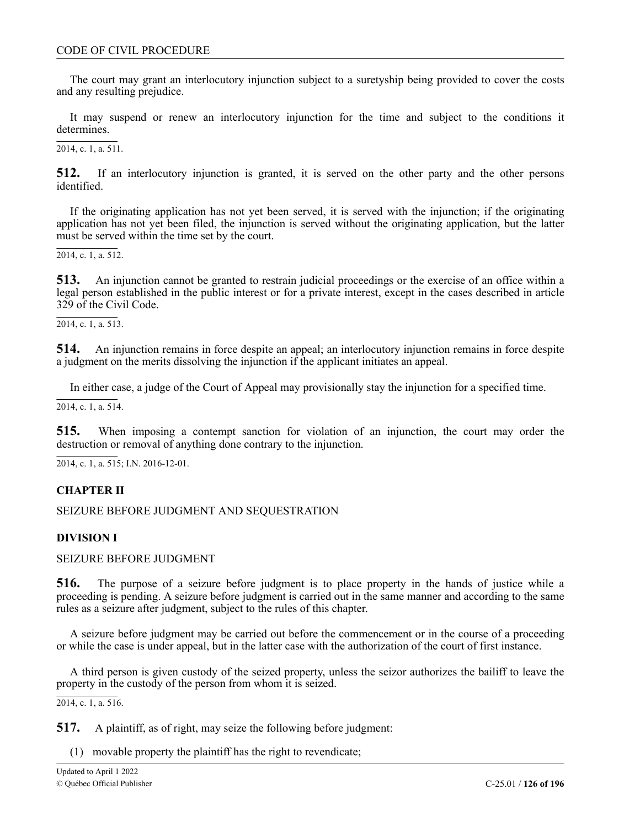The court may grant an interlocutory injunction subject to a suretyship being provided to cover the costs and any resulting prejudice.

It may suspend or renew an interlocutory injunction for the time and subject to the conditions it determines.

2014, c. 1, a. 511.

**512.** If an interlocutory injunction is granted, it is served on the other party and the other persons identified.

If the originating application has not yet been served, it is served with the injunction; if the originating application has not yet been filed, the injunction is served without the originating application, but the latter must be served within the time set by the court.

2014, c. 1, a. 512.

**513.** An injunction cannot be granted to restrain judicial proceedings or the exercise of an office within a legal person established in the public interest or for a private interest, except in the cases described in article 329 of the Civil Code.

2014, c. 1, a. 513.

**514.** An injunction remains in force despite an appeal; an interlocutory injunction remains in force despite a judgment on the merits dissolving the injunction if the applicant initiates an appeal.

In either case, a judge of the Court of Appeal may provisionally stay the injunction for a specified time.

2014 c. 1, a. 514

**515.** When imposing a contempt sanction for violation of an injunction, the court may order the destruction or removal of anything done contrary to the injunction.

2014, c. 1, a. 515; I.N. 2016-12-01.

## **CHAPTER II**

SEIZURE BEFORE JUDGMENT AND SEQUESTRATION

#### **DIVISION I**

SEIZURE BEFORE JUDGMENT

**516.** The purpose of a seizure before judgment is to place property in the hands of justice while a proceeding is pending. A seizure before judgment is carried out in the same manner and according to the same rules as a seizure after judgment, subject to the rules of this chapter.

A seizure before judgment may be carried out before the commencement or in the course of a proceeding or while the case is under appeal, but in the latter case with the authorization of the court of first instance.

A third person is given custody of the seized property, unless the seizor authorizes the bailiff to leave the property in the custody of the person from whom it is seized.

2014, c. 1, a. 516.

**517.** A plaintiff, as of right, may seize the following before judgment:

(1) movable property the plaintiff has the right to revendicate;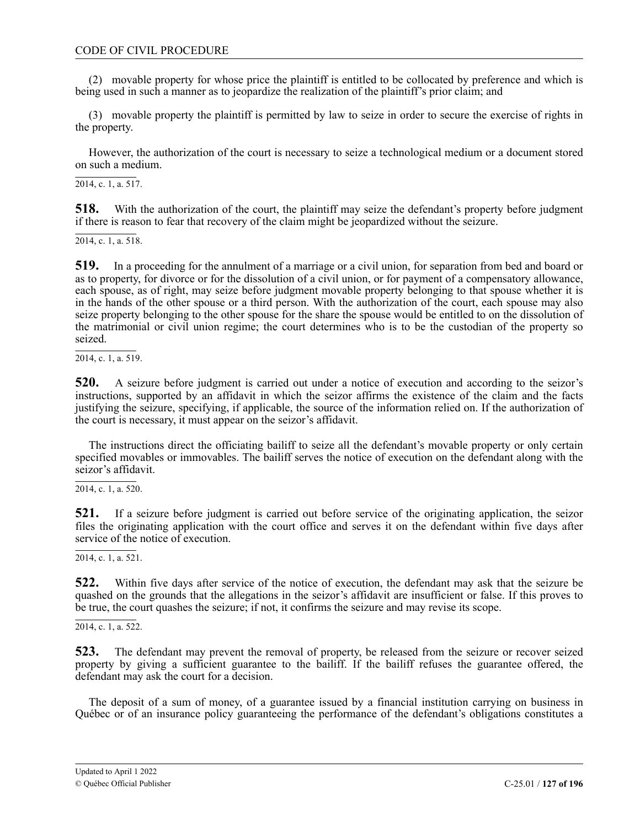(2) movable property for whose price the plaintiff is entitled to be collocated by preference and which is being used in such a manner as to jeopardize the realization of the plaintiff's prior claim; and

(3) movable property the plaintiff is permitted by law to seize in order to secure the exercise of rights in the property.

However, the authorization of the court is necessary to seize a technological medium or a document stored on such a medium.

2014, c. 1, a. 517.

**518.** With the authorization of the court, the plaintiff may seize the defendant's property before judgment if there is reason to fear that recovery of the claim might be jeopardized without the seizure.

2014, c. 1, a. 518.

**519.** In a proceeding for the annulment of a marriage or a civil union, for separation from bed and board or as to property, for divorce or for the dissolution of a civil union, or for payment of a compensatory allowance, each spouse, as of right, may seize before judgment movable property belonging to that spouse whether it is in the hands of the other spouse or a third person. With the authorization of the court, each spouse may also seize property belonging to the other spouse for the share the spouse would be entitled to on the dissolution of the matrimonial or civil union regime; the court determines who is to be the custodian of the property so seized.

 $\overline{2014, c. 1, a. 519}.$ 

**520.** A seizure before judgment is carried out under a notice of execution and according to the seizor's instructions, supported by an affidavit in which the seizor affirms the existence of the claim and the facts justifying the seizure, specifying, if applicable, the source of the information relied on. If the authorization of the court is necessary, it must appear on the seizor's affidavit.

The instructions direct the officiating bailiff to seize all the defendant's movable property or only certain specified movables or immovables. The bailiff serves the notice of execution on the defendant along with the seizor's affidavit.

2014, c. 1, a. 520.

**521.** If a seizure before judgment is carried out before service of the originating application, the seizor files the originating application with the court office and serves it on the defendant within five days after service of the notice of execution.

 $\overline{2014}$ , c. 1, a, 521.

**522.** Within five days after service of the notice of execution, the defendant may ask that the seizure be quashed on the grounds that the allegations in the seizor's affidavit are insufficient or false. If this proves to be true, the court quashes the seizure; if not, it confirms the seizure and may revise its scope.

2014, c. 1, a. 522.

**523.** The defendant may prevent the removal of property, be released from the seizure or recover seized property by giving a sufficient guarantee to the bailiff. If the bailiff refuses the guarantee offered, the defendant may ask the court for a decision.

The deposit of a sum of money, of a guarantee issued by a financial institution carrying on business in Québec or of an insurance policy guaranteeing the performance of the defendant's obligations constitutes a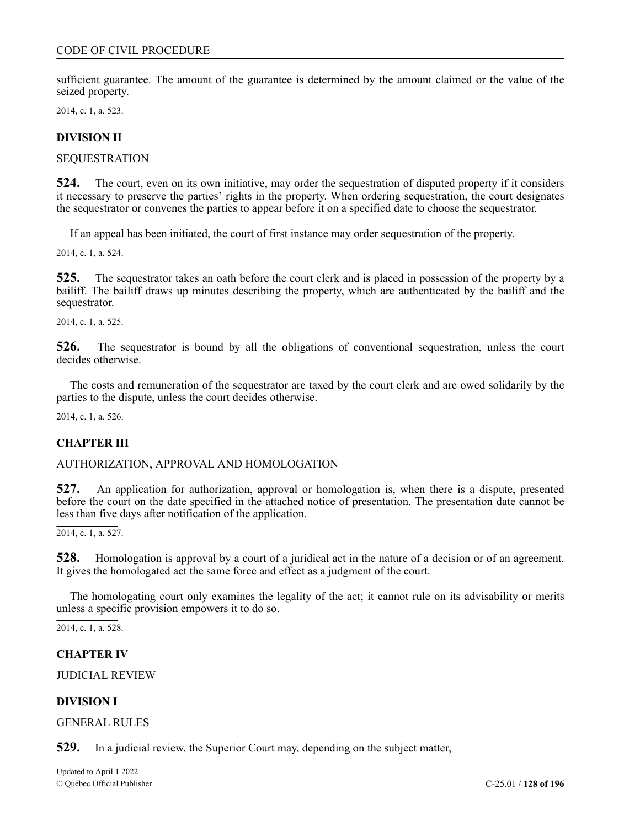sufficient guarantee. The amount of the guarantee is determined by the amount claimed or the value of the seized property.

2014, c. 1, a. 523.

## **DIVISION II**

SEQUESTRATION

**524.** The court, even on its own initiative, may order the sequestration of disputed property if it considers it necessary to preserve the parties' rights in the property. When ordering sequestration, the court designates the sequestrator or convenes the parties to appear before it on a specified date to choose the sequestrator.

If an appeal has been initiated, the court of first instance may order sequestration of the property.

 $\overline{2014}$ , c. 1, a, 524.

**525.** The sequestrator takes an oath before the court clerk and is placed in possession of the property by a bailiff. The bailiff draws up minutes describing the property, which are authenticated by the bailiff and the sequestrator.

2014, c. 1, a. 525.

**526.** The sequestrator is bound by all the obligations of conventional sequestration, unless the court decides otherwise.

The costs and remuneration of the sequestrator are taxed by the court clerk and are owed solidarily by the parties to the dispute, unless the court decides otherwise.

2014, c. 1, a. 526.

## **CHAPTER III**

#### AUTHORIZATION, APPROVAL AND HOMOLOGATION

**527.** An application for authorization, approval or homologation is, when there is a dispute, presented before the court on the date specified in the attached notice of presentation. The presentation date cannot be less than five days after notification of the application.

2014, c. 1, a. 527.

**528.** Homologation is approval by a court of a juridical act in the nature of a decision or of an agreement. It gives the homologated act the same force and effect as a judgment of the court.

The homologating court only examines the legality of the act; it cannot rule on its advisability or merits unless a specific provision empowers it to do so.

2014, c. 1, a. 528.

## **CHAPTER IV**

JUDICIAL REVIEW

#### **DIVISION I**

GENERAL RULES

**529.** In a judicial review, the Superior Court may, depending on the subject matter,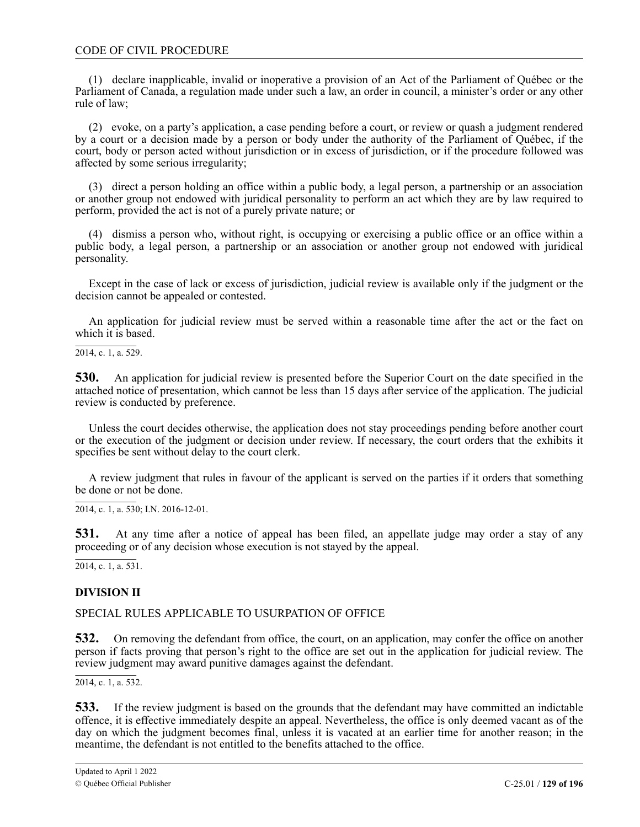(1) declare inapplicable, invalid or inoperative a provision of an Act of the Parliament of Québec or the Parliament of Canada, a regulation made under such a law, an order in council, a minister's order or any other rule of law;

(2) evoke, on a party's application, a case pending before a court, or review or quash a judgment rendered by a court or a decision made by a person or body under the authority of the Parliament of Québec, if the court, body or person acted without jurisdiction or in excess of jurisdiction, or if the procedure followed was affected by some serious irregularity;

(3) direct a person holding an office within a public body, a legal person, a partnership or an association or another group not endowed with juridical personality to perform an act which they are by law required to perform, provided the act is not of a purely private nature; or

(4) dismiss a person who, without right, is occupying or exercising a public office or an office within a public body, a legal person, a partnership or an association or another group not endowed with juridical personality.

Except in the case of lack or excess of jurisdiction, judicial review is available only if the judgment or the decision cannot be appealed or contested.

An application for judicial review must be served within a reasonable time after the act or the fact on which it is based.

2014, c. 1, a. 529.

**530.** An application for judicial review is presented before the Superior Court on the date specified in the attached notice of presentation, which cannot be less than 15 days after service of the application. The judicial review is conducted by preference.

Unless the court decides otherwise, the application does not stay proceedings pending before another court or the execution of the judgment or decision under review. If necessary, the court orders that the exhibits it specifies be sent without delay to the court clerk.

A review judgment that rules in favour of the applicant is served on the parties if it orders that something be done or not be done.

2014, c. 1, a. 530; I.N. 2016-12-01.

**531.** At any time after a notice of appeal has been filed, an appellate judge may order a stay of any proceeding or of any decision whose execution is not stayed by the appeal.

2014, c. 1, a. 531.

# **DIVISION II**

SPECIAL RULES APPLICABLE TO USURPATION OF OFFICE

**532.** On removing the defendant from office, the court, on an application, may confer the office on another person if facts proving that person's right to the office are set out in the application for judicial review. The review judgment may award punitive damages against the defendant.

2014, c. 1, a. 532.

**533.** If the review judgment is based on the grounds that the defendant may have committed an indictable offence, it is effective immediately despite an appeal. Nevertheless, the office is only deemed vacant as of the day on which the judgment becomes final, unless it is vacated at an earlier time for another reason; in the meantime, the defendant is not entitled to the benefits attached to the office.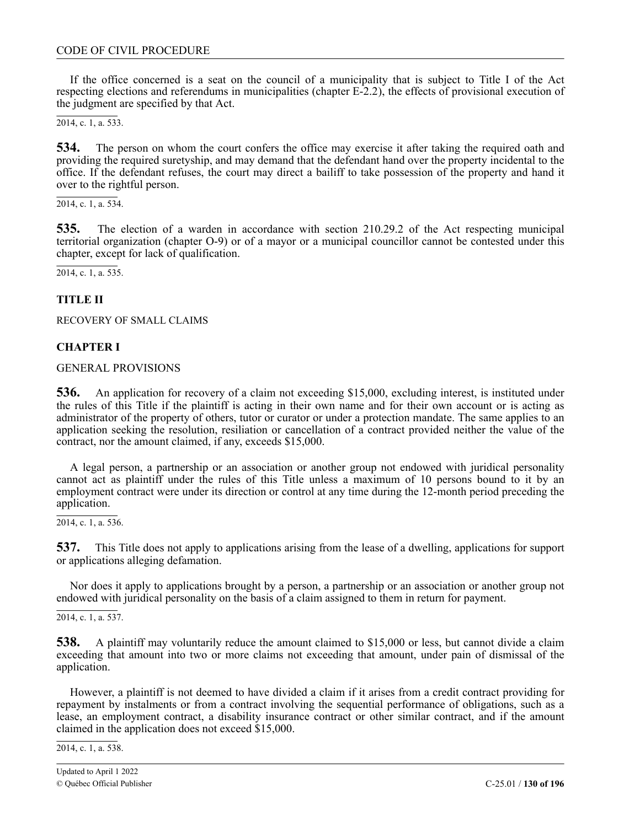If the office concerned is a seat on the council of a municipality that is subject to Title I of the Act respecting elections and referendums in municipalities (chapter E-2.2), the effects of provisional execution of the judgment are specified by that Act.

 $\overline{2014}$ , c. 1, a, 533.

**534.** The person on whom the court confers the office may exercise it after taking the required oath and providing the required suretyship, and may demand that the defendant hand over the property incidental to the office. If the defendant refuses, the court may direct a bailiff to take possession of the property and hand it over to the rightful person.

 $\overline{2014}$ , c. 1, a, 534.

**535.** The election of a warden in accordance with section 210.29.2 of the Act respecting municipal territorial organization (chapter O-9) or of a mayor or a municipal councillor cannot be contested under this chapter, except for lack of qualification.

2014, c. 1, a. 535.

## **TITLE II**

RECOVERY OF SMALL CLAIMS

## **CHAPTER I**

GENERAL PROVISIONS

**536.** An application for recovery of a claim not exceeding \$15,000, excluding interest, is instituted under the rules of this Title if the plaintiff is acting in their own name and for their own account or is acting as administrator of the property of others, tutor or curator or under a protection mandate. The same applies to an application seeking the resolution, resiliation or cancellation of a contract provided neither the value of the contract, nor the amount claimed, if any, exceeds \$15,000.

A legal person, a partnership or an association or another group not endowed with juridical personality cannot act as plaintiff under the rules of this Title unless a maximum of 10 persons bound to it by an employment contract were under its direction or control at any time during the 12-month period preceding the application.

2014, c. 1, a. 536.

**537.** This Title does not apply to applications arising from the lease of a dwelling, applications for support or applications alleging defamation.

Nor does it apply to applications brought by a person, a partnership or an association or another group not endowed with juridical personality on the basis of a claim assigned to them in return for payment.

 $\overline{2014, c. 1, a. 537}.$ 

**538.** A plaintiff may voluntarily reduce the amount claimed to \$15,000 or less, but cannot divide a claim exceeding that amount into two or more claims not exceeding that amount, under pain of dismissal of the application.

However, a plaintiff is not deemed to have divided a claim if it arises from a credit contract providing for repayment by instalments or from a contract involving the sequential performance of obligations, such as a lease, an employment contract, a disability insurance contract or other similar contract, and if the amount claimed in the application does not exceed \$15,000.

2014, c. 1, a. 538.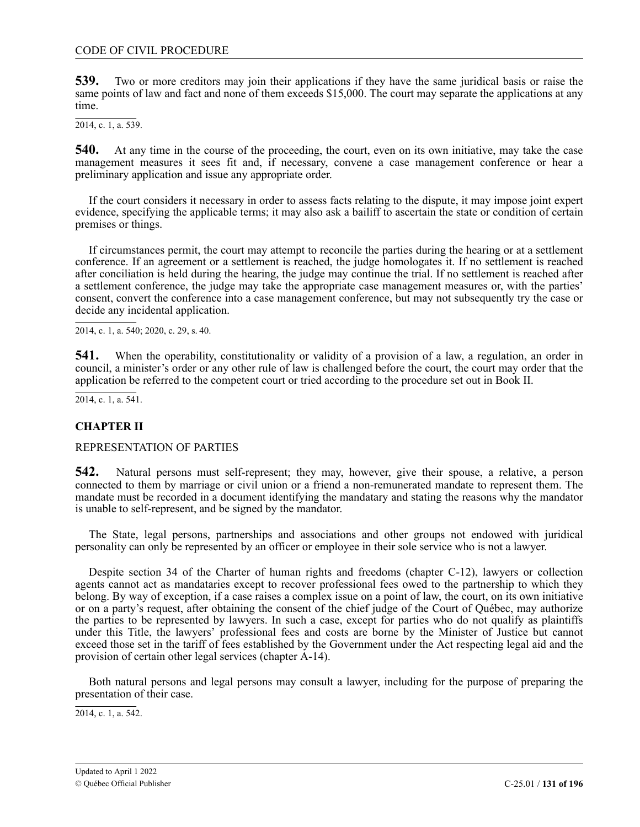**539.** Two or more creditors may join their applications if they have the same juridical basis or raise the same points of law and fact and none of them exceeds \$15,000. The court may separate the applications at any time.

2014, c. 1, a. 539.

**540.** At any time in the course of the proceeding, the court, even on its own initiative, may take the case management measures it sees fit and, if necessary, convene a case management conference or hear a preliminary application and issue any appropriate order.

If the court considers it necessary in order to assess facts relating to the dispute, it may impose joint expert evidence, specifying the applicable terms; it may also ask a bailiff to ascertain the state or condition of certain premises or things.

If circumstances permit, the court may attempt to reconcile the parties during the hearing or at a settlement conference. If an agreement or a settlement is reached, the judge homologates it. If no settlement is reached after conciliation is held during the hearing, the judge may continue the trial. If no settlement is reached after a settlement conference, the judge may take the appropriate case management measures or, with the parties' consent, convert the conference into a case management conference, but may not subsequently try the case or decide any incidental application.

2014, c. 1, a. 540; 2020, c. 29, s. 40.

541. When the operability, constitutionality or validity of a provision of a law, a regulation, an order in council, a minister's order or any other rule of law is challenged before the court, the court may order that the application be referred to the competent court or tried according to the procedure set out in Book II.

 $\overline{2014}$ , c. 1, a, 541.

## **CHAPTER II**

#### REPRESENTATION OF PARTIES

**542.** Natural persons must self-represent; they may, however, give their spouse, a relative, a person connected to them by marriage or civil union or a friend a non-remunerated mandate to represent them. The mandate must be recorded in a document identifying the mandatary and stating the reasons why the mandator is unable to self-represent, and be signed by the mandator.

The State, legal persons, partnerships and associations and other groups not endowed with juridical personality can only be represented by an officer or employee in their sole service who is not a lawyer.

Despite section 34 of the Charter of human rights and freedoms (chapter C-12), lawyers or collection agents cannot act as mandataries except to recover professional fees owed to the partnership to which they belong. By way of exception, if a case raises a complex issue on a point of law, the court, on its own initiative or on a party's request, after obtaining the consent of the chief judge of the Court of Québec, may authorize the parties to be represented by lawyers. In such a case, except for parties who do not qualify as plaintiffs under this Title, the lawyers' professional fees and costs are borne by the Minister of Justice but cannot exceed those set in the tariff of fees established by the Government under the Act respecting legal aid and the provision of certain other legal services (chapter A-14).

Both natural persons and legal persons may consult a lawyer, including for the purpose of preparing the presentation of their case.

2014, c. 1, a. 542.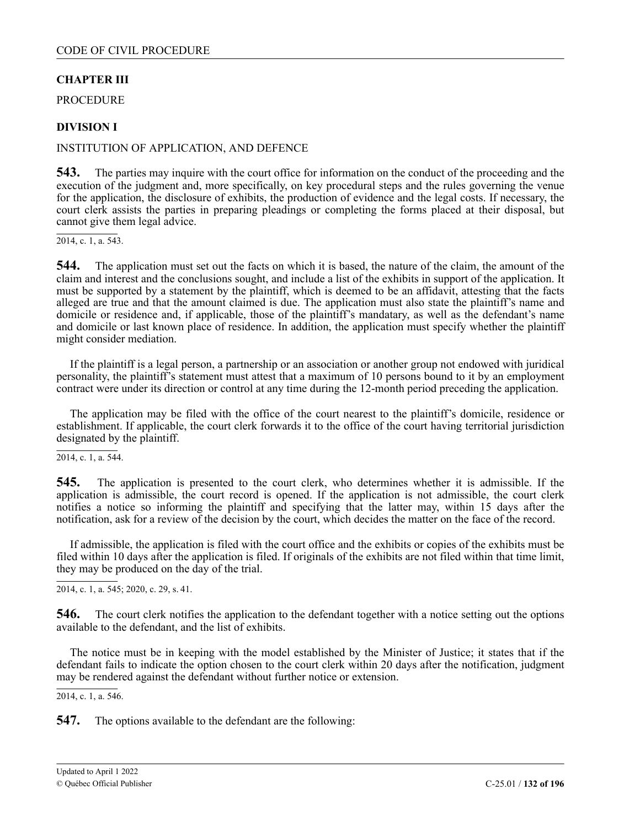# **CHAPTER III**

**PROCEDURE** 

# **DIVISION I**

## INSTITUTION OF APPLICATION, AND DEFENCE

**543.** The parties may inquire with the court office for information on the conduct of the proceeding and the execution of the judgment and, more specifically, on key procedural steps and the rules governing the venue for the application, the disclosure of exhibits, the production of evidence and the legal costs. If necessary, the court clerk assists the parties in preparing pleadings or completing the forms placed at their disposal, but cannot give them legal advice.

2014, c. 1, a. 543.

**544.** The application must set out the facts on which it is based, the nature of the claim, the amount of the claim and interest and the conclusions sought, and include a list of the exhibits in support of the application. It must be supported by a statement by the plaintiff, which is deemed to be an affidavit, attesting that the facts alleged are true and that the amount claimed is due. The application must also state the plaintiff's name and domicile or residence and, if applicable, those of the plaintiff's mandatary, as well as the defendant's name and domicile or last known place of residence. In addition, the application must specify whether the plaintiff might consider mediation.

If the plaintiff is a legal person, a partnership or an association or another group not endowed with juridical personality, the plaintiff's statement must attest that a maximum of 10 persons bound to it by an employment contract were under its direction or control at any time during the 12-month period preceding the application.

The application may be filed with the office of the court nearest to the plaintiff's domicile, residence or establishment. If applicable, the court clerk forwards it to the office of the court having territorial jurisdiction designated by the plaintiff.

 $\overline{2014}$ , c. 1, a. 544.

**545.** The application is presented to the court clerk, who determines whether it is admissible. If the application is admissible, the court record is opened. If the application is not admissible, the court clerk notifies a notice so informing the plaintiff and specifying that the latter may, within 15 days after the notification, ask for a review of the decision by the court, which decides the matter on the face of the record.

If admissible, the application is filed with the court office and the exhibits or copies of the exhibits must be filed within 10 days after the application is filed. If originals of the exhibits are not filed within that time limit, they may be produced on the day of the trial.

2014, c. 1, a. 545; 2020, c. 29, s. 41.

546. The court clerk notifies the application to the defendant together with a notice setting out the options available to the defendant, and the list of exhibits.

The notice must be in keeping with the model established by the Minister of Justice; it states that if the . defendant fails to indicate the option chosen to the court clerk within 20 days after the notification, judgment may be rendered against the defendant without further notice or extension.

 $2014$ , c. 1, a. 546.

**547.** The options available to the defendant are the following: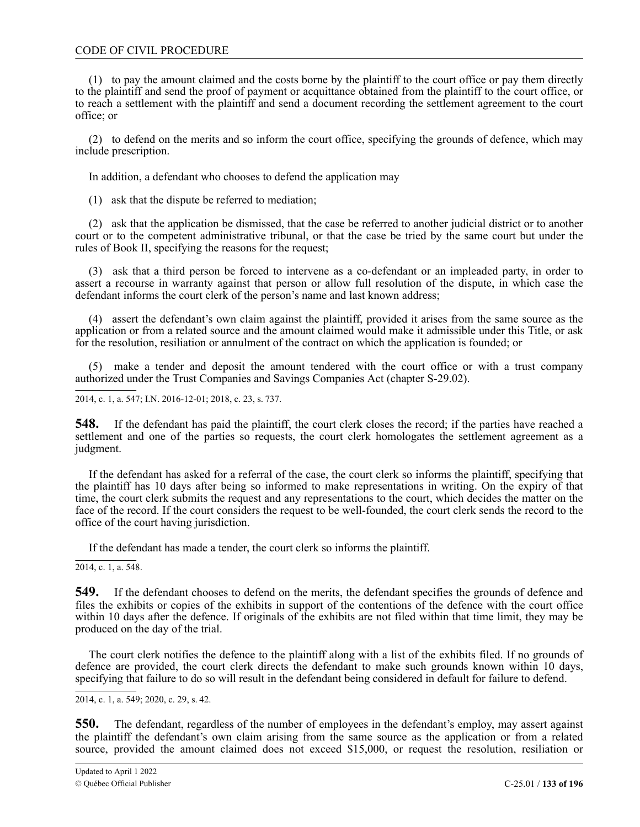(1) to pay the amount claimed and the costs borne by the plaintiff to the court office or pay them directly to the plaintiff and send the proof of payment or acquittance obtained from the plaintiff to the court office, or to reach a settlement with the plaintiff and send a document recording the settlement agreement to the court office; or

(2) to defend on the merits and so inform the court office, specifying the grounds of defence, which may include prescription.

In addition, a defendant who chooses to defend the application may

(1) ask that the dispute be referred to mediation;

(2) ask that the application be dismissed, that the case be referred to another judicial district or to another court or to the competent administrative tribunal, or that the case be tried by the same court but under the rules of Book II, specifying the reasons for the request;

(3) ask that a third person be forced to intervene as a co-defendant or an impleaded party, in order to assert a recourse in warranty against that person or allow full resolution of the dispute, in which case the defendant informs the court clerk of the person's name and last known address;

(4) assert the defendant's own claim against the plaintiff, provided it arises from the same source as the application or from a related source and the amount claimed would make it admissible under this Title, or ask for the resolution, resiliation or annulment of the contract on which the application is founded; or

(5) make a tender and deposit the amount tendered with the court office or with a trust company authorized under the Trust Companies and Savings Companies Act (chapter S-29.02).

2014, c. 1, a. 547; I.N. 2016-12-01; 2018, c. 23, s. 737.

548. If the defendant has paid the plaintiff, the court clerk closes the record; if the parties have reached a settlement and one of the parties so requests, the court clerk homologates the settlement agreement as a judgment.

. If the defendant has asked for a referral of the case, the court clerk so informs the plaintiff, specifying that the plaintiff has 10 days after being so informed to make representations in writing. On the expiry of that time, the court clerk submits the request and any representations to the court, which decides the matter on the face of the record. If the court considers the request to be well-founded, the court clerk sends the record to the office of the court having jurisdiction.

If the defendant has made a tender, the court clerk so informs the plaintiff.

2014, c. 1, a. 548.

**549.** If the defendant chooses to defend on the merits, the defendant specifies the grounds of defence and files the exhibits or copies of the exhibits in support of the contentions of the defence with the court office within 10 days after the defence. If originals of the exhibits are not filed within that time limit, they may be produced on the day of the trial.

The court clerk notifies the defence to the plaintiff along with a list of the exhibits filed. If no grounds of defence are provided, the court clerk directs the defendant to make such grounds known within 10 days, specifying that failure to do so will result in the defendant being considered in default for failure to defend.

2014, c. 1, a. 549; 2020, c. 29, s. 42.

550. The defendant, regardless of the number of employees in the defendant's employ, may assert against the plaintiff the defendant's own claim arising from the same source as the application or from a related source, provided the amount claimed does not exceed \$15,000, or request the resolution, resiliation or l.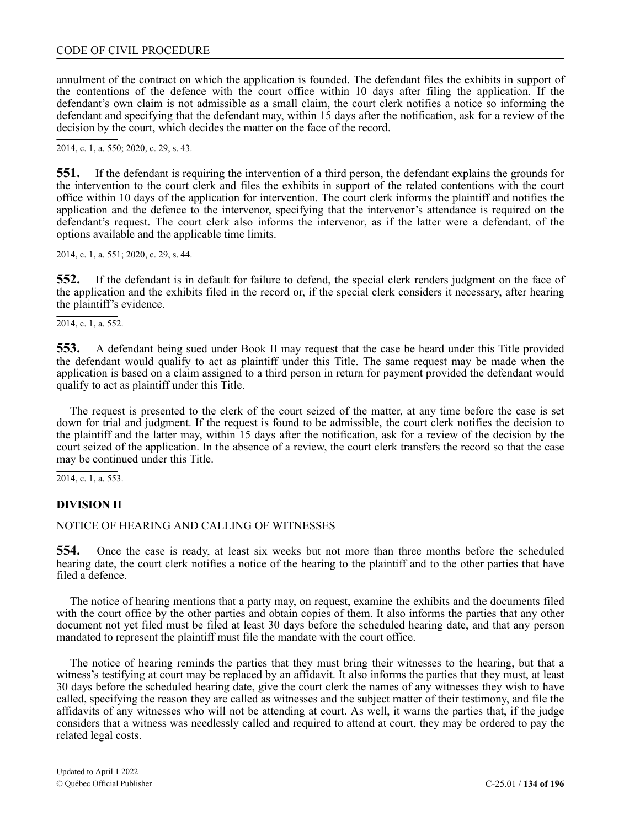annulment of the contract on which the application is founded. The defendant files the exhibits in support of the contentions of the defence with the court office within 10 days after filing the application. If the defendant's own claim is not admissible as a small claim, the court clerk notifies a notice so informing the defendant and specifying that the defendant may, within 15 days after the notification, ask for a review of the decision by the court, which decides the matter on the face of the record.

2014, c. 1, a. 550; 2020, c. 29, s. 43.

551. If the defendant is requiring the intervention of a third person, the defendant explains the grounds for the intervention to the court clerk and files the exhibits in support of the related contentions with the court , office within 10 days of the application for intervention. The court clerk informs the plaintiff and notifies the application and the defence to the intervenor, specifying that the intervenor's attendance is required on the . defendant's request. The court clerk also informs the intervenor, as if the latter were a defendant, of the 2 options available and the applicable time limits.

2014, c. 1, a. 551; 2020, c. 29, s. 44.

552. If the defendant is in default for failure to defend, the special clerk renders judgment on the face of the application and the exhibits filed in the record or, if the special clerk considers it necessary, after hearing , the plaintiff's evidence.

2014, c. 1, a. 552.

553. A defendant being sued under Book II may request that the case be heard under this Title provided the defendant would qualify to act as plaintiff under this Title. The same request may be made when the application is based on a claim assigned to a third person in return for payment provided the defendant would qualify to act as plaintiff under this Title.

The request is presented to the clerk of the court seized of the matter, at any time before the case is set down for trial and judgment. If the request is found to be admissible, the court clerk notifies the decision to the plaintiff and the latter may, within 15 days after the notification, ask for a review of the decision by the court seized of the application. In the absence of a review, the court clerk transfers the record so that the case may be continued under this Title.

2014, c. 1, a. 553.

# **DIVISION II**

#### NOTICE OF HEARING AND CALLING OF WITNESSES

**554.** Once the case is ready, at least six weeks but not more than three months before the scheduled hearing date, the court clerk notifies a notice of the hearing to the plaintiff and to the other parties that have filed a defence.

The notice of hearing mentions that a party may, on request, examine the exhibits and the documents filed with the court office by the other parties and obtain copies of them. It also informs the parties that any other document not yet filed must be filed at least 30 days before the scheduled hearing date, and that any person mandated to represent the plaintiff must file the mandate with the court office.

The notice of hearing reminds the parties that they must bring their witnesses to the hearing, but that a witness's testifying at court may be replaced by an affidavit. It also informs the parties that they must, at least 30 days before the scheduled hearing date, give the court clerk the names of any witnesses they wish to have called, specifying the reason they are called as witnesses and the subject matter of their testimony, and file the affidavits of any witnesses who will not be attending at court. As well, it warns the parties that, if the judge considers that a witness was needlessly called and required to attend at court, they may be ordered to pay the related legal costs.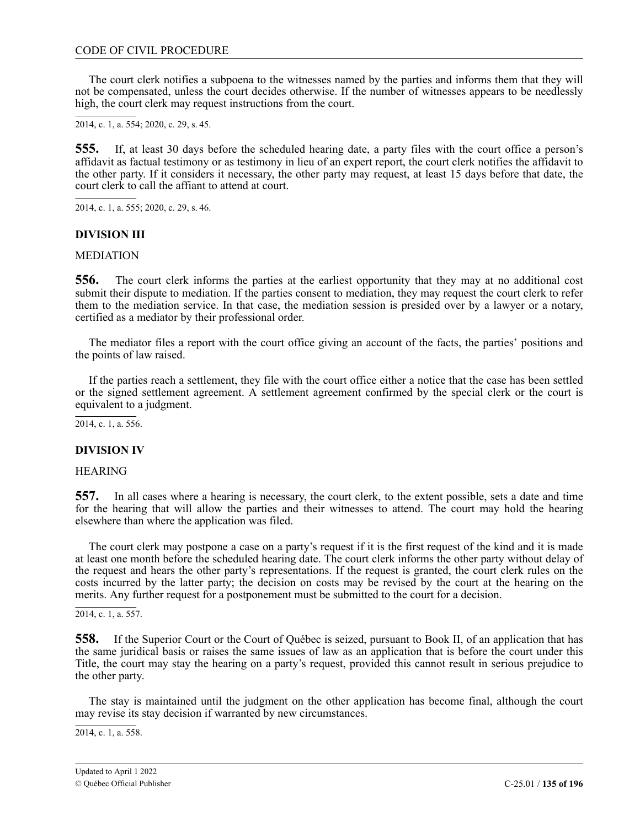The court clerk notifies a subpoena to the witnesses named by the parties and informs them that they will not be compensated, unless the court decides otherwise. If the number of witnesses appears to be needlessly high, the court clerk may request instructions from the court.

2014, c. 1, a. 554; 2020, c. 29, s. 45.

555. If, at least 30 days before the scheduled hearing date, a party files with the court office a person's affidavit as factual testimony or as testimony in lieu of an expert report, the court clerk notifies the affidavit to , the other party. If it considers it necessary, the other party may request, at least 15 days before that date, the c court clerk to call the affiant to attend at court.

2014, c. 1, a. 555; 2020, c. 29, s. 46.

# 02 **DIVISION III**

MEDIATION

556. The court clerk informs the parties at the earliest opportunity that they may at no additional cost submit their dispute to mediation. If the parties consent to mediation, they may request the court clerk to refer them to the mediation service. In that case, the mediation session is presided over by a lawyer or a notary, certified as a mediator by their professional order. certified as a mediator by their professional order.

The mediator files a report with the court office giving an account of the facts, the parties' positions and the points of law raised.

If the parties reach a settlement, they file with the court office either a notice that the case has been settled or the signed settlement agreement. A settlement agreement confirmed by the special clerk or the court is equivalent to a judgment.

2014, c. 1, a. 556.

## **DIVISION IV**

HEARING

**557.** In all cases where a hearing is necessary, the court clerk, to the extent possible, sets a date and time for the hearing that will allow the parties and their witnesses to attend. The court may hold the hearing elsewhere than where the application was filed.

The court clerk may postpone a case on a party's request if it is the first request of the kind and it is made at least one month before the scheduled hearing date. The court clerk informs the other party without delay of the request and hears the other party's representations. If the request is granted, the court clerk rules on the costs incurred by the latter party; the decision on costs may be revised by the court at the hearing on the merits. Any further request for a postponement must be submitted to the court for a decision.

2014, c. 1, a. 557.

**558.** If the Superior Court or the Court of Québec is seized, pursuant to Book II, of an application that has the same juridical basis or raises the same issues of law as an application that is before the court under this Title, the court may stay the hearing on a party's request, provided this cannot result in serious prejudice to the other party.

The stay is maintained until the judgment on the other application has become final, although the court may revise its stay decision if warranted by new circumstances.

2014, c. 1, a. 558.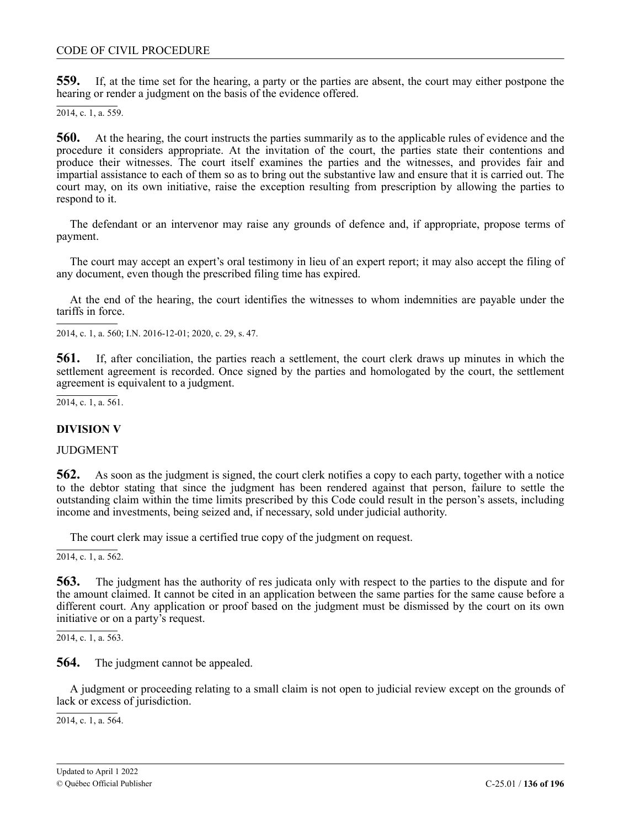**559.** If, at the time set for the hearing, a party or the parties are absent, the court may either postpone the hearing or render a judgment on the basis of the evidence offered.

2014, c. 1, a. 559.

**560.** At the hearing, the court instructs the parties summarily as to the applicable rules of evidence and the procedure it considers appropriate. At the invitation of the court, the parties state their contentions and produce their witnesses. The court itself examines the parties and the witnesses, and provides fair and impartial assistance to each of them so as to bring out the substantive law and ensure that it is carried out. The court may, on its own initiative, raise the exception resulting from prescription by allowing the parties to respond to it.

The defendant or an intervenor may raise any grounds of defence and, if appropriate, propose terms of payment.

The court may accept an expert's oral testimony in lieu of an expert report; it may also accept the filing of any document, even though the prescribed filing time has expired.

At the end of the hearing, the court identifies the witnesses to whom indemnities are payable under the tariffs in force.

2014, c. 1, a. 560; I.N. 2016-12-01; 2020, c. 29, s. 47.

561. If, after conciliation, the parties reach a settlement, the court clerk draws up minutes in which the settlement agreement is recorded. Once signed by the parties and homologated by the court, the settlement agreement is equivalent to a judgment. e<br>g

2014, c. 1, a. 561.

#### **DIVISION V**

JUDGMENT

562. As soon as the judgment is signed, the court clerk notifies a copy to each party, together with a notice 4 outstanding claim within the time limits prescribed by this Code could result in the person's assets, including 712 income and investments, being seized and, if necessary, sold under judicial authority. to the debtor stating that since the judgment has been rendered against that person, failure to settle the

The court clerk may issue a certified true copy of the judgment on request.

2014, c. 1, a. 562.

**563.** The judgment has the authority of res judicata only with respect to the parties to the dispute and for the amount claimed. It cannot be cited in an application between the same parties for the same cause before a different court. Any application or proof based on the judgment must be dismissed by the court on its own initiative or on a party's request.

2014, c. 1, a. 563.

**564.** The judgment cannot be appealed.

A judgment or proceeding relating to a small claim is not open to judicial review except on the grounds of lack or excess of jurisdiction.

2014, c. 1, a. 564.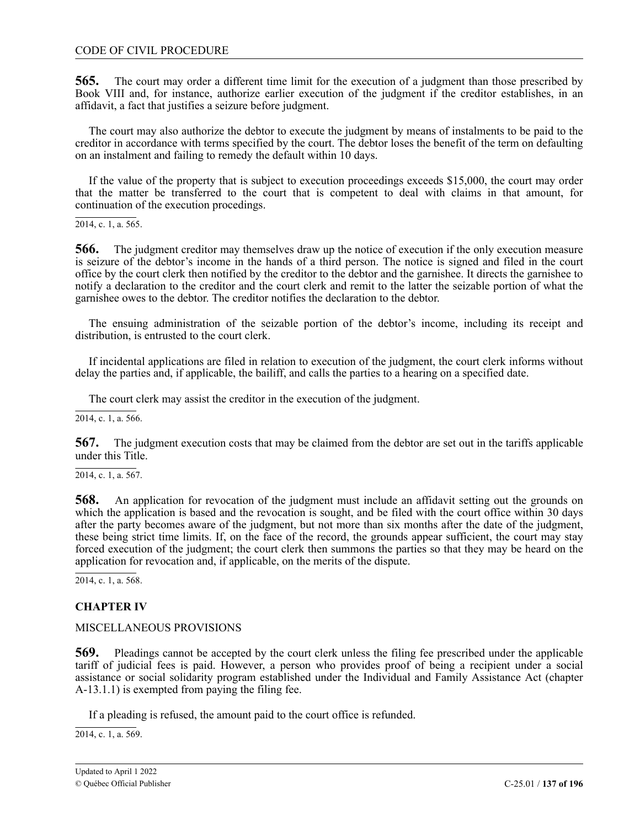**565.** The court may order a different time limit for the execution of a judgment than those prescribed by Book VIII and, for instance, authorize earlier execution of the judgment if the creditor establishes, in an affidavit, a fact that justifies a seizure before judgment.

The court may also authorize the debtor to execute the judgment by means of instalments to be paid to the creditor in accordance with terms specified by the court. The debtor loses the benefit of the term on defaulting on an instalment and failing to remedy the default within 10 days.

If the value of the property that is subject to execution proceedings exceeds \$15,000, the court may order that the matter be transferred to the court that is competent to deal with claims in that amount, for continuation of the execution procedings.

2014, c. 1, a. 565.

**566.** The judgment creditor may themselves draw up the notice of execution if the only execution measure is seizure of the debtor's income in the hands of a third person. The notice is signed and filed in the court office by the court clerk then notified by the creditor to the debtor and the garnishee. It directs the garnishee to notify a declaration to the creditor and the court clerk and remit to the latter the seizable portion of what the garnishee owes to the debtor. The creditor notifies the declaration to the debtor.

The ensuing administration of the seizable portion of the debtor's income, including its receipt and distribution, is entrusted to the court clerk.

If incidental applications are filed in relation to execution of the judgment, the court clerk informs without delay the parties and, if applicable, the bailiff, and calls the parties to a hearing on a specified date.

The court clerk may assist the creditor in the execution of the judgment.

2014, c. 1, a. 566.

**567.** The judgment execution costs that may be claimed from the debtor are set out in the tariffs applicable under this Title.

2014, c. 1, a. 567.

**568.** An application for revocation of the judgment must include an affidavit setting out the grounds on which the application is based and the revocation is sought, and be filed with the court office within 30 days after the party becomes aware of the judgment, but not more than six months after the date of the judgment, these being strict time limits. If, on the face of the record, the grounds appear sufficient, the court may stay forced execution of the judgment; the court clerk then summons the parties so that they may be heard on the application for revocation and, if applicable, on the merits of the dispute.

 $2014$ , c. 1, a. 568.

## **CHAPTER IV**

MISCELLANEOUS PROVISIONS

**569.** Pleadings cannot be accepted by the court clerk unless the filing fee prescribed under the applicable tariff of judicial fees is paid. However, a person who provides proof of being a recipient under a social assistance or social solidarity program established under the Individual and Family Assistance Act (chapter A-13.1.1) is exempted from paying the filing fee.

If a pleading is refused, the amount paid to the court office is refunded.

2014, c. 1, a. 569.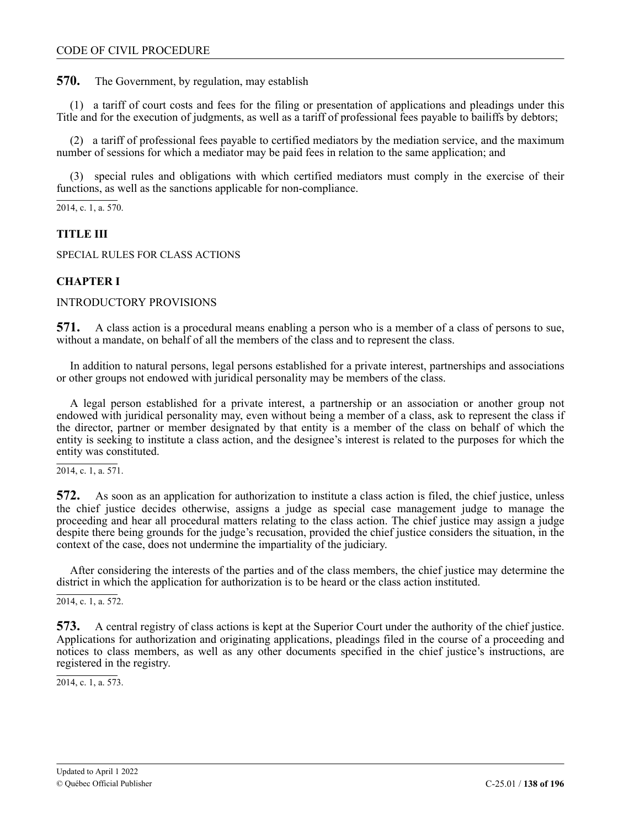**570.** The Government, by regulation, may establish

(1) a tariff of court costs and fees for the filing or presentation of applications and pleadings under this Title and for the execution of judgments, as well as a tariff of professional fees payable to bailiffs by debtors;

(2) a tariff of professional fees payable to certified mediators by the mediation service, and the maximum number of sessions for which a mediator may be paid fees in relation to the same application; and

(3) special rules and obligations with which certified mediators must comply in the exercise of their functions, as well as the sanctions applicable for non-compliance.

2014, c. 1, a. 570.

# **TITLE III**

SPECIAL RULES FOR CLASS ACTIONS

# **CHAPTER I**

## INTRODUCTORY PROVISIONS

**571.** A class action is a procedural means enabling a person who is a member of a class of persons to sue, without a mandate, on behalf of all the members of the class and to represent the class.

In addition to natural persons, legal persons established for a private interest, partnerships and associations or other groups not endowed with juridical personality may be members of the class.

A legal person established for a private interest, a partnership or an association or another group not endowed with juridical personality may, even without being a member of a class, ask to represent the class if the director, partner or member designated by that entity is a member of the class on behalf of which the entity is seeking to institute a class action, and the designee's interest is related to the purposes for which the entity was constituted.

2014, c. 1, a. 571.

**572.** As soon as an application for authorization to institute a class action is filed, the chief justice, unless the chief justice decides otherwise, assigns a judge as special case management judge to manage the proceeding and hear all procedural matters relating to the class action. The chief justice may assign a judge despite there being grounds for the judge's recusation, provided the chief justice considers the situation, in the context of the case, does not undermine the impartiality of the judiciary.

After considering the interests of the parties and of the class members, the chief justice may determine the district in which the application for authorization is to be heard or the class action instituted.

## $\overline{2014}$ , c. 1, a. 572.

**573.** A central registry of class actions is kept at the Superior Court under the authority of the chief justice. Applications for authorization and originating applications, pleadings filed in the course of a proceeding and notices to class members, as well as any other documents specified in the chief justice's instructions, are registered in the registry.

2014, c. 1, a. 573.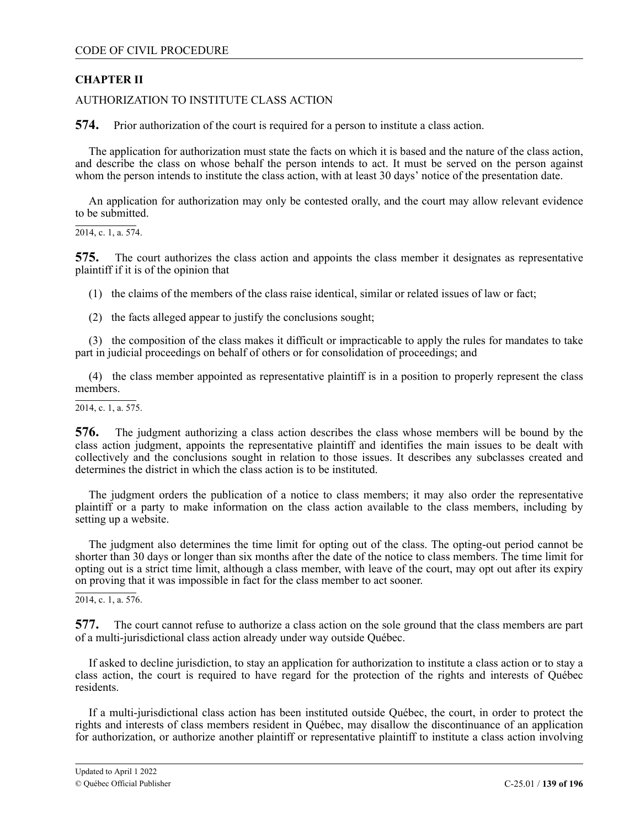# **CHAPTER II**

## AUTHORIZATION TO INSTITUTE CLASS ACTION

**574.** Prior authorization of the court is required for a person to institute a class action.

The application for authorization must state the facts on which it is based and the nature of the class action, and describe the class on whose behalf the person intends to act. It must be served on the person against whom the person intends to institute the class action, with at least 30 days' notice of the presentation date.

An application for authorization may only be contested orally, and the court may allow relevant evidence to be submitted.

 $\overline{2014}$ , c. 1, a, 574.

**575.** The court authorizes the class action and appoints the class member it designates as representative plaintiff if it is of the opinion that

(1) the claims of the members of the class raise identical, similar or related issues of law or fact;

(2) the facts alleged appear to justify the conclusions sought;

(3) the composition of the class makes it difficult or impracticable to apply the rules for mandates to take part in judicial proceedings on behalf of others or for consolidation of proceedings; and

(4) the class member appointed as representative plaintiff is in a position to properly represent the class members.

2014, c. 1, a. 575.

**576.** The judgment authorizing a class action describes the class whose members will be bound by the class action judgment, appoints the representative plaintiff and identifies the main issues to be dealt with collectively and the conclusions sought in relation to those issues. It describes any subclasses created and determines the district in which the class action is to be instituted.

The judgment orders the publication of a notice to class members; it may also order the representative plaintiff or a party to make information on the class action available to the class members, including by setting up a website.

The judgment also determines the time limit for opting out of the class. The opting-out period cannot be shorter than 30 days or longer than six months after the date of the notice to class members. The time limit for opting out is a strict time limit, although a class member, with leave of the court, may opt out after its expiry on proving that it was impossible in fact for the class member to act sooner.

 $\overline{2014}$ , c. 1, a, 576.

**577.** The court cannot refuse to authorize a class action on the sole ground that the class members are part of a multi-jurisdictional class action already under way outside Québec.

If asked to decline jurisdiction, to stay an application for authorization to institute a class action or to stay a class action, the court is required to have regard for the protection of the rights and interests of Québec residents.

If a multi-jurisdictional class action has been instituted outside Québec, the court, in order to protect the rights and interests of class members resident in Québec, may disallow the discontinuance of an application for authorization, or authorize another plaintiff or representative plaintiff to institute a class action involving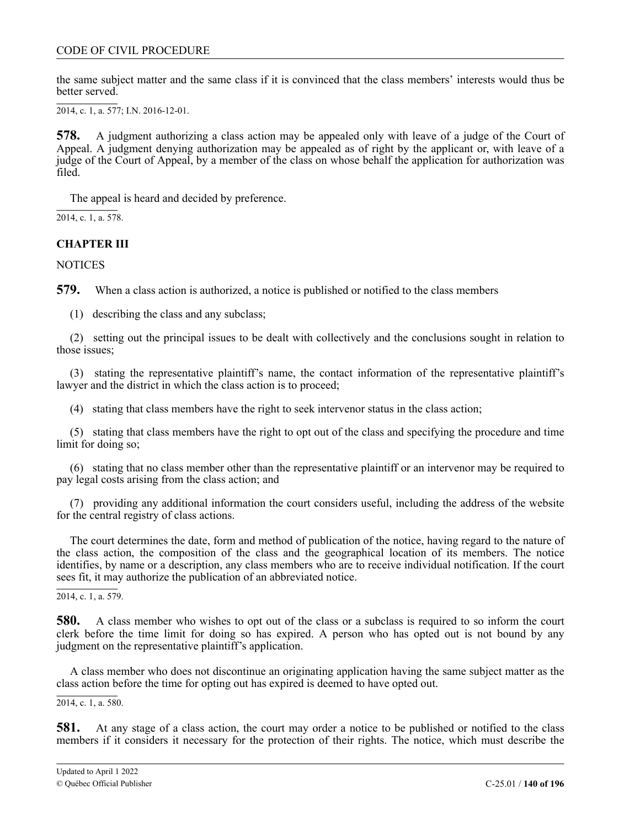the same subject matter and the same class if it is convinced that the class members' interests would thus be better served.

2014, c. 1, a. 577; I.N. 2016-12-01.

**578.** A judgment authorizing a class action may be appealed only with leave of a judge of the Court of Appeal. A judgment denying authorization may be appealed as of right by the applicant or, with leave of a judge of the Court of Appeal, by a member of the class on whose behalf the application for authorization was filed.

The appeal is heard and decided by preference.

2014, c. 1, a. 578.

## **CHAPTER III**

**NOTICES** 

**579.** When a class action is authorized, a notice is published or notified to the class members

(1) describing the class and any subclass;

(2) setting out the principal issues to be dealt with collectively and the conclusions sought in relation to those issues;

(3) stating the representative plaintiff's name, the contact information of the representative plaintiff's lawyer and the district in which the class action is to proceed;

(4) stating that class members have the right to seek intervenor status in the class action;

(5) stating that class members have the right to opt out of the class and specifying the procedure and time limit for doing so;

(6) stating that no class member other than the representative plaintiff or an intervenor may be required to pay legal costs arising from the class action; and

(7) providing any additional information the court considers useful, including the address of the website for the central registry of class actions.

The court determines the date, form and method of publication of the notice, having regard to the nature of the class action, the composition of the class and the geographical location of its members. The notice identifies, by name or a description, any class members who are to receive individual notification. If the court sees fit, it may authorize the publication of an abbreviated notice.

 $\overline{2014, c. 1, a. 579}.$ 

**580.** A class member who wishes to opt out of the class or a subclass is required to so inform the court clerk before the time limit for doing so has expired. A person who has opted out is not bound by any judgment on the representative plaintiff's application.

A class member who does not discontinue an originating application having the same subject matter as the class action before the time for opting out has expired is deemed to have opted out.

2014, c. 1, a. 580.

**581.** At any stage of a class action, the court may order a notice to be published or notified to the class members if it considers it necessary for the protection of their rights. The notice, which must describe the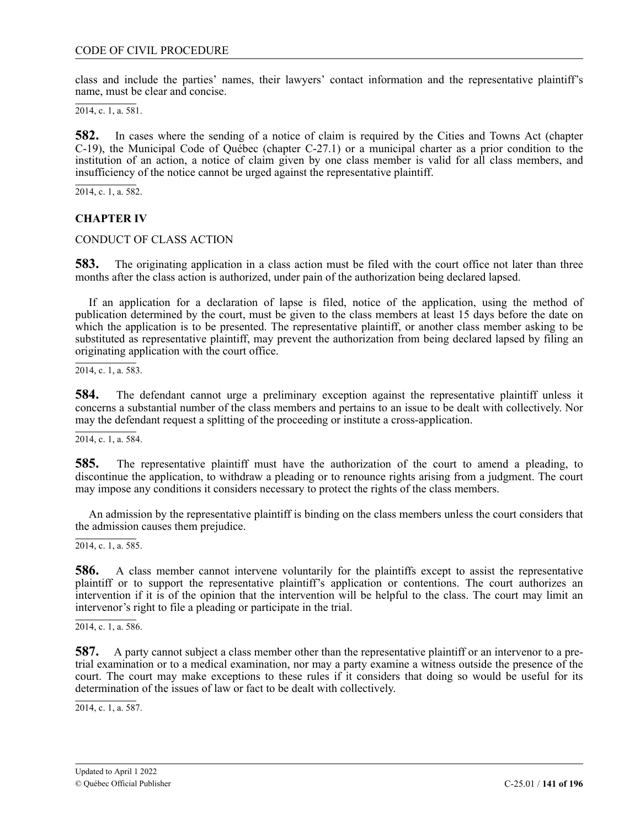class and include the parties' names, their lawyers' contact information and the representative plaintiff's name, must be clear and concise.

2014, c. 1, a. 581.

**582.** In cases where the sending of a notice of claim is required by the Cities and Towns Act (chapter C-19), the Municipal Code of Québec (chapter C-27.1) or a municipal charter as a prior condition to the institution of an action, a notice of claim given by one class member is valid for all class members, and insufficiency of the notice cannot be urged against the representative plaintiff.

2014, c. 1, a. 582.

# **CHAPTER IV**

CONDUCT OF CLASS ACTION

**583.** The originating application in a class action must be filed with the court office not later than three months after the class action is authorized, under pain of the authorization being declared lapsed.

If an application for a declaration of lapse is filed, notice of the application, using the method of publication determined by the court, must be given to the class members at least 15 days before the date on which the application is to be presented. The representative plaintiff, or another class member asking to be substituted as representative plaintiff, may prevent the authorization from being declared lapsed by filing an originating application with the court office.

2014, c. 1, a. 583.

**584.** The defendant cannot urge a preliminary exception against the representative plaintiff unless it concerns a substantial number of the class members and pertains to an issue to be dealt with collectively. Nor may the defendant request a splitting of the proceeding or institute a cross-application.

2014, c. 1, a. 584.

**585.** The representative plaintiff must have the authorization of the court to amend a pleading, to discontinue the application, to withdraw a pleading or to renounce rights arising from a judgment. The court may impose any conditions it considers necessary to protect the rights of the class members.

An admission by the representative plaintiff is binding on the class members unless the court considers that the admission causes them prejudice.

2014, c. 1, a. 585.

**586.** A class member cannot intervene voluntarily for the plaintiffs except to assist the representative plaintiff or to support the representative plaintiff's application or contentions. The court authorizes an intervention if it is of the opinion that the intervention will be helpful to the class. The court may limit an intervenor's right to file a pleading or participate in the trial.

2014, c. 1, a. 586.

**587.** A party cannot subject a class member other than the representative plaintiff or an intervenor to a pretrial examination or to a medical examination, nor may a party examine a witness outside the presence of the court. The court may make exceptions to these rules if it considers that doing so would be useful for its determination of the issues of law or fact to be dealt with collectively.

2014, c. 1, a. 587.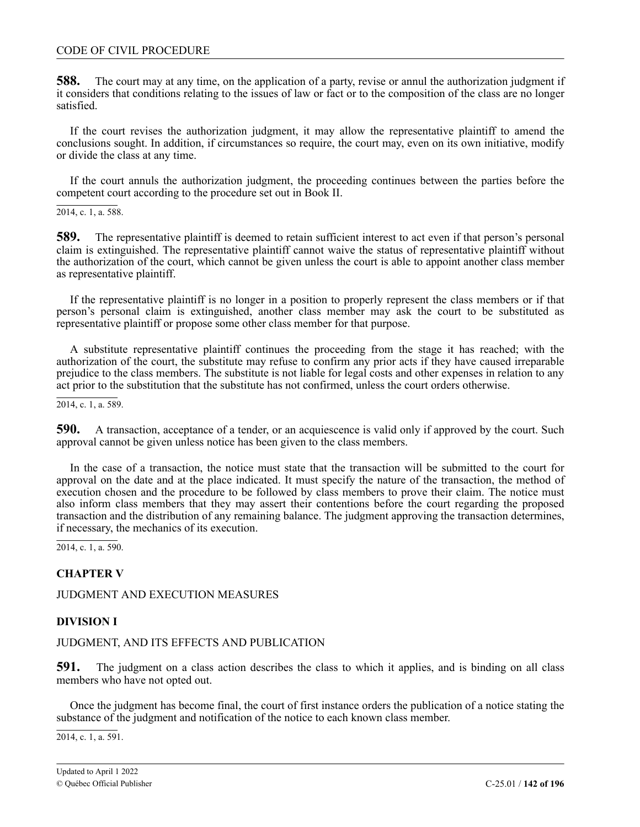**588.** The court may at any time, on the application of a party, revise or annul the authorization judgment if it considers that conditions relating to the issues of law or fact or to the composition of the class are no longer satisfied.

If the court revises the authorization judgment, it may allow the representative plaintiff to amend the conclusions sought. In addition, if circumstances so require, the court may, even on its own initiative, modify or divide the class at any time.

If the court annuls the authorization judgment, the proceeding continues between the parties before the competent court according to the procedure set out in Book II.

2014, c. 1, a. 588.

**589.** The representative plaintiff is deemed to retain sufficient interest to act even if that person's personal claim is extinguished. The representative plaintiff cannot waive the status of representative plaintiff without the authorization of the court, which cannot be given unless the court is able to appoint another class member as representative plaintiff.

If the representative plaintiff is no longer in a position to properly represent the class members or if that person's personal claim is extinguished, another class member may ask the court to be substituted as representative plaintiff or propose some other class member for that purpose.

A substitute representative plaintiff continues the proceeding from the stage it has reached; with the authorization of the court, the substitute may refuse to confirm any prior acts if they have caused irreparable prejudice to the class members. The substitute is not liable for legal costs and other expenses in relation to any act prior to the substitution that the substitute has not confirmed, unless the court orders otherwise.

2014, c. 1, a. 589.

**590.** A transaction, acceptance of a tender, or an acquiescence is valid only if approved by the court. Such approval cannot be given unless notice has been given to the class members.

In the case of a transaction, the notice must state that the transaction will be submitted to the court for approval on the date and at the place indicated. It must specify the nature of the transaction, the method of execution chosen and the procedure to be followed by class members to prove their claim. The notice must also inform class members that they may assert their contentions before the court regarding the proposed transaction and the distribution of any remaining balance. The judgment approving the transaction determines, if necessary, the mechanics of its execution.

2014, c. 1, a. 590.

# **CHAPTER V**

JUDGMENT AND EXECUTION MEASURES

## **DIVISION I**

#### JUDGMENT, AND ITS EFFECTS AND PUBLICATION

**591.** The judgment on a class action describes the class to which it applies, and is binding on all class members who have not opted out.

Once the judgment has become final, the court of first instance orders the publication of a notice stating the substance of the judgment and notification of the notice to each known class member.

2014, c. 1, a. 591.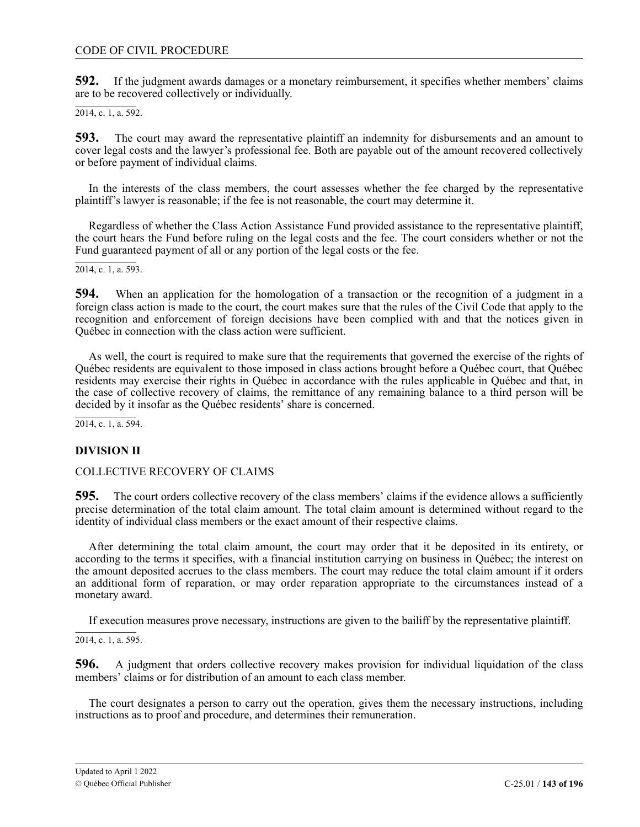**592.** If the judgment awards damages or a monetary reimbursement, it specifies whether members' claims are to be recovered collectively or individually.

#### 2014, c. 1, a. 592.

**593.** The court may award the representative plaintiff an indemnity for disbursements and an amount to cover legal costs and the lawyer's professional fee. Both are payable out of the amount recovered collectively or before payment of individual claims.

In the interests of the class members, the court assesses whether the fee charged by the representative plaintiff's lawyer is reasonable; if the fee is not reasonable, the court may determine it.

Regardless of whether the Class Action Assistance Fund provided assistance to the representative plaintiff, the court hears the Fund before ruling on the legal costs and the fee. The court considers whether or not the Fund guaranteed payment of all or any portion of the legal costs or the fee.

 $2014$ , c. 1, a. 593.

**594.** When an application for the homologation of a transaction or the recognition of a judgment in a foreign class action is made to the court, the court makes sure that the rules of the Civil Code that apply to the recognition and enforcement of foreign decisions have been complied with and that the notices given in Québec in connection with the class action were sufficient.

As well, the court is required to make sure that the requirements that governed the exercise of the rights of Québec residents are equivalent to those imposed in class actions brought before a Québec court, that Québec residents may exercise their rights in Québec in accordance with the rules applicable in Québec and that, in the case of collective recovery of claims, the remittance of any remaining balance to a third person will be decided by it insofar as the Québec residents' share is concerned.

2014, c. 1, a. 594.

# **DIVISION II**

#### COLLECTIVE RECOVERY OF CLAIMS

**595.** The court orders collective recovery of the class members' claims if the evidence allows a sufficiently precise determination of the total claim amount. The total claim amount is determined without regard to the identity of individual class members or the exact amount of their respective claims.

After determining the total claim amount, the court may order that it be deposited in its entirety, or according to the terms it specifies, with a financial institution carrying on business in Québec; the interest on the amount deposited accrues to the class members. The court may reduce the total claim amount if it orders an additional form of reparation, or may order reparation appropriate to the circumstances instead of a monetary award.

If execution measures prove necessary, instructions are given to the bailiff by the representative plaintiff.

2014, c. 1, a. 595.

**596.** A judgment that orders collective recovery makes provision for individual liquidation of the class members' claims or for distribution of an amount to each class member.

The court designates a person to carry out the operation, gives them the necessary instructions, including instructions as to proof and procedure, and determines their remuneration.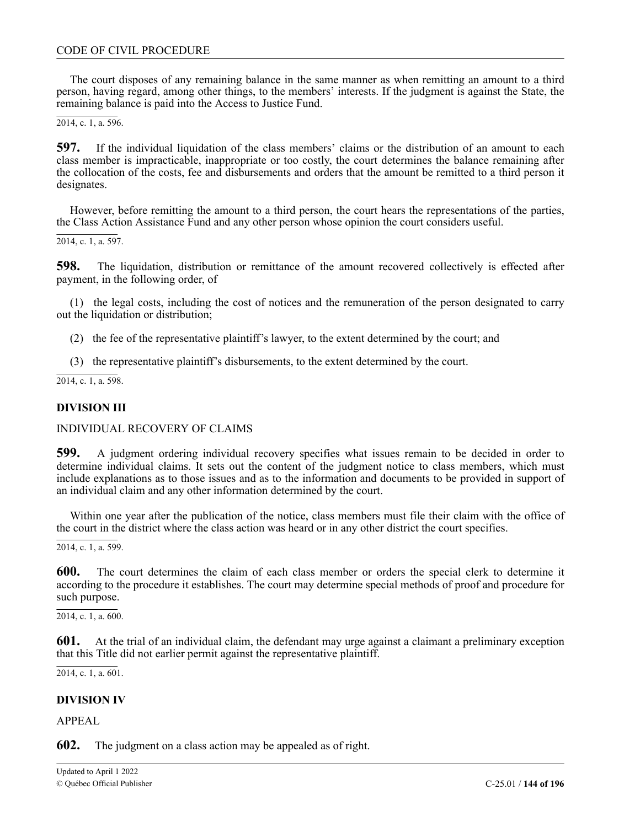The court disposes of any remaining balance in the same manner as when remitting an amount to a third person, having regard, among other things, to the members' interests. If the judgment is against the State, the remaining balance is paid into the Access to Justice Fund.

2014, c. 1, a. 596.

**597.** If the individual liquidation of the class members' claims or the distribution of an amount to each class member is impracticable, inappropriate or too costly, the court determines the balance remaining after the collocation of the costs, fee and disbursements and orders that the amount be remitted to a third person it designates.

However, before remitting the amount to a third person, the court hears the representations of the parties, the Class Action Assistance Fund and any other person whose opinion the court considers useful.

 $\overline{2014}$ , c. 1, a, 597.

**598.** The liquidation, distribution or remittance of the amount recovered collectively is effected after payment, in the following order, of

(1) the legal costs, including the cost of notices and the remuneration of the person designated to carry out the liquidation or distribution;

(2) the fee of the representative plaintiff's lawyer, to the extent determined by the court; and

(3) the representative plaintiff's disbursements, to the extent determined by the court.

2014, c. 1, a. 598.

# **DIVISION III**

INDIVIDUAL RECOVERY OF CLAIMS

**599.** A judgment ordering individual recovery specifies what issues remain to be decided in order to determine individual claims. It sets out the content of the judgment notice to class members, which must include explanations as to those issues and as to the information and documents to be provided in support of an individual claim and any other information determined by the court.

Within one year after the publication of the notice, class members must file their claim with the office of the court in the district where the class action was heard or in any other district the court specifies.

2014, c. 1, a. 599.

**600.** The court determines the claim of each class member or orders the special clerk to determine it according to the procedure it establishes. The court may determine special methods of proof and procedure for such purpose.

 $\overline{2014}$ , c. 1, a. 600.

**601.** At the trial of an individual claim, the defendant may urge against a claimant a preliminary exception that this Title did not earlier permit against the representative plaintiff.

 $\overline{2014, c. 1, a. 601}$ .

#### **DIVISION IV**

APPEAL

**602.** The judgment on a class action may be appealed as of right.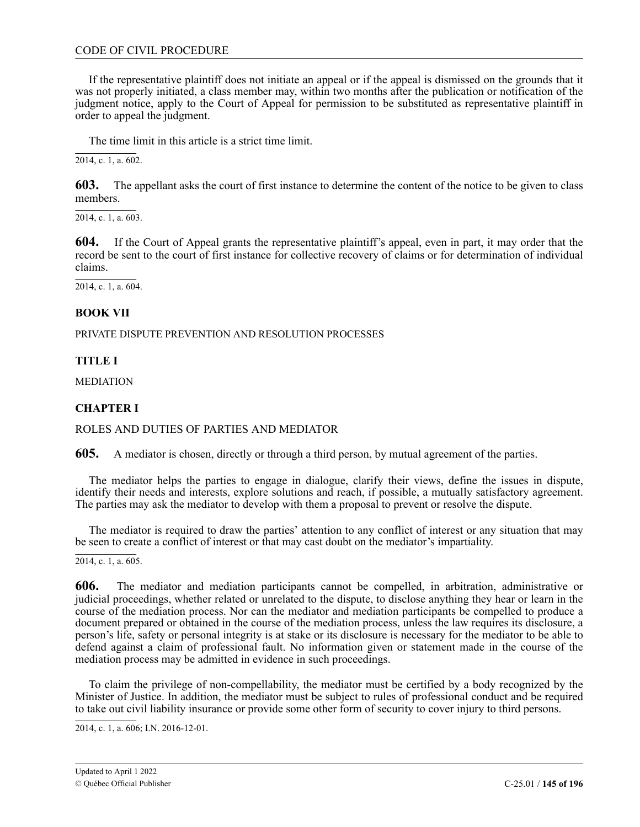If the representative plaintiff does not initiate an appeal or if the appeal is dismissed on the grounds that it was not properly initiated, a class member may, within two months after the publication or notification of the judgment notice, apply to the Court of Appeal for permission to be substituted as representative plaintiff in order to appeal the judgment.

The time limit in this article is a strict time limit.

2014, c. 1, a. 602.

**603.** The appellant asks the court of first instance to determine the content of the notice to be given to class members.

2014, c. 1, a. 603.

**604.** If the Court of Appeal grants the representative plaintiff's appeal, even in part, it may order that the record be sent to the court of first instance for collective recovery of claims or for determination of individual claims.

2014, c. 1, a. 604.

## **BOOK VII**

PRIVATE DISPUTE PREVENTION AND RESOLUTION PROCESSES

### **TITLE I**

MEDIATION

# **CHAPTER I**

#### ROLES AND DUTIES OF PARTIES AND MEDIATOR

**605.** A mediator is chosen, directly or through a third person, by mutual agreement of the parties.

The mediator helps the parties to engage in dialogue, clarify their views, define the issues in dispute, identify their needs and interests, explore solutions and reach, if possible, a mutually satisfactory agreement. The parties may ask the mediator to develop with them a proposal to prevent or resolve the dispute.

The mediator is required to draw the parties' attention to any conflict of interest or any situation that may be seen to create a conflict of interest or that may cast doubt on the mediator's impartiality.

2014, c. 1, a. 605.

**606.** The mediator and mediation participants cannot be compelled, in arbitration, administrative or judicial proceedings, whether related or unrelated to the dispute, to disclose anything they hear or learn in the course of the mediation process. Nor can the mediator and mediation participants be compelled to produce a document prepared or obtained in the course of the mediation process, unless the law requires its disclosure, a person's life, safety or personal integrity is at stake or its disclosure is necessary for the mediator to be able to defend against a claim of professional fault. No information given or statement made in the course of the mediation process may be admitted in evidence in such proceedings.

To claim the privilege of non-compellability, the mediator must be certified by a body recognized by the Minister of Justice. In addition, the mediator must be subject to rules of professional conduct and be required to take out civil liability insurance or provide some other form of security to cover injury to third persons.

2014, c. 1, a. 606; I.N. 2016-12-01.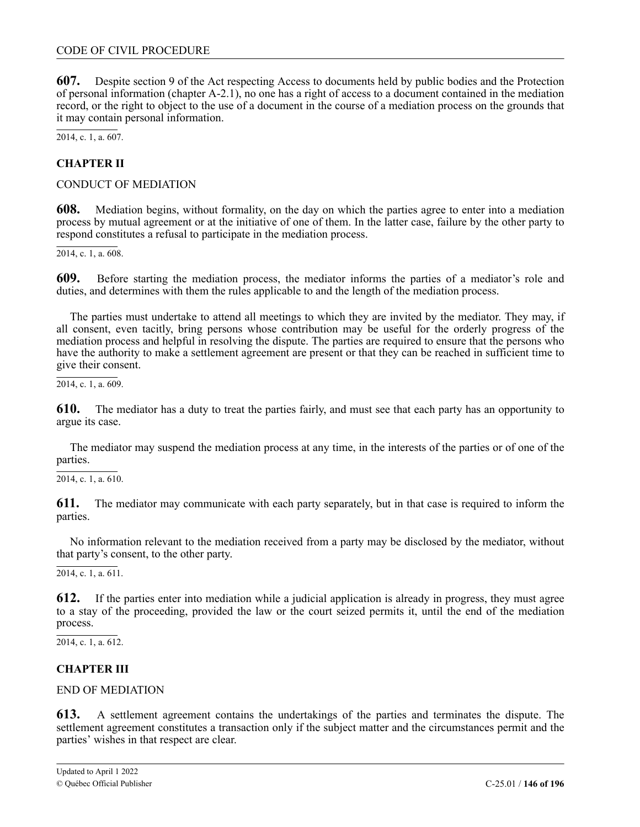**607.** Despite section 9 of the Act respecting Access to documents held by public bodies and the Protection of personal information (chapter A-2.1), no one has a right of access to a document contained in the mediation record, or the right to object to the use of a document in the course of a mediation process on the grounds that it may contain personal information.

2014, c. 1, a. 607.

# **CHAPTER II**

CONDUCT OF MEDIATION

**608.** Mediation begins, without formality, on the day on which the parties agree to enter into a mediation process by mutual agreement or at the initiative of one of them. In the latter case, failure by the other party to respond constitutes a refusal to participate in the mediation process.

 $\overline{2014, c. 1, a. 608}.$ 

**609.** Before starting the mediation process, the mediator informs the parties of a mediator's role and duties, and determines with them the rules applicable to and the length of the mediation process.

The parties must undertake to attend all meetings to which they are invited by the mediator. They may, if all consent, even tacitly, bring persons whose contribution may be useful for the orderly progress of the mediation process and helpful in resolving the dispute. The parties are required to ensure that the persons who have the authority to make a settlement agreement are present or that they can be reached in sufficient time to give their consent.

2014, c. 1, a. 609.

**610.** The mediator has a duty to treat the parties fairly, and must see that each party has an opportunity to argue its case.

The mediator may suspend the mediation process at any time, in the interests of the parties or of one of the parties.

 $\overline{2014, c. 1, a. 610}.$ 

**611.** The mediator may communicate with each party separately, but in that case is required to inform the parties.

No information relevant to the mediation received from a party may be disclosed by the mediator, without that party's consent, to the other party.

2014, c. 1, a. 611.

**612.** If the parties enter into mediation while a judicial application is already in progress, they must agree to a stay of the proceeding, provided the law or the court seized permits it, until the end of the mediation process.

2014, c. 1, a. 612.

# **CHAPTER III**

## END OF MEDIATION

**613.** A settlement agreement contains the undertakings of the parties and terminates the dispute. The settlement agreement constitutes a transaction only if the subject matter and the circumstances permit and the parties' wishes in that respect are clear.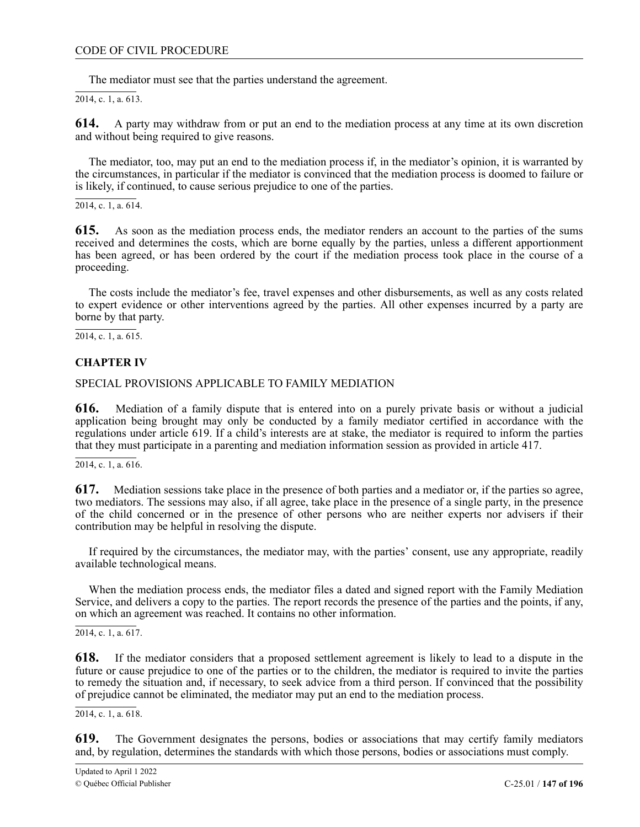The mediator must see that the parties understand the agreement.

 $\overline{2014}$ , c. 1, a. 613.

**614.** A party may withdraw from or put an end to the mediation process at any time at its own discretion and without being required to give reasons.

The mediator, too, may put an end to the mediation process if, in the mediator's opinion, it is warranted by the circumstances, in particular if the mediator is convinced that the mediation process is doomed to failure or is likely, if continued, to cause serious prejudice to one of the parties.

 $\overline{2014}$ , c. 1, a, 614.

**615.** As soon as the mediation process ends, the mediator renders an account to the parties of the sums received and determines the costs, which are borne equally by the parties, unless a different apportionment has been agreed, or has been ordered by the court if the mediation process took place in the course of a proceeding.

The costs include the mediator's fee, travel expenses and other disbursements, as well as any costs related to expert evidence or other interventions agreed by the parties. All other expenses incurred by a party are borne by that party.

 $\overline{2014}$ , c. 1, a. 615.

## **CHAPTER IV**

SPECIAL PROVISIONS APPLICABLE TO FAMILY MEDIATION

**616.** Mediation of a family dispute that is entered into on a purely private basis or without a judicial application being brought may only be conducted by a family mediator certified in accordance with the regulations under article 619. If a child's interests are at stake, the mediator is required to inform the parties that they must participate in a parenting and mediation information session as provided in article 417.

2014, c. 1, a. 616.

**617.** Mediation sessions take place in the presence of both parties and a mediator or, if the parties so agree, two mediators. The sessions may also, if all agree, take place in the presence of a single party, in the presence of the child concerned or in the presence of other persons who are neither experts nor advisers if their contribution may be helpful in resolving the dispute.

If required by the circumstances, the mediator may, with the parties' consent, use any appropriate, readily available technological means.

When the mediation process ends, the mediator files a dated and signed report with the Family Mediation Service, and delivers a copy to the parties. The report records the presence of the parties and the points, if any, on which an agreement was reached. It contains no other information.

 $\overline{2014, c. 1, a. 617}.$ 

**618.** If the mediator considers that a proposed settlement agreement is likely to lead to a dispute in the future or cause prejudice to one of the parties or to the children, the mediator is required to invite the parties to remedy the situation and, if necessary, to seek advice from a third person. If convinced that the possibility of prejudice cannot be eliminated, the mediator may put an end to the mediation process.

2014, c. 1, a. 618.

**619.** The Government designates the persons, bodies or associations that may certify family mediators and, by regulation, determines the standards with which those persons, bodies or associations must comply.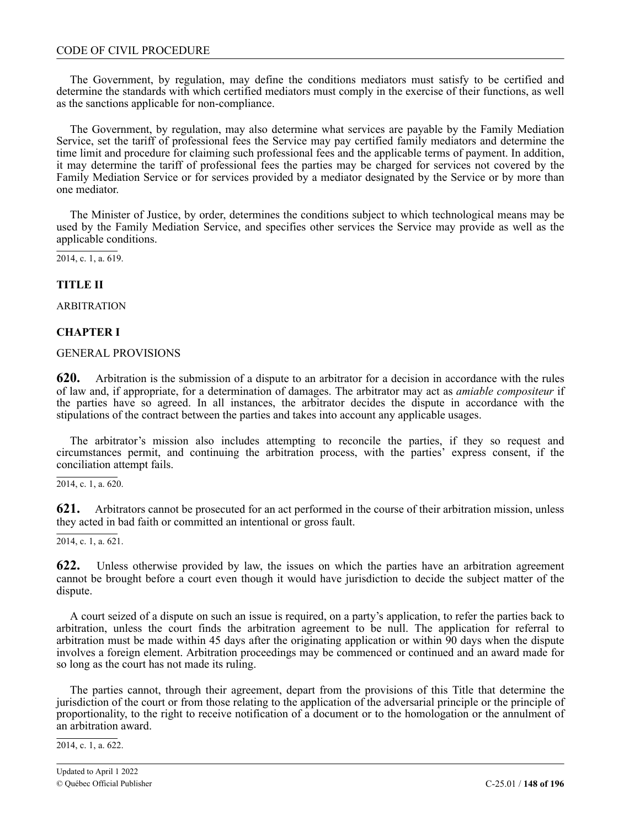The Government, by regulation, may define the conditions mediators must satisfy to be certified and determine the standards with which certified mediators must comply in the exercise of their functions, as well as the sanctions applicable for non-compliance.

The Government, by regulation, may also determine what services are payable by the Family Mediation Service, set the tariff of professional fees the Service may pay certified family mediators and determine the time limit and procedure for claiming such professional fees and the applicable terms of payment. In addition, it may determine the tariff of professional fees the parties may be charged for services not covered by the Family Mediation Service or for services provided by a mediator designated by the Service or by more than one mediator.

The Minister of Justice, by order, determines the conditions subject to which technological means may be used by the Family Mediation Service, and specifies other services the Service may provide as well as the applicable conditions.

 $\overline{2014, c. 1, a. 619}.$ 

### **TITLE II**

ARBITRATION

### **CHAPTER I**

#### GENERAL PROVISIONS

**620.** Arbitration is the submission of a dispute to an arbitrator for a decision in accordance with the rules of law and, if appropriate, for a determination of damages. The arbitrator may act as *amiable compositeur* if the parties have so agreed. In all instances, the arbitrator decides the dispute in accordance with the stipulations of the contract between the parties and takes into account any applicable usages.

The arbitrator's mission also includes attempting to reconcile the parties, if they so request and circumstances permit, and continuing the arbitration process, with the parties' express consent, if the conciliation attempt fails.

 $\overline{2014, c. 1, a. 620}.$ 

**621.** Arbitrators cannot be prosecuted for an act performed in the course of their arbitration mission, unless they acted in bad faith or committed an intentional or gross fault.

 $\overline{2014}$ , c. 1, a, 621.

**622.** Unless otherwise provided by law, the issues on which the parties have an arbitration agreement cannot be brought before a court even though it would have jurisdiction to decide the subject matter of the dispute.

A court seized of a dispute on such an issue is required, on a party's application, to refer the parties back to arbitration, unless the court finds the arbitration agreement to be null. The application for referral to arbitration must be made within 45 days after the originating application or within 90 days when the dispute involves a foreign element. Arbitration proceedings may be commenced or continued and an award made for so long as the court has not made its ruling.

The parties cannot, through their agreement, depart from the provisions of this Title that determine the jurisdiction of the court or from those relating to the application of the adversarial principle or the principle of proportionality, to the right to receive notification of a document or to the homologation or the annulment of an arbitration award.

2014, c. 1, a. 622.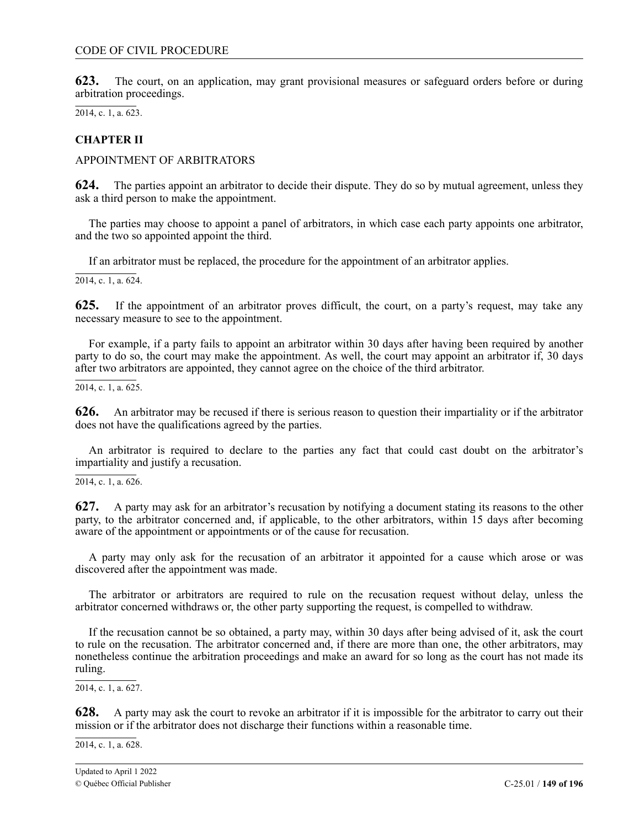**623.** The court, on an application, may grant provisional measures or safeguard orders before or during arbitration proceedings.

2014, c. 1, a. 623.

# **CHAPTER II**

APPOINTMENT OF ARBITRATORS

**624.** The parties appoint an arbitrator to decide their dispute. They do so by mutual agreement, unless they ask a third person to make the appointment.

The parties may choose to appoint a panel of arbitrators, in which case each party appoints one arbitrator, and the two so appointed appoint the third.

If an arbitrator must be replaced, the procedure for the appointment of an arbitrator applies.

2014, c. 1, a. 624.

**625.** If the appointment of an arbitrator proves difficult, the court, on a party's request, may take any necessary measure to see to the appointment.

For example, if a party fails to appoint an arbitrator within 30 days after having been required by another party to do so, the court may make the appointment. As well, the court may appoint an arbitrator if, 30 days after two arbitrators are appointed, they cannot agree on the choice of the third arbitrator.

2014, c. 1, a. 625.

**626.** An arbitrator may be recused if there is serious reason to question their impartiality or if the arbitrator does not have the qualifications agreed by the parties.

An arbitrator is required to declare to the parties any fact that could cast doubt on the arbitrator's impartiality and justify a recusation.

 $2014$ , c. 1, a. 626.

**627.** A party may ask for an arbitrator's recusation by notifying a document stating its reasons to the other party, to the arbitrator concerned and, if applicable, to the other arbitrators, within 15 days after becoming aware of the appointment or appointments or of the cause for recusation.

A party may only ask for the recusation of an arbitrator it appointed for a cause which arose or was discovered after the appointment was made.

The arbitrator or arbitrators are required to rule on the recusation request without delay, unless the arbitrator concerned withdraws or, the other party supporting the request, is compelled to withdraw.

If the recusation cannot be so obtained, a party may, within 30 days after being advised of it, ask the court to rule on the recusation. The arbitrator concerned and, if there are more than one, the other arbitrators, may nonetheless continue the arbitration proceedings and make an award for so long as the court has not made its ruling.

2014, c. 1, a. 627.

**628.** A party may ask the court to revoke an arbitrator if it is impossible for the arbitrator to carry out their mission or if the arbitrator does not discharge their functions within a reasonable time.

2014, c. 1, a. 628.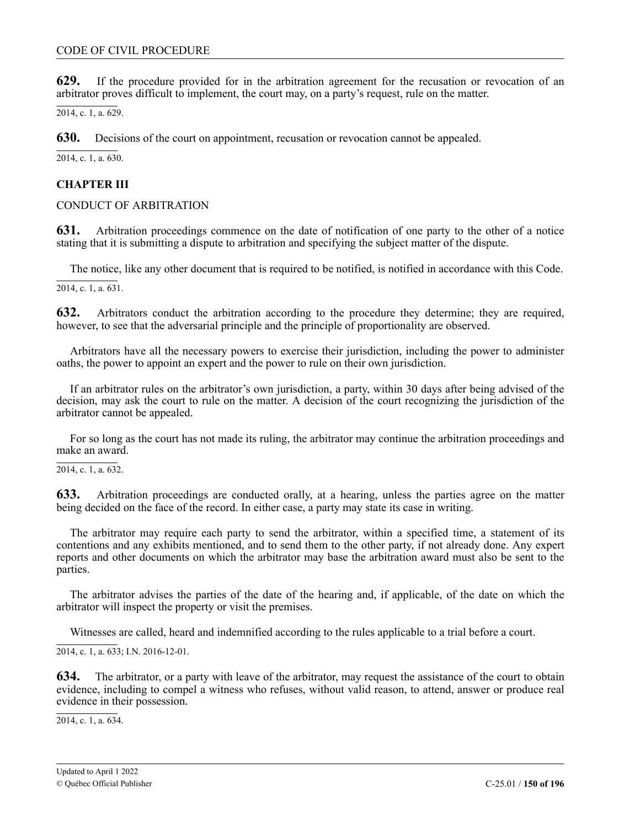**629.** If the procedure provided for in the arbitration agreement for the recusation or revocation of an arbitrator proves difficult to implement, the court may, on a party's request, rule on the matter.

2014, c. 1, a. 629.

**630.** Decisions of the court on appointment, recusation or revocation cannot be appealed.

2014, c. 1, a. 630.

# **CHAPTER III**

### CONDUCT OF ARBITRATION

**631.** Arbitration proceedings commence on the date of notification of one party to the other of a notice stating that it is submitting a dispute to arbitration and specifying the subject matter of the dispute.

The notice, like any other document that is required to be notified, is notified in accordance with this Code. 2014, c. 1, a. 631.

**632.** Arbitrators conduct the arbitration according to the procedure they determine; they are required, however, to see that the adversarial principle and the principle of proportionality are observed.

Arbitrators have all the necessary powers to exercise their jurisdiction, including the power to administer oaths, the power to appoint an expert and the power to rule on their own jurisdiction.

If an arbitrator rules on the arbitrator's own jurisdiction, a party, within 30 days after being advised of the decision, may ask the court to rule on the matter. A decision of the court recognizing the jurisdiction of the arbitrator cannot be appealed.

For so long as the court has not made its ruling, the arbitrator may continue the arbitration proceedings and make an award.

2014, c. 1, a. 632.

**633.** Arbitration proceedings are conducted orally, at a hearing, unless the parties agree on the matter being decided on the face of the record. In either case, a party may state its case in writing.

The arbitrator may require each party to send the arbitrator, within a specified time, a statement of its contentions and any exhibits mentioned, and to send them to the other party, if not already done. Any expert reports and other documents on which the arbitrator may base the arbitration award must also be sent to the parties.

The arbitrator advises the parties of the date of the hearing and, if applicable, of the date on which the arbitrator will inspect the property or visit the premises.

Witnesses are called, heard and indemnified according to the rules applicable to a trial before a court.

 $2014, c. 1, a. 633$ ; I.N. 2016-12-01.

**634.** The arbitrator, or a party with leave of the arbitrator, may request the assistance of the court to obtain evidence, including to compel a witness who refuses, without valid reason, to attend, answer or produce real evidence in their possession.

2014, c. 1, a. 634.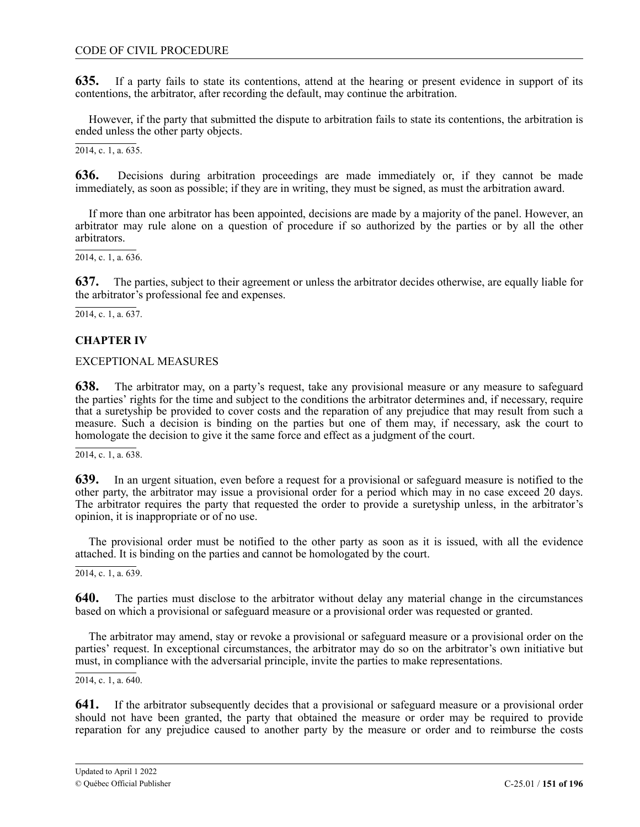**635.** If a party fails to state its contentions, attend at the hearing or present evidence in support of its contentions, the arbitrator, after recording the default, may continue the arbitration.

However, if the party that submitted the dispute to arbitration fails to state its contentions, the arbitration is ended unless the other party objects.

 $\overline{2014, c. 1, a. 635}.$ 

**636.** Decisions during arbitration proceedings are made immediately or, if they cannot be made immediately, as soon as possible; if they are in writing, they must be signed, as must the arbitration award.

If more than one arbitrator has been appointed, decisions are made by a majority of the panel. However, an arbitrator may rule alone on a question of procedure if so authorized by the parties or by all the other arbitrators.

2014, c. 1, a. 636.

**637.** The parties, subject to their agreement or unless the arbitrator decides otherwise, are equally liable for the arbitrator's professional fee and expenses.

2014, c. 1, a. 637.

## **CHAPTER IV**

#### EXCEPTIONAL MEASURES

**638.** The arbitrator may, on a party's request, take any provisional measure or any measure to safeguard the parties' rights for the time and subject to the conditions the arbitrator determines and, if necessary, require that a suretyship be provided to cover costs and the reparation of any prejudice that may result from such a measure. Such a decision is binding on the parties but one of them may, if necessary, ask the court to homologate the decision to give it the same force and effect as a judgment of the court.

2014, c. 1, a. 638.

**639.** In an urgent situation, even before a request for a provisional or safeguard measure is notified to the other party, the arbitrator may issue a provisional order for a period which may in no case exceed 20 days. The arbitrator requires the party that requested the order to provide a suretyship unless, in the arbitrator's opinion, it is inappropriate or of no use.

The provisional order must be notified to the other party as soon as it is issued, with all the evidence attached. It is binding on the parties and cannot be homologated by the court.

2014, c. 1, a. 639.

**640.** The parties must disclose to the arbitrator without delay any material change in the circumstances based on which a provisional or safeguard measure or a provisional order was requested or granted.

The arbitrator may amend, stay or revoke a provisional or safeguard measure or a provisional order on the parties' request. In exceptional circumstances, the arbitrator may do so on the arbitrator's own initiative but must, in compliance with the adversarial principle, invite the parties to make representations.

2014, c. 1, a. 640.

**641.** If the arbitrator subsequently decides that a provisional or safeguard measure or a provisional order should not have been granted, the party that obtained the measure or order may be required to provide reparation for any prejudice caused to another party by the measure or order and to reimburse the costs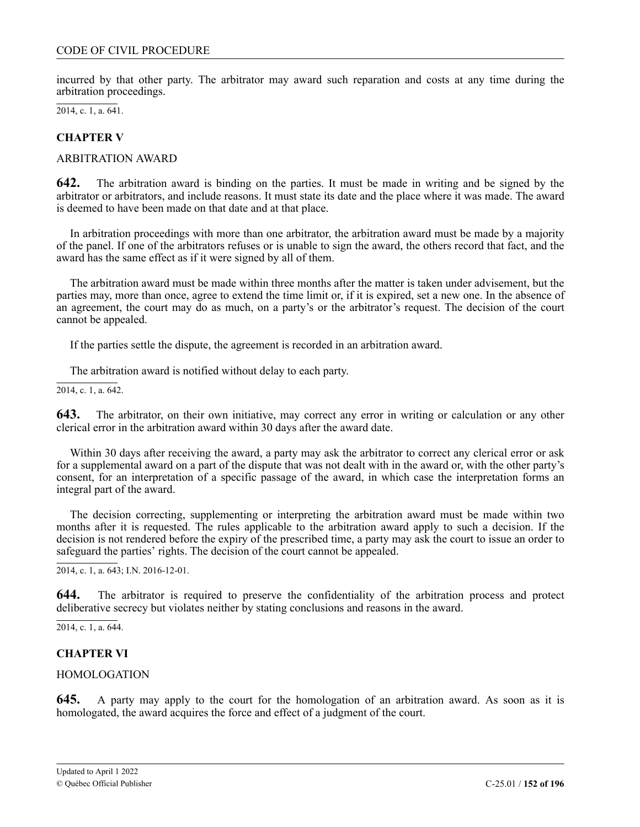incurred by that other party. The arbitrator may award such reparation and costs at any time during the arbitration proceedings.

2014, c. 1, a. 641.

# **CHAPTER V**

ARBITRATION AWARD

**642.** The arbitration award is binding on the parties. It must be made in writing and be signed by the arbitrator or arbitrators, and include reasons. It must state its date and the place where it was made. The award is deemed to have been made on that date and at that place.

In arbitration proceedings with more than one arbitrator, the arbitration award must be made by a majority of the panel. If one of the arbitrators refuses or is unable to sign the award, the others record that fact, and the award has the same effect as if it were signed by all of them.

The arbitration award must be made within three months after the matter is taken under advisement, but the parties may, more than once, agree to extend the time limit or, if it is expired, set a new one. In the absence of an agreement, the court may do as much, on a party's or the arbitrator's request. The decision of the court cannot be appealed.

If the parties settle the dispute, the agreement is recorded in an arbitration award.

The arbitration award is notified without delay to each party.

2014, c. 1, a. 642.

**643.** The arbitrator, on their own initiative, may correct any error in writing or calculation or any other clerical error in the arbitration award within 30 days after the award date.

Within 30 days after receiving the award, a party may ask the arbitrator to correct any clerical error or ask for a supplemental award on a part of the dispute that was not dealt with in the award or, with the other party's consent, for an interpretation of a specific passage of the award, in which case the interpretation forms an integral part of the award.

The decision correcting, supplementing or interpreting the arbitration award must be made within two months after it is requested. The rules applicable to the arbitration award apply to such a decision. If the decision is not rendered before the expiry of the prescribed time, a party may ask the court to issue an order to safeguard the parties' rights. The decision of the court cannot be appealed.

2014, c. 1, a. 643; I.N. 2016-12-01.

**644.** The arbitrator is required to preserve the confidentiality of the arbitration process and protect deliberative secrecy but violates neither by stating conclusions and reasons in the award.

 $2014$ , c. 1, a. 644.

# **CHAPTER VI**

#### HOMOLOGATION

**645.** A party may apply to the court for the homologation of an arbitration award. As soon as it is homologated, the award acquires the force and effect of a judgment of the court.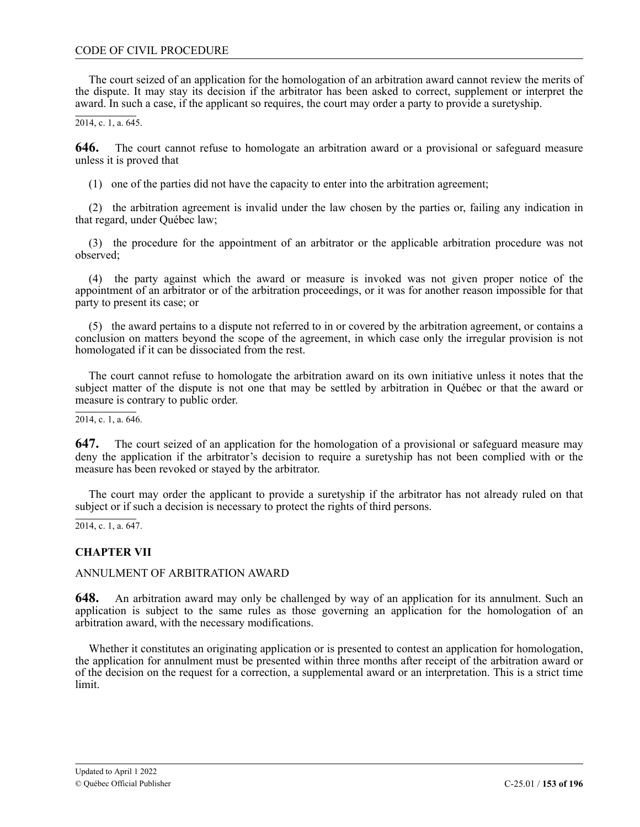The court seized of an application for the homologation of an arbitration award cannot review the merits of the dispute. It may stay its decision if the arbitrator has been asked to correct, supplement or interpret the award. In such a case, if the applicant so requires, the court may order a party to provide a suretyship.

 $\overline{2014}$ , c. 1, a, 645.

**646.** The court cannot refuse to homologate an arbitration award or a provisional or safeguard measure unless it is proved that

(1) one of the parties did not have the capacity to enter into the arbitration agreement;

(2) the arbitration agreement is invalid under the law chosen by the parties or, failing any indication in that regard, under Québec law;

(3) the procedure for the appointment of an arbitrator or the applicable arbitration procedure was not observed;

(4) the party against which the award or measure is invoked was not given proper notice of the appointment of an arbitrator or of the arbitration proceedings, or it was for another reason impossible for that party to present its case; or

(5) the award pertains to a dispute not referred to in or covered by the arbitration agreement, or contains a conclusion on matters beyond the scope of the agreement, in which case only the irregular provision is not homologated if it can be dissociated from the rest.

The court cannot refuse to homologate the arbitration award on its own initiative unless it notes that the subject matter of the dispute is not one that may be settled by arbitration in Québec or that the award or measure is contrary to public order.

2014, c. 1, a. 646.

**647.** The court seized of an application for the homologation of a provisional or safeguard measure may deny the application if the arbitrator's decision to require a suretyship has not been complied with or the measure has been revoked or stayed by the arbitrator.

The court may order the applicant to provide a suretyship if the arbitrator has not already ruled on that subject or if such a decision is necessary to protect the rights of third persons.

2014, c. 1, a. 647.

## **CHAPTER VII**

#### ANNULMENT OF ARBITRATION AWARD

**648.** An arbitration award may only be challenged by way of an application for its annulment. Such an application is subject to the same rules as those governing an application for the homologation of an arbitration award, with the necessary modifications.

Whether it constitutes an originating application or is presented to contest an application for homologation, the application for annulment must be presented within three months after receipt of the arbitration award or of the decision on the request for a correction, a supplemental award or an interpretation. This is a strict time limit.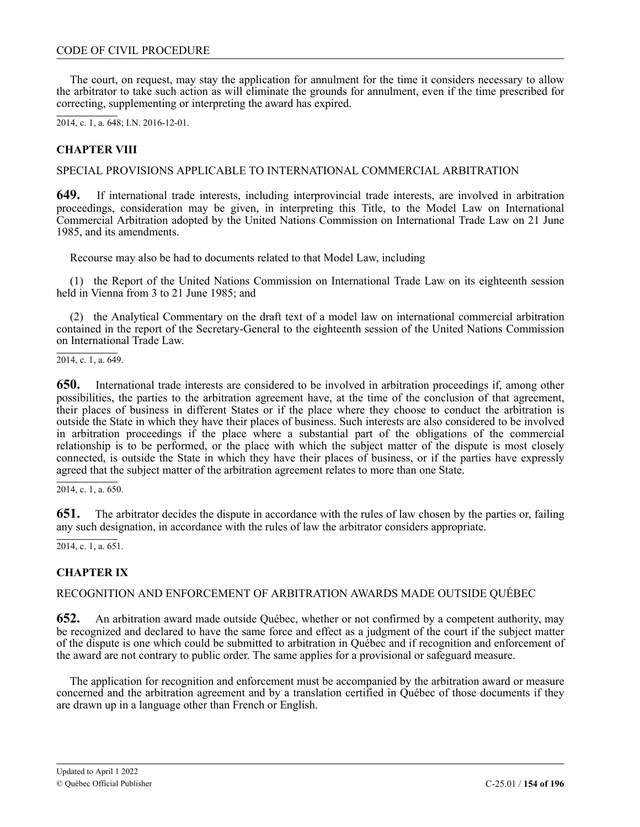The court, on request, may stay the application for annulment for the time it considers necessary to allow the arbitrator to take such action as will eliminate the grounds for annulment, even if the time prescribed for correcting, supplementing or interpreting the award has expired.

2014, c. 1, a. 648; I.N. 2016-12-01.

# **CHAPTER VIII**

SPECIAL PROVISIONS APPLICABLE TO INTERNATIONAL COMMERCIAL ARBITRATION

**649.** If international trade interests, including interprovincial trade interests, are involved in arbitration proceedings, consideration may be given, in interpreting this Title, to the Model Law on International Commercial Arbitration adopted by the United Nations Commission on International Trade Law on 21 June 1985, and its amendments.

Recourse may also be had to documents related to that Model Law, including

(1) the Report of the United Nations Commission on International Trade Law on its eighteenth session held in Vienna from 3 to 21 June 1985; and

(2) the Analytical Commentary on the draft text of a model law on international commercial arbitration contained in the report of the Secretary-General to the eighteenth session of the United Nations Commission on International Trade Law.

2014, c. 1, a. 649.

**650.** International trade interests are considered to be involved in arbitration proceedings if, among other possibilities, the parties to the arbitration agreement have, at the time of the conclusion of that agreement, their places of business in different States or if the place where they choose to conduct the arbitration is outside the State in which they have their places of business. Such interests are also considered to be involved in arbitration proceedings if the place where a substantial part of the obligations of the commercial relationship is to be performed, or the place with which the subject matter of the dispute is most closely connected, is outside the State in which they have their places of business, or if the parties have expressly agreed that the subject matter of the arbitration agreement relates to more than one State.

2014, c. 1, a. 650.

**651.** The arbitrator decides the dispute in accordance with the rules of law chosen by the parties or, failing any such designation, in accordance with the rules of law the arbitrator considers appropriate.

2014, c. 1, a. 651.

## **CHAPTER IX**

RECOGNITION AND ENFORCEMENT OF ARBITRATION AWARDS MADE OUTSIDE QUÉBEC

**652.** An arbitration award made outside Québec, whether or not confirmed by a competent authority, may be recognized and declared to have the same force and effect as a judgment of the court if the subject matter of the dispute is one which could be submitted to arbitration in Québec and if recognition and enforcement of the award are not contrary to public order. The same applies for a provisional or safeguard measure.

The application for recognition and enforcement must be accompanied by the arbitration award or measure concerned and the arbitration agreement and by a translation certified in Québec of those documents if they are drawn up in a language other than French or English.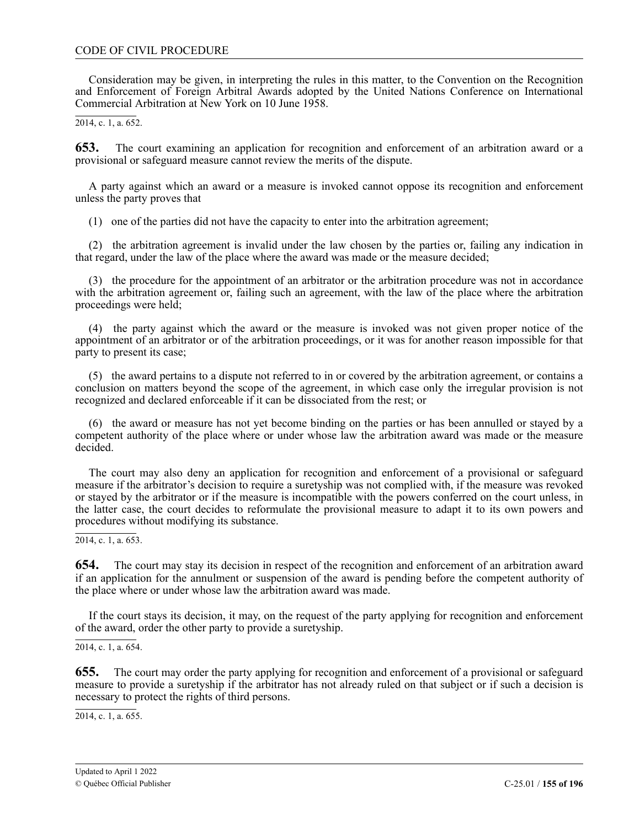Consideration may be given, in interpreting the rules in this matter, to the Convention on the Recognition and Enforcement of Foreign Arbitral Awards adopted by the United Nations Conference on International Commercial Arbitration at New York on 10 June 1958.

2014, c. 1, a. 652.

**653.** The court examining an application for recognition and enforcement of an arbitration award or a provisional or safeguard measure cannot review the merits of the dispute.

A party against which an award or a measure is invoked cannot oppose its recognition and enforcement unless the party proves that

(1) one of the parties did not have the capacity to enter into the arbitration agreement;

(2) the arbitration agreement is invalid under the law chosen by the parties or, failing any indication in that regard, under the law of the place where the award was made or the measure decided;

(3) the procedure for the appointment of an arbitrator or the arbitration procedure was not in accordance with the arbitration agreement or, failing such an agreement, with the law of the place where the arbitration proceedings were held;

(4) the party against which the award or the measure is invoked was not given proper notice of the appointment of an arbitrator or of the arbitration proceedings, or it was for another reason impossible for that party to present its case;

(5) the award pertains to a dispute not referred to in or covered by the arbitration agreement, or contains a conclusion on matters beyond the scope of the agreement, in which case only the irregular provision is not recognized and declared enforceable if it can be dissociated from the rest; or

(6) the award or measure has not yet become binding on the parties or has been annulled or stayed by a competent authority of the place where or under whose law the arbitration award was made or the measure decided.

The court may also deny an application for recognition and enforcement of a provisional or safeguard measure if the arbitrator's decision to require a suretyship was not complied with, if the measure was revoked or stayed by the arbitrator or if the measure is incompatible with the powers conferred on the court unless, in the latter case, the court decides to reformulate the provisional measure to adapt it to its own powers and procedures without modifying its substance.

 $\overline{2014, c. 1, a. 653}.$ 

**654.** The court may stay its decision in respect of the recognition and enforcement of an arbitration award if an application for the annulment or suspension of the award is pending before the competent authority of the place where or under whose law the arbitration award was made.

If the court stays its decision, it may, on the request of the party applying for recognition and enforcement of the award, order the other party to provide a suretyship.

#### 2014, c. 1, a. 654.

**655.** The court may order the party applying for recognition and enforcement of a provisional or safeguard measure to provide a suretyship if the arbitrator has not already ruled on that subject or if such a decision is necessary to protect the rights of third persons.

2014, c. 1, a. 655.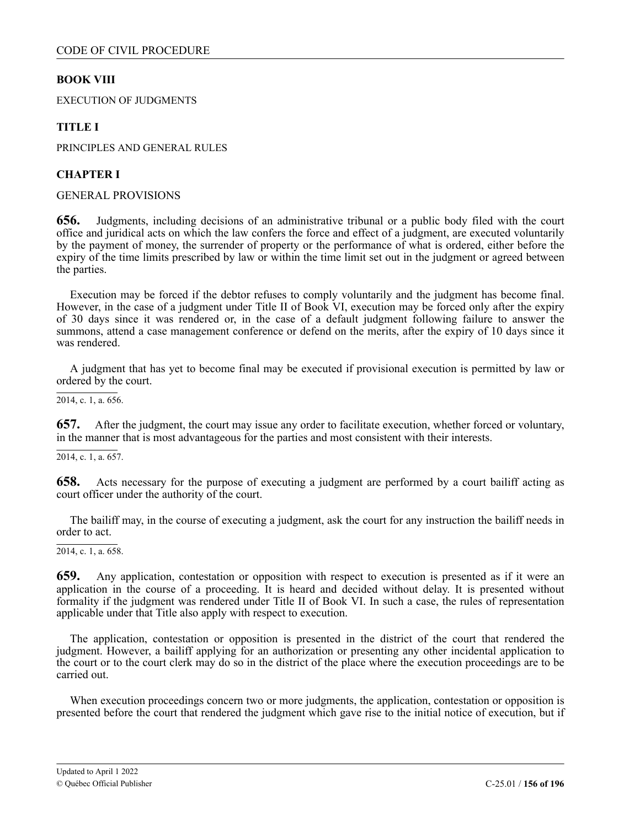# **BOOK VIII**

EXECUTION OF JUDGMENTS

# **TITLE I**

PRINCIPLES AND GENERAL RULES

# **CHAPTER I**

#### GENERAL PROVISIONS

**656.** Judgments, including decisions of an administrative tribunal or a public body filed with the court office and juridical acts on which the law confers the force and effect of a judgment, are executed voluntarily by the payment of money, the surrender of property or the performance of what is ordered, either before the expiry of the time limits prescribed by law or within the time limit set out in the judgment or agreed between the parties.

Execution may be forced if the debtor refuses to comply voluntarily and the judgment has become final. However, in the case of a judgment under Title II of Book VI, execution may be forced only after the expiry of 30 days since it was rendered or, in the case of a default judgment following failure to answer the summons, attend a case management conference or defend on the merits, after the expiry of 10 days since it was rendered.

A judgment that has yet to become final may be executed if provisional execution is permitted by law or ordered by the court.

2014, c. 1, a. 656.

**657.** After the judgment, the court may issue any order to facilitate execution, whether forced or voluntary, in the manner that is most advantageous for the parties and most consistent with their interests.

2014, c. 1, a. 657.

**658.** Acts necessary for the purpose of executing a judgment are performed by a court bailiff acting as court officer under the authority of the court.

The bailiff may, in the course of executing a judgment, ask the court for any instruction the bailiff needs in order to act.

2014, c. 1, a. 658.

**659.** Any application, contestation or opposition with respect to execution is presented as if it were an application in the course of a proceeding. It is heard and decided without delay. It is presented without formality if the judgment was rendered under Title II of Book VI. In such a case, the rules of representation applicable under that Title also apply with respect to execution.

The application, contestation or opposition is presented in the district of the court that rendered the judgment. However, a bailiff applying for an authorization or presenting any other incidental application to the court or to the court clerk may do so in the district of the place where the execution proceedings are to be carried out.

When execution proceedings concern two or more judgments, the application, contestation or opposition is presented before the court that rendered the judgment which gave rise to the initial notice of execution, but if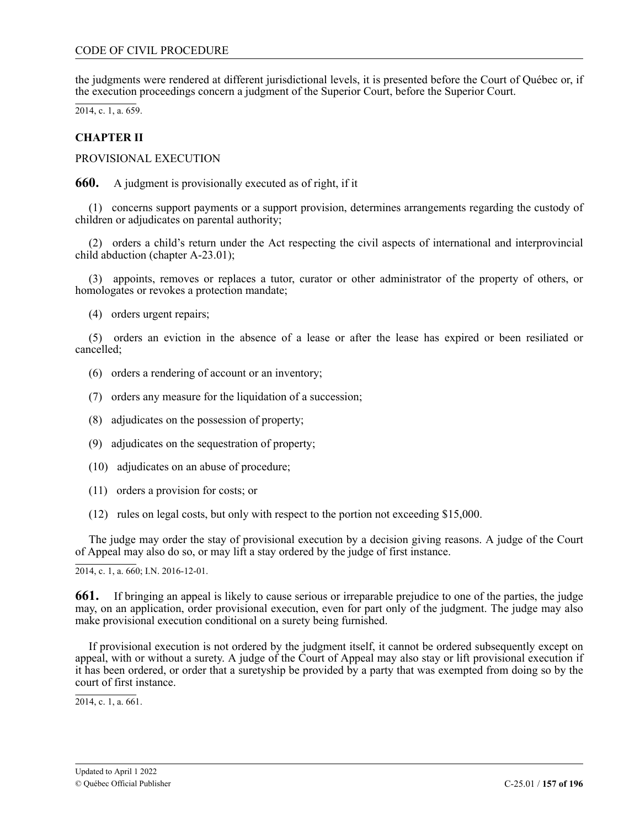the judgments were rendered at different jurisdictional levels, it is presented before the Court of Québec or, if the execution proceedings concern a judgment of the Superior Court, before the Superior Court.

2014, c. 1, a. 659.

## **CHAPTER II**

PROVISIONAL EXECUTION

**660.** A judgment is provisionally executed as of right, if it

(1) concerns support payments or a support provision, determines arrangements regarding the custody of children or adjudicates on parental authority;

(2) orders a child's return under the Act respecting the civil aspects of international and interprovincial child abduction (chapter A-23.01);

(3) appoints, removes or replaces a tutor, curator or other administrator of the property of others, or homologates or revokes a protection mandate;

(4) orders urgent repairs;

(5) orders an eviction in the absence of a lease or after the lease has expired or been resiliated or cancelled;

- (6) orders a rendering of account or an inventory;
- (7) orders any measure for the liquidation of a succession;
- (8) adjudicates on the possession of property;
- (9) adjudicates on the sequestration of property;
- (10) adjudicates on an abuse of procedure;
- (11) orders a provision for costs; or
- (12) rules on legal costs, but only with respect to the portion not exceeding \$15,000.

The judge may order the stay of provisional execution by a decision giving reasons. A judge of the Court of Appeal may also do so, or may lift a stay ordered by the judge of first instance.

2014, c. 1, a. 660; I.N. 2016-12-01.

**661.** If bringing an appeal is likely to cause serious or irreparable prejudice to one of the parties, the judge may, on an application, order provisional execution, even for part only of the judgment. The judge may also make provisional execution conditional on a surety being furnished.

If provisional execution is not ordered by the judgment itself, it cannot be ordered subsequently except on appeal, with or without a surety. A judge of the Court of Appeal may also stay or lift provisional execution if it has been ordered, or order that a suretyship be provided by a party that was exempted from doing so by the court of first instance.

2014, c. 1, a. 661.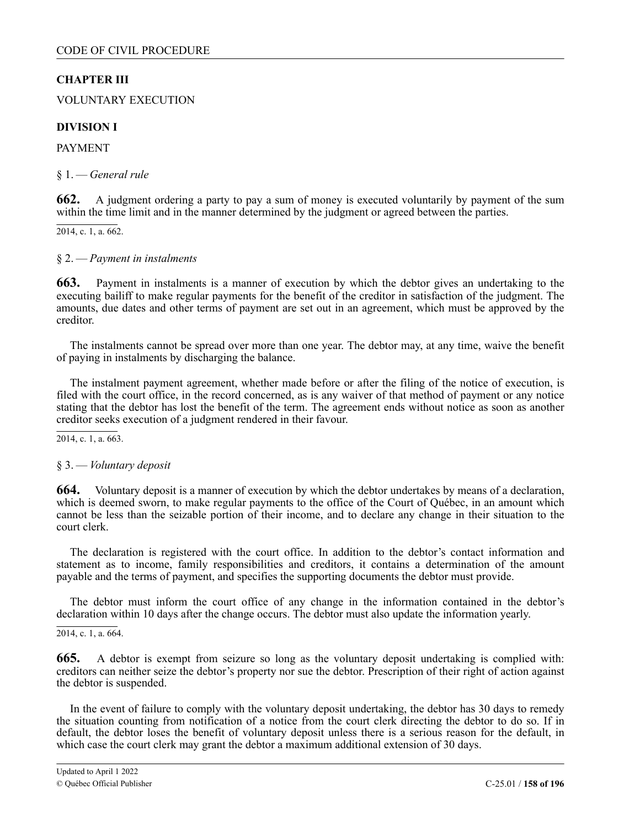# **CHAPTER III**

# VOLUNTARY EXECUTION

### **DIVISION I**

PAYMENT

§ 1. — *General rule*

**662.** A judgment ordering a party to pay a sum of money is executed voluntarily by payment of the sum within the time limit and in the manner determined by the judgment or agreed between the parties.

2014, c. 1, a. 662.

### § 2. — *Payment in instalments*

**663.** Payment in instalments is a manner of execution by which the debtor gives an undertaking to the executing bailiff to make regular payments for the benefit of the creditor in satisfaction of the judgment. The amounts, due dates and other terms of payment are set out in an agreement, which must be approved by the creditor.

The instalments cannot be spread over more than one year. The debtor may, at any time, waive the benefit of paying in instalments by discharging the balance.

The instalment payment agreement, whether made before or after the filing of the notice of execution, is filed with the court office, in the record concerned, as is any waiver of that method of payment or any notice stating that the debtor has lost the benefit of the term. The agreement ends without notice as soon as another creditor seeks execution of a judgment rendered in their favour.

2014, c. 1, a. 663.

#### § 3. — *Voluntary deposit*

**664.** Voluntary deposit is a manner of execution by which the debtor undertakes by means of a declaration, which is deemed sworn, to make regular payments to the office of the Court of Québec, in an amount which cannot be less than the seizable portion of their income, and to declare any change in their situation to the court clerk.

The declaration is registered with the court office. In addition to the debtor's contact information and statement as to income, family responsibilities and creditors, it contains a determination of the amount payable and the terms of payment, and specifies the supporting documents the debtor must provide.

The debtor must inform the court office of any change in the information contained in the debtor's declaration within 10 days after the change occurs. The debtor must also update the information yearly.

2014, c. 1, a. 664.

**665.** A debtor is exempt from seizure so long as the voluntary deposit undertaking is complied with: creditors can neither seize the debtor's property nor sue the debtor. Prescription of their right of action against the debtor is suspended.

In the event of failure to comply with the voluntary deposit undertaking, the debtor has 30 days to remedy the situation counting from notification of a notice from the court clerk directing the debtor to do so. If in default, the debtor loses the benefit of voluntary deposit unless there is a serious reason for the default, in which case the court clerk may grant the debtor a maximum additional extension of 30 days.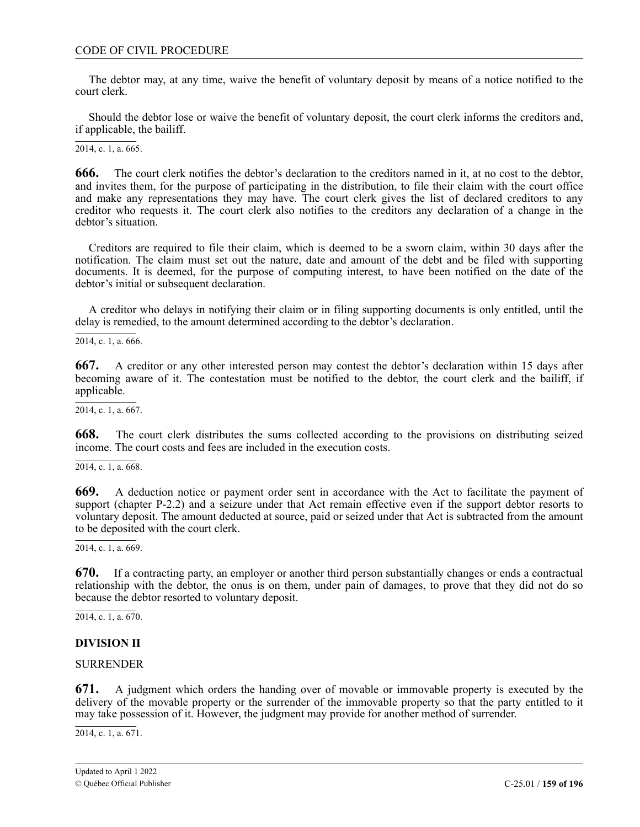The debtor may, at any time, waive the benefit of voluntary deposit by means of a notice notified to the court clerk.

Should the debtor lose or waive the benefit of voluntary deposit, the court clerk informs the creditors and, if applicable, the bailiff.

2014, c. 1, a. 665.

**666.** The court clerk notifies the debtor's declaration to the creditors named in it, at no cost to the debtor, and invites them, for the purpose of participating in the distribution, to file their claim with the court office and make any representations they may have. The court clerk gives the list of declared creditors to any creditor who requests it. The court clerk also notifies to the creditors any declaration of a change in the debtor's situation.

Creditors are required to file their claim, which is deemed to be a sworn claim, within 30 days after the notification. The claim must set out the nature, date and amount of the debt and be filed with supporting documents. It is deemed, for the purpose of computing interest, to have been notified on the date of the debtor's initial or subsequent declaration.

A creditor who delays in notifying their claim or in filing supporting documents is only entitled, until the delay is remedied, to the amount determined according to the debtor's declaration.

 $\overline{2014}$ , c. 1, a. 666.

**667.** A creditor or any other interested person may contest the debtor's declaration within 15 days after becoming aware of it. The contestation must be notified to the debtor, the court clerk and the bailiff, if applicable.

 $\overline{2014}$ , c. 1, a. 667.

**668.** The court clerk distributes the sums collected according to the provisions on distributing seized income. The court costs and fees are included in the execution costs.

2014, c. 1, a. 668.

**669.** A deduction notice or payment order sent in accordance with the Act to facilitate the payment of support (chapter P-2.2) and a seizure under that Act remain effective even if the support debtor resorts to voluntary deposit. The amount deducted at source, paid or seized under that Act is subtracted from the amount to be deposited with the court clerk.

2014, c. 1, a. 669.

**670.** If a contracting party, an employer or another third person substantially changes or ends a contractual relationship with the debtor, the onus is on them, under pain of damages, to prove that they did not do so because the debtor resorted to voluntary deposit.

2014, c. 1, a. 670.

## **DIVISION II**

SURRENDER

**671.** A judgment which orders the handing over of movable or immovable property is executed by the delivery of the movable property or the surrender of the immovable property so that the party entitled to it may take possession of it. However, the judgment may provide for another method of surrender.

2014, c. 1, a. 671.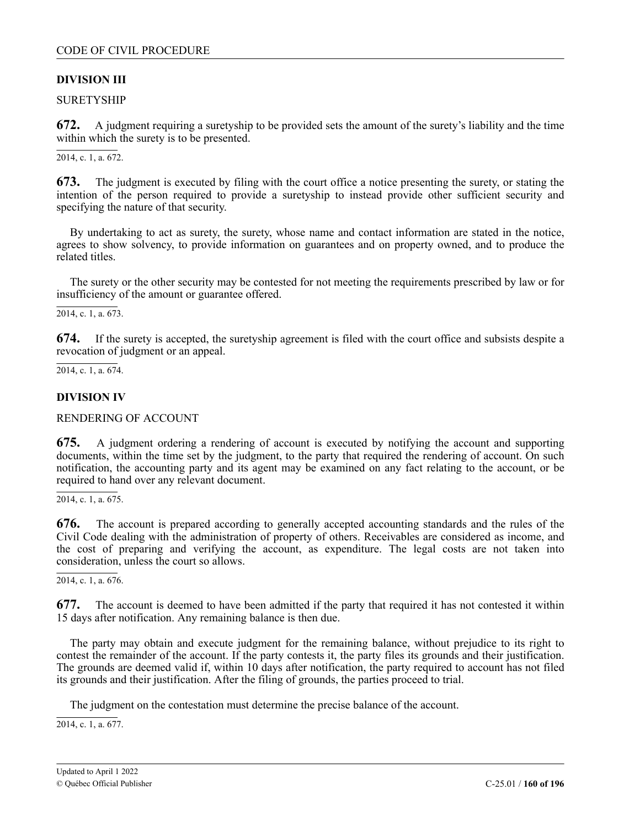# **DIVISION III**

SURETYSHIP

**672.** A judgment requiring a suretyship to be provided sets the amount of the surety's liability and the time within which the surety is to be presented.

2014, c. 1, a. 672.

**673.** The judgment is executed by filing with the court office a notice presenting the surety, or stating the intention of the person required to provide a suretyship to instead provide other sufficient security and specifying the nature of that security.

By undertaking to act as surety, the surety, whose name and contact information are stated in the notice, agrees to show solvency, to provide information on guarantees and on property owned, and to produce the related titles.

The surety or the other security may be contested for not meeting the requirements prescribed by law or for insufficiency of the amount or guarantee offered.

2014, c. 1, a. 673.

**674.** If the surety is accepted, the suretyship agreement is filed with the court office and subsists despite a revocation of judgment or an appeal.

2014, c. 1, a. 674.

### **DIVISION IV**

RENDERING OF ACCOUNT

**675.** A judgment ordering a rendering of account is executed by notifying the account and supporting documents, within the time set by the judgment, to the party that required the rendering of account. On such notification, the accounting party and its agent may be examined on any fact relating to the account, or be required to hand over any relevant document.

2014, c. 1, a. 675.

**676.** The account is prepared according to generally accepted accounting standards and the rules of the Civil Code dealing with the administration of property of others. Receivables are considered as income, and the cost of preparing and verifying the account, as expenditure. The legal costs are not taken into consideration, unless the court so allows.

 $\overline{2014}$ , c. 1, a, 676.

**677.** The account is deemed to have been admitted if the party that required it has not contested it within 15 days after notification. Any remaining balance is then due.

The party may obtain and execute judgment for the remaining balance, without prejudice to its right to contest the remainder of the account. If the party contests it, the party files its grounds and their justification. The grounds are deemed valid if, within 10 days after notification, the party required to account has not filed its grounds and their justification. After the filing of grounds, the parties proceed to trial.

The judgment on the contestation must determine the precise balance of the account.

 $\overline{2014, c. 1, a. 677}.$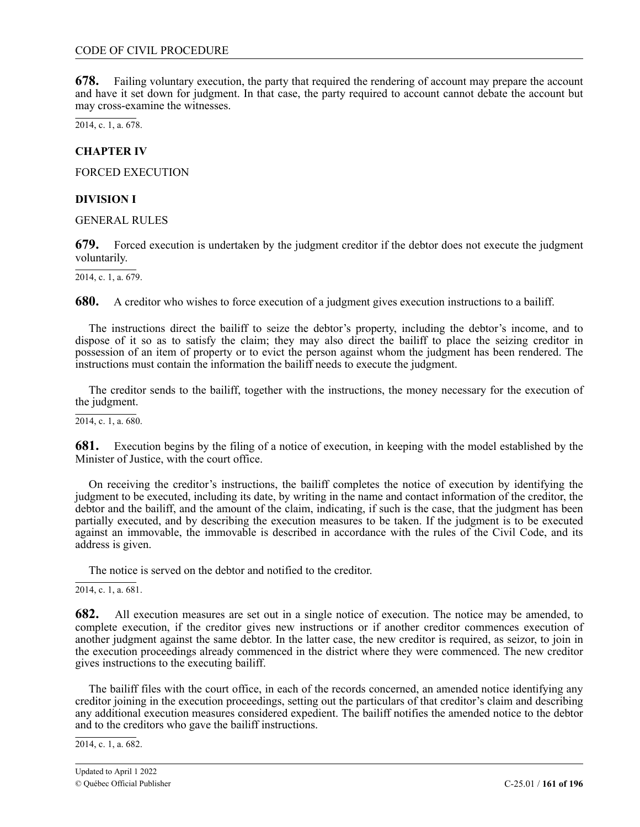**678.** Failing voluntary execution, the party that required the rendering of account may prepare the account and have it set down for judgment. In that case, the party required to account cannot debate the account but may cross-examine the witnesses.

2014, c. 1, a. 678.

## **CHAPTER IV**

FORCED EXECUTION

### **DIVISION I**

#### GENERAL RULES

**679.** Forced execution is undertaken by the judgment creditor if the debtor does not execute the judgment voluntarily.

2014, c. 1, a. 679.

**680.** A creditor who wishes to force execution of a judgment gives execution instructions to a bailiff.

The instructions direct the bailiff to seize the debtor's property, including the debtor's income, and to dispose of it so as to satisfy the claim; they may also direct the bailiff to place the seizing creditor in possession of an item of property or to evict the person against whom the judgment has been rendered. The instructions must contain the information the bailiff needs to execute the judgment.

The creditor sends to the bailiff, together with the instructions, the money necessary for the execution of the judgment.

2014, c. 1, a. 680.

**681.** Execution begins by the filing of a notice of execution, in keeping with the model established by the Minister of Justice, with the court office.

On receiving the creditor's instructions, the bailiff completes the notice of execution by identifying the judgment to be executed, including its date, by writing in the name and contact information of the creditor, the debtor and the bailiff, and the amount of the claim, indicating, if such is the case, that the judgment has been partially executed, and by describing the execution measures to be taken. If the judgment is to be executed against an immovable, the immovable is described in accordance with the rules of the Civil Code, and its address is given.

The notice is served on the debtor and notified to the creditor.

2014, c. 1, a. 681.

**682.** All execution measures are set out in a single notice of execution. The notice may be amended, to complete execution, if the creditor gives new instructions or if another creditor commences execution of another judgment against the same debtor. In the latter case, the new creditor is required, as seizor, to join in the execution proceedings already commenced in the district where they were commenced. The new creditor gives instructions to the executing bailiff.

The bailiff files with the court office, in each of the records concerned, an amended notice identifying any creditor joining in the execution proceedings, setting out the particulars of that creditor's claim and describing any additional execution measures considered expedient. The bailiff notifies the amended notice to the debtor and to the creditors who gave the bailiff instructions.

<sup>2014,</sup> c. 1, a. 682.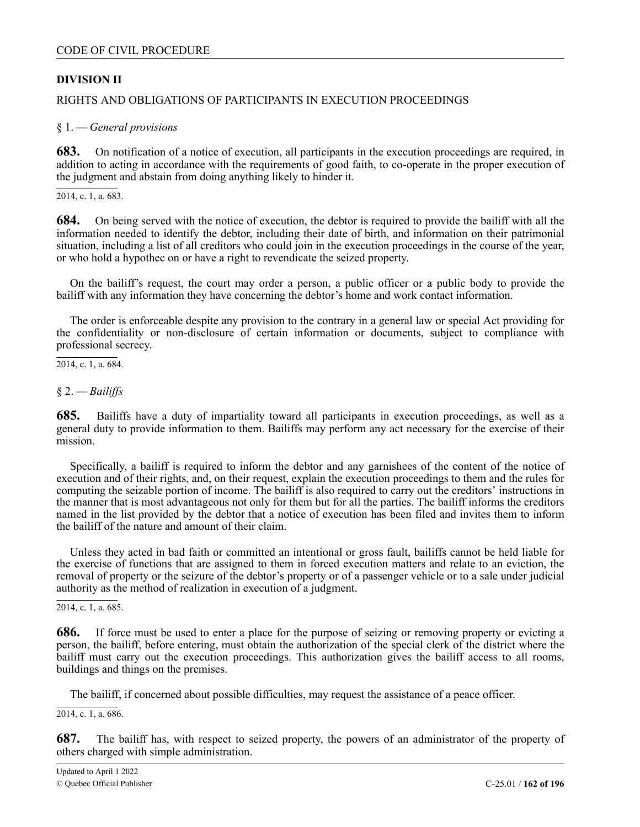# **DIVISION II**

# RIGHTS AND OBLIGATIONS OF PARTICIPANTS IN EXECUTION PROCEEDINGS

### § 1. — *General provisions*

**683.** On notification of a notice of execution, all participants in the execution proceedings are required, in addition to acting in accordance with the requirements of good faith, to co-operate in the proper execution of the judgment and abstain from doing anything likely to hinder it.

 $\overline{2014}$ , c. 1, a, 683.

**684.** On being served with the notice of execution, the debtor is required to provide the bailiff with all the information needed to identify the debtor, including their date of birth, and information on their patrimonial situation, including a list of all creditors who could join in the execution proceedings in the course of the year, or who hold a hypothec on or have a right to revendicate the seized property.

On the bailiff's request, the court may order a person, a public officer or a public body to provide the bailiff with any information they have concerning the debtor's home and work contact information.

The order is enforceable despite any provision to the contrary in a general law or special Act providing for the confidentiality or non-disclosure of certain information or documents, subject to compliance with professional secrecy.

 $\overline{2014, c. 1, a. 684}.$ 

### § 2. — *Bailiffs*

**685.** Bailiffs have a duty of impartiality toward all participants in execution proceedings, as well as a general duty to provide information to them. Bailiffs may perform any act necessary for the exercise of their mission.

Specifically, a bailiff is required to inform the debtor and any garnishees of the content of the notice of execution and of their rights, and, on their request, explain the execution proceedings to them and the rules for computing the seizable portion of income. The bailiff is also required to carry out the creditors' instructions in the manner that is most advantageous not only for them but for all the parties. The bailiff informs the creditors named in the list provided by the debtor that a notice of execution has been filed and invites them to inform the bailiff of the nature and amount of their claim.

Unless they acted in bad faith or committed an intentional or gross fault, bailiffs cannot be held liable for the exercise of functions that are assigned to them in forced execution matters and relate to an eviction, the removal of property or the seizure of the debtor's property or of a passenger vehicle or to a sale under judicial authority as the method of realization in execution of a judgment.

2014, c. 1, a. 685.

**686.** If force must be used to enter a place for the purpose of seizing or removing property or evicting a person, the bailiff, before entering, must obtain the authorization of the special clerk of the district where the bailiff must carry out the execution proceedings. This authorization gives the bailiff access to all rooms, buildings and things on the premises.

The bailiff, if concerned about possible difficulties, may request the assistance of a peace officer.

2014, c. 1, a. 686.

**687.** The bailiff has, with respect to seized property, the powers of an administrator of the property of others charged with simple administration.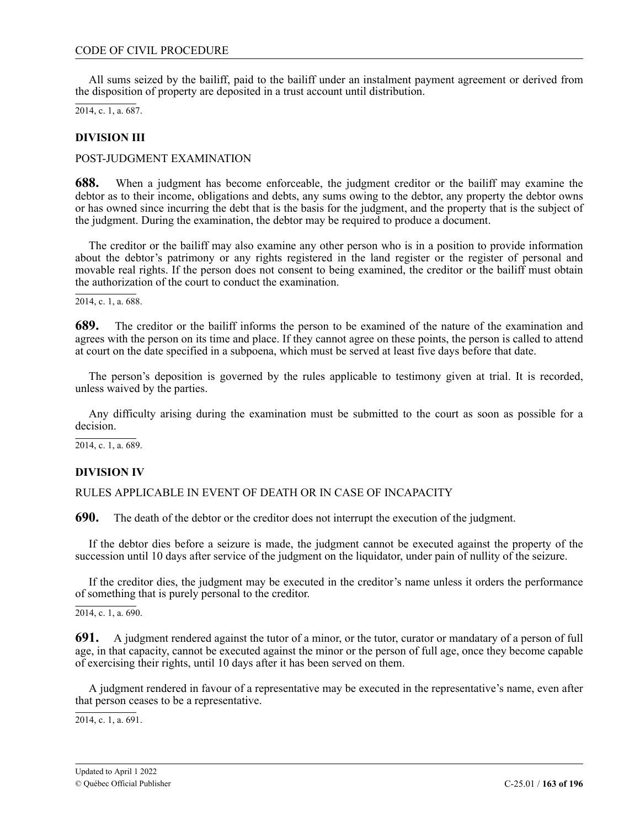All sums seized by the bailiff, paid to the bailiff under an instalment payment agreement or derived from the disposition of property are deposited in a trust account until distribution.

2014, c. 1, a. 687.

#### **DIVISION III**

#### POST-JUDGMENT EXAMINATION

**688.** When a judgment has become enforceable, the judgment creditor or the bailiff may examine the debtor as to their income, obligations and debts, any sums owing to the debtor, any property the debtor owns or has owned since incurring the debt that is the basis for the judgment, and the property that is the subject of the judgment. During the examination, the debtor may be required to produce a document.

The creditor or the bailiff may also examine any other person who is in a position to provide information about the debtor's patrimony or any rights registered in the land register or the register of personal and movable real rights. If the person does not consent to being examined, the creditor or the bailiff must obtain the authorization of the court to conduct the examination.

2014, c. 1, a. 688.

**689.** The creditor or the bailiff informs the person to be examined of the nature of the examination and agrees with the person on its time and place. If they cannot agree on these points, the person is called to attend at court on the date specified in a subpoena, which must be served at least five days before that date.

The person's deposition is governed by the rules applicable to testimony given at trial. It is recorded, unless waived by the parties.

Any difficulty arising during the examination must be submitted to the court as soon as possible for a decision.

2014, c. 1, a. 689.

#### **DIVISION IV**

RULES APPLICABLE IN EVENT OF DEATH OR IN CASE OF INCAPACITY

**690.** The death of the debtor or the creditor does not interrupt the execution of the judgment.

If the debtor dies before a seizure is made, the judgment cannot be executed against the property of the succession until 10 days after service of the judgment on the liquidator, under pain of nullity of the seizure.

If the creditor dies, the judgment may be executed in the creditor's name unless it orders the performance of something that is purely personal to the creditor.

2014, c. 1, a. 690.

**691.** A judgment rendered against the tutor of a minor, or the tutor, curator or mandatary of a person of full age, in that capacity, cannot be executed against the minor or the person of full age, once they become capable of exercising their rights, until 10 days after it has been served on them.

A judgment rendered in favour of a representative may be executed in the representative's name, even after that person ceases to be a representative.

2014, c. 1, a. 691.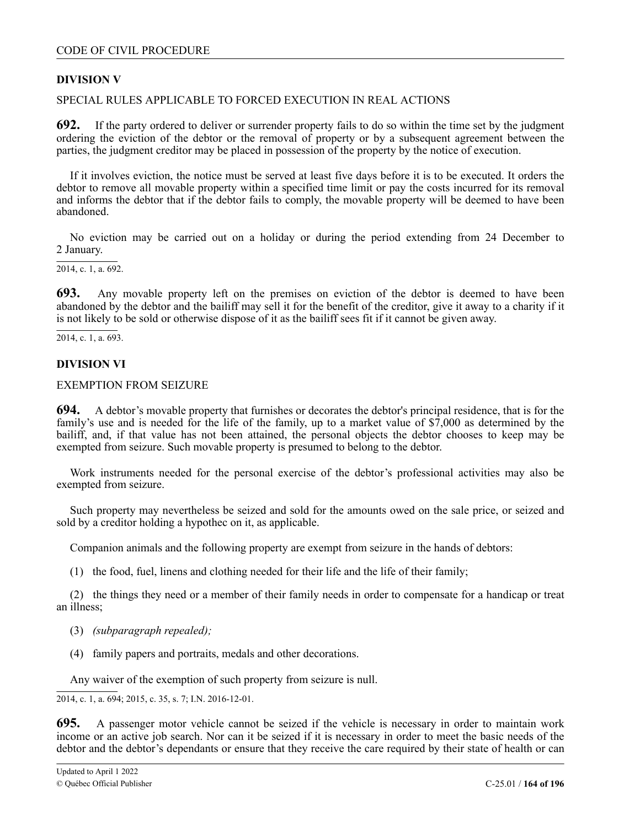## **DIVISION V**

# SPECIAL RULES APPLICABLE TO FORCED EXECUTION IN REAL ACTIONS

**692.** If the party ordered to deliver or surrender property fails to do so within the time set by the judgment ordering the eviction of the debtor or the removal of property or by a subsequent agreement between the parties, the judgment creditor may be placed in possession of the property by the notice of execution.

If it involves eviction, the notice must be served at least five days before it is to be executed. It orders the debtor to remove all movable property within a specified time limit or pay the costs incurred for its removal and informs the debtor that if the debtor fails to comply, the movable property will be deemed to have been abandoned.

No eviction may be carried out on a holiday or during the period extending from 24 December to 2 January.

2014, c. 1, a. 692.

**693.** Any movable property left on the premises on eviction of the debtor is deemed to have been abandoned by the debtor and the bailiff may sell it for the benefit of the creditor, give it away to a charity if it is not likely to be sold or otherwise dispose of it as the bailiff sees fit if it cannot be given away.

2014, c. 1, a. 693.

# **DIVISION VI**

### EXEMPTION FROM SEIZURE

**694.** A debtor's movable property that furnishes or decorates the debtor's principal residence, that is for the family's use and is needed for the life of the family, up to a market value of \$7,000 as determined by the bailiff, and, if that value has not been attained, the personal objects the debtor chooses to keep may be exempted from seizure. Such movable property is presumed to belong to the debtor.

Work instruments needed for the personal exercise of the debtor's professional activities may also be exempted from seizure.

Such property may nevertheless be seized and sold for the amounts owed on the sale price, or seized and sold by a creditor holding a hypothec on it, as applicable.

Companion animals and the following property are exempt from seizure in the hands of debtors:

(1) the food, fuel, linens and clothing needed for their life and the life of their family;

(2) the things they need or a member of their family needs in order to compensate for a handicap or treat an illness;

- (3) *(subparagraph repealed);*
- (4) family papers and portraits, medals and other decorations.

Any waiver of the exemption of such property from seizure is null.

2014, c. 1, a. 694; 2015, c. 35, s. 7; I.N. 2016-12-01.

**695.** A passenger motor vehicle cannot be seized if the vehicle is necessary in order to maintain work income or an active job search. Nor can it be seized if it is necessary in order to meet the basic needs of the debtor and the debtor's dependants or ensure that they receive the care required by their state of health or can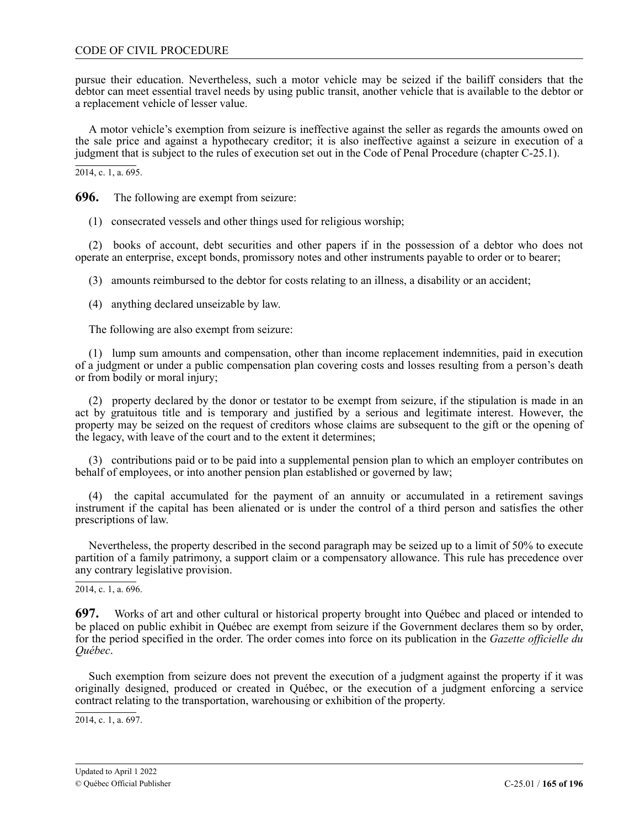pursue their education. Nevertheless, such a motor vehicle may be seized if the bailiff considers that the debtor can meet essential travel needs by using public transit, another vehicle that is available to the debtor or a replacement vehicle of lesser value.

A motor vehicle's exemption from seizure is ineffective against the seller as regards the amounts owed on the sale price and against a hypothecary creditor; it is also ineffective against a seizure in execution of a judgment that is subject to the rules of execution set out in the Code of Penal Procedure (chapter C-25.1).

 $2014$ , c. 1, a. 695.

**696.** The following are exempt from seizure:

(1) consecrated vessels and other things used for religious worship;

(2) books of account, debt securities and other papers if in the possession of a debtor who does not operate an enterprise, except bonds, promissory notes and other instruments payable to order or to bearer;

(3) amounts reimbursed to the debtor for costs relating to an illness, a disability or an accident;

(4) anything declared unseizable by law.

The following are also exempt from seizure:

(1) lump sum amounts and compensation, other than income replacement indemnities, paid in execution of a judgment or under a public compensation plan covering costs and losses resulting from a person's death or from bodily or moral injury;

(2) property declared by the donor or testator to be exempt from seizure, if the stipulation is made in an act by gratuitous title and is temporary and justified by a serious and legitimate interest. However, the property may be seized on the request of creditors whose claims are subsequent to the gift or the opening of the legacy, with leave of the court and to the extent it determines;

(3) contributions paid or to be paid into a supplemental pension plan to which an employer contributes on behalf of employees, or into another pension plan established or governed by law;

(4) the capital accumulated for the payment of an annuity or accumulated in a retirement savings instrument if the capital has been alienated or is under the control of a third person and satisfies the other prescriptions of law.

Nevertheless, the property described in the second paragraph may be seized up to a limit of 50% to execute partition of a family patrimony, a support claim or a compensatory allowance. This rule has precedence over any contrary legislative provision.

2014, c. 1, a. 696.

**697.** Works of art and other cultural or historical property brought into Québec and placed or intended to be placed on public exhibit in Québec are exempt from seizure if the Government declares them so by order, for the period specified in the order. The order comes into force on its publication in the *Gazette officielle du Québec*.

Such exemption from seizure does not prevent the execution of a judgment against the property if it was originally designed, produced or created in Québec, or the execution of a judgment enforcing a service contract relating to the transportation, warehousing or exhibition of the property.

2014, c. 1, a. 697.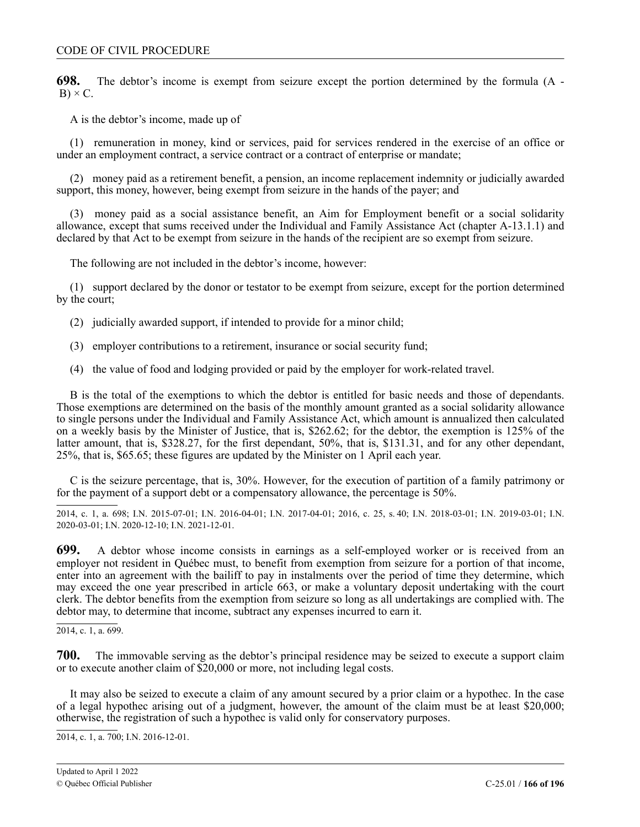**698.** The debtor's income is exempt from seizure except the portion determined by the formula (A -  $B) \times C$ .

A is the debtor's income, made up of

(1) remuneration in money, kind or services, paid for services rendered in the exercise of an office or under an employment contract, a service contract or a contract of enterprise or mandate;

(2) money paid as a retirement benefit, a pension, an income replacement indemnity or judicially awarded support, this money, however, being exempt from seizure in the hands of the payer; and

(3) money paid as a social assistance benefit, an Aim for Employment benefit or a social solidarity allowance, except that sums received under the Individual and Family Assistance Act (chapter A-13.1.1) and declared by that Act to be exempt from seizure in the hands of the recipient are so exempt from seizure.

The following are not included in the debtor's income, however:

(1) support declared by the donor or testator to be exempt from seizure, except for the portion determined by the court;

- (2) judicially awarded support, if intended to provide for a minor child;
- (3) employer contributions to a retirement, insurance or social security fund;
- (4) the value of food and lodging provided or paid by the employer for work-related travel.

B is the total of the exemptions to which the debtor is entitled for basic needs and those of dependants. Those exemptions are determined on the basis of the monthly amount granted as a social solidarity allowance to single persons under the Individual and Family Assistance Act, which amount is annualized then calculated on a weekly basis by the Minister of Justice, that is, \$262.62; for the debtor, the exemption is 125% of the latter amount, that is, \$328.27, for the first dependant, 50%, that is, \$131.31, and for any other dependant, 25%, that is, \$65.65; these figures are updated by the Minister on 1 April each year.

C is the seizure percentage, that is, 30%. However, for the execution of partition of a family patrimony or for the payment of a support debt or a compensatory allowance, the percentage is 50%.

2014, c. 1, a. 698; I.N. 2015-07-01; I.N. 2016-04-01; I.N. 2017-04-01; 2016, c. 25, s. 40; I.N. 2018-03-01; I.N. 2019-03-01; I.N. 2020-03-01; I.N. 2020-12-10; I.N. 2021-12-01.

6 **699.** A debtor whose income consists in earnings as a self-employed worker or is received from an employer not resident in Québec must, to benefit from exemption from seizure for a portion of that income, enter into an agreement with the bailiff to pay in instalments over the period of time they determine, which . may exceed the one year prescribed in article 663, or make a voluntary deposit undertaking with the court 2 clerk. The debtor benefits from the exemption from seizure so long as all undertakings are complied with. The debtor may, to determine that income, subtract any expenses incurred to earn it.

2014, c. 1, a. 699.

**700.** The immovable serving as the debtor's principal residence may be seized to execute a support claim or to execute another claim of \$20,000 or more, not including legal costs.

It may also be seized to execute a claim of any amount secured by a prior claim or a hypothec. In the case of a legal hypothec arising out of a judgment, however, the amount of the claim must be at least \$20,000; otherwise, the registration of such a hypothec is valid only for conservatory purposes.

2014, c. 1, a. 700; I.N. 2016-12-01.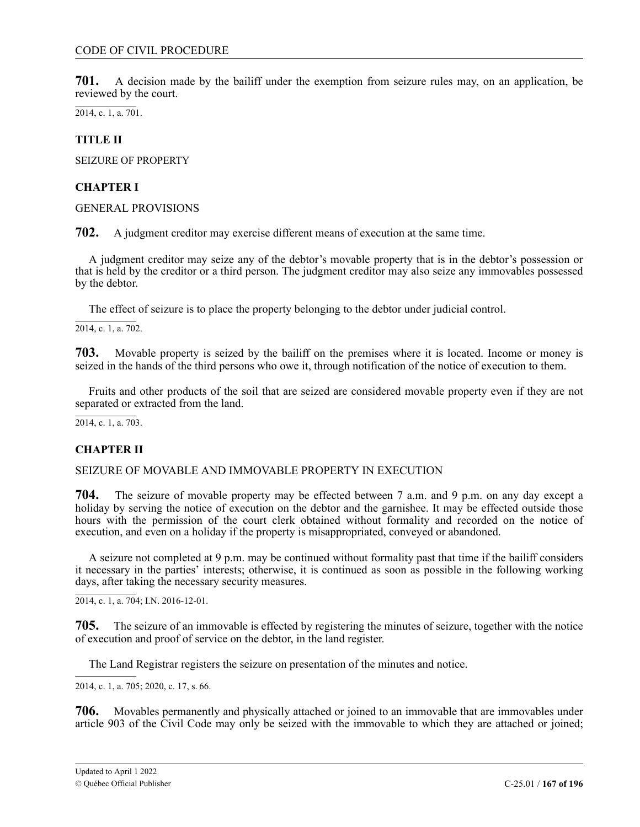**701.** A decision made by the bailiff under the exemption from seizure rules may, on an application, be reviewed by the court.

2014, c. 1, a. 701.

# **TITLE II**

SEIZURE OF PROPERTY

# **CHAPTER I**

GENERAL PROVISIONS

**702.** A judgment creditor may exercise different means of execution at the same time.

A judgment creditor may seize any of the debtor's movable property that is in the debtor's possession or that is held by the creditor or a third person. The judgment creditor may also seize any immovables possessed by the debtor.

The effect of seizure is to place the property belonging to the debtor under judicial control.

2014, c. 1, a. 702.

**703.** Movable property is seized by the bailiff on the premises where it is located. Income or money is seized in the hands of the third persons who owe it, through notification of the notice of execution to them.

Fruits and other products of the soil that are seized are considered movable property even if they are not separated or extracted from the land.

2014, c. 1, a. 703.

## **CHAPTER II**

#### SEIZURE OF MOVABLE AND IMMOVABLE PROPERTY IN EXECUTION

**704.** The seizure of movable property may be effected between 7 a.m. and 9 p.m. on any day except a holiday by serving the notice of execution on the debtor and the garnishee. It may be effected outside those hours with the permission of the court clerk obtained without formality and recorded on the notice of execution, and even on a holiday if the property is misappropriated, conveyed or abandoned.

A seizure not completed at 9 p.m. may be continued without formality past that time if the bailiff considers it necessary in the parties' interests; otherwise, it is continued as soon as possible in the following working days, after taking the necessary security measures.

2014, c. 1, a. 704; I.N. 2016-12-01.

**705.** The seizure of an immovable is effected by registering the minutes of seizure, together with the notice of execution and proof of service on the debtor, in the land register.

The Land Registrar registers the seizure on presentation of the minutes and notice.

2014, c. 1, a. 705; 2020, c. 17, s. 66.

2 2 **706.** Movables permanently and physically attached or joined to an immovable that are immovables under article 903 of the Civil Code may only be seized with the immovable to which they are attached or joined; tl<br>e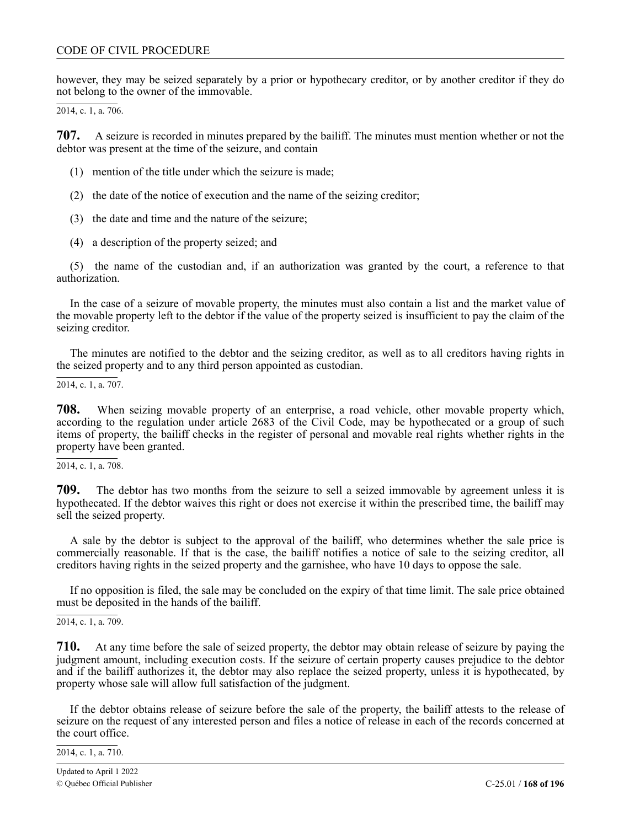however, they may be seized separately by a prior or hypothecary creditor, or by another creditor if they do not belong to the owner of the immovable.

2014, c. 1, a. 706.

**707.** A seizure is recorded in minutes prepared by the bailiff. The minutes must mention whether or not the debtor was present at the time of the seizure, and contain

- (1) mention of the title under which the seizure is made;
- (2) the date of the notice of execution and the name of the seizing creditor;
- (3) the date and time and the nature of the seizure;
- (4) a description of the property seized; and

(5) the name of the custodian and, if an authorization was granted by the court, a reference to that authorization.

In the case of a seizure of movable property, the minutes must also contain a list and the market value of the movable property left to the debtor if the value of the property seized is insufficient to pay the claim of the seizing creditor.

The minutes are notified to the debtor and the seizing creditor, as well as to all creditors having rights in the seized property and to any third person appointed as custodian.

2014, c. 1, a. 707.

**708.** When seizing movable property of an enterprise, a road vehicle, other movable property which, according to the regulation under article 2683 of the Civil Code, may be hypothecated or a group of such items of property, the bailiff checks in the register of personal and movable real rights whether rights in the property have been granted.

2014, c. 1, a. 708.

**709.** The debtor has two months from the seizure to sell a seized immovable by agreement unless it is hypothecated. If the debtor waives this right or does not exercise it within the prescribed time, the bailiff may sell the seized property.

A sale by the debtor is subject to the approval of the bailiff, who determines whether the sale price is commercially reasonable. If that is the case, the bailiff notifies a notice of sale to the seizing creditor, all creditors having rights in the seized property and the garnishee, who have 10 days to oppose the sale.

If no opposition is filed, the sale may be concluded on the expiry of that time limit. The sale price obtained must be deposited in the hands of the bailiff.

 $\overline{2014}$ , c. 1, a. 709.

**710.** At any time before the sale of seized property, the debtor may obtain release of seizure by paying the judgment amount, including execution costs. If the seizure of certain property causes prejudice to the debtor and if the bailiff authorizes it, the debtor may also replace the seized property, unless it is hypothecated, by property whose sale will allow full satisfaction of the judgment.

If the debtor obtains release of seizure before the sale of the property, the bailiff attests to the release of seizure on the request of any interested person and files a notice of release in each of the records concerned at the court office.

2014, c. 1, a. 710.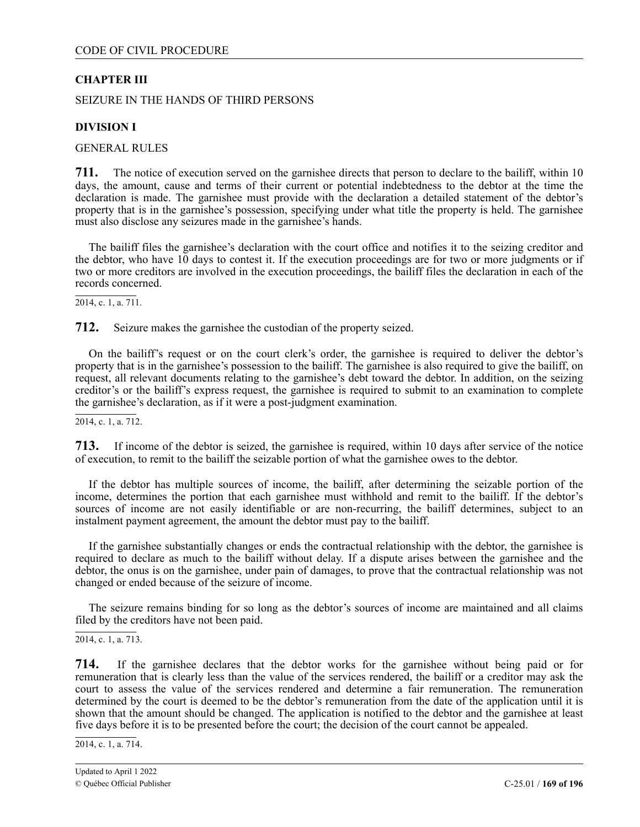# **CHAPTER III**

### SEIZURE IN THE HANDS OF THIRD PERSONS

### **DIVISION I**

GENERAL RULES

**711.** The notice of execution served on the garnishee directs that person to declare to the bailiff, within 10 days, the amount, cause and terms of their current or potential indebtedness to the debtor at the time the declaration is made. The garnishee must provide with the declaration a detailed statement of the debtor's property that is in the garnishee's possession, specifying under what title the property is held. The garnishee must also disclose any seizures made in the garnishee's hands.

The bailiff files the garnishee's declaration with the court office and notifies it to the seizing creditor and the debtor, who have  $10$  days to contest it. If the execution proceedings are for two or more judgments or if two or more creditors are involved in the execution proceedings, the bailiff files the declaration in each of the records concerned.

2014, c. 1, a. 711.

**712.** Seizure makes the garnishee the custodian of the property seized.

On the bailiff's request or on the court clerk's order, the garnishee is required to deliver the debtor's property that is in the garnishee's possession to the bailiff. The garnishee is also required to give the bailiff, on request, all relevant documents relating to the garnishee's debt toward the debtor. In addition, on the seizing creditor's or the bailiff's express request, the garnishee is required to submit to an examination to complete the garnishee's declaration, as if it were a post-judgment examination.

2014, c. 1, a. 712.

**713.** If income of the debtor is seized, the garnishee is required, within 10 days after service of the notice of execution, to remit to the bailiff the seizable portion of what the garnishee owes to the debtor.

If the debtor has multiple sources of income, the bailiff, after determining the seizable portion of the income, determines the portion that each garnishee must withhold and remit to the bailiff. If the debtor's sources of income are not easily identifiable or are non-recurring, the bailiff determines, subject to an instalment payment agreement, the amount the debtor must pay to the bailiff.

If the garnishee substantially changes or ends the contractual relationship with the debtor, the garnishee is required to declare as much to the bailiff without delay. If a dispute arises between the garnishee and the debtor, the onus is on the garnishee, under pain of damages, to prove that the contractual relationship was not changed or ended because of the seizure of income.

The seizure remains binding for so long as the debtor's sources of income are maintained and all claims filed by the creditors have not been paid.

2014, c. 1, a. 713.

**714.** If the garnishee declares that the debtor works for the garnishee without being paid or for remuneration that is clearly less than the value of the services rendered, the bailiff or a creditor may ask the court to assess the value of the services rendered and determine a fair remuneration. The remuneration determined by the court is deemed to be the debtor's remuneration from the date of the application until it is shown that the amount should be changed. The application is notified to the debtor and the garnishee at least five days before it is to be presented before the court; the decision of the court cannot be appealed.

2014, c. 1, a. 714.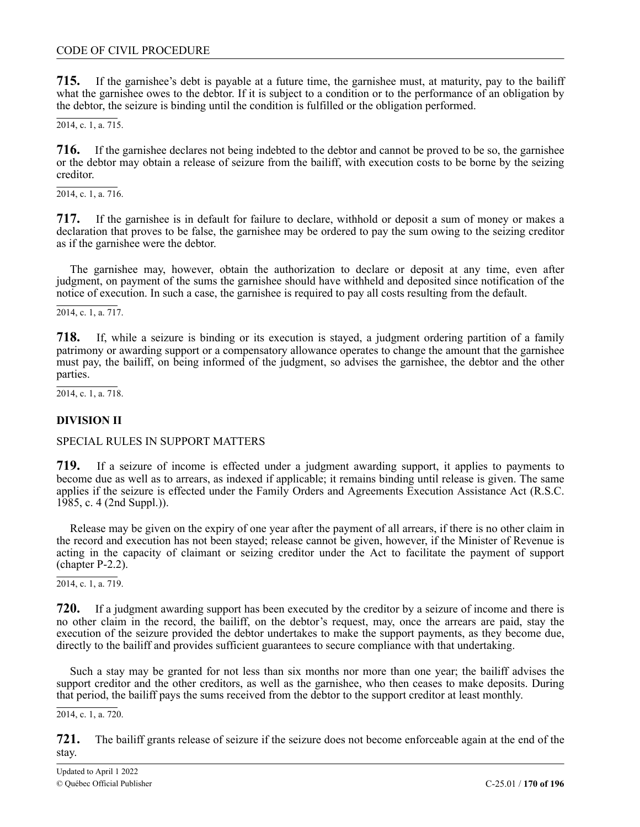**715.** If the garnishee's debt is payable at a future time, the garnishee must, at maturity, pay to the bailiff what the garnishee owes to the debtor. If it is subject to a condition or to the performance of an obligation by the debtor, the seizure is binding until the condition is fulfilled or the obligation performed.

2014, c. 1, a. 715.

**716.** If the garnishee declares not being indebted to the debtor and cannot be proved to be so, the garnishee or the debtor may obtain a release of seizure from the bailiff, with execution costs to be borne by the seizing creditor.

2014, c. 1, a. 716.

**717.** If the garnishee is in default for failure to declare, withhold or deposit a sum of money or makes a declaration that proves to be false, the garnishee may be ordered to pay the sum owing to the seizing creditor as if the garnishee were the debtor.

The garnishee may, however, obtain the authorization to declare or deposit at any time, even after judgment, on payment of the sums the garnishee should have withheld and deposited since notification of the notice of execution. In such a case, the garnishee is required to pay all costs resulting from the default.

2014, c. 1, a. 717.

**718.** If, while a seizure is binding or its execution is stayed, a judgment ordering partition of a family patrimony or awarding support or a compensatory allowance operates to change the amount that the garnishee must pay, the bailiff, on being informed of the judgment, so advises the garnishee, the debtor and the other parties.

2014, c. 1, a. 718.

## **DIVISION II**

#### SPECIAL RULES IN SUPPORT MATTERS

**719.** If a seizure of income is effected under a judgment awarding support, it applies to payments to become due as well as to arrears, as indexed if applicable; it remains binding until release is given. The same applies if the seizure is effected under the Family Orders and Agreements Execution Assistance Act (R.S.C. 1985, c. 4 (2nd Suppl.)).

Release may be given on the expiry of one year after the payment of all arrears, if there is no other claim in the record and execution has not been stayed; release cannot be given, however, if the Minister of Revenue is acting in the capacity of claimant or seizing creditor under the Act to facilitate the payment of support (chapter P-2.2).

2014, c. 1, a. 719.

**720.** If a judgment awarding support has been executed by the creditor by a seizure of income and there is no other claim in the record, the bailiff, on the debtor's request, may, once the arrears are paid, stay the execution of the seizure provided the debtor undertakes to make the support payments, as they become due, directly to the bailiff and provides sufficient guarantees to secure compliance with that undertaking.

Such a stay may be granted for not less than six months nor more than one year; the bailiff advises the support creditor and the other creditors, as well as the garnishee, who then ceases to make deposits. During that period, the bailiff pays the sums received from the debtor to the support creditor at least monthly.

2014, c. 1, a. 720.

**721.** The bailiff grants release of seizure if the seizure does not become enforceable again at the end of the stay.

Updated to April 1 2022 4 1 © Québec Official Publisher C-25.01 / **170 of 196**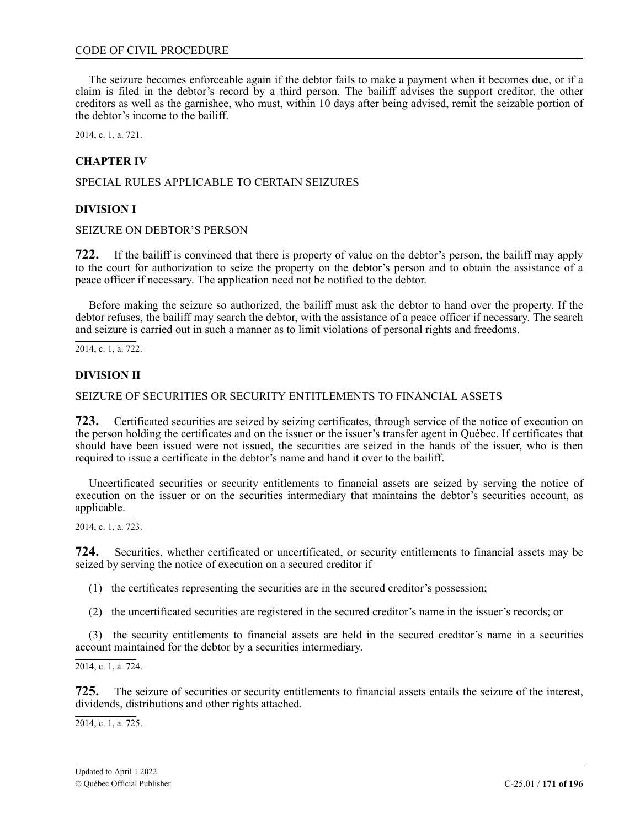The seizure becomes enforceable again if the debtor fails to make a payment when it becomes due, or if a claim is filed in the debtor's record by a third person. The bailiff advises the support creditor, the other creditors as well as the garnishee, who must, within 10 days after being advised, remit the seizable portion of the debtor's income to the bailiff.

2014, c. 1, a. 721.

## **CHAPTER IV**

SPECIAL RULES APPLICABLE TO CERTAIN SEIZURES

### **DIVISION I**

SEIZURE ON DEBTOR'S PERSON

**722.** If the bailiff is convinced that there is property of value on the debtor's person, the bailiff may apply to the court for authorization to seize the property on the debtor's person and to obtain the assistance of a peace officer if necessary. The application need not be notified to the debtor.

Before making the seizure so authorized, the bailiff must ask the debtor to hand over the property. If the debtor refuses, the bailiff may search the debtor, with the assistance of a peace officer if necessary. The search and seizure is carried out in such a manner as to limit violations of personal rights and freedoms.

2014, c. 1, a. 722.

## **DIVISION II**

SEIZURE OF SECURITIES OR SECURITY ENTITLEMENTS TO FINANCIAL ASSETS

**723.** Certificated securities are seized by seizing certificates, through service of the notice of execution on the person holding the certificates and on the issuer or the issuer's transfer agent in Québec. If certificates that should have been issued were not issued, the securities are seized in the hands of the issuer, who is then required to issue a certificate in the debtor's name and hand it over to the bailiff.

Uncertificated securities or security entitlements to financial assets are seized by serving the notice of execution on the issuer or on the securities intermediary that maintains the debtor's securities account, as applicable.

2014, c. 1, a. 723.

**724.** Securities, whether certificated or uncertificated, or security entitlements to financial assets may be seized by serving the notice of execution on a secured creditor if

(1) the certificates representing the securities are in the secured creditor's possession;

(2) the uncertificated securities are registered in the secured creditor's name in the issuer's records; or

(3) the security entitlements to financial assets are held in the secured creditor's name in a securities account maintained for the debtor by a securities intermediary.

 $\overline{2014}$ , c. 1, a. 724.

**725.** The seizure of securities or security entitlements to financial assets entails the seizure of the interest, dividends, distributions and other rights attached.

2014, c. 1, a. 725.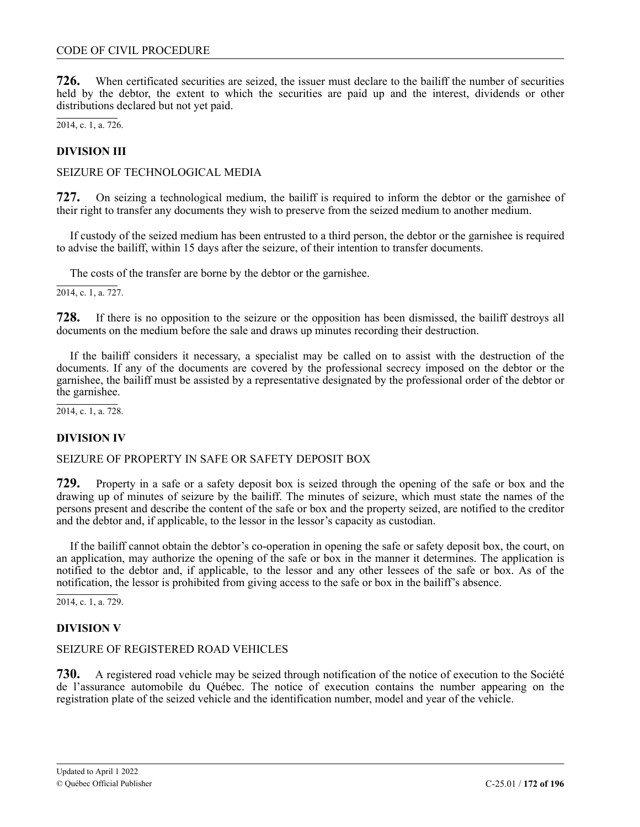**726.** When certificated securities are seized, the issuer must declare to the bailiff the number of securities held by the debtor, the extent to which the securities are paid up and the interest, dividends or other distributions declared but not yet paid.

2014, c. 1, a. 726.

## **DIVISION III**

SEIZURE OF TECHNOLOGICAL MEDIA

**727.** On seizing a technological medium, the bailiff is required to inform the debtor or the garnishee of their right to transfer any documents they wish to preserve from the seized medium to another medium.

If custody of the seized medium has been entrusted to a third person, the debtor or the garnishee is required to advise the bailiff, within 15 days after the seizure, of their intention to transfer documents.

The costs of the transfer are borne by the debtor or the garnishee.

 $\overline{2014}$ , c. 1, a. 727.

**728.** If there is no opposition to the seizure or the opposition has been dismissed, the bailiff destroys all documents on the medium before the sale and draws up minutes recording their destruction.

If the bailiff considers it necessary, a specialist may be called on to assist with the destruction of the documents. If any of the documents are covered by the professional secrecy imposed on the debtor or the garnishee, the bailiff must be assisted by a representative designated by the professional order of the debtor or the garnishee.

2014, c. 1, a. 728.

## **DIVISION IV**

#### SEIZURE OF PROPERTY IN SAFE OR SAFETY DEPOSIT BOX

**729.** Property in a safe or a safety deposit box is seized through the opening of the safe or box and the drawing up of minutes of seizure by the bailiff. The minutes of seizure, which must state the names of the persons present and describe the content of the safe or box and the property seized, are notified to the creditor and the debtor and, if applicable, to the lessor in the lessor's capacity as custodian.

If the bailiff cannot obtain the debtor's co-operation in opening the safe or safety deposit box, the court, on an application, may authorize the opening of the safe or box in the manner it determines. The application is notified to the debtor and, if applicable, to the lessor and any other lessees of the safe or box. As of the notification, the lessor is prohibited from giving access to the safe or box in the bailiff's absence.

2014, c. 1, a. 729.

## **DIVISION V**

## SEIZURE OF REGISTERED ROAD VEHICLES

**730.** A registered road vehicle may be seized through notification of the notice of execution to the Société de l'assurance automobile du Québec. The notice of execution contains the number appearing on the registration plate of the seized vehicle and the identification number, model and year of the vehicle.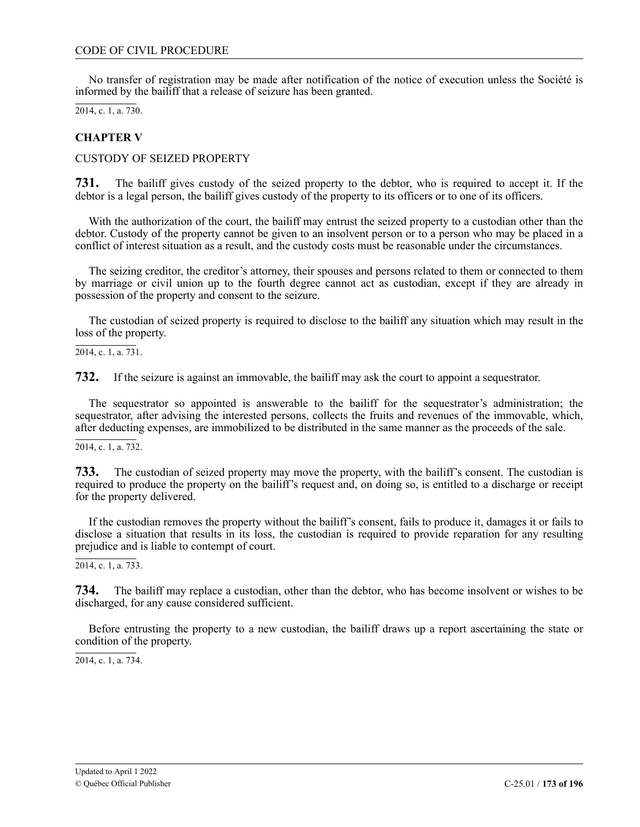No transfer of registration may be made after notification of the notice of execution unless the Société is informed by the bailiff that a release of seizure has been granted.

2014, c. 1, a. 730.

# **CHAPTER V**

CUSTODY OF SEIZED PROPERTY

**731.** The bailiff gives custody of the seized property to the debtor, who is required to accept it. If the debtor is a legal person, the bailiff gives custody of the property to its officers or to one of its officers.

With the authorization of the court, the bailiff may entrust the seized property to a custodian other than the debtor. Custody of the property cannot be given to an insolvent person or to a person who may be placed in a conflict of interest situation as a result, and the custody costs must be reasonable under the circumstances.

The seizing creditor, the creditor's attorney, their spouses and persons related to them or connected to them by marriage or civil union up to the fourth degree cannot act as custodian, except if they are already in possession of the property and consent to the seizure.

The custodian of seized property is required to disclose to the bailiff any situation which may result in the loss of the property.

 $\overline{2014}$ , c. 1, a. 731.

**732.** If the seizure is against an immovable, the bailiff may ask the court to appoint a sequestrator.

The sequestrator so appointed is answerable to the bailiff for the sequestrator's administration; the sequestrator, after advising the interested persons, collects the fruits and revenues of the immovable, which, after deducting expenses, are immobilized to be distributed in the same manner as the proceeds of the sale.

2014, c. 1, a. 732.

**733.** The custodian of seized property may move the property, with the bailiff's consent. The custodian is required to produce the property on the bailiff's request and, on doing so, is entitled to a discharge or receipt for the property delivered.

If the custodian removes the property without the bailiff's consent, fails to produce it, damages it or fails to disclose a situation that results in its loss, the custodian is required to provide reparation for any resulting prejudice and is liable to contempt of court.

 $\overline{2014}$ , c. 1, a. 733.

**734.** The bailiff may replace a custodian, other than the debtor, who has become insolvent or wishes to be discharged, for any cause considered sufficient.

Before entrusting the property to a new custodian, the bailiff draws up a report ascertaining the state or condition of the property.

2014, c. 1, a. 734.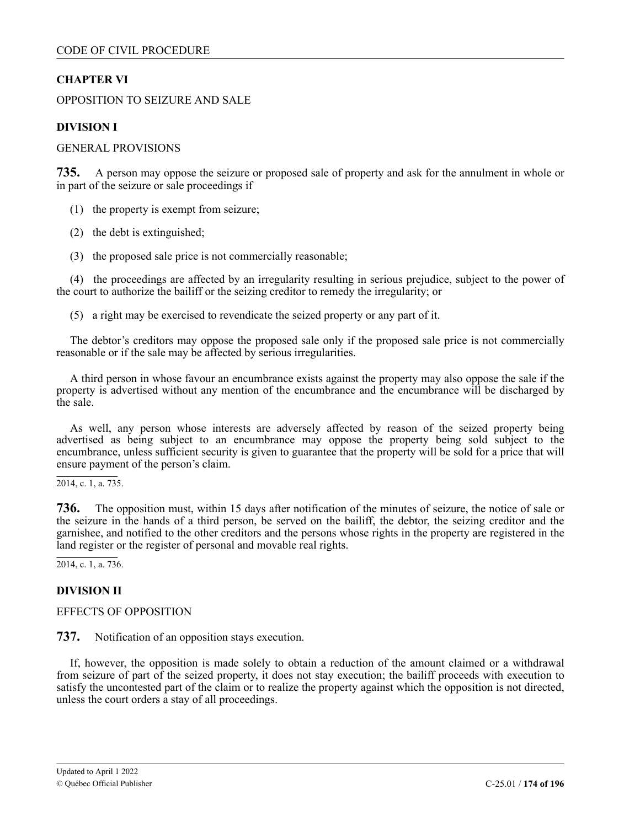# **CHAPTER VI**

OPPOSITION TO SEIZURE AND SALE

## **DIVISION I**

GENERAL PROVISIONS

**735.** A person may oppose the seizure or proposed sale of property and ask for the annulment in whole or in part of the seizure or sale proceedings if

(1) the property is exempt from seizure;

- (2) the debt is extinguished;
- (3) the proposed sale price is not commercially reasonable;

(4) the proceedings are affected by an irregularity resulting in serious prejudice, subject to the power of the court to authorize the bailiff or the seizing creditor to remedy the irregularity; or

(5) a right may be exercised to revendicate the seized property or any part of it.

The debtor's creditors may oppose the proposed sale only if the proposed sale price is not commercially reasonable or if the sale may be affected by serious irregularities.

A third person in whose favour an encumbrance exists against the property may also oppose the sale if the property is advertised without any mention of the encumbrance and the encumbrance will be discharged by the sale.

As well, any person whose interests are adversely affected by reason of the seized property being advertised as being subject to an encumbrance may oppose the property being sold subject to the encumbrance, unless sufficient security is given to guarantee that the property will be sold for a price that will ensure payment of the person's claim.

2014, c. 1, a. 735.

**736.** The opposition must, within 15 days after notification of the minutes of seizure, the notice of sale or the seizure in the hands of a third person, be served on the bailiff, the debtor, the seizing creditor and the garnishee, and notified to the other creditors and the persons whose rights in the property are registered in the land register or the register of personal and movable real rights.

2014, c. 1, a. 736.

# **DIVISION II**

#### EFFECTS OF OPPOSITION

**737.** Notification of an opposition stays execution.

If, however, the opposition is made solely to obtain a reduction of the amount claimed or a withdrawal from seizure of part of the seized property, it does not stay execution; the bailiff proceeds with execution to satisfy the uncontested part of the claim or to realize the property against which the opposition is not directed, unless the court orders a stay of all proceedings.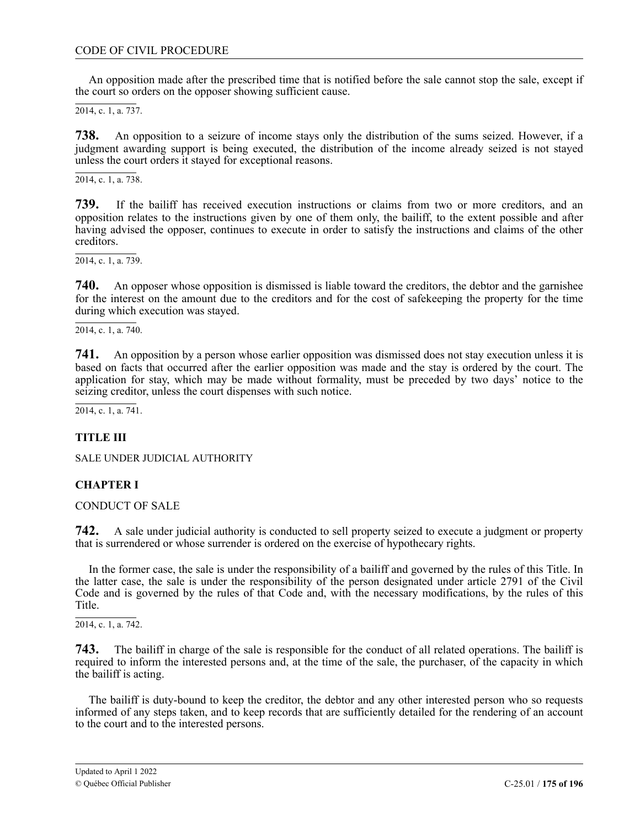An opposition made after the prescribed time that is notified before the sale cannot stop the sale, except if the court so orders on the opposer showing sufficient cause.

2014, c. 1, a. 737.

**738.** An opposition to a seizure of income stays only the distribution of the sums seized. However, if a judgment awarding support is being executed, the distribution of the income already seized is not stayed unless the court orders it stayed for exceptional reasons.

2014, c. 1, a. 738.

**739.** If the bailiff has received execution instructions or claims from two or more creditors, and an opposition relates to the instructions given by one of them only, the bailiff, to the extent possible and after having advised the opposer, continues to execute in order to satisfy the instructions and claims of the other creditors.

 $\overline{2014}$ , c. 1, a. 739.

**740.** An opposer whose opposition is dismissed is liable toward the creditors, the debtor and the garnishee for the interest on the amount due to the creditors and for the cost of safekeeping the property for the time during which execution was stayed.

 $\overline{2014}$ , c. 1, a. 740.

**741.** An opposition by a person whose earlier opposition was dismissed does not stay execution unless it is based on facts that occurred after the earlier opposition was made and the stay is ordered by the court. The application for stay, which may be made without formality, must be preceded by two days' notice to the seizing creditor, unless the court dispenses with such notice.

2014, c. 1, a. 741.

## **TITLE III**

SALE UNDER JUDICIAL AUTHORITY

## **CHAPTER I**

CONDUCT OF SALE

**742.** A sale under judicial authority is conducted to sell property seized to execute a judgment or property that is surrendered or whose surrender is ordered on the exercise of hypothecary rights.

In the former case, the sale is under the responsibility of a bailiff and governed by the rules of this Title. In the latter case, the sale is under the responsibility of the person designated under article 2791 of the Civil Code and is governed by the rules of that Code and, with the necessary modifications, by the rules of this Title.

2014, c. 1, a. 742.

**743.** The bailiff in charge of the sale is responsible for the conduct of all related operations. The bailiff is required to inform the interested persons and, at the time of the sale, the purchaser, of the capacity in which the bailiff is acting.

The bailiff is duty-bound to keep the creditor, the debtor and any other interested person who so requests informed of any steps taken, and to keep records that are sufficiently detailed for the rendering of an account to the court and to the interested persons.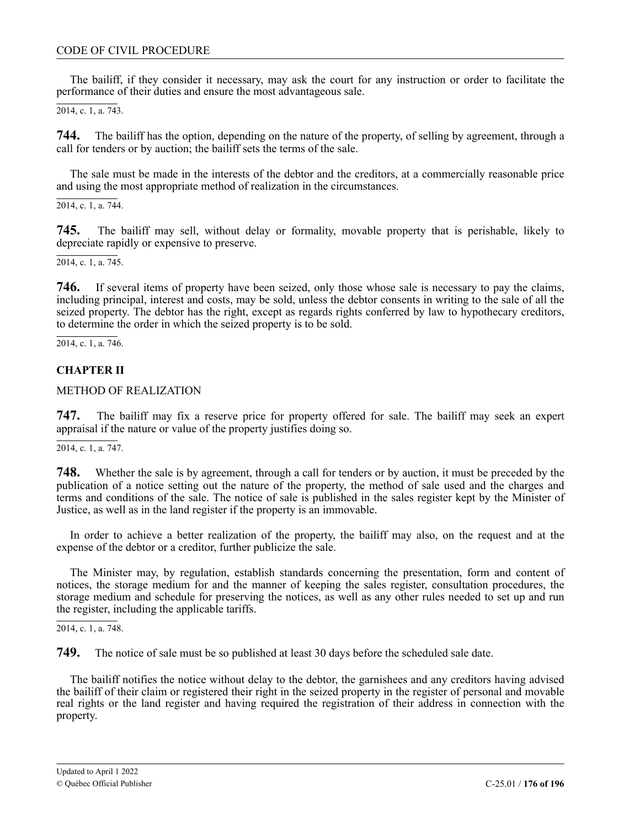The bailiff, if they consider it necessary, may ask the court for any instruction or order to facilitate the performance of their duties and ensure the most advantageous sale.

2014, c. 1, a. 743.

**744.** The bailiff has the option, depending on the nature of the property, of selling by agreement, through a call for tenders or by auction; the bailiff sets the terms of the sale.

The sale must be made in the interests of the debtor and the creditors, at a commercially reasonable price and using the most appropriate method of realization in the circumstances.

 $\overline{2014}$ , c. 1, a. 744.

**745.** The bailiff may sell, without delay or formality, movable property that is perishable, likely to depreciate rapidly or expensive to preserve.

2014, c. 1, a. 745.

**746.** If several items of property have been seized, only those whose sale is necessary to pay the claims, including principal, interest and costs, may be sold, unless the debtor consents in writing to the sale of all the seized property. The debtor has the right, except as regards rights conferred by law to hypothecary creditors, to determine the order in which the seized property is to be sold.

2014, c. 1, a. 746.

# **CHAPTER II**

### METHOD OF REALIZATION

**747.** The bailiff may fix a reserve price for property offered for sale. The bailiff may seek an expert appraisal if the nature or value of the property justifies doing so.

 $\overline{2014}$ , c. 1, a. 747.

**748.** Whether the sale is by agreement, through a call for tenders or by auction, it must be preceded by the publication of a notice setting out the nature of the property, the method of sale used and the charges and terms and conditions of the sale. The notice of sale is published in the sales register kept by the Minister of Justice, as well as in the land register if the property is an immovable.

In order to achieve a better realization of the property, the bailiff may also, on the request and at the expense of the debtor or a creditor, further publicize the sale.

The Minister may, by regulation, establish standards concerning the presentation, form and content of notices, the storage medium for and the manner of keeping the sales register, consultation procedures, the storage medium and schedule for preserving the notices, as well as any other rules needed to set up and run the register, including the applicable tariffs.

 $\overline{2014}$ , c. 1, a. 748.

**749.** The notice of sale must be so published at least 30 days before the scheduled sale date.

The bailiff notifies the notice without delay to the debtor, the garnishees and any creditors having advised the bailiff of their claim or registered their right in the seized property in the register of personal and movable real rights or the land register and having required the registration of their address in connection with the property.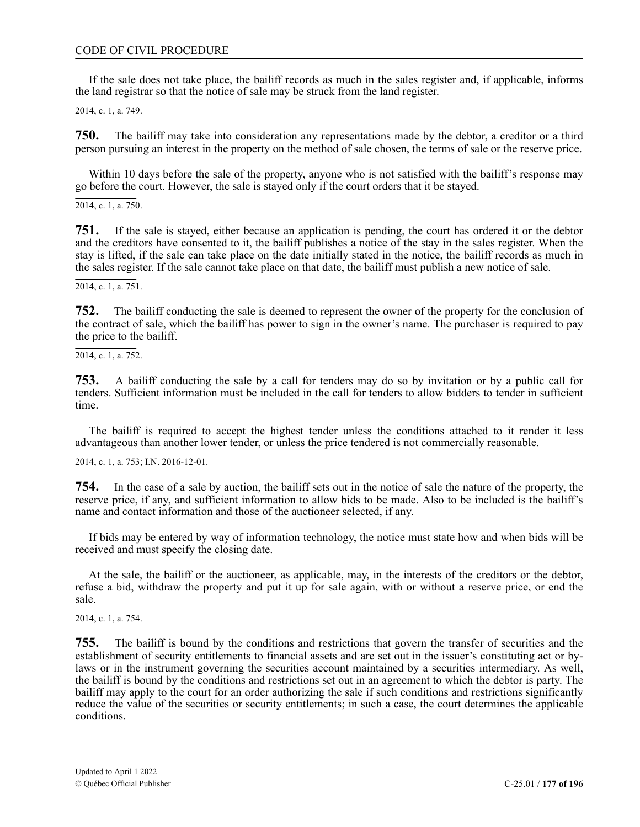If the sale does not take place, the bailiff records as much in the sales register and, if applicable, informs the land registrar so that the notice of sale may be struck from the land register.

2014, c. 1, a. 749.

**750.** The bailiff may take into consideration any representations made by the debtor, a creditor or a third person pursuing an interest in the property on the method of sale chosen, the terms of sale or the reserve price.

Within 10 days before the sale of the property, anyone who is not satisfied with the bailiff's response may go before the court. However, the sale is stayed only if the court orders that it be stayed.

2014, c. 1, a. 750.

**751.** If the sale is stayed, either because an application is pending, the court has ordered it or the debtor and the creditors have consented to it, the bailiff publishes a notice of the stay in the sales register. When the stay is lifted, if the sale can take place on the date initially stated in the notice, the bailiff records as much in the sales register. If the sale cannot take place on that date, the bailiff must publish a new notice of sale.

2014, c. 1, a. 751.

**752.** The bailiff conducting the sale is deemed to represent the owner of the property for the conclusion of the contract of sale, which the bailiff has power to sign in the owner's name. The purchaser is required to pay the price to the bailiff.

2014, c. 1, a. 752.

**753.** A bailiff conducting the sale by a call for tenders may do so by invitation or by a public call for tenders. Sufficient information must be included in the call for tenders to allow bidders to tender in sufficient time.

The bailiff is required to accept the highest tender unless the conditions attached to it render it less advantageous than another lower tender, or unless the price tendered is not commercially reasonable.

2014, c. 1, a. 753; I.N. 2016-12-01.

**754.** In the case of a sale by auction, the bailiff sets out in the notice of sale the nature of the property, the reserve price, if any, and sufficient information to allow bids to be made. Also to be included is the bailiff's name and contact information and those of the auctioneer selected, if any.

If bids may be entered by way of information technology, the notice must state how and when bids will be received and must specify the closing date.

At the sale, the bailiff or the auctioneer, as applicable, may, in the interests of the creditors or the debtor, refuse a bid, withdraw the property and put it up for sale again, with or without a reserve price, or end the sale.

2014, c. 1, a. 754.

**755.** The bailiff is bound by the conditions and restrictions that govern the transfer of securities and the establishment of security entitlements to financial assets and are set out in the issuer's constituting act or bylaws or in the instrument governing the securities account maintained by a securities intermediary. As well, the bailiff is bound by the conditions and restrictions set out in an agreement to which the debtor is party. The bailiff may apply to the court for an order authorizing the sale if such conditions and restrictions significantly reduce the value of the securities or security entitlements; in such a case, the court determines the applicable conditions.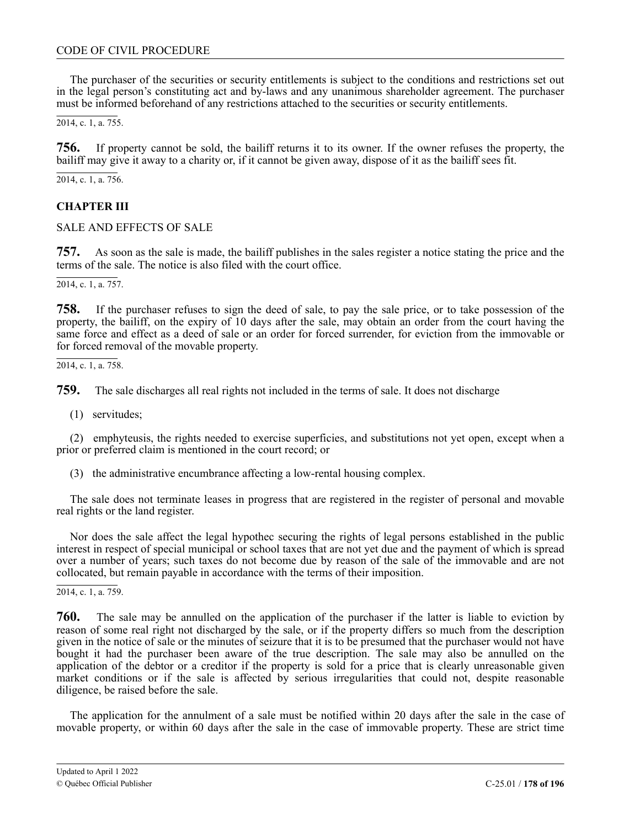The purchaser of the securities or security entitlements is subject to the conditions and restrictions set out in the legal person's constituting act and by-laws and any unanimous shareholder agreement. The purchaser must be informed beforehand of any restrictions attached to the securities or security entitlements.

 $\overline{2014}$ , c. 1, a. 755.

**756.** If property cannot be sold, the bailiff returns it to its owner. If the owner refuses the property, the bailiff may give it away to a charity or, if it cannot be given away, dispose of it as the bailiff sees fit.

2014, c. 1, a. 756.

### **CHAPTER III**

#### SALE AND EFFECTS OF SALE

**757.** As soon as the sale is made, the bailiff publishes in the sales register a notice stating the price and the terms of the sale. The notice is also filed with the court office.

2014, c. 1, a. 757.

**758.** If the purchaser refuses to sign the deed of sale, to pay the sale price, or to take possession of the property, the bailiff, on the expiry of 10 days after the sale, may obtain an order from the court having the same force and effect as a deed of sale or an order for forced surrender, for eviction from the immovable or for forced removal of the movable property.

2014, c. 1, a. 758.

**759.** The sale discharges all real rights not included in the terms of sale. It does not discharge

(1) servitudes;

(2) emphyteusis, the rights needed to exercise superficies, and substitutions not yet open, except when a prior or preferred claim is mentioned in the court record; or

(3) the administrative encumbrance affecting a low-rental housing complex.

The sale does not terminate leases in progress that are registered in the register of personal and movable real rights or the land register.

Nor does the sale affect the legal hypothec securing the rights of legal persons established in the public interest in respect of special municipal or school taxes that are not yet due and the payment of which is spread over a number of years; such taxes do not become due by reason of the sale of the immovable and are not collocated, but remain payable in accordance with the terms of their imposition.

 $\overline{2014, c. 1, a. 759}.$ 

**760.** The sale may be annulled on the application of the purchaser if the latter is liable to eviction by reason of some real right not discharged by the sale, or if the property differs so much from the description given in the notice of sale or the minutes of seizure that it is to be presumed that the purchaser would not have bought it had the purchaser been aware of the true description. The sale may also be annulled on the application of the debtor or a creditor if the property is sold for a price that is clearly unreasonable given market conditions or if the sale is affected by serious irregularities that could not, despite reasonable diligence, be raised before the sale.

The application for the annulment of a sale must be notified within 20 days after the sale in the case of movable property, or within 60 days after the sale in the case of immovable property. These are strict time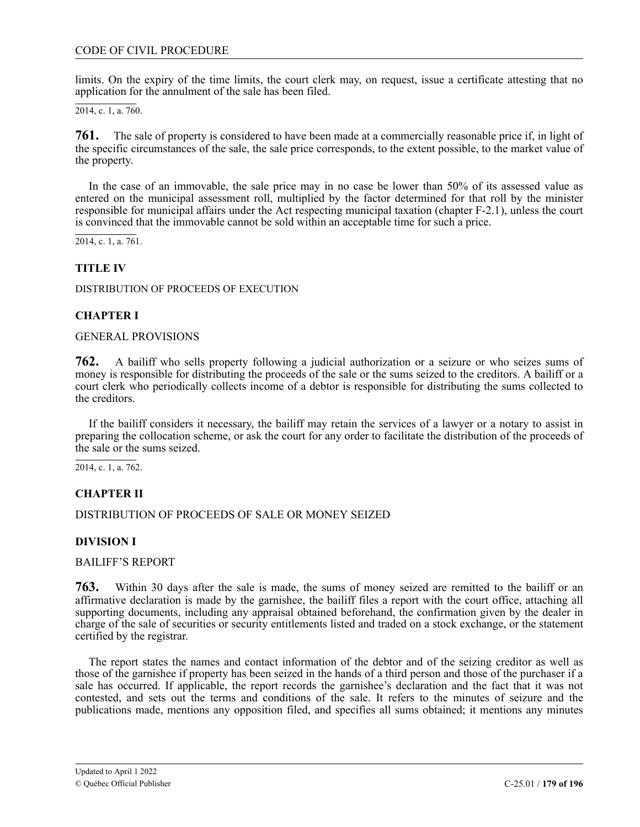limits. On the expiry of the time limits, the court clerk may, on request, issue a certificate attesting that no application for the annulment of the sale has been filed.

2014, c. 1, a. 760.

**761.** The sale of property is considered to have been made at a commercially reasonable price if, in light of the specific circumstances of the sale, the sale price corresponds, to the extent possible, to the market value of the property.

In the case of an immovable, the sale price may in no case be lower than 50% of its assessed value as entered on the municipal assessment roll, multiplied by the factor determined for that roll by the minister responsible for municipal affairs under the Act respecting municipal taxation (chapter F-2.1), unless the court is convinced that the immovable cannot be sold within an acceptable time for such a price.

 $2014$ , c. 1, a. 761.

# **TITLE IV**

DISTRIBUTION OF PROCEEDS OF EXECUTION

# **CHAPTER I**

#### GENERAL PROVISIONS

**762.** A bailiff who sells property following a judicial authorization or a seizure or who seizes sums of money is responsible for distributing the proceeds of the sale or the sums seized to the creditors. A bailiff or a court clerk who periodically collects income of a debtor is responsible for distributing the sums collected to the creditors.

If the bailiff considers it necessary, the bailiff may retain the services of a lawyer or a notary to assist in preparing the collocation scheme, or ask the court for any order to facilitate the distribution of the proceeds of the sale or the sums seized.

2014, c. 1, a. 762.

# **CHAPTER II**

DISTRIBUTION OF PROCEEDS OF SALE OR MONEY SEIZED

## **DIVISION I**

#### BAILIFF'S REPORT

**763.** Within 30 days after the sale is made, the sums of money seized are remitted to the bailiff or an affirmative declaration is made by the garnishee, the bailiff files a report with the court office, attaching all supporting documents, including any appraisal obtained beforehand, the confirmation given by the dealer in charge of the sale of securities or security entitlements listed and traded on a stock exchange, or the statement certified by the registrar.

The report states the names and contact information of the debtor and of the seizing creditor as well as those of the garnishee if property has been seized in the hands of a third person and those of the purchaser if a sale has occurred. If applicable, the report records the garnishee's declaration and the fact that it was not contested, and sets out the terms and conditions of the sale. It refers to the minutes of seizure and the publications made, mentions any opposition filed, and specifies all sums obtained; it mentions any minutes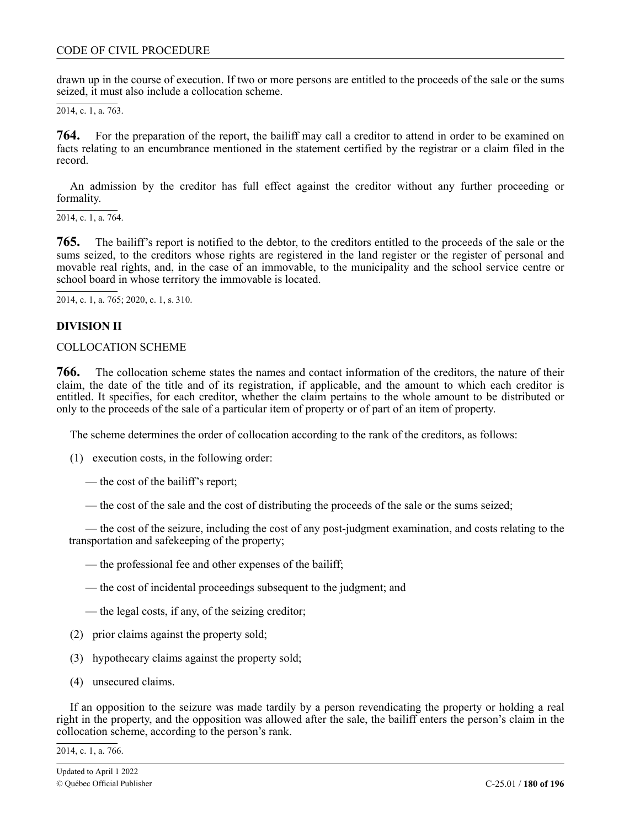drawn up in the course of execution. If two or more persons are entitled to the proceeds of the sale or the sums seized, it must also include a collocation scheme.

2014, c. 1, a. 763.

**764.** For the preparation of the report, the bailiff may call a creditor to attend in order to be examined on facts relating to an encumbrance mentioned in the statement certified by the registrar or a claim filed in the record.

An admission by the creditor has full effect against the creditor without any further proceeding or formality.

2014, c. 1, a. 764.

**765.** The bailiff's report is notified to the debtor, to the creditors entitled to the proceeds of the sale or the sums seized, to the creditors whose rights are registered in the land register or the register of personal and movable real rights, and, in the case of an immovable, to the municipality and the school service centre or school board in whose territory the immovable is located.

2014, c. 1, a. 765; 2020, c. 1, s. 310.

### **DIVISION II**

#### , COLLOCATION SCHEME

. **766.** The collocation scheme states the names and contact information of the creditors, the nature of their claim, the date of the title and of its registration, if applicable, and the amount to which each creditor is entitled. It specifies, for each creditor, whether the claim pertains to the whole amount to be distributed or only to the proceeds of the sale of a particular item of property or of part of an item of property.

The scheme determines the order of collocation according to the rank of the creditors, as follows:

- (1) execution costs, in the following order:
	- the cost of the bailiff's report;
	- the cost of the sale and the cost of distributing the proceeds of the sale or the sums seized;

 — the cost of the seizure, including the cost of any post-judgment examination, and costs relating to the transportation and safekeeping of the property;

- the professional fee and other expenses of the bailiff;
- the cost of incidental proceedings subsequent to the judgment; and
- the legal costs, if any, of the seizing creditor;
- (2) prior claims against the property sold;
- (3) hypothecary claims against the property sold;
- (4) unsecured claims.

If an opposition to the seizure was made tardily by a person revendicating the property or holding a real right in the property, and the opposition was allowed after the sale, the bailiff enters the person's claim in the collocation scheme, according to the person's rank.

```
2014, c. 1, a. 766.
```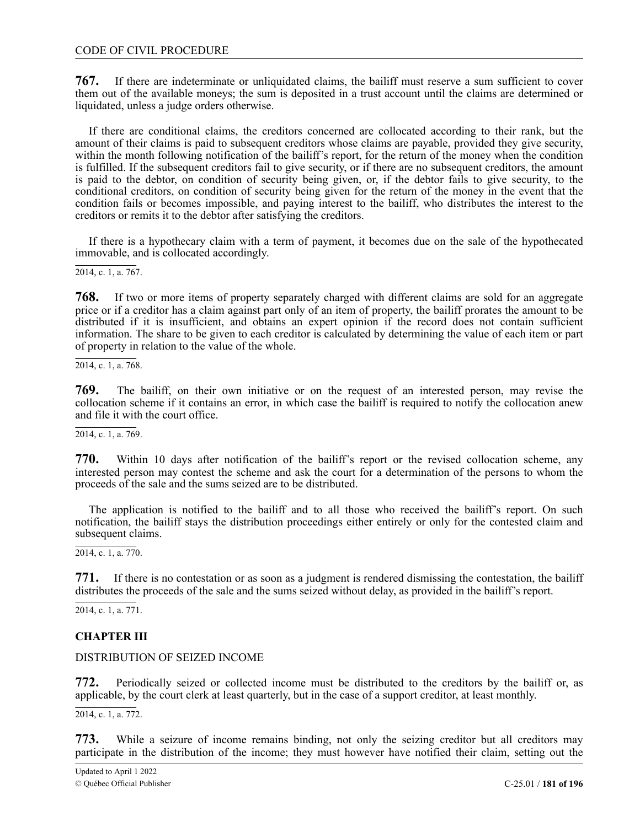**767.** If there are indeterminate or unliquidated claims, the bailiff must reserve a sum sufficient to cover them out of the available moneys; the sum is deposited in a trust account until the claims are determined or liquidated, unless a judge orders otherwise.

If there are conditional claims, the creditors concerned are collocated according to their rank, but the amount of their claims is paid to subsequent creditors whose claims are payable, provided they give security, within the month following notification of the bailiff's report, for the return of the money when the condition is fulfilled. If the subsequent creditors fail to give security, or if there are no subsequent creditors, the amount is paid to the debtor, on condition of security being given, or, if the debtor fails to give security, to the conditional creditors, on condition of security being given for the return of the money in the event that the condition fails or becomes impossible, and paying interest to the bailiff, who distributes the interest to the creditors or remits it to the debtor after satisfying the creditors.

If there is a hypothecary claim with a term of payment, it becomes due on the sale of the hypothecated immovable, and is collocated accordingly.

2014, c. 1, a. 767.

**768.** If two or more items of property separately charged with different claims are sold for an aggregate price or if a creditor has a claim against part only of an item of property, the bailiff prorates the amount to be distributed if it is insufficient, and obtains an expert opinion if the record does not contain sufficient information. The share to be given to each creditor is calculated by determining the value of each item or part of property in relation to the value of the whole.

2014, c. 1, a. 768.

**769.** The bailiff, on their own initiative or on the request of an interested person, may revise the collocation scheme if it contains an error, in which case the bailiff is required to notify the collocation anew and file it with the court office.

2014, c. 1, a. 769.

**770.** Within 10 days after notification of the bailiff's report or the revised collocation scheme, any interested person may contest the scheme and ask the court for a determination of the persons to whom the proceeds of the sale and the sums seized are to be distributed.

The application is notified to the bailiff and to all those who received the bailiff's report. On such notification, the bailiff stays the distribution proceedings either entirely or only for the contested claim and subsequent claims.

 $\overline{2014, c. 1, a. 770}.$ 

**771.** If there is no contestation or as soon as a judgment is rendered dismissing the contestation, the bailiff distributes the proceeds of the sale and the sums seized without delay, as provided in the bailiff's report.

2014, c. 1, a. 771.

# **CHAPTER III**

#### DISTRIBUTION OF SEIZED INCOME

**772.** Periodically seized or collected income must be distributed to the creditors by the bailiff or, as applicable, by the court clerk at least quarterly, but in the case of a support creditor, at least monthly.

 $\overline{2014}$ , c. 1, a. 772.

**773.** While a seizure of income remains binding, not only the seizing creditor but all creditors may participate in the distribution of the income; they must however have notified their claim, setting out the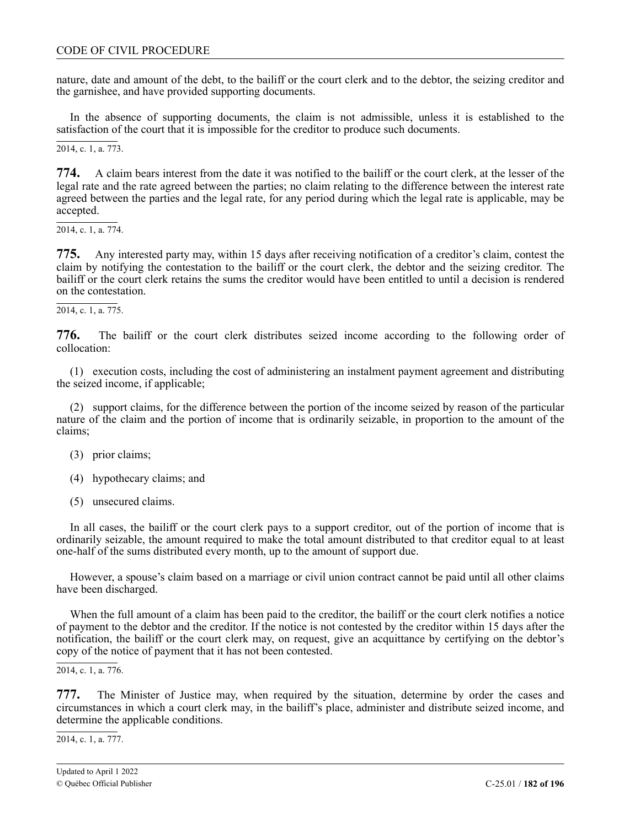nature, date and amount of the debt, to the bailiff or the court clerk and to the debtor, the seizing creditor and the garnishee, and have provided supporting documents.

In the absence of supporting documents, the claim is not admissible, unless it is established to the satisfaction of the court that it is impossible for the creditor to produce such documents.

2014, c. 1, a. 773.

**774.** A claim bears interest from the date it was notified to the bailiff or the court clerk, at the lesser of the legal rate and the rate agreed between the parties; no claim relating to the difference between the interest rate agreed between the parties and the legal rate, for any period during which the legal rate is applicable, may be accepted.

2014, c. 1, a. 774.

**775.** Any interested party may, within 15 days after receiving notification of a creditor's claim, contest the claim by notifying the contestation to the bailiff or the court clerk, the debtor and the seizing creditor. The bailiff or the court clerk retains the sums the creditor would have been entitled to until a decision is rendered on the contestation.

2014, c. 1, a. 775.

**776.** The bailiff or the court clerk distributes seized income according to the following order of collocation:

(1) execution costs, including the cost of administering an instalment payment agreement and distributing the seized income, if applicable;

(2) support claims, for the difference between the portion of the income seized by reason of the particular nature of the claim and the portion of income that is ordinarily seizable, in proportion to the amount of the claims;

- (3) prior claims;
- (4) hypothecary claims; and
- (5) unsecured claims.

In all cases, the bailiff or the court clerk pays to a support creditor, out of the portion of income that is ordinarily seizable, the amount required to make the total amount distributed to that creditor equal to at least one-half of the sums distributed every month, up to the amount of support due.

However, a spouse's claim based on a marriage or civil union contract cannot be paid until all other claims have been discharged.

When the full amount of a claim has been paid to the creditor, the bailiff or the court clerk notifies a notice of payment to the debtor and the creditor. If the notice is not contested by the creditor within 15 days after the notification, the bailiff or the court clerk may, on request, give an acquittance by certifying on the debtor's copy of the notice of payment that it has not been contested.

2014, c. 1, a. 776.

**777.** The Minister of Justice may, when required by the situation, determine by order the cases and circumstances in which a court clerk may, in the bailiff's place, administer and distribute seized income, and determine the applicable conditions.

2014, c. 1, a. 777.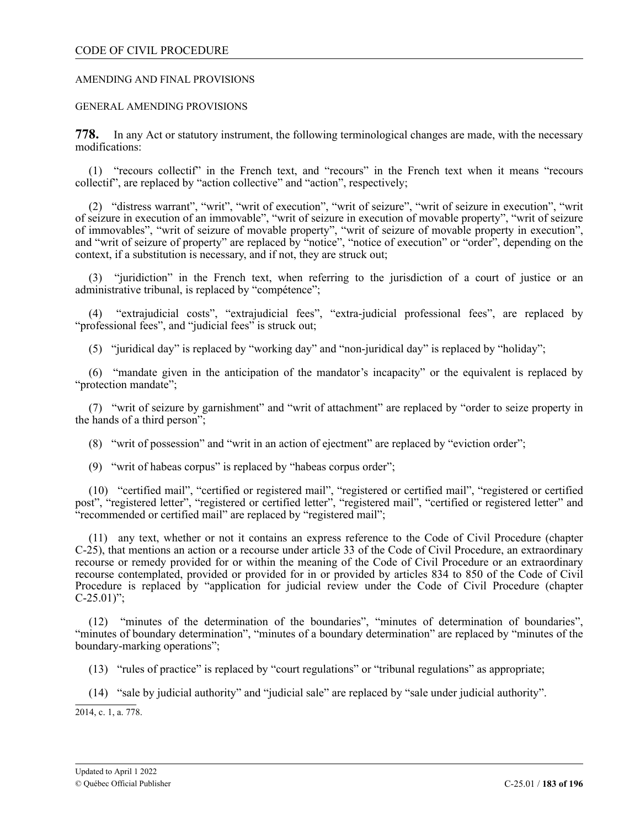# AMENDING AND FINAL PROVISIONS

### GENERAL AMENDING PROVISIONS

**778.** In any Act or statutory instrument, the following terminological changes are made, with the necessary modifications:

(1) "recours collectif" in the French text, and "recours" in the French text when it means "recours collectif", are replaced by "action collective" and "action", respectively;

(2) "distress warrant", "writ", "writ of execution", "writ of seizure", "writ of seizure in execution", "writ of seizure in execution of an immovable", "writ of seizure in execution of movable property", "writ of seizure of immovables", "writ of seizure of movable property", "writ of seizure of movable property in execution", and "writ of seizure of property" are replaced by "notice", "notice of execution" or "order", depending on the context, if a substitution is necessary, and if not, they are struck out;

(3) "juridiction" in the French text, when referring to the jurisdiction of a court of justice or an administrative tribunal, is replaced by "compétence";

(4) "extrajudicial costs", "extrajudicial fees", "extra-judicial professional fees", are replaced by "professional fees", and "judicial fees" is struck out;

(5) "juridical day" is replaced by "working day" and "non-juridical day" is replaced by "holiday";

(6) "mandate given in the anticipation of the mandator's incapacity" or the equivalent is replaced by "protection mandate";

(7) "writ of seizure by garnishment" and "writ of attachment" are replaced by "order to seize property in the hands of a third person";

(8) "writ of possession" and "writ in an action of ejectment" are replaced by "eviction order";

(9) "writ of habeas corpus" is replaced by "habeas corpus order";

(10) "certified mail", "certified or registered mail", "registered or certified mail", "registered or certified post", "registered letter", "registered or certified letter", "registered mail", "certified or registered letter" and "recommended or certified mail" are replaced by "registered mail";

(11) any text, whether or not it contains an express reference to the Code of Civil Procedure (chapter C-25), that mentions an action or a recourse under article 33 of the Code of Civil Procedure, an extraordinary recourse or remedy provided for or within the meaning of the Code of Civil Procedure or an extraordinary recourse contemplated, provided or provided for in or provided by articles 834 to 850 of the Code of Civil Procedure is replaced by "application for judicial review under the Code of Civil Procedure (chapter  $C-25.01$ ";

(12) "minutes of the determination of the boundaries", "minutes of determination of boundaries", "minutes of boundary determination", "minutes of a boundary determination" are replaced by "minutes of the boundary-marking operations";

(13) "rules of practice" is replaced by "court regulations" or "tribunal regulations" as appropriate;

(14) "sale by judicial authority" and "judicial sale" are replaced by "sale under judicial authority". 2014, c. 1, a. 778.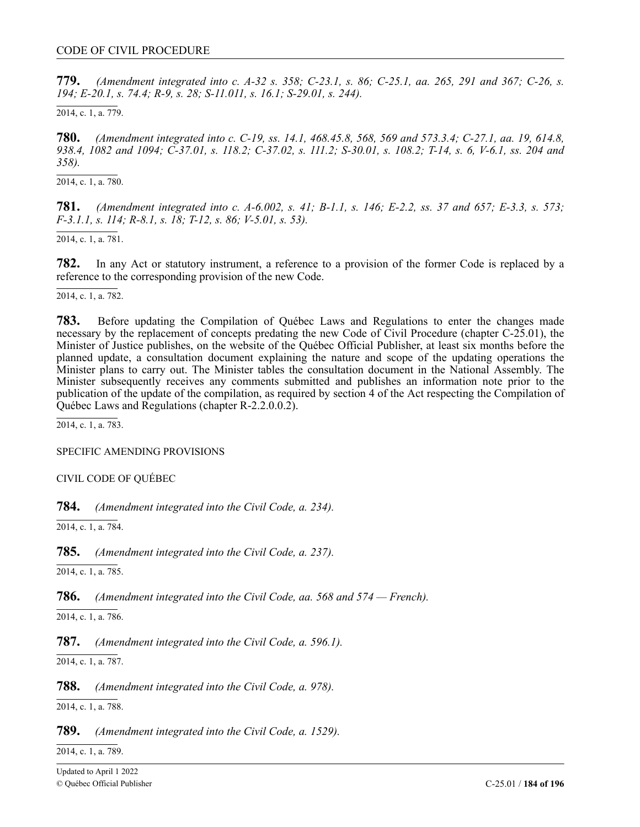**779.** *(Amendment integrated into c. A-32 s. 358; C-23.1, s. 86; C-25.1, aa. 265, 291 and 367; C-26, s. 194; E-20.1, s. 74.4; R-9, s. 28; S-11.011, s. 16.1; S-29.01, s. 244).*

2014, c. 1, a. 779.

**780.** *(Amendment integrated into c. C-19, ss. 14.1, 468.45.8, 568, 569 and 573.3.4; C-27.1, aa. 19, 614.8, 938.4, 1082 and 1094; C-37.01, s. 118.2; C-37.02, s. 111.2; S-30.01, s. 108.2; T-14, s. 6, V-6.1, ss. 204 and 358).*

2014, c. 1, a. 780.

**781.** *(Amendment integrated into c. A-6.002, s. 41; B-1.1, s. 146; E-2.2, ss. 37 and 657; E-3.3, s. 573; F-3.1.1, s. 114; R-8.1, s. 18; T-12, s. 86; V-5.01, s. 53).*

2014, c. 1, a. 781.

**782.** In any Act or statutory instrument, a reference to a provision of the former Code is replaced by a reference to the corresponding provision of the new Code.

2014, c. 1, a. 782.

**783.** Before updating the Compilation of Québec Laws and Regulations to enter the changes made necessary by the replacement of concepts predating the new Code of Civil Procedure (chapter C-25.01), the Minister of Justice publishes, on the website of the Québec Official Publisher, at least six months before the planned update, a consultation document explaining the nature and scope of the updating operations the Minister plans to carry out. The Minister tables the consultation document in the National Assembly. The Minister subsequently receives any comments submitted and publishes an information note prior to the publication of the update of the compilation, as required by section 4 of the Act respecting the Compilation of Québec Laws and Regulations (chapter R-2.2.0.0.2).

2014, c. 1, a. 783.

SPECIFIC AMENDING PROVISIONS

CIVIL CODE OF QUÉBEC

**784.** *(Amendment integrated into the Civil Code, a. 234).*

2014, c. 1, a. 784.

**785.** *(Amendment integrated into the Civil Code, a. 237).*

2014, c. 1, a. 785.

**786.** *(Amendment integrated into the Civil Code, aa. 568 and 574 — French).*

2014, c. 1, a. 786.

**787.** *(Amendment integrated into the Civil Code, a. 596.1).*

 $2014$ , c. 1, a. 787.

**788.** *(Amendment integrated into the Civil Code, a. 978).*

 $2014$ , c. 1, a. 788.

# **789.** *(Amendment integrated into the Civil Code, a. 1529).*

2014, c. 1, a. 789.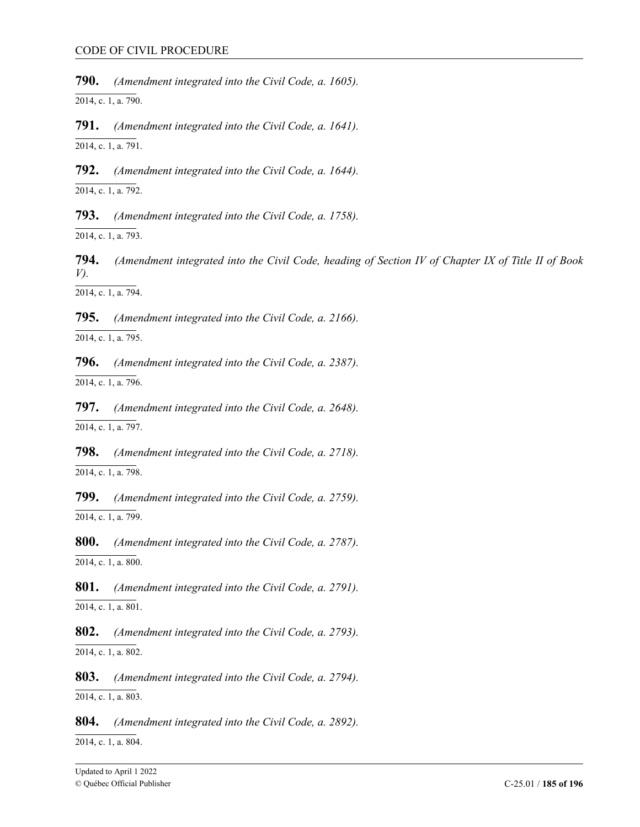**790.** *(Amendment integrated into the Civil Code, a. 1605).*

 $\overline{2014}$ , c. 1, a. 790.

**791.** *(Amendment integrated into the Civil Code, a. 1641).*  $\overline{2014, c. 1, a. 791}.$ 

**792.** *(Amendment integrated into the Civil Code, a. 1644).* 2014, c. 1, a. 792.

**793.** *(Amendment integrated into the Civil Code, a. 1758).*  $\overline{2014}$ , c. 1, a. 793.

**794.** *(Amendment integrated into the Civil Code, heading of Section IV of Chapter IX of Title II of Book V).*

2014, c. 1, a. 794.

**795.** *(Amendment integrated into the Civil Code, a. 2166).*  $\overline{2014, c. 1, a. 795}.$ 

**796.** *(Amendment integrated into the Civil Code, a. 2387).*  $\overline{2014}$ , c. 1, a, 796.

**797.** *(Amendment integrated into the Civil Code, a. 2648).* 2014, c. 1, a. 797.

**798.** *(Amendment integrated into the Civil Code, a. 2718).*  $\overline{2014}$ , c. 1, a. 798.

**799.** *(Amendment integrated into the Civil Code, a. 2759).*  $\overline{2014, c. 1, a. 799}.$ 

**800.** *(Amendment integrated into the Civil Code, a. 2787).*  $\overline{2014}$ , c. 1, a. 800.

**801.** *(Amendment integrated into the Civil Code, a. 2791).*  $\overline{2014}$ , c. 1, a,  $\overline{801}$ .

**802.** *(Amendment integrated into the Civil Code, a. 2793).* 2014, c. 1, a. 802.

**803.** *(Amendment integrated into the Civil Code, a. 2794).*  $\overline{2014}$ , c. 1, a. 803.

**804.** *(Amendment integrated into the Civil Code, a. 2892).*

 $\overline{2014, c. 1, a. 804}.$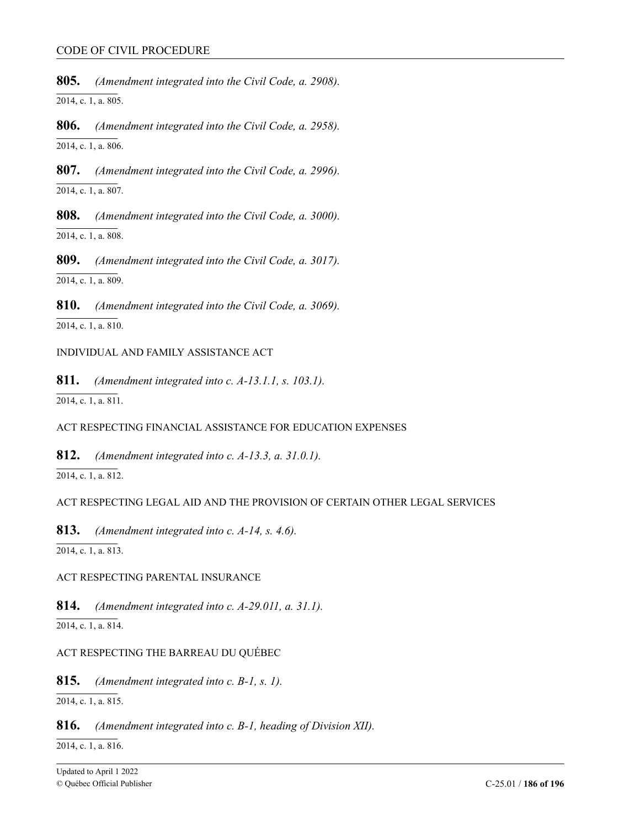**805.** *(Amendment integrated into the Civil Code, a. 2908).*  $\overline{2014}$ , c. 1, a. 805.

**806.** *(Amendment integrated into the Civil Code, a. 2958).*  $\overline{2014}$ , c. 1, a, 806.

**807.** *(Amendment integrated into the Civil Code, a. 2996).* 2014, c. 1, a. 807.

**808.** *(Amendment integrated into the Civil Code, a. 3000).*  $\overline{2014}$ , c. 1, a. 808.

**809.** *(Amendment integrated into the Civil Code, a. 3017).*  $\overline{2014}$ , c. 1, a, 809.

**810.** *(Amendment integrated into the Civil Code, a. 3069).* 2014, c. 1, a. 810.

INDIVIDUAL AND FAMILY ASSISTANCE ACT

**811.** *(Amendment integrated into c. A-13.1.1, s. 103.1).*

2014, c. 1, a. 811.

ACT RESPECTING FINANCIAL ASSISTANCE FOR EDUCATION EXPENSES

**812.** *(Amendment integrated into c. A-13.3, a. 31.0.1).*

 $\overline{2014}$ , c. 1, a, 812.

ACT RESPECTING LEGAL AID AND THE PROVISION OF CERTAIN OTHER LEGAL SERVICES

**813.** *(Amendment integrated into c. A-14, s. 4.6).*

 $\overline{2014, c. 1, a. 813}.$ 

ACT RESPECTING PARENTAL INSURANCE

**814.** *(Amendment integrated into c. A-29.011, a. 31.1).*

 $\overline{2014}$ , c. 1, a. 814.

ACT RESPECTING THE BARREAU DU QUÉBEC

**815.** *(Amendment integrated into c. B-1, s. 1).*  $\overline{2014, c. 1, a. 815}.$ 

**816.** *(Amendment integrated into c. B-1, heading of Division XII).*

2014, c. 1, a. 816.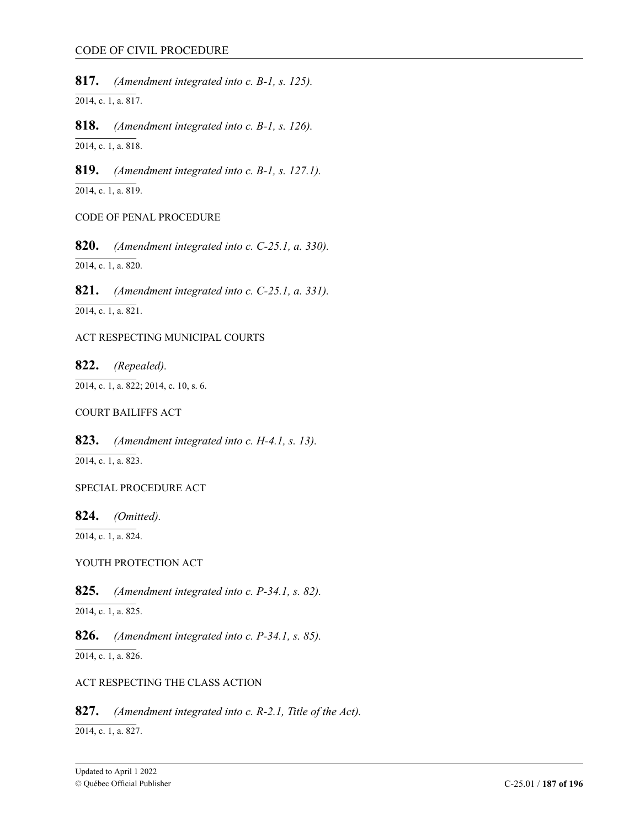**817.** *(Amendment integrated into c. B-1, s. 125).*  $\overline{2014, c. 1, a. 817}.$ 

**818.** *(Amendment integrated into c. B-1, s. 126).*  $\overline{2014, c. 1, a. 818}.$ 

**819.** *(Amendment integrated into c. B-1, s. 127.1).* 2014, c. 1, a. 819.

CODE OF PENAL PROCEDURE

**820.** *(Amendment integrated into c. C-25.1, a. 330).* 2014, c. 1, a. 820.

**821.** *(Amendment integrated into c. C-25.1, a. 331).*  $\overline{2014, c. 1, a. 821}.$ 

# ACT RESPECTING MUNICIPAL COURTS

**822.** *(Repealed).*

 $2014$ , c. 1, a. 822; 2014, c. 10, s. 6.

COURT BAILIFFS ACT

**823.** *(Amendment integrated into c. H-4.1, s. 13).* 2014, c. 1, a. 823.

SPECIAL PROCEDURE ACT

**824.** *(Omitted).*

2014, c. 1, a. 824.

YOUTH PROTECTION ACT

**825.** *(Amendment integrated into c. P-34.1, s. 82).*

 $\overline{2014}$ , c. 1, a, 825.

**826.** *(Amendment integrated into c. P-34.1, s. 85).* 2014, c. 1, a. 826.

ACT RESPECTING THE CLASS ACTION

**827.** *(Amendment integrated into c. R-2.1, Title of the Act).*

2014, c. 1, a. 827.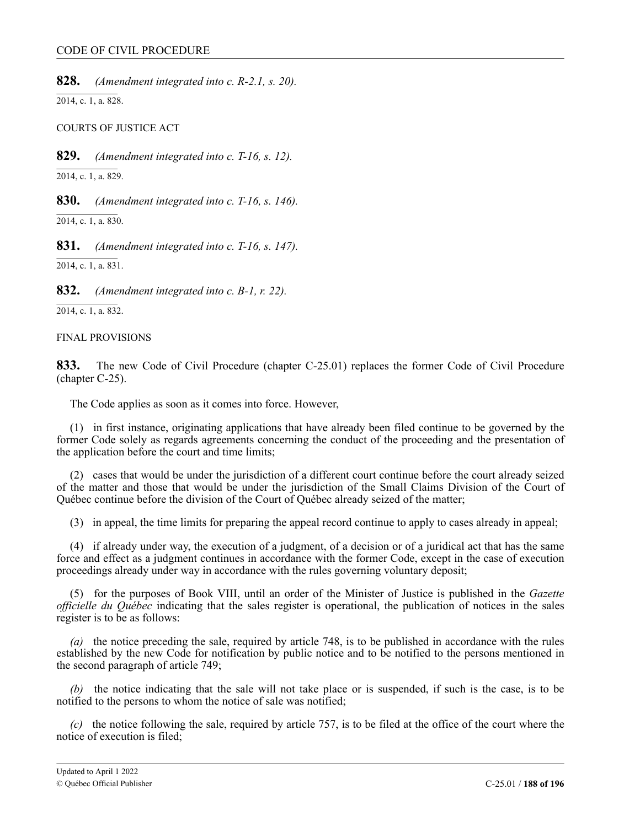**828.** *(Amendment integrated into c. R-2.1, s. 20).*

2014, c. 1, a. 828.

COURTS OF JUSTICE ACT

**829.** *(Amendment integrated into c. T-16, s. 12).*

 $2014$ , c. 1, a. 829.

**830.** *(Amendment integrated into c. T-16, s. 146).*

2014, c. 1, a. 830.

**831.** *(Amendment integrated into c. T-16, s. 147).*

2014, c. 1, a. 831.

**832.** *(Amendment integrated into c. B-1, r. 22).*

2014, c. 1, a. 832.

FINAL PROVISIONS

**833.** The new Code of Civil Procedure (chapter C-25.01) replaces the former Code of Civil Procedure (chapter C-25).

The Code applies as soon as it comes into force. However,

(1) in first instance, originating applications that have already been filed continue to be governed by the former Code solely as regards agreements concerning the conduct of the proceeding and the presentation of the application before the court and time limits;

(2) cases that would be under the jurisdiction of a different court continue before the court already seized of the matter and those that would be under the jurisdiction of the Small Claims Division of the Court of Québec continue before the division of the Court of Québec already seized of the matter;

(3) in appeal, the time limits for preparing the appeal record continue to apply to cases already in appeal;

(4) if already under way, the execution of a judgment, of a decision or of a juridical act that has the same force and effect as a judgment continues in accordance with the former Code, except in the case of execution proceedings already under way in accordance with the rules governing voluntary deposit;

(5) for the purposes of Book VIII, until an order of the Minister of Justice is published in the *Gazette officielle du Québec* indicating that the sales register is operational, the publication of notices in the sales register is to be as follows:

*(a)* the notice preceding the sale, required by article 748, is to be published in accordance with the rules established by the new Code for notification by public notice and to be notified to the persons mentioned in the second paragraph of article 749;

*(b)* the notice indicating that the sale will not take place or is suspended, if such is the case, is to be notified to the persons to whom the notice of sale was notified;

*(c)* the notice following the sale, required by article 757, is to be filed at the office of the court where the notice of execution is filed;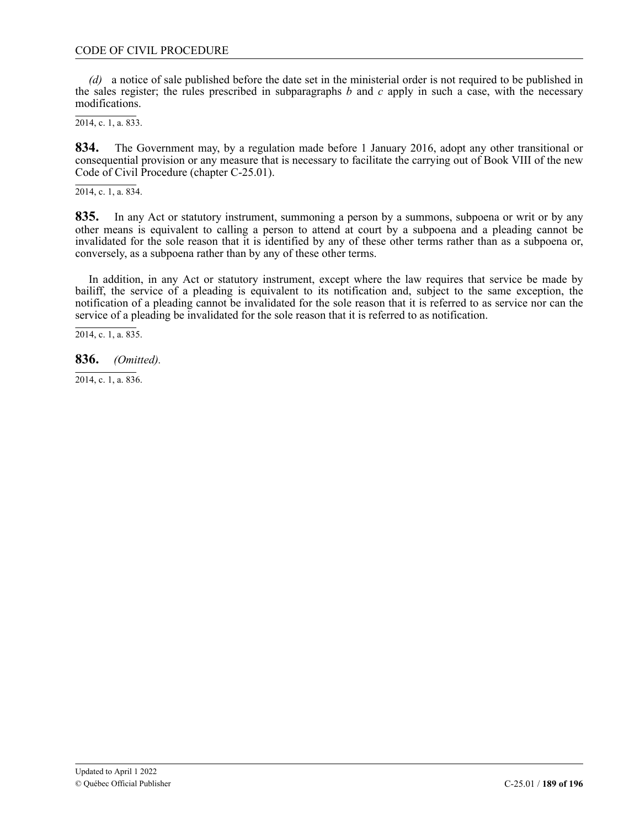*(d)* a notice of sale published before the date set in the ministerial order is not required to be published in the sales register; the rules prescribed in subparagraphs *b* and *c* apply in such a case, with the necessary modifications.

 $\overline{2014}$ , c. 1, a. 833.

**834.** The Government may, by a regulation made before 1 January 2016, adopt any other transitional or consequential provision or any measure that is necessary to facilitate the carrying out of Book VIII of the new Code of Civil Procedure (chapter C-25.01).

2014, c. 1, a. 834.

**835.** In any Act or statutory instrument, summoning a person by a summons, subpoena or writ or by any other means is equivalent to calling a person to attend at court by a subpoena and a pleading cannot be invalidated for the sole reason that it is identified by any of these other terms rather than as a subpoena or, conversely, as a subpoena rather than by any of these other terms.

In addition, in any Act or statutory instrument, except where the law requires that service be made by bailiff, the service of a pleading is equivalent to its notification and, subject to the same exception, the notification of a pleading cannot be invalidated for the sole reason that it is referred to as service nor can the service of a pleading be invalidated for the sole reason that it is referred to as notification.

 $2014$ , c. 1, a. 835.

**836.** *(Omitted).*

2014, c. 1, a. 836.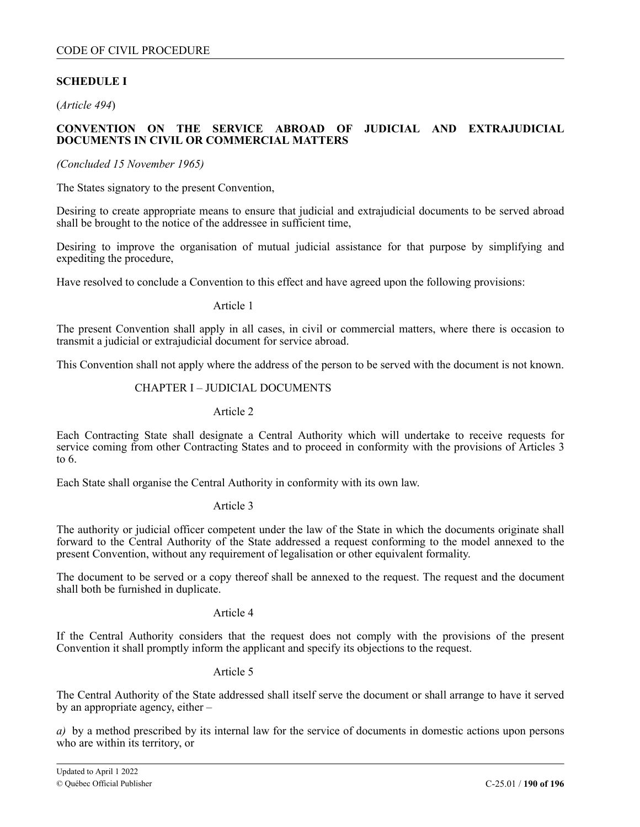# **SCHEDULE I**

(*Article 494*)

# **CONVENTION ON THE SERVICE ABROAD OF JUDICIAL AND EXTRAJUDICIAL DOCUMENTS IN CIVIL OR COMMERCIAL MATTERS**

*(Concluded 15 November 1965)*

The States signatory to the present Convention,

Desiring to create appropriate means to ensure that judicial and extrajudicial documents to be served abroad shall be brought to the notice of the addressee in sufficient time,

Desiring to improve the organisation of mutual judicial assistance for that purpose by simplifying and expediting the procedure,

Have resolved to conclude a Convention to this effect and have agreed upon the following provisions:

Article 1

The present Convention shall apply in all cases, in civil or commercial matters, where there is occasion to transmit a judicial or extrajudicial document for service abroad.

This Convention shall not apply where the address of the person to be served with the document is not known.

# CHAPTER I – JUDICIAL DOCUMENTS

Article 2

Each Contracting State shall designate a Central Authority which will undertake to receive requests for service coming from other Contracting States and to proceed in conformity with the provisions of Articles 3 to 6.

Each State shall organise the Central Authority in conformity with its own law.

Article 3

The authority or judicial officer competent under the law of the State in which the documents originate shall forward to the Central Authority of the State addressed a request conforming to the model annexed to the present Convention, without any requirement of legalisation or other equivalent formality.

The document to be served or a copy thereof shall be annexed to the request. The request and the document shall both be furnished in duplicate.

Article 4

If the Central Authority considers that the request does not comply with the provisions of the present Convention it shall promptly inform the applicant and specify its objections to the request.

Article 5

The Central Authority of the State addressed shall itself serve the document or shall arrange to have it served by an appropriate agency, either –

*a)* by a method prescribed by its internal law for the service of documents in domestic actions upon persons who are within its territory, or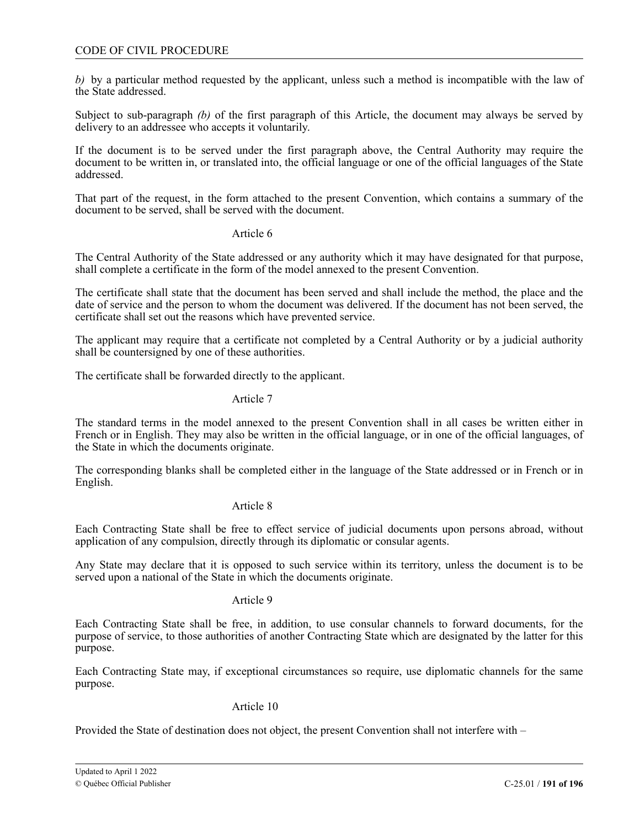*b)* by a particular method requested by the applicant, unless such a method is incompatible with the law of the State addressed.

Subject to sub-paragraph *(b)* of the first paragraph of this Article, the document may always be served by delivery to an addressee who accepts it voluntarily.

If the document is to be served under the first paragraph above, the Central Authority may require the document to be written in, or translated into, the official language or one of the official languages of the State addressed.

That part of the request, in the form attached to the present Convention, which contains a summary of the document to be served, shall be served with the document.

#### Article 6

The Central Authority of the State addressed or any authority which it may have designated for that purpose, shall complete a certificate in the form of the model annexed to the present Convention.

The certificate shall state that the document has been served and shall include the method, the place and the date of service and the person to whom the document was delivered. If the document has not been served, the certificate shall set out the reasons which have prevented service.

The applicant may require that a certificate not completed by a Central Authority or by a judicial authority shall be countersigned by one of these authorities.

The certificate shall be forwarded directly to the applicant.

# Article 7

The standard terms in the model annexed to the present Convention shall in all cases be written either in French or in English. They may also be written in the official language, or in one of the official languages, of the State in which the documents originate.

The corresponding blanks shall be completed either in the language of the State addressed or in French or in English.

# Article 8

Each Contracting State shall be free to effect service of judicial documents upon persons abroad, without application of any compulsion, directly through its diplomatic or consular agents.

Any State may declare that it is opposed to such service within its territory, unless the document is to be served upon a national of the State in which the documents originate.

# Article 9

Each Contracting State shall be free, in addition, to use consular channels to forward documents, for the purpose of service, to those authorities of another Contracting State which are designated by the latter for this purpose.

Each Contracting State may, if exceptional circumstances so require, use diplomatic channels for the same purpose.

# Article 10

Provided the State of destination does not object, the present Convention shall not interfere with –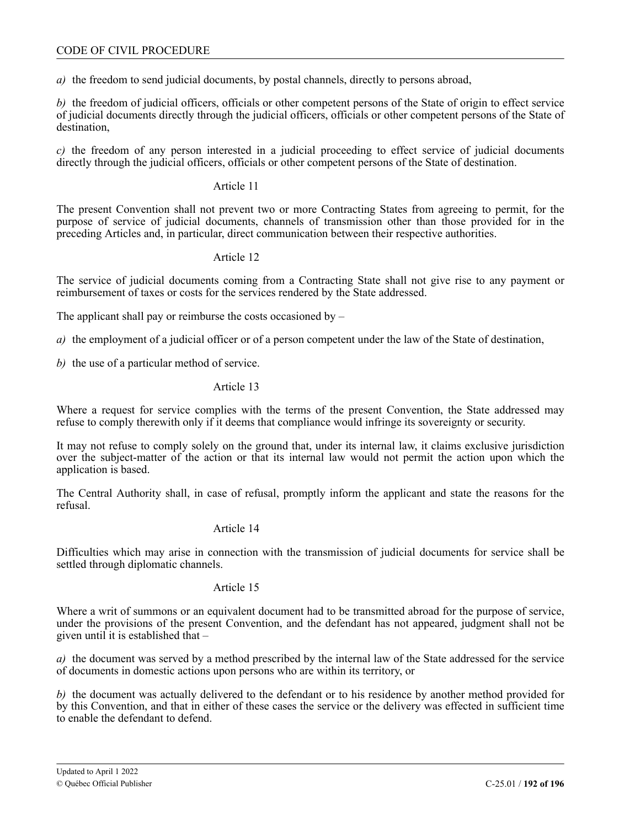*a*) the freedom to send judicial documents, by postal channels, directly to persons abroad,

*b*) the freedom of judicial officers, officials or other competent persons of the State of origin to effect service of judicial documents directly through the judicial officers, officials or other competent persons of the State of destination,

*c)* the freedom of any person interested in a judicial proceeding to effect service of judicial documents directly through the judicial officers, officials or other competent persons of the State of destination.

#### Article 11

The present Convention shall not prevent two or more Contracting States from agreeing to permit, for the purpose of service of judicial documents, channels of transmission other than those provided for in the preceding Articles and, in particular, direct communication between their respective authorities.

#### Article 12

The service of judicial documents coming from a Contracting State shall not give rise to any payment or reimbursement of taxes or costs for the services rendered by the State addressed.

The applicant shall pay or reimburse the costs occasioned by  $-$ 

*a)* the employment of a judicial officer or of a person competent under the law of the State of destination,

*b)* the use of a particular method of service.

#### Article 13

Where a request for service complies with the terms of the present Convention, the State addressed may refuse to comply therewith only if it deems that compliance would infringe its sovereignty or security.

It may not refuse to comply solely on the ground that, under its internal law, it claims exclusive jurisdiction over the subject-matter of the action or that its internal law would not permit the action upon which the application is based.

The Central Authority shall, in case of refusal, promptly inform the applicant and state the reasons for the refusal.

# Article 14

Difficulties which may arise in connection with the transmission of judicial documents for service shall be settled through diplomatic channels.

#### Article 15

Where a writ of summons or an equivalent document had to be transmitted abroad for the purpose of service, under the provisions of the present Convention, and the defendant has not appeared, judgment shall not be given until it is established that  $-$ 

*a)* the document was served by a method prescribed by the internal law of the State addressed for the service of documents in domestic actions upon persons who are within its territory, or

*b)* the document was actually delivered to the defendant or to his residence by another method provided for by this Convention, and that in either of these cases the service or the delivery was effected in sufficient time to enable the defendant to defend.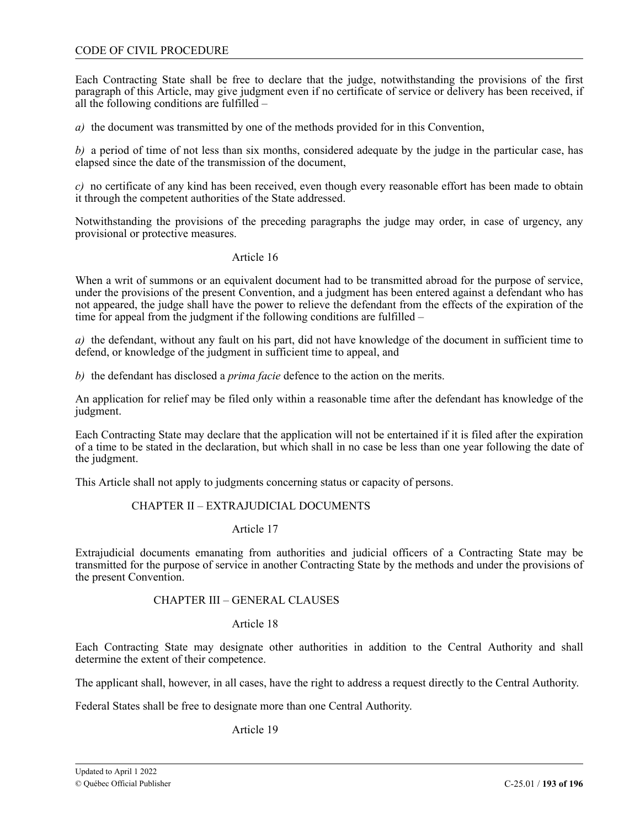Each Contracting State shall be free to declare that the judge, notwithstanding the provisions of the first paragraph of this Article, may give judgment even if no certificate of service or delivery has been received, if all the following conditions are fulfilled –

*a)* the document was transmitted by one of the methods provided for in this Convention,

*b)* a period of time of not less than six months, considered adequate by the judge in the particular case, has elapsed since the date of the transmission of the document,

*c)* no certificate of any kind has been received, even though every reasonable effort has been made to obtain it through the competent authorities of the State addressed.

Notwithstanding the provisions of the preceding paragraphs the judge may order, in case of urgency, any provisional or protective measures.

#### Article 16

When a writ of summons or an equivalent document had to be transmitted abroad for the purpose of service, under the provisions of the present Convention, and a judgment has been entered against a defendant who has not appeared, the judge shall have the power to relieve the defendant from the effects of the expiration of the time for appeal from the judgment if the following conditions are fulfilled  $-$ 

*a)* the defendant, without any fault on his part, did not have knowledge of the document in sufficient time to defend, or knowledge of the judgment in sufficient time to appeal, and

*b)* the defendant has disclosed a *prima facie* defence to the action on the merits.

An application for relief may be filed only within a reasonable time after the defendant has knowledge of the judgment.

Each Contracting State may declare that the application will not be entertained if it is filed after the expiration of a time to be stated in the declaration, but which shall in no case be less than one year following the date of the judgment.

This Article shall not apply to judgments concerning status or capacity of persons.

# CHAPTER II – EXTRAJUDICIAL DOCUMENTS

#### Article 17

Extrajudicial documents emanating from authorities and judicial officers of a Contracting State may be transmitted for the purpose of service in another Contracting State by the methods and under the provisions of the present Convention.

# CHAPTER III – GENERAL CLAUSES

#### Article 18

Each Contracting State may designate other authorities in addition to the Central Authority and shall determine the extent of their competence.

The applicant shall, however, in all cases, have the right to address a request directly to the Central Authority.

Federal States shall be free to designate more than one Central Authority.

Article 19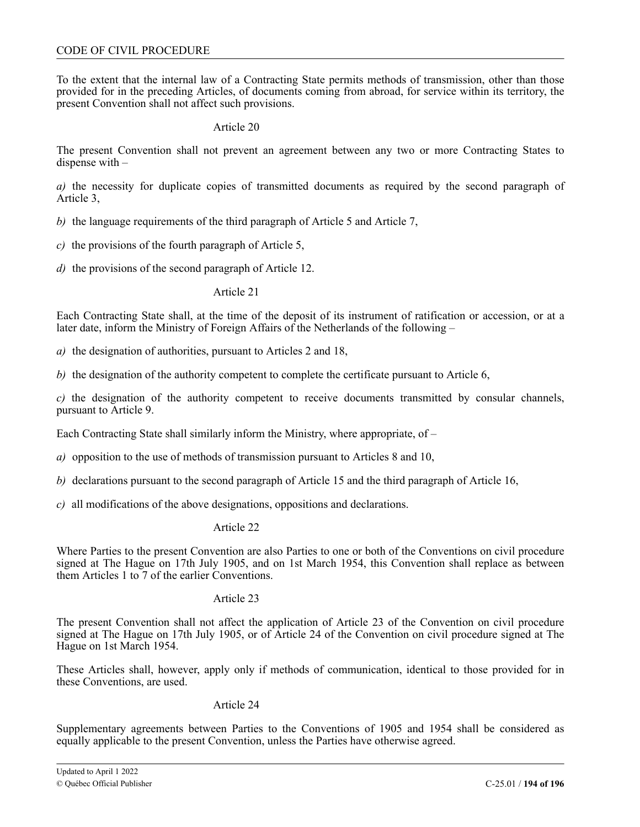To the extent that the internal law of a Contracting State permits methods of transmission, other than those provided for in the preceding Articles, of documents coming from abroad, for service within its territory, the present Convention shall not affect such provisions.

### Article 20

The present Convention shall not prevent an agreement between any two or more Contracting States to dispense with –

*a)* the necessity for duplicate copies of transmitted documents as required by the second paragraph of Article 3,

*b)* the language requirements of the third paragraph of Article 5 and Article 7,

*c)* the provisions of the fourth paragraph of Article 5,

*d)* the provisions of the second paragraph of Article 12.

Article 21

Each Contracting State shall, at the time of the deposit of its instrument of ratification or accession, or at a later date, inform the Ministry of Foreign Affairs of the Netherlands of the following –

*a)* the designation of authorities, pursuant to Articles 2 and 18,

*b*) the designation of the authority competent to complete the certificate pursuant to Article 6,

*c)* the designation of the authority competent to receive documents transmitted by consular channels, pursuant to Article 9.

Each Contracting State shall similarly inform the Ministry, where appropriate, of –

*a)* opposition to the use of methods of transmission pursuant to Articles 8 and 10,

- *b)* declarations pursuant to the second paragraph of Article 15 and the third paragraph of Article 16,
- *c)* all modifications of the above designations, oppositions and declarations.

#### Article 22

Where Parties to the present Convention are also Parties to one or both of the Conventions on civil procedure signed at The Hague on 17th July 1905, and on 1st March 1954, this Convention shall replace as between them Articles 1 to 7 of the earlier Conventions.

# Article 23

The present Convention shall not affect the application of Article 23 of the Convention on civil procedure signed at The Hague on 17th July 1905, or of Article 24 of the Convention on civil procedure signed at The Hague on 1st March 1954.

These Articles shall, however, apply only if methods of communication, identical to those provided for in these Conventions, are used.

#### Article 24

Supplementary agreements between Parties to the Conventions of 1905 and 1954 shall be considered as equally applicable to the present Convention, unless the Parties have otherwise agreed.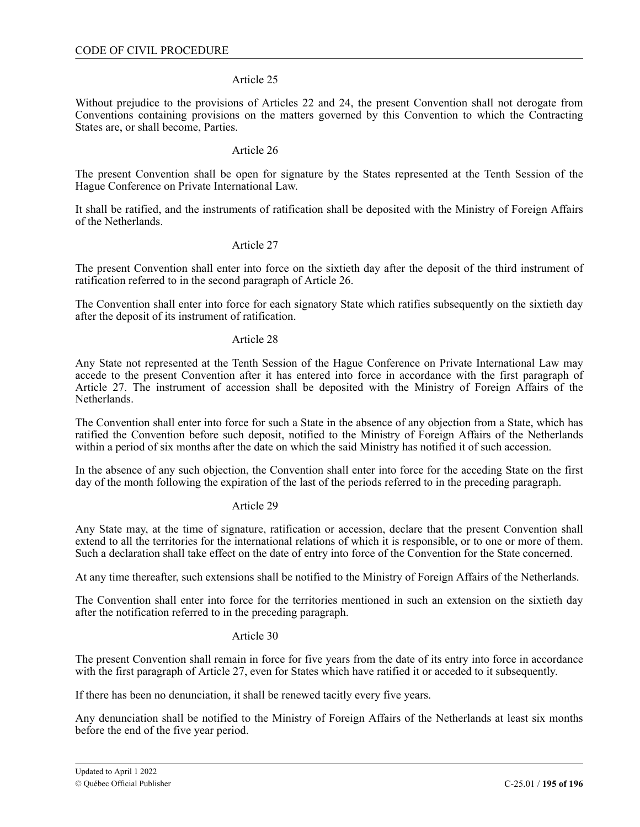### Article 25

Without prejudice to the provisions of Articles 22 and 24, the present Convention shall not derogate from Conventions containing provisions on the matters governed by this Convention to which the Contracting States are, or shall become, Parties.

# Article 26

The present Convention shall be open for signature by the States represented at the Tenth Session of the Hague Conference on Private International Law.

It shall be ratified, and the instruments of ratification shall be deposited with the Ministry of Foreign Affairs of the Netherlands.

# Article 27

The present Convention shall enter into force on the sixtieth day after the deposit of the third instrument of ratification referred to in the second paragraph of Article 26.

The Convention shall enter into force for each signatory State which ratifies subsequently on the sixtieth day after the deposit of its instrument of ratification.

# Article 28

Any State not represented at the Tenth Session of the Hague Conference on Private International Law may accede to the present Convention after it has entered into force in accordance with the first paragraph of Article 27. The instrument of accession shall be deposited with the Ministry of Foreign Affairs of the Netherlands.

The Convention shall enter into force for such a State in the absence of any objection from a State, which has ratified the Convention before such deposit, notified to the Ministry of Foreign Affairs of the Netherlands within a period of six months after the date on which the said Ministry has notified it of such accession.

In the absence of any such objection, the Convention shall enter into force for the acceding State on the first day of the month following the expiration of the last of the periods referred to in the preceding paragraph.

#### Article 29

Any State may, at the time of signature, ratification or accession, declare that the present Convention shall extend to all the territories for the international relations of which it is responsible, or to one or more of them. Such a declaration shall take effect on the date of entry into force of the Convention for the State concerned.

At any time thereafter, such extensions shall be notified to the Ministry of Foreign Affairs of the Netherlands.

The Convention shall enter into force for the territories mentioned in such an extension on the sixtieth day after the notification referred to in the preceding paragraph.

#### Article 30

The present Convention shall remain in force for five years from the date of its entry into force in accordance with the first paragraph of Article 27, even for States which have ratified it or acceded to it subsequently.

If there has been no denunciation, it shall be renewed tacitly every five years.

Any denunciation shall be notified to the Ministry of Foreign Affairs of the Netherlands at least six months before the end of the five year period.